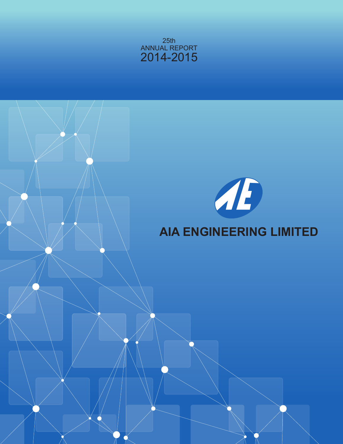

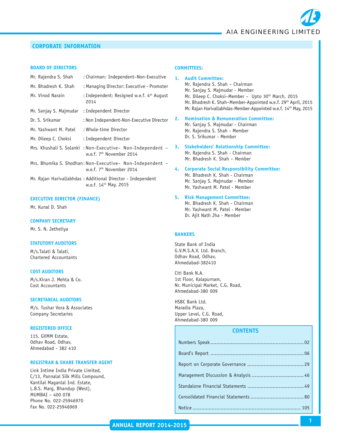

## **CORPORATE INFORMATION**

#### **BOARD OF DIRECTORS**

| Mr. Rajendra S. Shah   | : Chairman: Independent-Non-Executive                                                               |
|------------------------|-----------------------------------------------------------------------------------------------------|
| Mr. Bhadresh K. Shah   | : Managing Director: Executive - Promoter                                                           |
| Mr. Vinod Narain       | : Independent: Resigned w.e.f. 4th August<br>2014                                                   |
| Mr. Sanjay S. Majmudar | : Independent Director                                                                              |
| Dr. S. Srikumar        | : Non Independent-Non-Executive Director                                                            |
| Mr. Yashwant M. Patel  | : Whole-time Director                                                                               |
| Mr. Dileep C. Choksi   | : Independent Director                                                                              |
|                        | Mrs. Khushali S. Solanki : Non-Executive- Non-Independent -<br>w.e.f. 7 <sup>th</sup> November 2014 |

- Mrs. Bhumika S. Shodhan: Non-Executive– Non-Independent w.e.f. 7<sup>th</sup> November 2014
- Mr. Rajan Harivallabhdas : Additional Director Independent w.e.f. 14th May, 2015

#### **EXECUTIVE DIRECTOR (FINANCE)**

Mr. Kunal D. Shah

#### **COMPANY SECRETARY**

Mr. S. N. Jetheliya

#### **STATUTORY AUDITORS**

M/s.Talati & Talati, Chartered Accountants

#### **COST AUDITORS**

M/s.Kiran J. Mehta & Co. Cost Accountants

#### **SECRETARIAL AUDITORS**

M/s. Tushar Vora & Associates Company Secretaries

#### **REGISTERED OFFICE**

115, GVMM Estate, Odhav Road, Odhav, Ahmedabad - 382 410

#### **REGISTRAR & SHARE TRANSFER AGENT**

Link Intime India Private Limited, C/13, Pannalal Silk Mills Compound, Kantilal Maganlal Ind. Estate, L.B.S. Marg, Bhandup (West), MUMBAI – 400 078 Phone No. 022-25946970 Fax No. 022-25946969

#### **COMMITTEES:**

- **1. Audit Committee:** Mr. Rajendra S. Shah – Chairman Mr. Sanjay S. Majmudar - Member Mr. Dileep C. Choksi-Member - Upto 30<sup>th</sup> March, 2015 Mr. Bhadresh K. Shah-Member-Appointed w.e.f. 29<sup>th</sup> April, 2015 Mr. Rajan Harivallabhdas-Member-Appointed w.e.f. 14<sup>th</sup> May, 2015
- **2. Nomination & Remuneration Committee:** Mr. Sanjay S. Majmudar - Chairman Mr. Rajendra S. Shah - Member Dr. S. Srikumar - Member
- **3. Stakeholders' Relationship Committee:** Mr. Rajendra S. Shah - Chairman Mr. Bhadresh K. Shah – Member
- **4. Corporate Social Responsibility Committee:** Mr. Bhadresh K. Shah - Chairman Mr. Sanjay S. Majmudar - Member Mr. Yashwant M. Patel - Member
- **5. Risk Management Committee:**

Mr. Bhadresh K. Shah - Chairman Mr. Yashwant M. Patel - Member Dr. Ajit Nath Jha - Member

#### **BANKERS**

State Bank of India G.V.M.S.A.V. Ltd. Branch, Odhav Road, Odhav, Ahmedabad-382410

Citi Bank N.A. 1st Floor, Kalapurnam, Nr. Municipal Market, C.G. Road, Ahmedabad-380 009

HSBC Bank Ltd. Maradia Plaza, Upper Level, C.G. Road, Ahmedabad-380 009

#### **CONTENTS**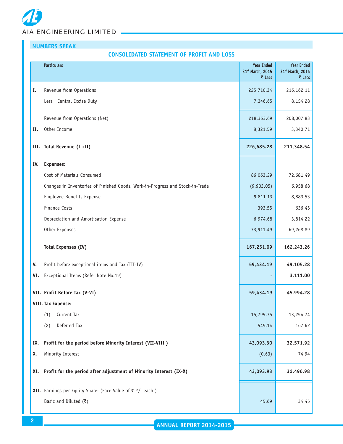# **NUMBERS SPEAK**

#### **CONSOLIDATED STATEMENT OF PROFIT AND LOSS**

|     | <b>Particulars</b>                                                            | <b>Year Ended</b><br>31st March, 2015<br>₹ Lacs | <b>Year Ended</b><br>31st March, 2014<br>₹ Lacs |
|-----|-------------------------------------------------------------------------------|-------------------------------------------------|-------------------------------------------------|
| I.  | Revenue from Operations                                                       | 225,710.34                                      | 216,162.11                                      |
|     | Less : Central Excise Duty                                                    | 7,346.65                                        | 8,154.28                                        |
|     | Revenue from Operations (Net)                                                 | 218,363.69                                      | 208,007.83                                      |
| II. | Other Income                                                                  | 8,321.59                                        | 3,340.71                                        |
|     | III. Total Revenue (I +II)                                                    | 226,685.28                                      | 211,348.54                                      |
| IV. | <b>Expenses:</b>                                                              |                                                 |                                                 |
|     | Cost of Materials Consumed                                                    | 86,063.29                                       | 72,681.49                                       |
|     | Changes in Inventories of Finished Goods, Work-in-Progress and Stock-in-Trade | (9,903.05)                                      | 6,958.68                                        |
|     | Employee Benefits Expense                                                     | 9,811.13                                        | 8,883.53                                        |
|     | <b>Finance Costs</b>                                                          | 393.55                                          | 636.45                                          |
|     | Depreciation and Amortisation Expense                                         | 6,974.68                                        | 3,814.22                                        |
|     | Other Expenses                                                                | 73,911.49                                       | 69,268.89                                       |
|     | <b>Total Expenses (IV)</b>                                                    | 167,251.09                                      | 162,243.26                                      |
| V.  | Profit before exceptional items and Tax (III-IV)                              | 59,434.19                                       | 49,105.28                                       |
| VI. | Exceptional Items (Refer Note No.19)                                          |                                                 | 3,111.00                                        |
|     | VII. Profit Before Tax (V-VI)                                                 | 59,434.19                                       | 45,994.28                                       |
|     | <b>VIII. Tax Expense:</b>                                                     |                                                 |                                                 |
|     | Current Tax<br>(1)                                                            | 15,795.75                                       | 13,254.74                                       |
|     | Deferred Tax<br>(2)                                                           | 545.14                                          | 167.62                                          |
| IX. | Profit for the period before Minority Interest (VII-VIII )                    | 43,093.30                                       | 32,571.92                                       |
| Х.  | Minority Interest                                                             | (0.63)                                          | 74.94                                           |
| XI. | Profit for the period after adjustment of Minority Interest (IX-X)            | 43,093.93                                       | 32,496.98                                       |
|     | XII. Earnings per Equity Share: (Face Value of ₹ 2/- each)                    |                                                 |                                                 |
|     | Basic and Diluted $(3)$                                                       | 45.69                                           | 34.45                                           |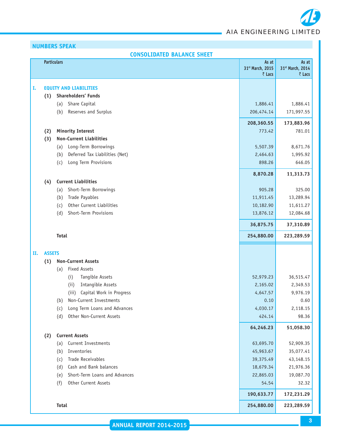# **NUMBERS SPEAK**

|    | <b>CONSOLIDATED BALANCE SHEET</b> |                                                     |                                     |                                     |  |  |  |
|----|-----------------------------------|-----------------------------------------------------|-------------------------------------|-------------------------------------|--|--|--|
|    | <b>Particulars</b>                |                                                     | As at<br>31st March, 2015<br>₹ Lacs | As at<br>31st March, 2014<br>₹ Lacs |  |  |  |
|    |                                   | <b>EQUITY AND LIABILITIES</b>                       |                                     |                                     |  |  |  |
| Ι. |                                   |                                                     |                                     |                                     |  |  |  |
|    | (1)                               | Shareholders' Funds                                 | 1,886.41                            |                                     |  |  |  |
|    |                                   | Share Capital<br>(a)<br>Reserves and Surplus<br>(b) | 206,474.14                          | 1,886.41<br>171,997.55              |  |  |  |
|    |                                   |                                                     |                                     |                                     |  |  |  |
|    |                                   |                                                     | 208,360.55                          | 173,883.96                          |  |  |  |
|    | (2)                               | <b>Minority Interest</b>                            | 773.42                              | 781.01                              |  |  |  |
|    | (3)                               | <b>Non-Current Liabilities</b>                      |                                     |                                     |  |  |  |
|    |                                   | Long-Term Borrowings<br>(a)                         | 5,507.39                            | 8,671.76                            |  |  |  |
|    |                                   | Deferred Tax Liabilities (Net)<br>(b)               | 2,464.63                            | 1,995.92                            |  |  |  |
|    |                                   | Long Term Provisions<br>(c)                         | 898.26                              | 646.05                              |  |  |  |
|    |                                   |                                                     | 8,870.28                            | 11,313.73                           |  |  |  |
|    | (4)                               | <b>Current Liabilities</b>                          |                                     |                                     |  |  |  |
|    |                                   | Short-Term Borrowings<br>(a)                        | 905.28                              | 325.00                              |  |  |  |
|    |                                   | Trade Payables<br>(b)                               | 11,911.45                           | 13,289.94                           |  |  |  |
|    |                                   | Other Current Liabilities<br>(c)                    | 10,182.90                           | 11,611.27                           |  |  |  |
|    |                                   | Short-Term Provisions<br>(d)                        | 13,876.12                           | 12,084.68                           |  |  |  |
|    |                                   |                                                     | 36,875.75                           | 37,310.89                           |  |  |  |
|    |                                   | <b>Total</b>                                        | 254,880.00                          | 223,289.59                          |  |  |  |
| н. | <b>ASSETS</b>                     |                                                     |                                     |                                     |  |  |  |
|    | (1)                               | <b>Non-Current Assets</b>                           |                                     |                                     |  |  |  |
|    |                                   | <b>Fixed Assets</b><br>(a)                          |                                     |                                     |  |  |  |
|    |                                   | Tangible Assets<br>(i)                              | 52,979.23                           | 36,515.47                           |  |  |  |
|    |                                   | Intangible Assets<br>(i)                            | 2,165.02                            | 2,349.53                            |  |  |  |
|    |                                   | Capital Work in Progress<br>(iii)                   | 4,647.57                            | 9,976.19                            |  |  |  |
|    |                                   | Non-Current Investments<br>(b)                      | 0.10                                | 0.60                                |  |  |  |
|    |                                   | Long Term Loans and Advances<br>(c)                 | 4,030.17                            | 2,118.15                            |  |  |  |
|    |                                   | Other Non-Current Assets<br>(d)                     | 424.14                              | 98.36                               |  |  |  |
|    |                                   |                                                     | 64,246.23                           | 51,058.30                           |  |  |  |
|    | (2)                               | <b>Current Assets</b>                               |                                     |                                     |  |  |  |
|    |                                   | Current Investments<br>(a)                          | 63,695.70                           | 52,909.35                           |  |  |  |
|    |                                   | Inventories<br>(b)                                  | 45,963.67                           | 35,077.41                           |  |  |  |
|    |                                   | Trade Receivables<br>(c)                            | 39,375.49                           | 43,148.15                           |  |  |  |
|    |                                   | Cash and Bank balances<br>(d)                       | 18,679.34                           | 21,976.36                           |  |  |  |
|    |                                   | Short-Term Loans and Advances<br>(e)                | 22,865.03                           | 19,087.70                           |  |  |  |
|    |                                   | Other Current Assets<br>(f)                         | 54.54                               | 32.32                               |  |  |  |
|    |                                   |                                                     |                                     |                                     |  |  |  |
|    |                                   |                                                     | 190,633.77                          | 172,231.29                          |  |  |  |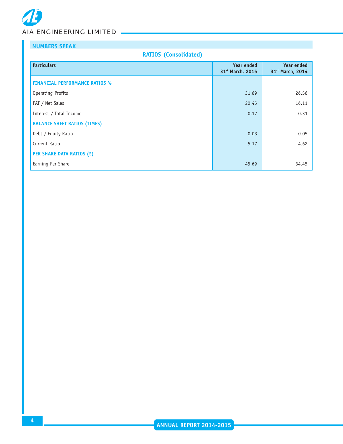# **NUMBERS SPEAK**

# **RATIOS (Consolidated)**

| <b>Particulars</b>                    | <b>Year ended</b><br>31 <sup>st</sup> March, 2015 | <b>Year ended</b><br>31st March, 2014 |
|---------------------------------------|---------------------------------------------------|---------------------------------------|
| <b>FINANCIAL PERFORMANCE RATIOS %</b> |                                                   |                                       |
| Operating Profits                     | 31.69                                             | 26.56                                 |
| PAT / Net Sales                       | 20.45                                             | 16.11                                 |
| Interest / Total Income               | 0.17                                              | 0.31                                  |
| <b>BALANCE SHEET RATIOS (TIMES)</b>   |                                                   |                                       |
| Debt / Equity Ratio                   | 0.03                                              | 0.05                                  |
| Current Ratio                         | 5.17                                              | 4.62                                  |
| <b>PER SHARE DATA RATIOS (₹)</b>      |                                                   |                                       |
| Earning Per Share                     | 45.69                                             | 34.45                                 |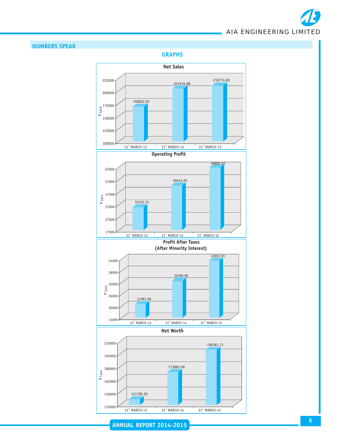

# **NUMBERS SPEAK**

**GRAPHS**



**ANNUAL REPORT 2014-2015**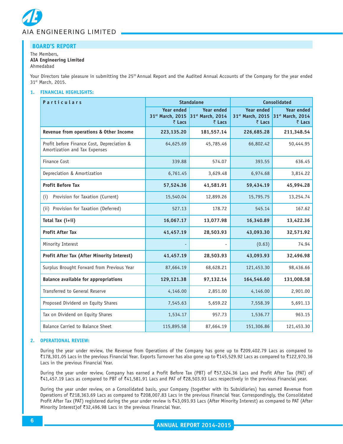

#### The Members, **AIA Engineering Limited** Ahmedabad

Your Directors take pleasure in submitting the 25<sup>th</sup> Annual Report and the Audited Annual Accounts of the Company for the year ended 31st March, 2015.

#### **1. FINANCIAL HIGHLIGHTS:**

| <b>Particulars</b>                                                          |                                                 | <b>Standalone</b>                                           | <b>Consolidated</b>                             |                                                 |  |
|-----------------------------------------------------------------------------|-------------------------------------------------|-------------------------------------------------------------|-------------------------------------------------|-------------------------------------------------|--|
|                                                                             | <b>Year ended</b><br>31st March, 2015<br>₹ Lacs | <b>Year ended</b><br>31 <sup>st</sup> March, 2014<br>₹ Lacs | <b>Year ended</b><br>31st March, 2015<br>₹ Lacs | <b>Year ended</b><br>31st March, 2014<br>₹ Lacs |  |
| Revenue from operations & Other Income                                      | 223,135.20                                      | 181,557.14                                                  | 226,685.28                                      | 211,348.54                                      |  |
| Profit before Finance Cost, Depreciation &<br>Amortization and Tax Expenses | 64,625.69                                       | 45,785.46                                                   | 66,802.42                                       | 50,444.95                                       |  |
| Finance Cost                                                                | 339.88                                          | 574.07                                                      | 393.55                                          | 636.45                                          |  |
| Depreciation & Amortization                                                 | 6,761.45                                        | 3,629.48                                                    | 6,974.68                                        | 3,814.22                                        |  |
| <b>Profit Before Tax</b>                                                    | 57,524.36                                       | 41,581.91                                                   | 59,434.19                                       | 45,994.28                                       |  |
| Provision for Taxation (Current)<br>(i)                                     | 15,540.04                                       | 12,899.26                                                   | 15,795.75                                       | 13,254.74                                       |  |
| (ii) Provision for Taxation (Deferred)                                      | 527.13                                          | 178.72                                                      | 545.14                                          | 167.62                                          |  |
| Total Tax (i+ii)                                                            | 16,067.17                                       | 13,077.98                                                   | 16,340.89                                       | 13,422.36                                       |  |
| <b>Profit After Tax</b>                                                     | 41,457.19                                       | 28,503.93                                                   | 43,093.30                                       | 32,571.92                                       |  |
| Minority Interest                                                           |                                                 |                                                             | (0.63)                                          | 74.94                                           |  |
| Profit After Tax (After Minority Interest)                                  | 41,457.19                                       | 28,503.93                                                   | 43,093.93                                       | 32,496.98                                       |  |
| Surplus Brought Forward from Previous Year                                  | 87,664.19                                       | 68,628.21                                                   | 121,453.30                                      | 98,436.66                                       |  |
| <b>Balance available for appropriations</b>                                 | 129,121.38                                      | 97,132.14                                                   | 164,546.60                                      | 131,008.58                                      |  |
| Transferred to General Reserve                                              | 4,146.00                                        | 2,851.00                                                    | 4,146.00                                        | 2,901.00                                        |  |
| Proposed Dividend on Equity Shares                                          | 7,545.63                                        | 5,659.22                                                    | 7,558.39                                        | 5,691.13                                        |  |
| Tax on Dividend on Equity Shares                                            | 1,534.17                                        | 957.73                                                      | 1,536.77                                        | 963.15                                          |  |
| Balance Carried to Balance Sheet                                            | 115,895.58                                      | 87,664.19                                                   | 151,306.86                                      | 121,453.30                                      |  |

#### **2. OPERATIONAL REVIEW:**

During the year under review, the Revenue from Operations of the Company has gone up to  $\bar{\zeta}$ 209,402.79 Lacs as compared to `178,301.05 Lacs in the previous Financial Year. Exports Turnover has also gone up to `145,529.92 Lacs as compared to `122,970.36 Lacs in the previous Financial Year.

During the year under review, Company has earned a Profit Before Tax (PBT) of `57,524.36 Lacs and Profit After Tax (PAT) of ₹41,457.19 Lacs as compared to PBT of ₹41,581.91 Lacs and PAT of ₹28,503.93 Lacs respectively in the previous Financial year.

During the year under review, on a Consolidated basis, your Company (together with its Subsidiaries) has earned Revenue from Operations of ₹218,363.69 Lacs as compared to ₹208,007.83 Lacs in the previous Financial Year. Correspondingly, the Consolidated Profit After Tax (PAT) registered during the year under review is ₹43,093.93 Lacs (After Minority Interest) as compared to PAT (After Minority Interest) of ₹32,496.98 Lacs in the previous Financial Year.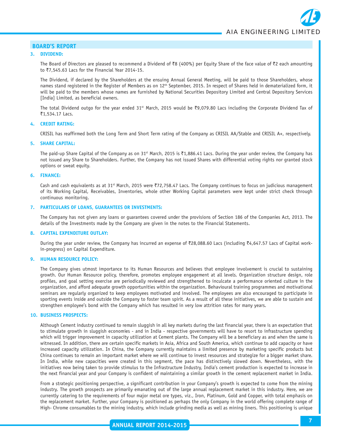#### **3. DIVIDEND:**

The Board of Directors are pleased to recommend a Dividend of  $\overline{8}8$  (400%) per Equity Share of the face value of  $\overline{8}2$  each amounting to ₹7,545.63 Lacs for the Financial Year 2014-15.

The Dividend, if declared by the Shareholders at the ensuing Annual General Meeting, will be paid to those Shareholders, whose names stand registered in the Register of Members as on 12<sup>th</sup> September, 2015. In respect of Shares held in dematerialized form, it will be paid to the members whose names are furnished by National Securities Depository Limited and Central Depository Services [India] Limited, as beneficial owners.

The total Dividend outgo for the year ended 31<sup>st</sup> March, 2015 would be ₹9,079.80 Lacs including the Corporate Dividend Tax of ₹1,534.17 Lacs.

#### **4. CREDIT RATING:**

CRISIL has reaffirmed both the Long Term and Short Term rating of the Company as CRISIL AA/Stable and CRISIL A+, respectively.

#### **5. SHARE CAPITAL:**

The paid-up Share Capital of the Company as on 31<sup>st</sup> March, 2015 is ₹1,886.41 Lacs. During the year under review, the Company has not issued any Share to Shareholders. Further, the Company has not issued Shares with differential voting rights nor granted stock options or sweat equity.

#### **6. FINANCE:**

Cash and cash equivalents as at 31<sup>st</sup> March, 2015 were ₹72,758.47 Lacs. The Company continues to focus on judicious management of its Working Capital, Receivables, Inventories, whole other Working Capital parameters were kept under strict check through continuous monitoring.

#### **7. PARTICULARS OF LOANS, GUARANTEES OR INVESTMENTS:**

The Company has not given any loans or guarantees covered under the provisions of Section 186 of the Companies Act, 2013. The details of the Investments made by the Company are given in the notes to the Financial Statements.

#### **8. CAPITAL EXPENDITURE OUTLAY:**

During the year under review, the Company has incurred an expense of ₹28,088.60 Lacs (including ₹4,647.57 Lacs of Capital workin-progress) on Capital Expenditure.

#### **9. HUMAN RESOURCE POLICY:**

The Company gives utmost importance to its Human Resources and believes that employee involvement is crucial to sustaining growth. Our Human Resource policy, therefore, promotes employee engagement at all levels. Organization structure design, role profiles, and goal setting exercise are periodically reviewed and strengthened to inculcate a performance oriented culture in the organization, and afford adequate growth opportunities within the organization. Behavioural training programmes and motivational seminars are regularly organized to keep employees motivated and involved. The employees are also encouraged to participate in sporting events inside and outside the Company to foster team spirit. As a result of all these initiatives, we are able to sustain and strengthen employee's bond with the Company which has resulted in very low attrition rates for many years.

#### **10. BUSINESS PROSPECTS:**

Although Cement industry continued to remain sluggish in all key markets during the last financial year, there is an expectation that to stimulate growth in sluggish economies - and in India - respective governments will have to resort to infrastructure spending which will trigger improvement in capacity utilization at Cement plants. The Company will be a beneficiary as and when the same is witnessed. In addition, there are certain specific markets in Asia, Africa and South America, which continue to add capacity or have increased capacity utilization. In China, the Company currently maintains a limited presence by marketing specific products but China continues to remain an important market where we will continue to invest resources and strategize for a bigger market share. In India, while new capacities were created in this segment, the pace has distinctively slowed down. Nevertheless, with the initiatives now being taken to provide stimulus to the Infrastructure Industry, India's cement production is expected to increase in the next financial year and your Company is confident of maintaining a similar growth in the cement replacement market in India.

From a strategic positioning perspective, a significant contribution in your Company's growth is expected to come from the mining industry. The growth prospects are primarily emanating out of the large annual replacement market in this industry. Here, we are currently catering to the requirements of four major metal ore types, viz., Iron, Platinum, Gold and Copper, with total emphasis on the replacement market. Further, your Company is positioned as perhaps the only Company in the world offering complete range of High- Chrome consumables to the mining industry, which include grinding media as well as mining liners. This positioning is unique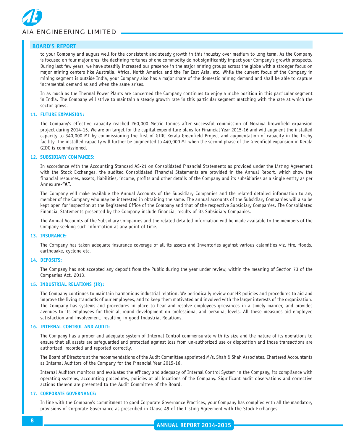

to your Company and augurs well for the consistent and steady growth in this industry over medium to long term. As the Company is focused on four major ores, the declining fortunes of one commodity do not significantly impact your Company's growth prospects. During last few years, we have steadily increased our presence in the major mining groups across the globe with a stronger focus on major mining centers like Australia, Africa, North America and the Far East Asia, etc. While the current focus of the Company in mining segment is outside India, your Company also has a major share of the domestic mining demand and shall be able to capture incremental demand as and when the same arises.

In as much as the Thermal Power Plants are concerned the Company continues to enjoy a niche position in this particular segment in India. The Company will strive to maintain a steady growth rate in this particular segment matching with the rate at which the sector grows.

#### **11. FUTURE EXPANSION:**

The Company's effective capacity reached 260,000 Metric Tonnes after successful commission of Moraiya brownfield expansion project during 2014-15. We are on target for the capital expenditure plans for Financial Year 2015-16 and will augment the installed capacity to 340,000 MT by commissioning the first of GIDC Kerala Greenfield Project and augmentation of capacity in the Trichy facility. The installed capacity will further be augmented to 440,000 MT when the second phase of the Greenfield expansion in Kerala GIDC is commissioned.

#### **12. SUBSIDIARY COMPANIES:**

In accordance with the Accounting Standard AS-21 on Consolidated Financial Statements as provided under the Listing Agreement with the Stock Exchanges, the audited Consolidated Financial Statements are provided in the Annual Report, which show the financial resources, assets, liabilities, income, profits and other details of the Company and its subsidiaries as a single entity as per Annexure-**"A".**

The Company will make available the Annual Accounts of the Subsidiary Companies and the related detailed information to any member of the Company who may be interested in obtaining the same. The annual accounts of the Subsidiary Companies will also be kept open for inspection at the Registered Office of the Company and that of the respective Subsidiary Companies. The Consolidated Financial Statements presented by the Company include financial results of its Subsidiary Companies.

The Annual Accounts of the Subsidiary Companies and the related detailed information will be made available to the members of the Company seeking such information at any point of time.

#### **13. INSURANCE:**

The Company has taken adequate insurance coverage of all its assets and Inventories against various calamities viz. fire, floods, earthquake, cyclone etc.

#### **14. DEPOSITS:**

The Company has not accepted any deposit from the Public during the year under review, within the meaning of Section 73 of the Companies Act, 2013.

#### **15. INDUSTRIAL RELATIONS (IR):**

The Company continues to maintain harmonious industrial relation. We periodically review our HR policies and procedures to aid and improve the living standards of our employees, and to keep them motivated and involved with the larger interests of the organization. The Company has systems and procedures in place to hear and resolve employees grievances in a timely manner, and provides avenues to its employees for their all-round development on professional and personal levels. All these measures aid employee satisfaction and involvement, resulting in good Industrial Relations.

#### **16. INTERNAL CONTROL AND AUDIT:**

The Company has a proper and adequate system of Internal Control commensurate with its size and the nature of its operations to ensure that all assets are safeguarded and protected against loss from un-authorized use or disposition and those transactions are authorized, recorded and reported correctly.

The Board of Directors at the recommendations of the Audit Committee appointed M/s. Shah & Shah Associates, Chartered Accountants as Internal Auditors of the Company for the Financial Year 2015-16.

Internal Auditors monitors and evaluates the efficacy and adequacy of Internal Control System in the Company, its compliance with operating systems, accounting procedures, policies at all locations of the Company. Significant audit observations and corrective actions thereon are presented to the Audit Committee of the Board.

#### **17. CORPORATE GOVERNANCE:**

In line with the Company's commitment to good Corporate Governance Practices, your Company has complied with all the mandatory provisions of Corporate Governance as prescribed in Clause 49 of the Listing Agreement with the Stock Exchanges.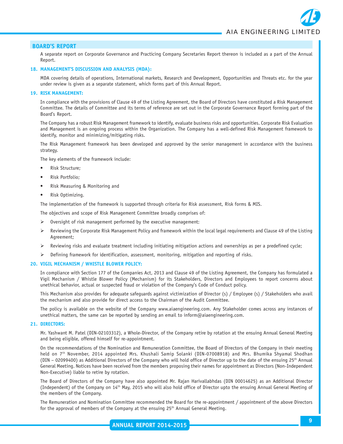A separate report on Corporate Governance and Practicing Company Secretaries Report thereon is included as a part of the Annual Report.

#### **18. MANAGEMENT'S DISCUSSION AND ANALYSIS (MDA):**

MDA covering details of operations, International markets, Research and Development, Opportunities and Threats etc. for the year under review is given as a separate statement, which forms part of this Annual Report.

#### **19. RISK MANAGEMENT:**

In compliance with the provisions of Clause 49 of the Listing Agreement, the Board of Directors have constituted a Risk Management Committee. The details of Committee and its terms of reference are set out in the Corporate Governance Report forming part of the Board's Report.

The Company has a robust Risk Management framework to identify, evaluate business risks and opportunities. Corporate Risk Evaluation and Management is an ongoing process within the Organization. The Company has a well-defined Risk Management framework to identify, monitor and minimizing/mitigating risks.

The Risk Management framework has been developed and approved by the senior management in accordance with the business strategy.

The key elements of the framework include:

- Risk Structure;
- Risk Portfolio;
- Risk Measuring & Monitoring and
- Risk Optimizing.

The implementation of the framework is supported through criteria for Risk assessment, Risk forms & MIS.

The objectives and scope of Risk Management Committee broadly comprises of:

- Oversight of risk management performed by the executive management:
- ¾ Reviewing the Corporate Risk Management Policy and framework within the local legal requirements and Clause 49 of the Listing Agreement;
- $\triangleright$  Reviewing risks and evaluate treatment including initiating mitigation actions and ownerships as per a predefined cycle;
- Defining framework for identification, assessment, monitoring, mitigation and reporting of risks.

#### **20. VIGIL MECHANISM / WHISTLE BLOWER POLICY:**

In compliance with Section 177 of the Companies Act, 2013 and Clause 49 of the Listing Agreement, the Company has formulated a Vigil Mechanism / Whistle Blower Policy (Mechanism) for its Stakeholders, Directors and Employees to report concerns about unethical behavior, actual or suspected fraud or violation of the Company's Code of Conduct policy.

This Mechanism also provides for adequate safeguards against victimization of Director (s) / Employee (s) / Stakeholders who avail the mechanism and also provide for direct access to the Chairman of the Audit Committee.

The policy is available on the website of the Company www.aiaengineering.com. Any Stakeholder comes across any instances of unethical matters, the same can be reported by sending an email to inform@aiaengineering.com.

#### **21. DIRECTORS:**

Mr. Yashwant M. Patel (DIN-02103312), a Whole-Director, of the Company retire by rotation at the ensuing Annual General Meeting and being eligible, offered himself for re-appointment.

On the recommendations of the Nomination and Remuneration Committee, the Board of Directors of the Company in their meeting held on 7th November, 2014 appointed Mrs. Khushali Samip Solanki (DIN-07008918) and Mrs. Bhumika Shyamal Shodhan (DIN – 02099400) as Additional Directors of the Company who will hold office of Director up to the date of the ensuing 25th Annual General Meeting. Notices have been received from the members proposing their names for appointment as Directors (Non-Independent Non-Executive) liable to retire by rotation.

The Board of Directors of the Company have also appointed Mr. Rajan Harivallabhdas (DIN 00014625) as an Additional Director (Independent) of the Company on 14th May, 2015 who will also hold office of Director upto the ensuing Annual General Meeting of the members of the Company.

The Remuneration and Nomination Committee recommended the Board for the re-appointment / appointment of the above Directors for the approval of members of the Company at the ensuing  $25<sup>th</sup>$  Annual General Meeting.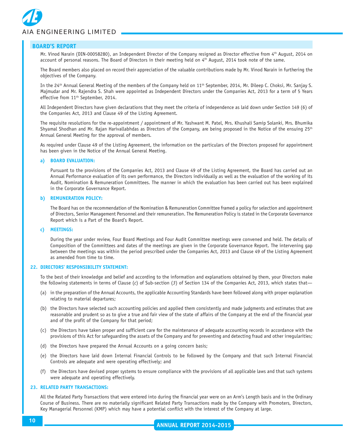

Mr. Vinod Narain (DIN-00058280), an Independent Director of the Company resigned as Director effective from 4<sup>th</sup> August, 2014 on account of personal reasons. The Board of Directors in their meeting held on  $4<sup>th</sup>$  August, 2014 took note of the same.

The Board members also placed on record their appreciation of the valuable contributions made by Mr. Vinod Narain in furthering the objectives of the Company.

In the 24<sup>th</sup> Annual General Meeting of the members of the Company held on 11<sup>th</sup> September, 2014, Mr. Dileep C. Choksi, Mr. Sanjay S. Majmudar and Mr. Rajendra S. Shah were appointed as Independent Directors under the Companies Act, 2013 for a term of 5 Years effective from 11<sup>th</sup> September, 2014.

All Independent Directors have given declarations that they meet the criteria of independence as laid down under Section 149 (6) of the Companies Act, 2013 and Clause 49 of the Listing Agreement.

The requisite resolutions for the re-appointment / appointment of Mr. Yashwant M. Patel, Mrs. Khushali Samip Solanki, Mrs. Bhumika Shyamal Shodhan and Mr. Rajan Harivallabhdas as Directors of the Company, are being proposed in the Notice of the ensuing 25<sup>th</sup> Annual General Meeting for the approval of members.

As required under Clause 49 of the Listing Agreement, the information on the particulars of the Directors proposed for appointment has been given in the Notice of the Annual General Meeting.

#### **a) BOARD EVALUATION:**

Pursuant to the provisions of the Companies Act, 2013 and Clause 49 of the Listing Agreement, the Board has carried out an Annual Performance evaluation of its own performance, the Directors individually as well as the evaluation of the working of its Audit, Nomination & Remuneration Committees. The manner in which the evaluation has been carried out has been explained in the Corporate Governance Report.

#### **b) REMUNERATION POLICY:**

The Board has on the recommendation of the Nomination & Remuneration Committee framed a policy for selection and appointment of Directors, Senior Management Personnel and their remuneration. The Remuneration Policy is stated in the Corporate Governance Report which is a Part of the Board's Report.

#### **c) MEETINGS:**

During the year under review, Four Board Meetings and Four Audit Committee meetings were convened and held. The details of Composition of the Committees and dates of the meetings are given in the Corporate Governance Report. The intervening gap between the meetings was within the period prescribed under the Companies Act, 2013 and Clause 49 of the Listing Agreement as amended from time to time.

#### **22. DIRECTORS' RESPONSIBILITY STATEMENT:**

To the best of their knowledge and belief and according to the information and explanations obtained by them, your Directors make the following statements in terms of Clause (*c*) of Sub-section (*3*) of Section 134 of the Companies Act, 2013, which states that—

- (a) in the preparation of the Annual Accounts, the applicable Accounting Standards have been followed along with proper explanation relating to material departures;
- (b) the Directors have selected such accounting policies and applied them consistently and made judgments and estimates that are reasonable and prudent so as to give a true and fair view of the state of affairs of the Company at the end of the financial year and of the profit of the Company for that period;
- (c) the Directors have taken proper and sufficient care for the maintenance of adequate accounting records in accordance with the provisions of this Act for safeguarding the assets of the Company and for preventing and detecting fraud and other irregularities;
- (d) the Directors have prepared the Annual Accounts on a going concern basis;
- (e) the Directors have laid down Internal Financial Controls to be followed by the Company and that such Internal Financial Controls are adequate and were operating effectively; and
- (f) the Directors have devised proper systems to ensure compliance with the provisions of all applicable laws and that such systems were adequate and operating effectively.

#### **23. RELATED PARTY TRANSACTIONS:**

All the Related Party Transactions that were entered into during the financial year were on an Arm's Length basis and in the Ordinary Course of Business. There are no materially significant Related Party Transactions made by the Company with Promoters, Directors, Key Managerial Personnel (KMP) which may have a potential conflict with the interest of the Company at large.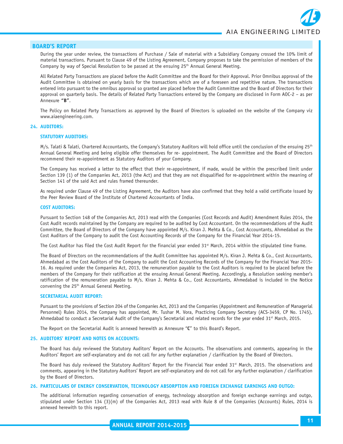During the year under review, the transactions of Purchase / Sale of material with a Subsidiary Company crossed the 10% limit of material transactions. Pursuant to Clause 49 of the Listing Agreement, Company proposes to take the permission of members of the Company by way of Special Resolution to be passed at the ensuing 25<sup>th</sup> Annual General Meeting.

All Related Party Transactions are placed before the Audit Committee and the Board for their Approval. Prior Omnibus approval of the Audit Committee is obtained on yearly basis for the transactions which are of a foreseen and repetitive nature. The transactions entered into pursuant to the omnibus approval so granted are placed before the Audit Committee and the Board of Directors for their approval on quarterly basis. The details of Related Party Transactions entered by the Company are disclosed in Form AOC-2 – as per Annexure **"B"**.

The Policy on Related Party Transactions as approved by the Board of Directors is uploaded on the website of the Company viz www.aiaengineering.com.

#### **24. AUDITORS:**

#### **STATUTORY AUDITORS:**

 $M/s$ . Talati & Talati, Chartered Accountants, the Company's Statutory Auditors will hold office until the conclusion of the ensuing  $25<sup>th</sup>$ Annual General Meeting and being eligible offer themselves for re- appointment. The Audit Committee and the Board of Directors recommend their re-appointment as Statutory Auditors of your Company.

The Company has received a letter to the effect that their re-appointment, if made, would be within the prescribed limit under Section 139 (1) of the Companies Act, 2013 (the Act) and that they are not disqualified for re-appointment within the meaning of Section 141 of the said Act and rules framed thereunder.

As required under Clause 49 of the Listing Agreement, the Auditors have also confirmed that they hold a valid certificate issued by the Peer Review Board of the Institute of Chartered Accountants of India.

#### **COST AUDITORS:**

Pursuant to Section 148 of the Companies Act, 2013 read with the Companies (Cost Records and Audit) Amendment Rules 2014, the Cost Audit records maintained by the Company are required to be audited by Cost Accountant. On the recommendations of the Audit Committee, the Board of Directors of the Company have appointed M/s. Kiran J. Mehta & Co., Cost Accountants, Ahmedabad as the Cost Auditors of the Company to audit the Cost Accounting Records of the Company for the Financial Year 2014-15.

The Cost Auditor has filed the Cost Audit Report for the financial year ended  $31<sup>st</sup>$  March, 2014 within the stipulated time frame.

The Board of Directors on the recommendations of the Audit Committee has appointed M/s. Kiran J. Mehta & Co., Cost Accountants, Ahmedabad as the Cost Auditors of the Company to audit the Cost Accounting Records of the Company for the Financial Year 2015- 16. As required under the Companies Act, 2013, the remuneration payable to the Cost Auditors is required to be placed before the members of the Company for their ratification at the ensuing Annual General Meeting. Accordingly, a Resolution seeking member's ratification of the remuneration payable to M/s. Kiran J. Mehta & Co., Cost Accountants, Ahmedabad is included in the Notice convening the 25th Annual General Meeting.

#### **SECRETARIAL AUDIT REPORT:**

Pursuant to the provisions of Section 204 of the Companies Act, 2013 and the Companies (Appointment and Remuneration of Managerial Personnel) Rules 2014, the Company has appointed, Mr. Tushar M. Vora, Practicing Company Secretary (ACS-3459, CP No. 1745), Ahmedabad to conduct a Secretarial Audit of the Company's Secretarial and related records for the year ended  $31^{st}$  March, 2015.

The Report on the Secretarial Audit is annexed herewith as Annexure "**C**" to this Board's Report.

#### **25. AUDITORS' REPORT AND NOTES ON ACCOUNTS:**

The Board has duly reviewed the Statutory Auditors' Report on the Accounts. The observations and comments, appearing in the Auditors' Report are self-explanatory and do not call for any further explanation / clarification by the Board of Directors.

The Board has duly reviewed the Statutory Auditors' Report for the Financial Year ended  $31<sup>st</sup>$  March, 2015. The observations and comments, appearing in the Statutory Auditors' Report are self-explanatory and do not call for any further explanation / clarification by the Board of Directors.

#### **26. PARTICULARS OF ENERGY CONSERVATION, TECHNOLOGY ABSORPTION AND FOREIGN EXCHANGE EARNINGS AND OUTGO:**

The additional information regarding conservation of energy, technology absorption and foreign exchange earnings and outgo, stipulated under Section 134 (3)(m) of the Companies Act, 2013 read with Rule 8 of the Companies (Accounts) Rules, 2014 is annexed herewith to this report.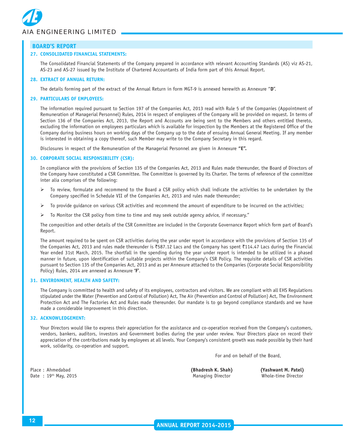

#### **27. CONSOLIDATED FINANCIAL STATEMENTS:**

The Consolidated Financial Statements of the Company prepared in accordance with relevant Accounting Standards (AS) viz AS-21, AS-23 and AS-27 issued by the Institute of Chartered Accountants of India form part of this Annual Report.

#### **28. EXTRACT OF ANNUAL RETURN:**

The details forming part of the extract of the Annual Return in form MGT-9 is annexed herewith as Annexure "**D**".

#### **29. PARTICULARS OF EMPLOYEES:**

The information required pursuant to Section 197 of the Companies Act, 2013 read with Rule 5 of the Companies (Appointment of Remuneration of Managerial Personnel) Rules, 2014 in respect of employees of the Company will be provided on request. In terms of Section 136 of the Companies Act, 2013, the Report and Accounts are being sent to the Members and others entitled thereto, excluding the information on employees particulars which is available for inspection by the Members at the Registered Office of the Company during business hours on working days of the Company up to the date of ensuing Annual General Meeting. If any member is interested in obtaining a copy thereof, such Member may write to the Company Secretary in this regard.

Disclosures in respect of the Remuneration of the Managerial Personnel are given in Annexure **"E".**

#### **30. CORPORATE SOCIAL RESPONSIBILITY (CSR):**

In compliance with the provisions of Section 135 of the Companies Act, 2013 and Rules made thereunder, the Board of Directors of the Company have constituted a CSR Committee. The Committee is governed by its Charter. The terms of reference of the committee inter alia comprises of the following:

- $\triangleright$  To review, formulate and recommend to the Board a CSR policy which shall indicate the activities to be undertaken by the Company specified in Schedule VII of the Companies Act, 2013 and rules made thereunder;
- ¾ To provide guidance on various CSR activities and recommend the amount of expenditure to be incurred on the activities;
- To Monitor the CSR policy from time to time and may seek outside agency advice, if necessary."

The composition and other details of the CSR Committee are included in the Corporate Governance Report which form part of Board's Report.

The amount required to be spent on CSR activities during the year under report in accordance with the provisions of Section 135 of the Companies Act, 2013 and rules made thereunder is ₹587.12 Lacs and the Company has spent ₹114.47 Lacs during the Financial Year ended 31st March, 2015. The shortfall in the spending during the year under report is intended to be utilized in a phased manner in future, upon identification of suitable projects within the Company's CSR Policy. The requisite details of CSR activities pursuant to Section 135 of the Companies Act, 2013 and as per Annexure attached to the Companies (Corporate Social Responsibility Policy) Rules, 2014 are annexed as Annexure **'F'**.

#### **31. ENVIRONMENT, HEALTH AND SAFETY:**

The Company is committed to health and safety of its employees, contractors and visitors. We are compliant with all EHS Regulations stipulated under the Water (Prevention and Control of Pollution) Act, The Air (Prevention and Control of Pollution) Act, The Environment Protection Act and The Factories Act and Rules made thereunder. Our mandate is to go beyond compliance standards and we have made a considerable improvement in this direction.

#### **32. ACKNOWLEDGEMENT:**

Your Directors would like to express their appreciation for the assistance and co-operation received from the Company's customers, vendors, bankers, auditors, investors and Government bodies during the year under review. Your Directors place on record their appreciation of the contributions made by employees at all levels. Your Company's consistent growth was made possible by their hard work, solidarity, co-operation and support.

For and on behalf of the Board,

Date : 19<sup>th</sup> May, 2015 **Managing Director** Whole-time Director Whole-time Director

Place : Ahmedabad **(Bhadresh K. Shah) (Yashwant M. Patel)**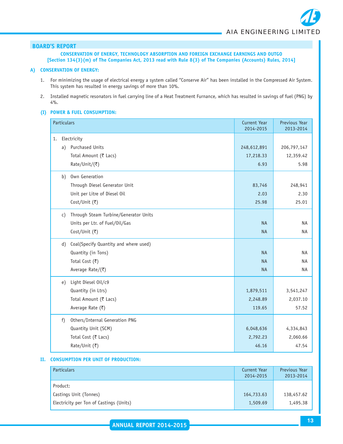**CONSERVATION OF ENERGY, TECHNOLOGY ABSORPTION AND FOREIGN EXCHANGE EARNINGS AND OUTGO [Section 134(3)(m) of The Companies Act, 2013 read with Rule 8(3) of The Companies (Accounts) Rules, 2014]**

#### **A) CONSERVATION OF ENERGY:**

- 1. For minimizing the usage of electrical energy a system called "Conserve Air" has been installed in the Compressed Air System. This system has resulted in energy savings of more than 10%.
- 2. Installed magnetic resonators in fuel carrying line of a Heat Treatment Furnance, which has resulted in savings of fuel (PNG) by 4%.

#### **(I) POWER & FUEL CONSUMPTION:**

|    | <b>Particulars</b> |                                       | <b>Current Year</b><br>2014-2015 | Previous Year<br>2013-2014 |
|----|--------------------|---------------------------------------|----------------------------------|----------------------------|
| 1. |                    | Electricity                           |                                  |                            |
|    | a)                 | Purchased Units                       | 248,612,891                      | 206,797,147                |
|    |                    | Total Amount (₹ Lacs)                 | 17,218.33                        | 12,359.42                  |
|    |                    | Rate/Unit/(₹)                         | 6.93                             | 5.98                       |
|    | b)                 | Own Generation                        |                                  |                            |
|    |                    | Through Diesel Generator Unit         | 83,746                           | 248,941                    |
|    |                    | Unit per Litre of Diesel Oil          | 2.03                             | 2.30                       |
|    |                    | Cost/Unit (₹)                         | 25.98                            | 25.01                      |
|    | $\mathsf{C}$ )     | Through Steam Turbine/Generator Units |                                  |                            |
|    |                    | Units per Ltr. of Fuel/Oil/Gas        | <b>NA</b>                        | <b>NA</b>                  |
|    |                    | Cost/Unit (₹)                         | <b>NA</b>                        | <b>NA</b>                  |
|    | d)                 | Coal(Specify Quantity and where used) |                                  |                            |
|    |                    | Quantity (in Tons)                    | <b>NA</b>                        | <b>NA</b>                  |
|    |                    | Total Cost (₹)                        | <b>NA</b>                        | <b>NA</b>                  |
|    |                    | Average Rate/(₹)                      | <b>NA</b>                        | <b>NA</b>                  |
|    | e)                 | Light Diesel Oil/c9                   |                                  |                            |
|    |                    | Quantity (in Ltrs)                    | 1,879,511                        | 3,541,247                  |
|    |                    | Total Amount (₹ Lacs)                 | 2,248.89                         | 2,037.10                   |
|    |                    | Average Rate (₹)                      | 119.65                           | 57.52                      |
|    | f)                 | Others/Internal Generation PNG        |                                  |                            |
|    |                    | Quantity Unit (SCM)                   | 6,048,636                        | 4,334,843                  |
|    |                    | Total Cost (₹ Lacs)                   | 2,792.23                         | 2,060.66                   |
|    |                    | Rate/Unit (₹)                         | 46.16                            | 47.54                      |

#### **II. CONSUMPTION PER UNIT OF PRODUCTION:**

| <b>Particulars</b>                      | Current Year<br>2014-2015 | Previous Year<br>2013-2014 |
|-----------------------------------------|---------------------------|----------------------------|
| Product:                                |                           |                            |
| Castings Unit (Tonnes)                  | 164,733.63                | 138,457.62                 |
| Electricity per Ton of Castings (Units) | 1,509.69                  | 1,495.38                   |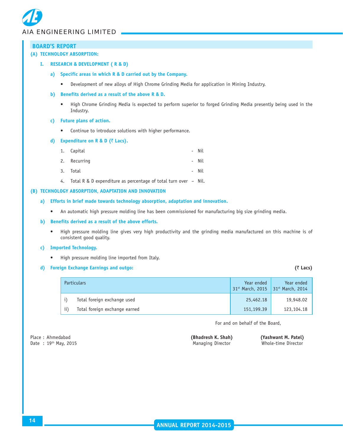| <b>BOARD'S REPORT</b> |           |                                                                                                                                               |                                |                                |
|-----------------------|-----------|-----------------------------------------------------------------------------------------------------------------------------------------------|--------------------------------|--------------------------------|
|                       |           | (A) TECHNOLOGY ABSORPTION:                                                                                                                    |                                |                                |
| I.                    |           | <b>RESEARCH &amp; DEVELOPMENT (R &amp; D)</b>                                                                                                 |                                |                                |
| a)                    |           | Specific areas in which R & D carried out by the Company.                                                                                     |                                |                                |
|                       | $\bullet$ | Development of new alloys of High Chrome Grinding Media for application in Mining Industry.                                                   |                                |                                |
| b)                    |           | Benefits derived as a result of the above R & D.                                                                                              |                                |                                |
|                       | $\bullet$ | High Chrome Grinding Media is expected to perform superior to forged Grinding Media presently being used in the<br>Industry.                  |                                |                                |
| C)                    |           | <b>Future plans of action.</b>                                                                                                                |                                |                                |
|                       | ٠         | Continue to introduce solutions with higher performance.                                                                                      |                                |                                |
| d)                    |           | Expenditure on R & D ( $\bar{\zeta}$ Lacs).                                                                                                   |                                |                                |
|                       | 1.        | Capital<br>Nil                                                                                                                                |                                |                                |
|                       | 2.        | Nil<br>Recurring                                                                                                                              |                                |                                |
|                       | 3.        | Total<br>Nil                                                                                                                                  |                                |                                |
|                       | 4.        | Total R & D expenditure as percentage of total turn over - Nil.                                                                               |                                |                                |
|                       |           | (B) TECHNOLOGY ABSORPTION, ADAPTATION AND INNOVATION                                                                                          |                                |                                |
| a)                    |           | Efforts in brief made towards technology absorption, adaptation and innovation.                                                               |                                |                                |
| ٠                     |           | An automatic high pressure molding line has been commissioned for manufacturing big size grinding media.                                      |                                |                                |
| b)                    |           | Benefits derived as a result of the above efforts.                                                                                            |                                |                                |
|                       |           | High pressure molding line gives very high productivity and the grinding media manufactured on this machine is of<br>consistent good quality. |                                |                                |
| C)                    |           | <b>Imported Technology.</b>                                                                                                                   |                                |                                |
|                       |           | High pressure molding line imported from Italy.                                                                                               |                                |                                |
| d)                    |           | <b>Foreign Exchange Earnings and outgo:</b>                                                                                                   |                                | (₹ Lacs)                       |
|                       |           |                                                                                                                                               |                                |                                |
|                       |           | <b>Particulars</b>                                                                                                                            | Year ended<br>31st March, 2015 | Year ended<br>31st March, 2014 |

For and on behalf of the Board,

Date :  $19<sup>th</sup>$  May, 2015

# Place : Ahmedabad **(Bhadresh K. Shah) (Yashwant M. Patel)**<br>
Date : 19<sup>th</sup> May, 2015 **Manual Communisty Construction** Manual Manual Memorium (Mede-time Director

ii) Total foreign exchange earned 151,199.39 123,104.18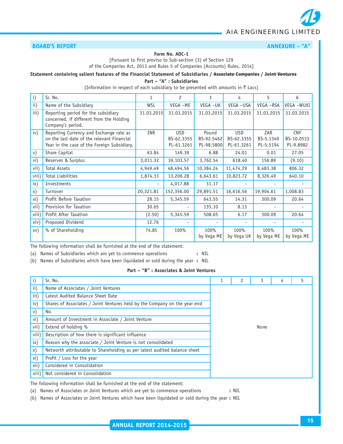#### **BOARD'S REPORT ANNEXURE - "A"** ANNEXURE - "A"

#### **Form No. AOC-1**

[Pursuant to first proviso to Sub-section (3) of Section 129 of the Companies Act, 2013 and Rules 5 of Companies (Accounts) Rules, 2014]

#### **Statement containing salient features of the Financial Statement of Subsidiaries / Associate Companies / Joint Ventures**

**Part – "A" : Subsidiaries**

(Information in respect of each subsidiary to be presented with amounts in  $\bar{\tau}$  Lacs)

| $\mathbf{i}$ | Sr. No.                                                                                                                              | 1          | $\overline{c}$                         | 3                                 | 4                                      | 5                             | 6                                     |
|--------------|--------------------------------------------------------------------------------------------------------------------------------------|------------|----------------------------------------|-----------------------------------|----------------------------------------|-------------------------------|---------------------------------------|
| ii)          | Name of the Subsidiary                                                                                                               | WSL        | VEGA -ME                               | VEGA-UK                           | VEGA - USA                             | VEGA -RSA                     | VEGA -WUXI                            |
| iii)         | Reporting period for the subsidiary<br>concerned, if different from the Holding<br>Company's period.                                 | 31.03.2015 | 31.03.2015                             | 31.03.2015                        | 31.03.2015                             | 31.03.2015                    | 31.03.2015                            |
| iv)          | Reporting Currency and Exchange rate as<br>on the last date of the relevant Financial<br>Year in the case of the Foreign Subsidiary. | <b>INR</b> | <b>USD</b><br>BS-62.3355<br>PL-61.3261 | Pound<br>BS-92.5462<br>PL-98.5800 | <b>USD</b><br>BS-62.3355<br>PL-61.3261 | ZAR<br>BS-5.1349<br>PL-5.5194 | <b>CNY</b><br>BS-10.0533<br>PL-9.8982 |
| V)           | Share Capital                                                                                                                        | 63.84      | 149.39                                 | 6.88                              | 24.01                                  | 0.01                          | 27.05                                 |
| vi)          | Reserves & Surplus                                                                                                                   | 3,011.32   | 39,103.57                              | 3,762.54                          | 618.40                                 | 156.89                        | (9.10)                                |
| vii)         | <b>Total Assets</b>                                                                                                                  | 4,949.49   | 48,494.56                              | 10,384.24                         | 11,474.29                              | 8,483.38                      | 806.32                                |
| viii)        | <b>Total Liabilities</b>                                                                                                             | 1,874.33   | 13,206.28                              | 6,643.61                          | 10,823.72                              | 8,326.49                      | 640.10                                |
| $i \times$   | Investments                                                                                                                          |            | 4,017.88                               | 31.17                             | $\overline{\phantom{a}}$               |                               |                                       |
| x)           | Turnover                                                                                                                             | 20,321.81  | 152,356.00                             | 29,891.51                         | 16,616.56                              | 19,904.61                     | 1,008.83                              |
| xi)          | Profit Before Taxation                                                                                                               | 28.15      | 5,345.59                               | 643.55                            | 14.31                                  | 300.09                        | 20.64                                 |
| xii)         | Provision for Taxation                                                                                                               | 30.65      | Ξ.                                     | 135.10                            | 8.13                                   | ٠                             |                                       |
| xiii)        | Profit After Taxation                                                                                                                | (2.50)     | 5,345.59                               | 508.65                            | 6.17                                   | 300.09                        | 20.64                                 |
| xiiv)        | Proposed Dividend                                                                                                                    | 12.76      |                                        |                                   | ٠                                      |                               |                                       |
| XV)          | % of Shareholding                                                                                                                    | 74.85      | 100%                                   | 100%<br>by Vega ME                | 100%<br>by Vega UK                     | 100%<br>by Vega ME            | 100%<br>by Vega ME                    |

The following information shall be furnished at the end of the statement:

(a) Names of Subsidiaries which are yet to commence operations **:** NIL

(b) Names of Subsidiaries which have been liquidated or sold during the year **:** NIL

#### **Part – "B" : Associates & Joint Ventures**

| i)         | Sr. No.                                                                   |      | 2 | 3 | 4 | 5 |
|------------|---------------------------------------------------------------------------|------|---|---|---|---|
| ii)        | Name of Associates / Joint Ventures                                       |      |   |   |   |   |
| iii)       | Latest Audited Balance Sheet Date                                         |      |   |   |   |   |
| iv)        | Shares of Associates / Joint Ventures held by the Company on the year end |      |   |   |   |   |
| V)         | No.                                                                       |      |   |   |   |   |
| vi)        | Amount of Investment in Associate / Joint Venture                         |      |   |   |   |   |
| vii)       | Extend of holding %                                                       | None |   |   |   |   |
| viii)      | Description of how there is significant influence                         |      |   |   |   |   |
| $i \times$ | Reason why the associate / Joint Venture is not consolidated              |      |   |   |   |   |
| x)         | Networth attributable to Shareholding as per latest audited balance sheet |      |   |   |   |   |
| xi)        | Profit / Loss for the year                                                |      |   |   |   |   |
| xii)       | Considered in Consolidation                                               |      |   |   |   |   |
| xiii)      | Not considered in Consolidation                                           |      |   |   |   |   |
|            | .                                                                         |      |   |   |   |   |

The following information shall be furnished at the end of the statement:

(a) Names of Associates or Joint Ventures which are yet to commence operations **:** NIL

(b) Names of Associates or Joint Ventures which have been liquidated or sold during the year **:** NIL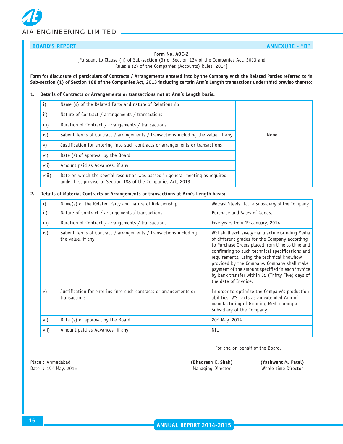### **BOARD'S REPORT ANNEXURE - "B"**

#### **Form No. AOC-2**

[Pursuant to Clause (h) of Sub-section (3) of Section 134 of the Companies Act, 2013 and Rules 8 (2) of the Companies (Accounts) Rules, 2014]

**Form for disclosure of particulars of Contracts / Arrangements entered into by the Company with the Related Parties referred to in Sub-section (1) of Section 188 of the Companies Act, 2013 including certain Arm's Length transactions under third proviso thereto:**

#### **1. Details of Contracts or Arrangements or transactions not at Arm's Length basis:**

| $\mathbf{i}$    | Name (s) of the Related Party and nature of Relationship                                                                                         |      |
|-----------------|--------------------------------------------------------------------------------------------------------------------------------------------------|------|
| $\mathbf{ii}$ ) | Nature of Contract / arrangements / transactions                                                                                                 |      |
| iii)            | Duration of Contract / arrangements / transactions                                                                                               |      |
| iv)             | Salient Terms of Contract / arrangements / transactions including the value, if any                                                              | None |
| v)              | Justification for entering into such contracts or arrangements or transactions                                                                   |      |
| vi)             | Date (s) of approval by the Board                                                                                                                |      |
| vii)            | Amount paid as Advances, if any                                                                                                                  |      |
| viii)           | Date on which the special resolution was passed in general meeting as required<br>under first proviso to Section 188 of the Companies Act, 2013. |      |

#### **2. Details of Material Contracts or Arrangements or transactions at Arm's Length basis:**

| i)            | Name(s) of the Related Party and nature of Relationship                                | Welcast Steels Ltd., a Subsidiary of the Company.                                                                                                                                                                                                                                                                                                                                                                                  |
|---------------|----------------------------------------------------------------------------------------|------------------------------------------------------------------------------------------------------------------------------------------------------------------------------------------------------------------------------------------------------------------------------------------------------------------------------------------------------------------------------------------------------------------------------------|
| $\mathbf{ii}$ | Nature of Contract / arrangements / transactions                                       | Purchase and Sales of Goods.                                                                                                                                                                                                                                                                                                                                                                                                       |
| iii)          | Duration of Contract / arrangements / transactions                                     | Five years from $1st$ January, 2014.                                                                                                                                                                                                                                                                                                                                                                                               |
| iv)           | Salient Terms of Contract / arrangements / transactions including<br>the value, if any | WSL shall exclusively manufacture Grinding Media<br>of different grades for the Company according<br>to Purchase Orders placed from time to time and<br>confirming to such technical specifications and<br>requirements, using the technical knowhow<br>provided by the Company. Company shall make<br>payment of the amount specified in each invoice<br>by bank transfer within 35 (Thirty Five) days of<br>the date of Invoice. |
| V)            | Justification for entering into such contracts or arrangements or<br>transactions      | In order to optimize the Company's production<br>abilities, WSL acts as an extended Arm of<br>manufacturing of Grinding Media being a<br>Subsidiary of the Company.                                                                                                                                                                                                                                                                |
| vi)           | Date (s) of approval by the Board                                                      | $20^{th}$ May, 2014                                                                                                                                                                                                                                                                                                                                                                                                                |
| vii)          | Amount paid as Advances, if any                                                        | <b>NIL</b>                                                                                                                                                                                                                                                                                                                                                                                                                         |

For and on behalf of the Board,

Place : Ahmedabad **(Bhadresh K. Shah) (Yashwant M. Patel)** Date : 19<sup>th</sup> May, 2015 **Managing Director** Whole-time Director Whole-time Director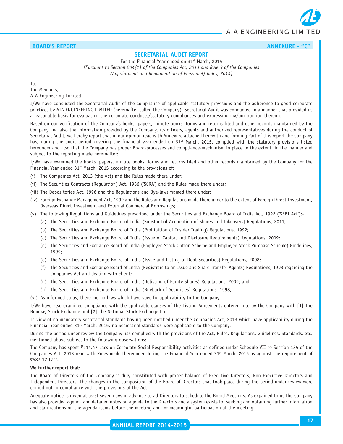

### **BOARD'S REPORT ANNEXURE - "C"** ANNEXURE - "C"

#### **SECRETARIAL AUDIT REPORT**

For the Financial Year ended on 31<sup>st</sup> March, 2015 *[Pursuant to Section 204(1) of the Companies Act, 2013 and Rule 9 of the Companies (Appointment and Remuneration of Personnel) Rules, 2014]*

To, The Members, AIA Engineering Limited

I/We have conducted the Secretarial Audit of the compliance of applicable statutory provisions and the adherence to good corporate practices by AIA ENGINEERING LIMITED (hereinafter called the Company). Secretarial Audit was conducted in a manner that provided us a reasonable basis for evaluating the corporate conducts/statutory compliances and expressing my/our opinion thereon.

Based on our verification of the Company's books, papers, minute books, forms and returns filed and other records maintained by the Company and also the information provided by the Company, its officers, agents and authorized representatives during the conduct of Secretarial Audit, we hereby report that in our opinion read with Annexure attached herewith and forming Part of this report the Company has, during the audit period covering the financial year ended on 31<sup>ST</sup> March, 2015, complied with the statutory provisions listed hereunder and also that the Company has proper Board-processes and compliance-mechanism in place to the extent, in the manner and subject to the reporting made hereinafter:

I/We have examined the books, papers, minute books, forms and returns filed and other records maintained by the Company for the Financial Year ended  $31<sup>st</sup>$  March, 2015 according to the provisions of:

- (i) The Companies Act, 2013 (the Act) and the Rules made there under;
- (ii) The Securities Contracts (Regulation) Act, 1956 ('SCRA') and the Rules made there under;
- (iii) The Depositories Act, 1996 and the Regulations and Bye-laws framed there under;
- (iv) Foreign Exchange Management Act, 1999 and the Rules and Regulations made there under to the extent of Foreign Direct Investment, Overseas Direct Investment and External Commercial Borrowings;
- (v) The following Regulations and Guidelines prescribed under the Securities and Exchange Board of India Act, 1992 ('SEBI Act'):-
	- (a) The Securities and Exchange Board of India (Substantial Acquisition of Shares and Takeovers) Regulations, 2011;
	- (b) The Securities and Exchange Board of India (Prohibition of Insider Trading) Regulations, 1992;
	- (c) The Securities and Exchange Board of India (Issue of Capital and Disclosure Requirements) Regulations, 2009;
	- (d) The Securities and Exchange Board of India (Employee Stock Option Scheme and Employee Stock Purchase Scheme) Guidelines, 1999;
	- (e) The Securities and Exchange Board of India (Issue and Listing of Debt Securities) Regulations, 2008;
	- (f) The Securities and Exchange Board of India (Registrars to an Issue and Share Transfer Agents) Regulations, 1993 regarding the Companies Act and dealing with client;
	- (g) The Securities and Exchange Board of India (Delisting of Equity Shares) Regulations, 2009; and
	- (h) The Securities and Exchange Board of India (Buyback of Securities) Regulations, 1998;

(vi) As informed to us, there are no laws which have specific applicability to the Company.

I/We have also examined compliance with the applicable clauses of The Listing Agreements entered into by the Company with [1] The Bombay Stock Exchange and [2] The National Stock Exchange Ltd.

In view of no mandatory secretarial standards having been notified under the Companies Act, 2013 which have applicability during the Financial Year ended  $31<sup>st</sup>$  March, 2015, no Secretarial standards were applicable to the Company.

During the period under review the Company has complied with the provisions of the Act, Rules, Regulations, Guidelines, Standards, etc. mentioned above subject to the following observations:

The Company has spent  $\bar{\tau}$ 114.47 Lacs on Corporate Social Responsibility activities as defined under Schedule VII to Section 135 of the Companies Act, 2013 read with Rules made thereunder during the Financial Year ended  $31<sup>st</sup>$  March, 2015 as against the requirement of `587.12 Lacs.

#### **We further report that:**

The Board of Directors of the Company is duly constituted with proper balance of Executive Directors, Non-Executive Directors and Independent Directors. The changes in the composition of the Board of Directors that took place during the period under review were carried out in compliance with the provisions of the Act.

Adequate notice is given at least seven days in advance to all Directors to schedule the Board Meetings. As expained to us the Company has also provided agenda and detailed notes on agenda to the Directors and a system exists for seeking and obtaining further information and clarifications on the agenda items before the meeting and for meaningful participation at the meeting.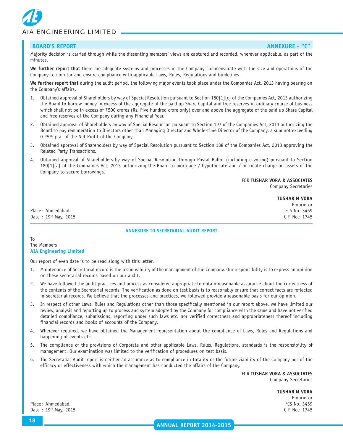

#### **BOARD'S REPORT ANNEXURE - "C"** ANNEXURE - "C"

Majority decision is carried through while the dissenting members' views are captured and recorded, wherever applicable, as part of the minutes.

**We further report that** there are adequate systems and processes in the Company commensurate with the size and operations of the Company to monitor and ensure compliance with applicable Laws, Rules, Regulations and Guidelines.

**We further report that** during the audit period**,** the following major events took place under the Companies Act, 2013 having bearing on the Company's affairs.

- 1. Obtained approval of Shareholders by way of Special Resolution pursuant to Section 180[1][c] of the Companies Act, 2013 authorizing the Board to borrow money in excess of the aggregate of the paid up Share Capital and free reserves in ordinary course of business which shall not be in excess of ₹500 crores (Rs. Five hundred crore only) over and above the aggregate of the paid up Share Capital and free reserves of the Company during any Financial Year.
- 2. Obtained approval of Shareholders by way of Special Resolution pursuant to Section 197 of the Companies Act, 2013 authorizing the Board to pay remuneration to Directors other than Managing Director and Whole-time Director of the Company, a sum not exceeding 0.25% p.a. of the Net Profit of the Company.
- 3. Obtained approval of Shareholders by way of Special Resolution pursuant to Section 188 of the Companies Act, 2013 approving the Related Party Transactions.
- 4. Obtained approval of Shareholders by way of Special Resolution through Postal Ballot (including e-voting) pursuant to Section 180[1][a] of the Companies Act, 2013 authorizing the Board to mortgage / hypothecate and / or create charge on assets of the Company to secure borrowings.

FOR **TUSHAR VORA & ASSOCIATES**

Company Secretaries

Place: Ahmedabad. FCS No. 3459 Date : 19<sup>th</sup> May, 2015 C P No.: 1745

**TUSHAR M VORA** Proprietor

#### **ANNEXURE TO SECRETARIAL AUDIT REPORT**

To The Members **AIA Engineering Limited**

Our report of even date is to be read along with this letter.

- 1. Maintenance of Secretarial record is the responsibility of the management of the Company. Our responsibility is to express an opinion on these secretarial records based on our audit.
- 2. We have followed the audit practices and process as considered appropriate to obtain reasonable assurance about the correctness of the contents of the Secretarial records. The verification as done on test basis is to reasonably ensure that correct facts are reflected in secretarial records. We believe that the processes and practices, we followed provide a reasonable basis for our opinion.
- 3. In respect of other Laws, Rules and Regulations other than those specifically mentioned in our report above, we have limited our review, analysis and reporting up to process and system adopted by the Company for compliance with the same and have not verified detailed compliance, submissions, reporting under such laws etc. nor verified correctness and appropriateness thereof including financial records and books of accounts of the Company.
- 4. Wherever required, we have obtained the Management representation about the compliance of Laws, Rules and Regulations and happening of events etc.
- 5. The compliance of the provisions of Corporate and other applicable Laws, Rules, Regulations, standards is the responsibility of management. Our examination was limited to the verification of procedures on test basis.
- 6. The Secretarial Audit report is neither an assurance as to compliance in totality or the future viability of the Company nor of the efficacy or effectiveness with which the management has conducted the affairs of the Company.

FOR **TUSHAR VORA & ASSOCIATES** Company Secretaries

> **TUSHAR M VORA** Proprietor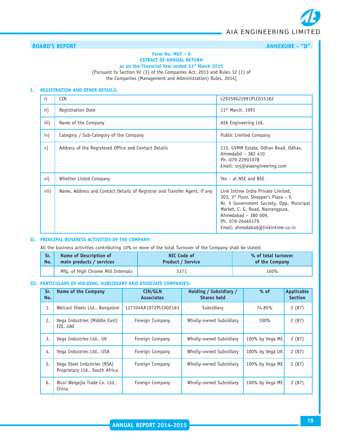# **BOARD'S REPORT ANNEXURE - "D"**

#### **Form No. MGT – 9 EXTRACT OF ANNUAL RETURN**

**as on the Financial Year ended 31st March 2015**

[Pursuant to Section 92 (3) of the Companies Act, 2013 and Rules 12 (1) of the Companies (Management and Administration) Rules, 2014]

#### **I. REGISTRATION AND OTHER DETAILS:**

| $\mathbf{i}$ | <b>CIN</b>                                                                | L29259GJ1991PLC015182                                                                                                                                                                                                                           |
|--------------|---------------------------------------------------------------------------|-------------------------------------------------------------------------------------------------------------------------------------------------------------------------------------------------------------------------------------------------|
| ii)          | Registration Date                                                         | 11 <sup>th</sup> March, 1991                                                                                                                                                                                                                    |
| iii)         | Name of the Company                                                       | AIA Engineering Ltd.                                                                                                                                                                                                                            |
| iv)          | Category / Sub-Category of the Company                                    | Public Limited Company                                                                                                                                                                                                                          |
| V)           | Address of the Registered Office and Contact Details                      | 115, GVMM Estate, Odhav Road, Odhav,<br>Ahmedabd - 382 410<br>Ph.-079-22901078<br>Email: $\sin(\omega)$ aiaengineering.com                                                                                                                      |
| vi)          | Whether Listed Company                                                    | Yes - at NSE and BSE                                                                                                                                                                                                                            |
| vii)         | Name, Address and Contact Details of Registrar and Transfer Agent, if any | Link Intime India Private Limited,<br>303, $3^{rd}$ Floor, Shopper's Plaza - V,<br>Nr. 5 Government Society, Opp. Muncipal<br>Market, C. G. Road, Navrangpura,<br>Ahmedabad - 380 009,<br>Ph. 079-26465179<br>Email: ahmedabad@linkintime.co.in |

#### **II. PRINCIPAL BUSINESS ACTIVITIES OF THE COMPANY:**

All the business activities contributing 10% or more of the total Turnover of the Company shall be stated:

| Sr. | Name of Description of             | NIC Code of              | % of total turnover |
|-----|------------------------------------|--------------------------|---------------------|
| No. | main products / services           | <b>Product / Service</b> | of the Company      |
|     | Mfg. of High Chrome Mill Internals | 3371                     | 100%                |

#### **III. PARTICULARS OF HOLDING, SUBSIDIARY AND ASSOCIATE COMPANIES:**

| Sr.<br>No. | Name of the Company                                           | CIN/GLN<br><b>Associates</b> | Holding / Subsidiary /<br><b>Shares held</b> | $%$ of          | Applicable<br><b>Section</b> |
|------------|---------------------------------------------------------------|------------------------------|----------------------------------------------|-----------------|------------------------------|
| 1.         | Welcast Steels Ltd., Bangalore                                | L27104KA1972PLC002163        | Subsidiary                                   | 74.85%          | 2(87)                        |
| 2.         | Vega Industries (Middle East)<br>FZE, UAE                     | Foreign Company              | Wholly-owned Subsidiary                      | 100%            | 2(87)                        |
| 3.         | Vega Industries Ltd., UK                                      | Foreign Company              | Wholly-owned Subsidiary                      | 100% by Vega ME | 2(87)                        |
| 4.         | Vega Industries Ltd., USA                                     | Foreign Company              | Wholly-owned Subsidiary                      | 100% by Vega UK | 2(87)                        |
| 5.         | Vega Steel Industries (RSA)<br>Proprietary Ltd., South Africa | Foreign Company              | Wholly-owned Subsidiary                      | 100% by Vega ME | 2(87)                        |
| 6.         | Wuxi Weigejia Trade Co. Ltd.,<br>China                        | Foreign Company              | Wholly-owned Subsidiary                      | 100% by Vega ME | 2(87)                        |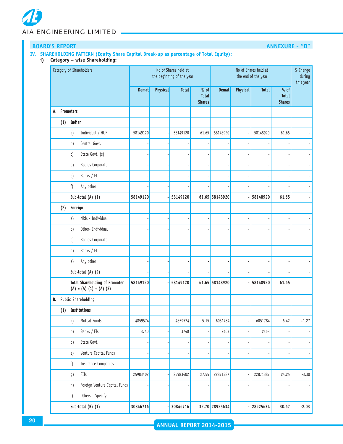# **BOARD'S REPORT ANNEXURE - "D"**

#### **IV. SHAREHOLDING PATTERN (Equity Share Capital Break-up as percentage of Total Equity):**

**i) Category – wise Shareholding:**

|    | Category of Shareholders |                                                                    |              |          | No of Shares held at<br>the beginning of the year |                                         | No of Shares held at<br>the end of the year |          |              |                                         | % Change<br>during<br>this year |
|----|--------------------------|--------------------------------------------------------------------|--------------|----------|---------------------------------------------------|-----------------------------------------|---------------------------------------------|----------|--------------|-----------------------------------------|---------------------------------|
|    |                          |                                                                    | <b>Demat</b> | Physical | <b>Total</b>                                      | $%$ of<br><b>Total</b><br><b>Shares</b> | <b>Demat</b>                                | Physical | <b>Total</b> | $%$ of<br><b>Total</b><br><b>Shares</b> |                                 |
| A. | Promoters                |                                                                    |              |          |                                                   |                                         |                                             |          |              |                                         |                                 |
|    | (1)                      | Indian                                                             |              |          |                                                   |                                         |                                             |          |              |                                         |                                 |
|    |                          | Individual / HUF<br>a)                                             | 58149120     |          | 58149120                                          | 61.65                                   | 58148920                                    |          | 58148920     | 61.65                                   |                                 |
|    |                          | b)<br>Central Govt.                                                |              |          |                                                   |                                         |                                             |          |              |                                         |                                 |
|    |                          | State Govt. (s)<br>$\mathsf{c})$                                   |              |          |                                                   |                                         |                                             |          | ä,           |                                         |                                 |
|    |                          | d)<br>Bodies Corporate                                             |              |          |                                                   |                                         |                                             |          |              |                                         |                                 |
|    |                          | Banks / FI<br>e)                                                   |              |          |                                                   |                                         |                                             |          |              |                                         |                                 |
|    |                          | f)<br>Any other                                                    |              |          |                                                   |                                         |                                             |          |              |                                         |                                 |
|    |                          | Sub-total (A) (1)                                                  | 58149120     |          | 58149120                                          |                                         | 61.65 58148920                              |          | 58148920     | 61.65                                   |                                 |
|    | (2)                      | Foreign                                                            |              |          |                                                   |                                         |                                             |          |              |                                         |                                 |
|    |                          | NRIs - Individual<br>a)                                            |              |          |                                                   |                                         |                                             |          |              |                                         |                                 |
|    |                          | Other- Individual<br>b)                                            |              |          |                                                   |                                         |                                             |          | ÷            |                                         |                                 |
|    |                          | Bodies Corporate<br>$\mathsf{c})$                                  |              |          |                                                   |                                         |                                             |          | ÷            |                                         |                                 |
|    |                          | d)<br>Banks / FI                                                   |              |          |                                                   |                                         |                                             |          | ÷            |                                         |                                 |
|    |                          | Any other<br>e)                                                    |              |          |                                                   |                                         |                                             |          |              |                                         |                                 |
|    |                          | Sub-total (A) (2)                                                  |              |          |                                                   |                                         |                                             |          |              |                                         |                                 |
|    |                          | <b>Total Shareholding of Promoter</b><br>$(A) = (A) (1) + (A) (2)$ | 58149120     |          | 58149120                                          |                                         | 61.65 58148920                              | í,       | 58148920     | 61.65                                   |                                 |
| B. |                          | <b>Public Shareholding</b>                                         |              |          |                                                   |                                         |                                             |          |              |                                         |                                 |
|    | (1)                      | Institutions                                                       |              |          |                                                   |                                         |                                             |          |              |                                         |                                 |
|    |                          | Mutual Funds<br>a)                                                 | 4859574      |          | 4859574                                           | 5.15                                    | 6051784                                     |          | 6051784      | 6.42                                    | $+1.27$                         |
|    |                          | b)<br>Banks / FIs                                                  | 3740         |          | 3740                                              |                                         | 2463                                        |          | 2463         |                                         |                                 |
|    |                          | d)<br>State Govt.                                                  |              |          |                                                   |                                         |                                             |          |              |                                         |                                 |
|    |                          | Venture Capital Funds<br>e)                                        |              |          |                                                   |                                         |                                             |          | ÷            |                                         |                                 |
|    |                          | f)<br><b>Insurance Companies</b>                                   |              |          |                                                   |                                         |                                             |          |              |                                         |                                 |
|    |                          | g)<br>FIIs                                                         | 25983402     |          | 25983402                                          | 27.55                                   | 22871387                                    |          | 22871387     | 24.25                                   | $-3.30$                         |
|    |                          | Foreign Venture Capital Funds<br>h)                                |              |          |                                                   |                                         |                                             |          |              |                                         |                                 |
|    |                          | Others - Specify<br>$\mathbf{i}$                                   |              |          |                                                   |                                         |                                             |          |              |                                         |                                 |
|    |                          | Sub-total (B) (1)                                                  | 30846716     |          | 30846716                                          |                                         | 32.70 28925634                              |          | 28925634     | 30.67                                   | $-2.03$                         |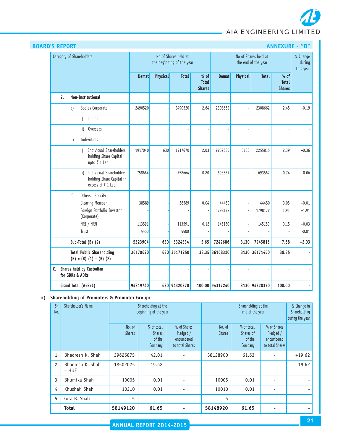| <b>BOARD'S REPORT</b>                                                                  | <b>ANNEXURE - "D"</b> |                 |                                                   |                                       |                  |          |                                             |                                         |                                 |
|----------------------------------------------------------------------------------------|-----------------------|-----------------|---------------------------------------------------|---------------------------------------|------------------|----------|---------------------------------------------|-----------------------------------------|---------------------------------|
| Category of Shareholders                                                               |                       |                 | No of Shares held at<br>the beginning of the year |                                       |                  |          | No of Shares held at<br>the end of the year |                                         | % Change<br>during<br>this year |
|                                                                                        | <b>Demat</b>          | <b>Physical</b> | <b>Total</b>                                      | % of<br><b>Total</b><br><b>Shares</b> | <b>Demat</b>     | Physical | <b>Total</b>                                | $%$ of<br><b>Total</b><br><b>Shares</b> |                                 |
| Non-Institutional<br>2.                                                                |                       |                 |                                                   |                                       |                  |          |                                             |                                         |                                 |
| Bodies Corporate<br>a)                                                                 | 2490520               |                 | 2490520                                           | 2.64                                  | 2308662          |          | 2308662                                     | 2.45                                    | $-0.19$                         |
| Indian<br>i)                                                                           |                       |                 |                                                   |                                       |                  |          |                                             |                                         |                                 |
| $\overline{ii}$<br>Overseas                                                            |                       |                 |                                                   |                                       |                  |          |                                             |                                         |                                 |
| Individuals<br>b)                                                                      |                       |                 |                                                   |                                       |                  |          |                                             |                                         |                                 |
| Individual Shareholders<br>i)<br>holding Share Capital<br>upto ₹ 1 Lac                 | 1917040               | 630             | 1917670                                           | 2.03                                  | 2252685          | 3130     | 2255815                                     | 2.39                                    | $+0.36$                         |
| Individual Shareholders<br>ii)<br>holding Share Capital in<br>excess of ₹1 Lac.        | 758664                |                 | 758664                                            | 0.80                                  | 693567           |          | 693567                                      | 0.74                                    | $-0.06$                         |
| Others - Specify<br>c)<br>Clearing Member<br>Foreign Portfolio Investor<br>(Corporate) | 38589                 |                 | 38589                                             | 0.04                                  | 44450<br>1798172 |          | 44450<br>1798172                            | 0.05<br>1.91                            | $+0.01$<br>$+1.91$              |
| NRI / NRN<br>Trust                                                                     | 113591<br>5500        |                 | 113591<br>5500                                    | 0.12                                  | 145150           |          | 145150                                      | 0.15                                    | $+0.03$<br>$-0.01$              |
| Sub-Total (B) (2)                                                                      | 5323904               | 630             | 5324534                                           | 5.65                                  | 7242686          | 3130     | 7245816                                     | 7.68                                    | $+2.03$                         |
| <b>Total Public Shareholding</b><br>$(B) = (B) (1) + (B) (2)$                          | 36170620              |                 | 630 36171250                                      |                                       | 38.35 36168320   |          | 3130 36171450                               | 38.35                                   |                                 |
| C. Shares held by Custodian<br>for GDRs & ADRs                                         |                       |                 |                                                   |                                       |                  |          |                                             |                                         |                                 |
| Grand Total (A+B+C)                                                                    | 94319740              |                 | 630 94320370                                      |                                       | 100.00 94317240  |          | 3130 94320370                               | 100.00                                  |                                 |

### **ii) Shareholding of Promoters & Promoter Group:**

| Sr.<br>No. | Shareholder's Name        |                         | Shareholding at the<br>beginning of the year     |                                                           | Shareholding at the<br>end of the year |                                              |                                                           | % Change in<br>Shareholding<br>during the year |
|------------|---------------------------|-------------------------|--------------------------------------------------|-----------------------------------------------------------|----------------------------------------|----------------------------------------------|-----------------------------------------------------------|------------------------------------------------|
|            |                           | No. of<br><b>Shares</b> | % of total<br><b>Shares</b><br>of the<br>Company | % of Shares<br>Pledged /<br>encumbered<br>to total Shares | No. of<br><b>Shares</b>                | % of total<br>Shares of<br>of the<br>Company | % of Shares<br>Pledged /<br>encumbered<br>to total Shares |                                                |
| 1.         | Bhadresh K. Shah          | 39626875                | 42.01                                            |                                                           | 58128900                               | 61.63                                        |                                                           | $+19.62$                                       |
| 2.         | Bhadresh K. Shah<br>- HUF | 18502025                | 19.62                                            |                                                           |                                        |                                              |                                                           | $-19.62$                                       |
| 3.         | Bhumika Shah              | 10005                   | 0.01                                             |                                                           | 10005                                  | 0.01                                         |                                                           |                                                |
| 4.         | Khushali Shah             | 10210                   | 0.01                                             |                                                           | 10010                                  | 0.01                                         |                                                           |                                                |
| 5.         | Gita B. Shah              | 5                       |                                                  |                                                           | 5                                      |                                              |                                                           |                                                |
|            | <b>Total</b>              | 58149120                | 61.65                                            |                                                           | 58148920                               | 61.65                                        |                                                           |                                                |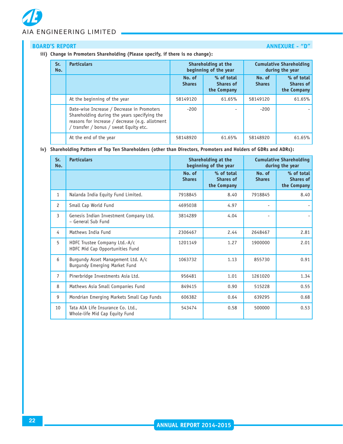# **BOARD'S REPORT ANNEXURE - "D"**

#### **iii) Change in Promoters Shareholding (Please specify, if there is no change):**

# **Sr.** Particulars Shareholding at the Cumulative Shareholding **No.**  *<b>beginning of the year* during the year during the year during the year **No. of % of total No. of % of total** Shares **Shares of** Shares Shares of **the Company the Company** At the beginning of the year **58149120** 58149120 **61.65%** 58149120 61.65% Date-wise Increase / Decrease in Promoters | 200 | 200 | 200 | 200 | 200 | 200 | 200 | 200 | 200 | 200 | 200 | 200 | 200 | 200 | 200 | 200 | 200 | 200 | 200 | 200 | 200 | 200 | 200 | 200 | 200 | 200 | 200 | 200 | 200 | 200 Shareholding during the years specifying the reasons for increase / decrease (e.g. allotment / transfer / bonus / sweat Equity etc. At the end of the year 61.65% 58148920 61.65% 58148920 61.65%

#### **iv) Shareholding Pattern of Top Ten Shareholders (other than Directors, Promoters and Holders of GDRs and ADRs):**

| Sr.<br>No.     | <b>Particulars</b>                                                  |                         | Shareholding at the<br>beginning of the year  |                          | <b>Cumulative Shareholding</b><br>during the year |
|----------------|---------------------------------------------------------------------|-------------------------|-----------------------------------------------|--------------------------|---------------------------------------------------|
|                |                                                                     | No. of<br><b>Shares</b> | % of total<br><b>Shares of</b><br>the Company | No. of<br><b>Shares</b>  | % of total<br><b>Shares of</b><br>the Company     |
| $\mathbf{1}$   | Nalanda India Equity Fund Limited.                                  | 7918845                 | 8.40                                          | 7918845                  | 8.40                                              |
| $\overline{c}$ | Small Cap World Fund                                                | 4695038                 | 4.97                                          | $\overline{\phantom{a}}$ |                                                   |
| $\mathbf{3}$   | Genesis Indian Investment Company Ltd.<br>- General Sub Fund        | 3814289                 | 4.04                                          |                          |                                                   |
| 4              | Mathews India Fund                                                  | 2306467                 | 2.44                                          | 2648467                  | 2.81                                              |
| 5              | HDFC Trustee Company Ltd.-A/c<br>HDFC Mid Cap Opportunities Fund    | 1201149                 | 1.27                                          | 1900000                  | 2.01                                              |
| 6              | Burgundy Asset Management Ltd. A/c<br>Burgundy Emerging Market Fund | 1063732                 | 1.13                                          | 855730                   | 0.91                                              |
| $\overline{7}$ | Pinerbridge Investments Asia Ltd.                                   | 956481                  | 1.01                                          | 1261020                  | 1.34                                              |
| 8              | Mathews Asia Small Companies Fund                                   | 849415                  | 0.90                                          | 515228                   | 0.55                                              |
| 9              | Mondrian Emerging Markets Small Cap Funds                           | 606382                  | 0.64                                          | 639295                   | 0.68                                              |
| 10             | Tata AIA Life Insurance Co. Ltd.,<br>Whole-life Mid Cap Equity Fund | 543474                  | 0.58                                          | 500000                   | 0.53                                              |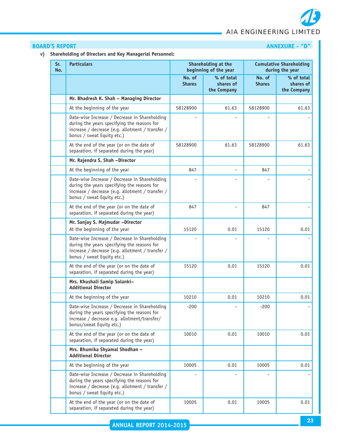# **BOARD'S REPORT ANNEXURE - "D"**

# **v) Shareholding of Directors and Key Managerial Personnel:**

| Sr.<br>No. | <b>Particulars</b>                                                                                                                                                             |                         | Shareholding at the<br>beginning of the year |                         | <b>Cumulative Shareholding</b><br>during the year |
|------------|--------------------------------------------------------------------------------------------------------------------------------------------------------------------------------|-------------------------|----------------------------------------------|-------------------------|---------------------------------------------------|
|            |                                                                                                                                                                                | No. of<br><b>Shares</b> | % of total<br>shares of<br>the Company       | No. of<br><b>Shares</b> | % of total<br>shares of<br>the Company            |
|            | Mr. Bhadresh K. Shah - Managing Director                                                                                                                                       |                         |                                              |                         |                                                   |
|            | At the beginning of the year                                                                                                                                                   | 58128900                | 61.63                                        | 58128900                | 61.63                                             |
|            | Date-wise Increase / Decrease in Shareholding<br>during the years specifying the reasons for<br>increase / decrease (e.g. allotment / transfer /<br>bonus / sweat Equity etc.) |                         |                                              |                         |                                                   |
|            | At the end of the year (or on the date of<br>separation, if separated during the year)                                                                                         | 58128900                | 61.63                                        | 58128900                | 61.63                                             |
|            | Mr. Rajendra S. Shah -Director                                                                                                                                                 |                         |                                              |                         |                                                   |
|            | At the beginning of the year                                                                                                                                                   | 847                     |                                              | 847                     |                                                   |
|            | Date-wise Increase / Decrease in Shareholding<br>during the years specifying the reasons for<br>increase / decrease (e.g. allotment / transfer /<br>bonus / sweat Equity etc.) |                         |                                              |                         |                                                   |
|            | At the end of the year (or on the date of<br>separation, if separated during the year)                                                                                         | 847                     |                                              | 847                     |                                                   |
|            | Mr. Sanjay S. Majmudar -Director<br>At the beginning of the year                                                                                                               | 15120                   | 0.01                                         | 15120                   | 0.01                                              |
|            | Date-wise Increase / Decrease in Shareholding<br>during the years specifying the reasons for<br>increase / decrease (e.g. allotment / transfer /<br>bonus / sweat Equity etc.) |                         |                                              |                         |                                                   |
|            | At the end of the year (or on the date of<br>separation, if separated during the year)                                                                                         | 15120                   | 0.01                                         | 15120                   | 0.01                                              |
|            | Mrs. Khushali Samip Solanki-<br><b>Additional Director</b>                                                                                                                     |                         |                                              |                         |                                                   |
|            | At the beginning of the year                                                                                                                                                   | 10210                   | 0.01                                         | 10210                   | 0.01                                              |
|            | Date-wise Increase / Decrease in Shareholding<br>during the years specifying the reasons for<br>increase / decrease e.g. allotment/transfer/<br>bonus/sweat Equity etc.)       | $-200$                  |                                              | 200                     |                                                   |
|            | At the end of the year (or on the date of<br>separation, if separated during the year)                                                                                         | 10010                   | 0.01                                         | 10010                   | 0.01                                              |
|            | Mrs. Bhumika Shyamal Shodhan -<br><b>Additional Director</b>                                                                                                                   |                         |                                              |                         |                                                   |
|            | At the beginning of the year                                                                                                                                                   | 10005                   | 0.01                                         | 10005                   | 0.01                                              |
|            | Date-wise Increase / Decrease in Shareholding<br>during the years specifying the reasons for<br>increase / decrease (e.g. allotment / transfer /<br>bonus / sweat Equity etc.) |                         |                                              |                         |                                                   |
|            | At the end of the year (or on the date of<br>separation, if separated during the year)                                                                                         | 10005                   | 0.01                                         | 10005                   | 0.01                                              |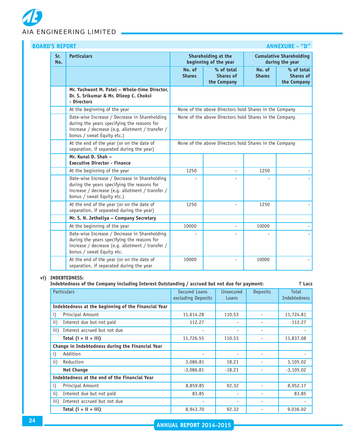

| Sr.<br>No. | <b>Particulars</b>                                                                                                                                                             | Shareholding at the<br><b>Cumulative Shareholding</b><br>beginning of the year<br>during the year |                                               |                         |                                                        |  |  |
|------------|--------------------------------------------------------------------------------------------------------------------------------------------------------------------------------|---------------------------------------------------------------------------------------------------|-----------------------------------------------|-------------------------|--------------------------------------------------------|--|--|
|            |                                                                                                                                                                                | No. of<br><b>Shares</b>                                                                           | % of total<br><b>Shares of</b><br>the Company | No. of<br><b>Shares</b> | % of total<br><b>Shares of</b><br>the Company          |  |  |
|            | Mr. Yashwant M. Patel - Whole-time Director,<br>Dr. S. Srikumar & Mr. Dileep C. Choksi<br>- Directors                                                                          |                                                                                                   |                                               |                         |                                                        |  |  |
|            | At the beginning of the year                                                                                                                                                   |                                                                                                   |                                               |                         | None of the above Directors hold Shares in the Company |  |  |
|            | Date-wise Increase / Decrease in Shareholding<br>during the years specifying the reasons for<br>increase / decrease (e.g. allotment / transfer /<br>bonus / sweat Equity etc.) | None of the above Directors hold Shares in the Company                                            |                                               |                         |                                                        |  |  |
|            | At the end of the year (or on the date of<br>separation, if separated during the year)                                                                                         | None of the above Directors hold Shares in the Company                                            |                                               |                         |                                                        |  |  |
|            | Mr. Kunal D. Shah -<br><b>Executive Director - Finance</b>                                                                                                                     |                                                                                                   |                                               |                         |                                                        |  |  |
|            | At the beginning of the year                                                                                                                                                   | 1250                                                                                              | $\overline{a}$                                | 1250                    |                                                        |  |  |
|            | Date-wise Increase / Decrease in Shareholding<br>during the years specifying the reasons for<br>increase / decrease (e.g. allotment / transfer /<br>bonus / sweat Equity etc.) |                                                                                                   |                                               |                         |                                                        |  |  |
|            | At the end of the year (or on the date of<br>separation, if separated during the year)                                                                                         | 1250                                                                                              |                                               | 1250                    |                                                        |  |  |
|            | Mr. S. N. Jetheliya - Company Secretary                                                                                                                                        |                                                                                                   |                                               |                         |                                                        |  |  |
|            | At the beginning of the year                                                                                                                                                   | 10000                                                                                             |                                               | 10000                   |                                                        |  |  |
|            | Date-wise Increase / Decrease in Shareholding<br>during the years specifying the reasons for<br>increase / decrease (e.g. allotment / transfer /<br>bonus / sweat Equity etc.  |                                                                                                   |                                               |                         |                                                        |  |  |
|            | At the end of the year (or on the date of<br>separation, if separated during the year                                                                                          | 10000                                                                                             |                                               | 10000                   |                                                        |  |  |

## **vi) INDEBTEDNESS:**

### **Indebtedness of the Company including Interest Outstanding / accrued but not due for payment:** ` **Lacs**

| <b>Particulars</b> |                                                     | Secured Loans<br>excluding Deposits | <b>Unsecured</b><br>Loans | <b>Deposits</b>          | Total<br><b>Indebtedness</b> |
|--------------------|-----------------------------------------------------|-------------------------------------|---------------------------|--------------------------|------------------------------|
|                    | Indebtedness at the beginning of the Financial Year |                                     |                           |                          |                              |
| i)                 | Principal Amount                                    | 11,614.28                           | 110.53                    | $\overline{\phantom{a}}$ | 11,724.81                    |
| $\mathbf{ii}$      | Interest due but not paid                           | 112.27                              |                           | -                        | 112.27                       |
| iii)               | Interest accrued but not due                        |                                     |                           | -                        |                              |
|                    | Total $(i + ii + iii)$                              | 11,726.55                           | 110.53                    | $\overline{\phantom{a}}$ | 11,837.08                    |
|                    | Change in Indebtedness during the Financial Year    |                                     |                           |                          |                              |
| i)                 | Addition                                            |                                     |                           | -                        |                              |
| $\mathbf{ii}$      | Reduction                                           | 3,086.81                            | 18.21                     | $\overline{\phantom{a}}$ | 3,105.02                     |
|                    | <b>Net Change</b>                                   | $-3,086.81$                         | $-18.21$                  |                          | $-3,105.02$                  |
|                    | Indebtedness at the end of the Financial Year       |                                     |                           |                          |                              |
| i)                 | Principal Amount                                    | 8,859.85                            | 92.32                     | -                        | 8,952.17                     |
| $\mathbf{ii}$      | Interest due but not paid                           | 83.85                               |                           | -                        | 83.85                        |
| iii)               | Interest accrued but not due                        |                                     |                           | $\overline{\phantom{a}}$ |                              |
|                    | Total $(i + ii + iii)$                              | 8,943.70                            | 92.32                     | ۰                        | 9,036.02                     |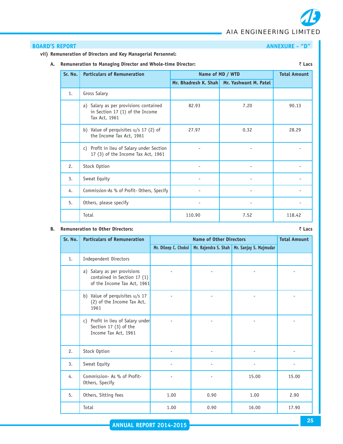# **BOARD'S REPORT ANNEXURE - "D"**

#### **vii) Remuneration of Directors and Key Managerial Personnel:**

**A. Remuneration to Managing Director and Whole-time Director:** ` **Lacs**

| Sr. No. | <b>Particulars of Remuneration</b>                                                        | Name of MD / WTD     |                       | <b>Total Amount</b> |
|---------|-------------------------------------------------------------------------------------------|----------------------|-----------------------|---------------------|
|         |                                                                                           | Mr. Bhadresh K. Shah | Mr. Yashwant M. Patel |                     |
| 1.      | Gross Salary                                                                              |                      |                       |                     |
|         | a) Salary as per provisions contained<br>in Section 17 (1) of the Income<br>Tax Act, 1961 | 82.93                | 7.20                  | 90.13               |
|         | b) Value of perquisites $u/s$ 17 (2) of<br>the Income Tax Act, 1961                       | 27.97                | 0.32                  | 28.29               |
|         | Profit in lieu of Salary under Section<br>C)<br>17 (3) of the Income Tax Act, 1961        |                      |                       |                     |
| 2.      | Stock Option                                                                              |                      |                       |                     |
| 3.      | Sweat Equity                                                                              |                      |                       |                     |
| 4.      | Commission-As % of Profit- Others, Specify                                                |                      |                       |                     |
| 5.      | Others, please specify                                                                    |                      |                       |                     |
|         | Total                                                                                     | 110.90               | 7.52                  | 118.42              |

#### **B. Remuneration to Other Directors:** ` **Lacs**

| Sr. No. | <b>Particulars of Remuneration</b>                                                           |                      | <b>Total Amount</b> |                                               |       |
|---------|----------------------------------------------------------------------------------------------|----------------------|---------------------|-----------------------------------------------|-------|
|         |                                                                                              | Mr. Dileep C. Choksi |                     | Mr. Rajendra S. Shah   Mr. Sanjay S. Majmudar |       |
| 1.      | Independent Directors                                                                        |                      |                     |                                               |       |
|         | Salary as per provisions<br>a)<br>contained in Section 17 (1)<br>of the Income Tax Act, 1961 |                      |                     |                                               |       |
|         | b) Value of perquisites u/s 17<br>(2) of the Income Tax Act,<br>1961                         |                      |                     |                                               |       |
|         | Profit in lieu of Salary under<br>c)<br>Section 17 (3) of the<br>Income Tax Act, 1961        |                      |                     |                                               |       |
| 2.      | Stock Option                                                                                 |                      |                     |                                               |       |
| 3.      | Sweat Equity                                                                                 |                      |                     |                                               |       |
| 4.      | Commission- As % of Profit-<br>Others, Specify                                               |                      |                     | 15.00                                         | 15.00 |
| 5.      | Others, Sitting fees                                                                         | 1.00                 | 0.90                | 1.00                                          | 2.90  |
|         | Total                                                                                        | 1.00                 | 0.90                | 16.00                                         | 17.90 |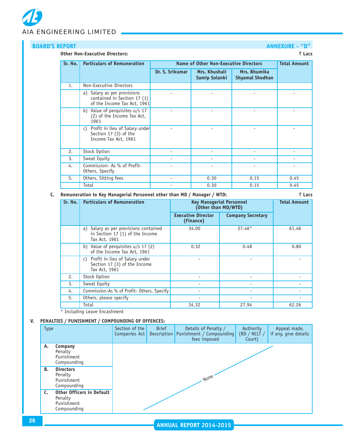# **BOARD'S REPORT ANNEXURE - "D"**

#### **Other Non-Executive Directors:** ` **Lacs**

| Sr. No. | <b>Particulars of Remuneration</b>                                                        | <b>Name of Other Non-Executive Directors</b> | <b>Total Amount</b>            |                                        |      |
|---------|-------------------------------------------------------------------------------------------|----------------------------------------------|--------------------------------|----------------------------------------|------|
|         |                                                                                           | Dr. S. Srikumar                              | Mrs. Khushali<br>Samip Solanki | Mrs. Bhumika<br><b>Shyamal Shodhan</b> |      |
| 1.      | Non-Executive Directors                                                                   |                                              |                                |                                        |      |
|         | a) Salary as per provisions<br>contained in Section 17 (1)<br>of the Income Tax Act, 1961 |                                              |                                |                                        |      |
|         | b) Value of perquisites u/s 17<br>(2) of the Income Tax Act,<br>1961                      |                                              |                                |                                        |      |
|         | c) Profit in lieu of Salary under<br>Section 17 (3) of the<br>Income Tax Act, 1961        |                                              |                                |                                        |      |
| 2.      | Stock Option                                                                              |                                              |                                |                                        |      |
| 3.      | Sweat Equity                                                                              |                                              |                                |                                        |      |
| 4.      | Commission- As % of Profit-<br>Others, Specify                                            |                                              |                                |                                        |      |
| 5.      | Others, Sitting fees                                                                      |                                              | 0.30                           | 0.15                                   | 0.45 |
|         | Total                                                                                     |                                              | 0.30                           | 0.15                                   | 0.45 |

### **C. Remuneration to Key Managerial Personnel other than MD / Manager / WTD:** ` **Lacs**

| Sr. No. | <b>Particulars of Remuneration</b>                                                           | <b>Key Managerial Personnel</b><br>(Other than MD/WTD) | <b>Total Amount</b>      |       |
|---------|----------------------------------------------------------------------------------------------|--------------------------------------------------------|--------------------------|-------|
|         |                                                                                              | <b>Executive Director</b><br>(Finance)                 | <b>Company Secretary</b> |       |
|         | Salary as per provisions contained<br>a)<br>in Section 17 (1) of the Income<br>Tax Act, 1961 | 34.00                                                  | $27.46*$                 | 61.46 |
|         | b) Value of perquisites $u/s$ 17 (2)<br>of the Income Tax Act, 1961                          | 0.32                                                   | 0.48                     | 0.80  |
|         | Profit in lieu of Salary under<br>C)<br>Section 17 (3) of the Income<br>Tax Act, 1961        |                                                        |                          |       |
| 2.      | Stock Option                                                                                 |                                                        |                          |       |
| 3.      | Sweat Equity                                                                                 |                                                        |                          |       |
| 4.      | Commission-As % of Profit- Others, Specify                                                   | ۰                                                      |                          |       |
| 5.      | Others, please specify                                                                       |                                                        |                          |       |
|         | Total                                                                                        | 34.32                                                  | 27.94                    | 62.26 |

\* Including Leave Encashment

## **V. PENALTIES / PUNISHMENT / COMPOUNDING OF OFFENCES:**

| <b>Type</b> |                                                                          | Section of the<br>Companies Act | <b>Brief</b><br><b>Description</b> | Details of Penalty /<br>Punishment / Compounding<br>fees imposed | Authority<br>(RD / NCLT /<br>Court) | Appeal made,<br>if any, give details |
|-------------|--------------------------------------------------------------------------|---------------------------------|------------------------------------|------------------------------------------------------------------|-------------------------------------|--------------------------------------|
| А.          | Company<br>Penalty<br>Punishment<br>Compounding                          |                                 |                                    |                                                                  |                                     |                                      |
| <b>B.</b>   | <b>Directors</b><br>Penalty<br>Punishment<br>Compounding                 | None.                           |                                    |                                                                  |                                     |                                      |
| C.          | <b>Other Officers in Default</b><br>Penalty<br>Punishment<br>Compounding |                                 |                                    |                                                                  |                                     |                                      |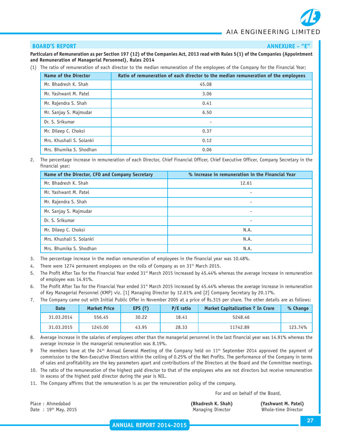#### **BOARD'S REPORT ANNEXURE - "E"** ANNEXURE - "E"

**Particulars of Remuneration as per Section 197 (12) of the Companies Act, 2013 read with Rules 5(1) of the Companies (Appointment and Remuneration of Managerial Personnel), Rules 2014**

(1) The ratio of remuneration of each director to the median remuneration of the employees of the Company for the Financial Year;

| <b>Name of the Director</b> | Ratio of remuneration of each director to the median remuneration of the employees |
|-----------------------------|------------------------------------------------------------------------------------|
| Mr. Bhadresh K. Shah        | 45.08                                                                              |
| Mr. Yashwant M. Patel       | 3.06                                                                               |
| Mr. Rajendra S. Shah        | 0.41                                                                               |
| Mr. Sanjay S. Majmudar      | 6.50                                                                               |
| Dr. S. Srikumar             | $\overline{\phantom{0}}$                                                           |
| Mr. Dileep C. Choksi        | 0.37                                                                               |
| Mrs. Khushali S. Solanki    | 0.12                                                                               |
| Mrs. Bhumika S. Shodhan     | 0.06                                                                               |

2. The percentage increase in remuneration of each Director, Chief Financial Officer, Chief Executive Officer, Company Secretary in the financial year;

| Name of the Director, CFO and Company Secretary | % increase in remuneration in the Financial Year |
|-------------------------------------------------|--------------------------------------------------|
| Mr. Bhadresh K. Shah                            | 12.61                                            |
| Mr. Yashwant M. Patel                           | ٠                                                |
| Mr. Rajendra S. Shah                            | ٠                                                |
| Mr. Sanjay S. Majmudar                          |                                                  |
| Dr. S. Srikumar                                 |                                                  |
| Mr. Dileep C. Choksi                            | N.A.                                             |
| Mrs. Khushali S. Solanki                        | N.A.                                             |
| Mrs. Bhumika S. Shodhan                         | N.A.                                             |

- 3. The percentage increase in the median remuneration of employees in the financial year was 10.48%.
- 4. There were 1274 permanent employees on the rolls of Company as on 31<sup>st</sup> March 2015.
- 5. The Profit After Tax for the Financial Year ended  $31<sup>st</sup>$  March 2015 increased by 45.44% whereas the average increase in remuneration of employee was 14.91%.
- 6. The Profit After Tax for the Financial Year ended 31<sup>st</sup> March 2015 increased by 45.44% whereas the average increase in remuneration of Key Managerial Personnel (KMP) viz. [1] Managing Director by 12.61% and [2] Company Secretary by 20.17%.
- 7. The Company came out with Initial Public Offer in November 2005 at a price of Rs.315 per share. The other details are as follows:

| <b>Date</b> | <b>Market Price</b> | EPS $(\bar{z})$ | P/E ratio | Market Capitalization $\bar{\tau}$ In Crore | % Change |
|-------------|---------------------|-----------------|-----------|---------------------------------------------|----------|
| 31.03.2014  | 556.45              | 30.22           | 18.41     | 5248.46                                     |          |
| 31.03.2015  | 1245.00             | 43.95           | 28.33     | 11742.89                                    | 123.74%  |

- 8. Average increase in the salaries of employees other than the managerial personnel in the last financial year was 14.91% whereas the average increase in the managerial remuneration was 8.19%.
- The members have at the 24<sup>th</sup> Annual General Meeting of the Company held on  $11<sup>th</sup>$  September 2014 approved the payment of commission to the Non-Executive Directors within the ceiling of 0.25% of the Net Profits. The performance of the Company in terms of sales and profitability are the key parameters apart and contributions of the Directors at the Board and the Committee meetings.
- 10. The ratio of the remuneration of the highest paid director to that of the employees who are not directors but receive remuneration in excess of the highest paid director during the year is NIL.
- 11. The Company affirms that the remuneration is as per the remuneration policy of the company.

For and on behalf of the Board,

Place : Ahmedabad **(Bhadresh K. Shah) (Yashwant M. Patel)** Date : 19<sup>th</sup> May, 2015 **Managing Director** Whole-time Director Whole-time Director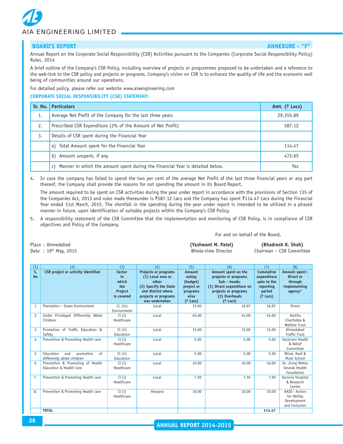#### **BOARD'S REPORT ANNEXURE - "F"** ANNEXURE - "F"

Annual Report on the Corporate Social Responsibility (CSR) Activities pursuant to the Companies (Corporate Social Responsibility Policy) Rules, 2014

A brief outline of the Company's CSR Policy, including overview of projects or programmes proposed to be undertaken and a reference to the web-link to the CSR policy and projects or programs. Company's vision on CSR is to enhance the quality of life and the economic well being of communities around our operations.

For detailed policy, please refer our website www.aiaengineering.com

**CORPORATE SOCIAL RESPONSIBILITY (CSR) STATEMENT:**

| Sr. No. | <b>Particulars</b>                                                                            | Amt. $($ ₹ Lacs) |
|---------|-----------------------------------------------------------------------------------------------|------------------|
| 1.      | Average Net Profit of the Company for the last three years                                    | 29,355.89        |
| 2.      | Prescribed CSR Expenditure (2% of the Amount of Net Profit)                                   | 587.12           |
| 3.      | Details of CSR spent during the Financial Year                                                |                  |
|         | Total Amount spent for the Financial Year<br>a)                                               | 114.47           |
|         | Amount unspent, if any<br>b)                                                                  | 472.65           |
|         | Manner in which the amount spent during the Financial Year is detailed below.<br>$\mathsf{C}$ | Yes              |

4. In case the company has failed to spend the two per cent of the average Net Profit of the last three financial years or any part thereof, the Company shall provide the reasons for not spending the amount in its Board Report.

The amount required to be spent on CSR activities during the year under report in accordance with the provisions of Section 135 of the Companies Act, 2013 and rules made thereunder is  $\overline{5}587.12$  Lacs and the Company has spent  $\overline{5}114.47$  Lacs during the Financial Year ended 31st March, 2015. The shortfall in the spending during the year under report is intended to be utilized in a phased manner in future, upon identification of suitable projects within the Company's CSR Policy.

5. A responsibility statement of the CSR Committee that the implementation and monitoring of CSR Policy, is in compliance of CSR objectives and Policy of the Company.

#### For and on behalf of the Board,

| Place: Ahmedabad          | (Yashwant M. Patel) | (Bhadresh K. Shah)       |
|---------------------------|---------------------|--------------------------|
| Date: $19^{th}$ May, 2015 | Whole-time Director | Chairman – CSR Committee |

| (1)             | (2)                                                               | (3)                                                          | (4)                                                                                                                                         | (5)                                                                                         | (6)                                                                                                                                                       | (7)                                                                                          | (8)                                                              |
|-----------------|-------------------------------------------------------------------|--------------------------------------------------------------|---------------------------------------------------------------------------------------------------------------------------------------------|---------------------------------------------------------------------------------------------|-----------------------------------------------------------------------------------------------------------------------------------------------------------|----------------------------------------------------------------------------------------------|------------------------------------------------------------------|
| S.<br><b>No</b> | CSR project or activity identified                                | <b>Sector</b><br>in<br>which<br>the<br>Project<br>is covered | Projects or programs<br>(1) Local area or<br>other<br>(2) Specify the State<br>and district where<br>projects or programs<br>was undertaken | <b>Amount</b><br>outlay<br>(budget)<br>project or<br>programs<br>wise<br>$(7 \text{ Lacs})$ | Amount spent on the<br>projects or programs<br>$Sub - heads:$<br>(1) Direct expenditure on<br>projects or programs<br>(2) Overheads<br>$(7 \text{ Lacs})$ | <b>Cumulative</b><br>expenditure<br>upto to the<br>reporting<br>period<br>$(7 \text{ Lacs})$ | Amount spent:<br>Direct or<br>through<br>implementing<br>agency* |
| 1               | Plantation - Green Environment                                    | $CL$ (iv)<br>Environment                                     | Local                                                                                                                                       | 15.00                                                                                       | 16.97                                                                                                                                                     | 16.97                                                                                        | Direct                                                           |
| $\overline{c}$  | Under Privileged Differently Abled<br>Children                    | Cl(i)<br>Healthcare                                          | Local                                                                                                                                       | 45.00                                                                                       | 45.00                                                                                                                                                     | 45.00                                                                                        | Aastha<br>Charitable &<br><b>Welfare Trust</b>                   |
| 3               | Promotion of Traffic Education &<br>Safety                        | Cl (ii)<br>Education                                         | Local                                                                                                                                       | 15.00                                                                                       | 15.00                                                                                                                                                     | 15.00                                                                                        | Ahmedabad<br><b>Traffic Trust</b>                                |
| 4               | Prevention & Promoting Health care                                | Cl (i)<br>Healthcare                                         | Local                                                                                                                                       | 5.00                                                                                        | 5.00                                                                                                                                                      | 5.00                                                                                         | Sanjivani Health<br>& Relief<br>Committee                        |
| 5               | Education<br>of<br>and<br>promotion<br>differently abled children | Cl (ii)<br>Education                                         | Local                                                                                                                                       | 5.00                                                                                        | 5.00                                                                                                                                                      | 5.00                                                                                         | Blind, Deaf &<br>Mute School                                     |
| 6               | Prevention & Promoting of Health<br>Education & Health Care       | Cl (i)<br>Healthcare                                         | Local                                                                                                                                       | 10.00                                                                                       | 10.00                                                                                                                                                     | 10.00                                                                                        | Dr. Jivraj Mehta<br>Smarak Health<br>Foundation                  |
| 7.              | Prevention & Promoting Health care                                | Cl (i)<br>Healthcare                                         | Local                                                                                                                                       | 7.50                                                                                        | 7.50                                                                                                                                                      | 7.50                                                                                         | Kanoria Hospital<br>& Research<br>Centre                         |
| 8.              | Prevention & Promoting Health care                                | Cl (i)<br>Healthcare                                         | Haryana                                                                                                                                     | 10.00                                                                                       | 10.00                                                                                                                                                     | 10.00                                                                                        | AADI - Action<br>for Ability<br>Development<br>and Inclusion     |
|                 | <b>TOTAL</b>                                                      |                                                              |                                                                                                                                             |                                                                                             |                                                                                                                                                           | 114.47                                                                                       |                                                                  |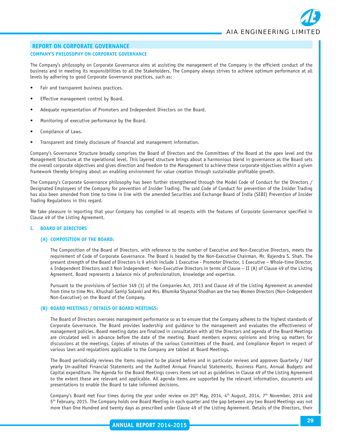#### **COMPANY'S PHILOSOPHY ON CORPORATE GOVERNANCE**

The Company's philosophy on Corporate Governance aims at assisting the management of the Company in the efficient conduct of the business and in meeting its responsibilities to all the Stakeholders. The Company always strives to achieve optimum performance at all levels by adhering to good Corporate Governance practices, such as:

- Fair and transparent business practices.
- Effective management control by Board.
- Adequate representation of Promoters and Independent Directors on the Board.
- Monitoring of executive performance by the Board.
- Compliance of Laws.
- Transparent and timely disclosure of financial and management information.

Company's Governance Structure broadly comprises the Board of Directors and the Committees of the Board at the apex level and the Management Structure at the operational level. This layered structure brings about a harmonious blend in governance as the Board sets the overall corporate objectives and gives direction and freedom to the Management to achieve these corporate objectives within a given framework thereby bringing about an enabling environment for value creation through sustainable profitable growth.

The Company's Corporate Governance philosophy has been further strengthened through the Model Code of Conduct for the Directors / Designated Employees of the Company for prevention of Insider Trading. The said Code of Conduct for prevention of the Insider Trading has also been amended from time to time in line with the amended Securities and Exchange Board of India (SEBI) Prevention of Insider Trading Regulations in this regard.

We take pleasure in reporting that your Company has complied in all respects with the features of Corporate Governance specified in Clause 49 of the Listing Agreement.

#### **I. BOARD OF DIRECTORS**

#### **(A) COMPOSITION OF THE BOARD:**

The Composition of the Board of Directors, with reference to the number of Executive and Non-Executive Directors, meets the requirement of Code of Corporate Governance. The Board is headed by the Non-Executive Chairman, Mr. Rajendra S. Shah. The present strength of the Board of Directors is 9 which include 1 Executive - Promoter Director, 1 Executive – Whole-time Director, 4 Independent Directors and 3 Non Independent - Non-Executive Directors in terms of Clause – II (A) of Clause 49 of the Listing Agreement. Board represents a balance mix of professionalism, knowledge and expertise.

Pursuant to the provisions of Section 149 (3) of the Companies Act, 2013 and Clause 49 of the Listing Agreement as amended from time to time Mrs. Khushali Samip Solanki and Mrs. Bhumika Shyamal Shodhan are the two Women Directors (Non-Independent Non-Executive) on the Board of the Company.

#### **(B) BOARD MEETINGS / DETAILS OF BOARD MEETINGS:**

The Board of Directors oversees management performance so as to ensure that the Company adheres to the highest standards of Corporate Governance. The Board provides leadership and guidance to the management and evaluates the effectiveness of management policies. Board meeting dates are finalized in consultation with all the Directors and agenda of the Board Meetings are circulated well in advance before the date of the meeting. Board members express opinions and bring up matters for discussions at the meetings. Copies of minutes of the various Committees of the Board, and Compliance Report in respect of various laws and regulations applicable to the Company are tabled at Board Meetings.

The Board periodically reviews the items required to be placed before and in particular reviews and approves Quarterly / Half yearly Un-audited Financial Statements and the Audited Annual Financial Statements, Business Plans, Annual Budgets and Capital expenditure. The Agenda for the Board Meetings covers items set out as guidelines in Clause 49 of the Listing Agreement to the extent these are relevant and applicable. All agenda items are supported by the relevant information, documents and presentations to enable the Board to take informed decisions.

Company's Board met Four times during the year under review on 20<sup>th</sup> May, 2014, 4<sup>th</sup> August, 2014, 7<sup>th</sup> November, 2014 and 5<sup>th</sup> February, 2015. The Company holds one Board Meeting in each quarter and the gap between any two Board Meetings was not more than One Hundred and twenty days as prescribed under Clause 49 of the Listing Agreement. Details of the Directors, their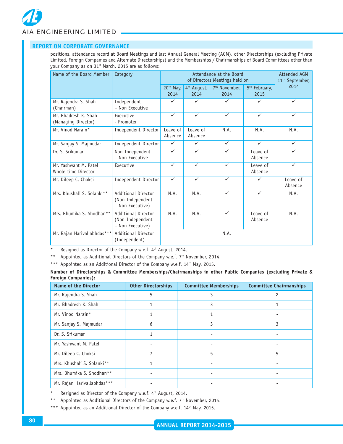### **REPORT ON CORPORATE GOVERNANCE**

positions, attendance record at Board Meetings and last Annual General Meeting (AGM), other Directorships (excluding Private Limited, Foreign Companies and Alternate Directorships) and the Memberships / Chairmanships of Board Committees other than your Company as on 31<sup>st</sup> March, 2015 are as follows:

| Name of the Board Member                     | Category                                                    |                               | Attendance at the Board<br>of Directors Meetings held on |                                   |                                   | <b>Attended AGM</b><br>11 <sup>th</sup> September, |  |
|----------------------------------------------|-------------------------------------------------------------|-------------------------------|----------------------------------------------------------|-----------------------------------|-----------------------------------|----------------------------------------------------|--|
|                                              |                                                             | 20 <sup>th</sup> May,<br>2014 | 4 <sup>th</sup> August,<br>2014                          | 7 <sup>th</sup> November.<br>2014 | 5 <sup>th</sup> February,<br>2015 | 2014                                               |  |
| Mr. Rajendra S. Shah<br>(Chairman)           | Independent<br>- Non Executive                              | ✓                             | $\checkmark$                                             | ✓                                 | $\checkmark$                      | $\checkmark$                                       |  |
| Mr. Bhadresh K. Shah<br>(Managing Director)  | Executive<br>- Promoter                                     | $\checkmark$                  | $\checkmark$                                             | $\checkmark$                      | $\checkmark$                      | $\checkmark$                                       |  |
| Mr. Vinod Narain*                            | Independent Director                                        | Leave of<br>Absence           | Leave of<br>Absence                                      | N.A.                              | N.A.                              | N.A.                                               |  |
| Mr. Sanjay S. Majmudar                       | Independent Director                                        | $\checkmark$                  | $\checkmark$                                             | $\checkmark$                      | $\checkmark$                      | $\checkmark$                                       |  |
| Dr. S. Srikumar                              | Non Independent<br>- Non Executive                          | $\checkmark$                  | $\checkmark$                                             | $\checkmark$                      | Leave of<br>Absence               | $\checkmark$                                       |  |
| Mr. Yashwant M. Patel<br>Whole-time Director | Executive                                                   | $\checkmark$                  | $\checkmark$                                             | $\checkmark$                      | Leave of<br>Absence               | $\checkmark$                                       |  |
| Mr. Dileep C. Choksi                         | Independent Director                                        | $\checkmark$                  | $\checkmark$                                             | $\checkmark$                      | $\checkmark$                      | Leave of<br>Absence                                |  |
| Mrs. Khushali S. Solanki**                   | Additional Director<br>(Non Independent<br>- Non Executive) | N.A.                          | N.A.                                                     | $\checkmark$                      | $\checkmark$                      | N.A.                                               |  |
| Mrs. Bhumika S. Shodhan**                    | Additional Director<br>(Non Independent<br>- Non Executive) | N.A.                          | N.A.                                                     | $\checkmark$                      | Leave of<br>Absence               | N.A.                                               |  |
| Mr. Rajan Harivallabhdas***                  | <b>Additional Director</b><br>(Independent)                 |                               |                                                          | N.A.                              |                                   |                                                    |  |

\* Resigned as Director of the Company w.e.f. 4<sup>th</sup> August, 2014.

\*\* Appointed as Additional Directors of the Company w.e.f. 7<sup>th</sup> November, 2014.

\*\*\* Appointed as an Additional Director of the Company w.e.f. 14<sup>th</sup> May, 2015.

**Number of Directorships & Committee Memberships/Chairmanships in other Public Companies (excluding Private & Foreign Companies):**

| <b>Name of the Director</b> | <b>Other Directorships</b> | <b>Committee Memberships</b> | <b>Committee Chairmanships</b> |
|-----------------------------|----------------------------|------------------------------|--------------------------------|
| Mr. Rajendra S. Shah        | 5                          | 3                            | 2                              |
| Mr. Bhadresh K. Shah        | 1                          | 3                            |                                |
| Mr. Vinod Narain*           | 1                          |                              |                                |
| Mr. Sanjay S. Majmudar      | 6                          | 3                            | 3                              |
| Dr. S. Srikumar             | 1                          |                              |                                |
| Mr. Yashwant M. Patel       |                            |                              |                                |
| Mr. Dileep C. Choksi        |                            | 5                            | 5                              |
| Mrs. Khushali S. Solanki**  | 1                          |                              |                                |
| Mrs. Bhumika S. Shodhan**   |                            |                              |                                |
| Mr. Rajan Harivallabhdas*** |                            |                              |                                |

Resigned as Director of the Company w.e.f. 4th August, 2014.

\*\* Appointed as Additional Directors of the Company w.e.f.  $7<sup>th</sup>$  November, 2014.

\*\*\* Appointed as an Additional Director of the Company w.e.f. 14<sup>th</sup> May, 2015.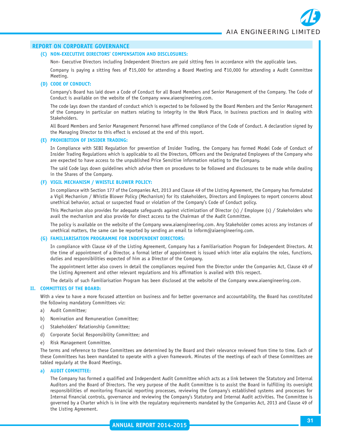#### **(C) NON-EXECUTIVE DIRECTORS' COMPENSATION AND DISCLOSURES:**

Non- Executive Directors including Independent Directors are paid sitting fees in accordance with the applicable laws.

Company is paying a sitting fees of ₹15,000 for attending a Board Meeting and ₹10,000 for attending a Audit Committee Meeting.

#### **(D) CODE OF CONDUCT:**

Company's Board has laid down a Code of Conduct for all Board Members and Senior Management of the Company. The Code of Conduct is available on the website of the Company www.aiaengineering.com.

The code lays down the standard of conduct which is expected to be followed by the Board Members and the Senior Management of the Company in particular on matters relating to integrity in the Work Place, in business practices and in dealing with Stakeholders.

All Board Members and Senior Management Personnel have affirmed compliance of the Code of Conduct. A declaration signed by the Managing Director to this effect is enclosed at the end of this report.

#### **(E) PROHIBITION OF INSIDER TRADING:**

In Compliance with SEBI Regulation for prevention of Insider Trading, the Company has formed Model Code of Conduct of Insider Trading Regulations which is applicable to all the Directors, Officers and the Designated Employees of the Company who are expected to have access to the unpublished Price Sensitive information relating to the Company.

The said Code lays down guidelines which advise them on procedures to be followed and disclosures to be made while dealing in the Shares of the Company.

#### **(F) VIGIL MECHANISM / WHISTLE BLOWER POLICY:**

In compliance with Section 177 of the Companies Act, 2013 and Clause 49 of the Listing Agreement, the Company has formulated a Vigil Mechanism / Whistle Blower Policy (Mechanism) for its stakeholders, Directors and Employees to report concerns about unethical behavior, actual or suspected fraud or violation of the Company's Code of Conduct policy.

This Mechanism also provides for adequate safeguards against victimization of Director (s) / Employee (s) / Stakeholders who avail the mechanism and also provide for direct access to the Chairman of the Audit Committee.

The policy is available on the website of the Company www.aiaengineering.com. Any Stakeholder comes across any instances of unethical matters, the same can be reported by sending an email to inform@aiaengineering.com.

#### **(G) FAMILIARISATION PROGRAMME FOR INDEPENDENT DIRECTORS:**

In compliance with Clause 49 of the Listing Agreement, Company has a Familiarisation Program for Independent Directors. At the time of appointment of a Director, a formal letter of appointment is issued which inter alia explains the roles, functions, duties and responsibilities expected of him as a Director of the Company.

The appointment letter also covers in detail the compliances required from the Director under the Companies Act, Clause 49 of the Listing Agreement and other relevant regulations and his affirmation is availed with this respect.

The details of such Familiarisation Program has been disclosed at the website of the Company www.aiaengineering.com.

#### **II. COMMITTEES OF THE BOARD:**

With a view to have a more focused attention on business and for better governance and accountability, the Board has constituted the following mandatory Committees viz:

- a) Audit Committee;
- b) Nomination and Remuneration Committee;
- c) Stakeholders' Relationship Committee;
- d) Corporate Social Responsibility Committee; and
- e) Risk Management Committee.

The terms and reference to these Committees are determined by the Board and their relevance reviewed from time to time. Each of these Committees has been mandated to operate with a given framework. Minutes of the meetings of each of these Committees are tabled regularly at the Board Meetings.

#### **a) AUDIT COMMITTEE:**

The Company has formed a qualified and Independent Audit Committee which acts as a link between the Statutory and Internal Auditors and the Board of Directors. The very purpose of the Audit Committee is to assist the Board in fulfilling its oversight responsibilities of monitoring financial reporting processes, reviewing the Company's established systems and processes for Internal financial controls, governance and reviewing the Company's Statutory and Internal Audit activities. The Committee is governed by a Charter which is in line with the regulatory requirements mandated by the Companies Act, 2013 and Clause 49 of the Listing Agreement.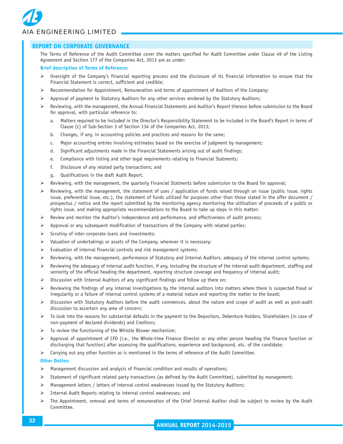

The Terms of Reference of the Audit Committee cover the matters specified for Audit Committee under Clause 49 of the Listing Agreement and Section 177 of the Companies Act, 2013 are as under:

#### **Brief description of Terms of Reference:**

- $\triangleright$  Oversight of the Company's financial reporting process and the disclosure of its financial information to ensure that the Financial Statement is correct, sufficient and credible;
- Recommendation for Appointment, Remuneration and terms of appointment of Auditors of the Company;
- $\triangleright$  Approval of payment to Statutory Auditors for any other services rendered by the Statutory Auditors;
- $\triangleright$  Reviewing, with the management, the Annual Financial Statements and Auditor's Report thereon before submission to the Board for approval, with particular reference to:
	- a. Matters required to be included in the Director's Responsibility Statement to be included in the Board's Report in terms of Clause (c) of Sub-Section 3 of Section 134 of the Companies Act, 2013;
	- b. Changes, if any, in accounting policies and practices and reasons for the same;
	- c. Major accounting entries involving estimates based on the exercise of judgment by management;
	- d. Significant adjustments made in the Financial Statements arising out of audit findings;
	- e. Compliance with listing and other legal requirements relating to Financial Statments;
	- f. Disclosure of any related party transactions; and
	- g. Qualifications in the draft Audit Report.
- $\triangleright$  Reviewing, with the management, the quarterly Financial Statments before submission to the Board for approval;
- Reviewing, with the management, the statement of uses / application of funds raised through an issue (public issue, rights issue, preferential issue, etc.), the statement of funds utilized for purposes other than those stated in the offer document / prospectus / notice and the report submitted by the monitoring agency monitoring the utilisation of proceeds of a public or rights issue, and making appropriate recommendations to the Board to take up steps in this matter;
- $\triangleright$  Review and monitor the Auditor's independence and performance, and effectiveness of audit process;
- $\triangleright$  Approval or any subsequent modification of transactions of the Company with related parties;
- $\triangleright$  Scrutiny of inter-corporate loans and investments;
- $\triangleright$  Valuation of undertakings or assets of the Company, wherever it is necessary;
- $\triangleright$  Evaluation of internal financial controls and risk management systems;
- $\triangleright$  Reviewing, with the management, performance of Statutory and Internal Auditors, adequacy of the internal control systems;
- $\triangleright$  Reviewing the adequacy of internal audit function, if any, including the structure of the internal audit department, staffing and seniority of the official heading the department, reporting structure coverage and frequency of internal audit;
- ¾ Discussion with Internal Auditors of any significant findings and follow up there on;
- $\triangleright$  Reviewing the findings of any internal investigations by the internal auditors into matters where there is suspected fraud or irregularity or a failure of internal control systems of a material nature and reporting the matter to the board;
- $\triangleright$  Discussion with Statutory Auditors before the audit commences, about the nature and scope of audit as well as post-audit discussion to ascertain any area of concern;
- $\triangleright$  To look into the reasons for substantial defaults in the payment to the Depositors, Debenture Holders, Shareholders (in case of non-payment of declared dividends) and Creditors;
- $\triangleright$  To review the functioning of the Whistle Blower mechanism;
- $\triangleright$  Approval of appointment of CFO (i.e., the Whole-time Finance Director or any other person heading the finance function or discharging that function) after assessing the qualifications, experience and background, etc. of the candidate;
- $\triangleright$  Carrying out any other function as is mentioned in the terms of reference of the Audit Committee.

#### **Other Duties:**

- $\triangleright$  Management discussion and analysis of financial condition and results of operations;
- ¾ Statement of significant related party transactions (as defined by the Audit Committee), submitted by management;
- ¾ Management letters / letters of internal control weaknesses issued by the Statutory Auditors;
- $\triangleright$  Internal Audit Reports relating to internal control weaknesses; and
- $\triangleright$  The Appointment, removal and terms of remuneration of the Chief Internal Auditor shall be subject to review by the Audit Committee.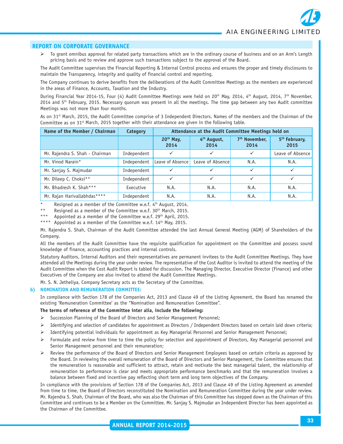$\triangleright$  To grant omnibus approval for related party transactions which are in the ordinary course of business and on an Arm's Length pricing basis and to review and approve such transactions subject to the approval of the Board.

The Audit Committee supervises the Financial Reporting & Internal Control process and ensures the proper and timely disclosures to maintain the Transparency, integrity and quality of financial control and reporting.

The Company continues to derive benefits from the deliberations of the Audit Committee Meetings as the members are experienced in the areas of Finance, Accounts, Taxation and the Industry.

During Financial Year 2014-15, Four (4) Audit Committee Meetings were held on 20<sup>th</sup> May, 2014, 4<sup>th</sup> August, 2014, 7<sup>th</sup> November,  $2014$  and  $5<sup>th</sup>$  February, 2015. Necessary quorum was present in all the meetings. The time gap between any two Audit committee Meetings was not more than four months.

As on 31st March, 2015, the Audit Committee comprise of 3 Independent Directors. Names of the members and the Chairman of the Committee as on 31<sup>st</sup> March, 2015 together with their attendance are given in the following table.

| Name of the Member / Chairman   | Category    | Attendance at the Audit Committee Meetings held on |                                 |                                   |                                   |
|---------------------------------|-------------|----------------------------------------------------|---------------------------------|-----------------------------------|-----------------------------------|
|                                 |             | $20th$ May,<br>2014                                | 4 <sup>th</sup> August,<br>2014 | 7 <sup>th</sup> November.<br>2014 | 5 <sup>th</sup> February,<br>2015 |
| Mr. Rajendra S. Shah - Chairman | Independent | $\checkmark$                                       | ✓                               | $\checkmark$                      | Leave of Absence                  |
| Mr. Vinod Narain*               | Independent | Leave of Absence                                   | Leave of Absence                | N.A.                              | N.A.                              |
| Mr. Sanjay S. Majmudar          | Independent |                                                    |                                 |                                   |                                   |
| Mr. Dileep C. Choksi**          | Independent | ✓                                                  | $\checkmark$                    | $\checkmark$                      |                                   |
| Mr. Bhadresh K. Shah***         | Executive   | N.A.                                               | N.A.                            | N.A.                              | N.A.                              |
| Mr. Rajan Harivallabhdas****    | Independent | N.A.                                               | N.A.                            | N.A.                              | N.A.                              |

Resigned as a member of the Committee w.e.f. 4<sup>th</sup> August, 2014.

Resigned as a member of the Committee w.e.f. 30<sup>th</sup> March, 2015.

Appointed as a member of the Committee w.e.f. 29<sup>th</sup> April, 2015.

Appointed as a member of the Committee w.e.f. 14<sup>th</sup> May, 2015.

Mr. Rajendra S. Shah, Chairman of the Audit Committee attended the last Annual General Meeting (AGM) of Shareholders of the Company.

All the members of the Audit Committee have the requisite qualification for appointment on the Committee and possess sound knowledge of finance, accounting practices and internal controls.

Statutory Auditors, Internal Auditors and their representatives are permanent invitees to the Audit Committee Meetings. They have attended all the Meetings during the year under review. The representative of the Cost Auditor is invited to attend the meeting of the Audit Committee when the Cost Audit Report is tabled for discussion. The Managing Director, Executive Director (Finance) and other Executives of the Company are also invited to attend the Audit Committee Meetings.

Mr. S. N. Jetheliya, Company Secretary acts as the Secretary of the Committee.

#### **b) NOMINATION AND REMUNERATION COMMITTEE:**

In compliance with Section 178 of the Companies Act, 2013 and Clause 49 of the Listing Agreement, the Board has renamed the existing 'Remuneration Committee' as the "Nomination and Remuneration Committee".

#### **The terms of reference of the Committee inter alia, include the following:**

- ¾ Succession Planning of the Board of Directors and Senior Management Personnel;
- $\triangleright$  Identifying and selection of candidates for appointment as Directors / Independent Directors based on certain laid down criteria;
- ¾ Identifying potential individuals for appointment as Key Managerial Personnel and Senior Management Personnel;
- ¾ Formulate and review from time to time the policy for selection and appointment of Directors, Key Managerial personnel and Senior Management personnel and their remuneration;
- Review the performance of the Board of Directors and Senior Management Employees based on certain criteria as approved by the Board. In reviewing the overall remuneration of the Board of Directors and Senior Management, the Committee ensures that the remuneration is reasonable and sufficient to attract, retain and motivate the best managerial talent, the relationship of remuneration to performance is clear and meets appropriate performance benchmarks and that the remuneration involves a balance between fixed and incentive pay reflecting short term and long term objectives of the Company.

In compliance with the provisions of Section 178 of the Companies Act, 2013 and Clause 49 of the Listing Agreement as amended from time to time, the Board of Directors reconstituted the Nomination and Remuneration Committee during the year under review. Mr. Rajendra S. Shah, Chairman of the Board, who was also the Chairman of this Committee has stepped down as the Chairman of this Committee and continues to be a Member on the Committee. Mr. Sanjay S. Majmudar an Independent Director has been appointed as the Chairman of the Committee.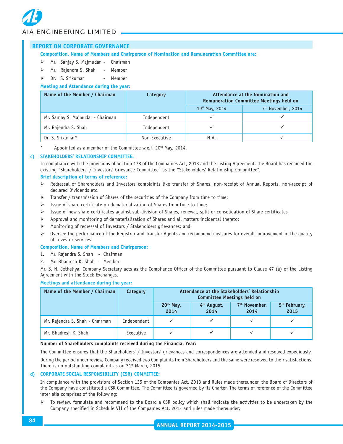#### **REPORT ON CORPORATE GOVERNANCE**

#### **Composition, Name of Members and Chairperson of Nomination and Remuneration Committee are:**

- ¾ Mr. Sanjay S. Majmudar Chairman
- ¾ Mr. Rajendra S. Shah Member
- $\triangleright$  Dr. S. Srikumar Member

#### **Meeting and Attendance during the year:**

| Name of the Member / Chairman     | Category      | Attendance at the Nomination and<br><b>Remuneration Committee Meetings held on</b> |                                |  |
|-----------------------------------|---------------|------------------------------------------------------------------------------------|--------------------------------|--|
|                                   |               | 19th May, 2014                                                                     | 7 <sup>th</sup> November, 2014 |  |
| Mr. Sanjay S. Majmudar - Chairman | Independent   |                                                                                    |                                |  |
| Mr. Rajendra S. Shah              | Independent   |                                                                                    |                                |  |
| Dr. S. Srikumar*                  | Non-Executive | N.A.                                                                               |                                |  |

Appointed as a member of the Committee w.e.f. 20<sup>th</sup> May, 2014.

#### **c) STAKEHOLDERS' RELATIONSHIP COMMITTEE:**

In compliance with the provisions of Section 178 of the Companies Act, 2013 and the Listing Agreement, the Board has renamed the existing "Shareholders' / Investors' Grievance Committee" as the "Stakeholders' Relationship Committee".

#### **Brief description of terms of reference:**

- Redressal of Shareholders and Investors complaints like transfer of Shares, non-receipt of Annual Reports, non-receipt of declared Dividends etc.
- Transfer / transmission of Shares of the securities of the Company from time to time;
- $\triangleright$  Issue of share certificate on dematerialization of Shares from time to time:
- $\triangleright$  Issue of new share certificates against sub-division of Shares, renewal, split or consolidation of Share certificates
- $\triangleright$  Approval and monitoring of dematerialization of Shares and all matters incidental thereto;
- ¾ Monitoring of redressal of Investors / Stakeholders grievances; and
- $\triangleright$  Oversee the performance of the Registrar and Transfer Agents and recommend measures for overall improvement in the quality of Investor services.

#### **Composition, Name of Members and Chairperson:**

- 1. Mr. Rajendra S. Shah Chairman
- 2. Mr. Bhadresh K. Shah Member

Mr. S. N. Jetheliya, Company Secretary acts as the Compliance Officer of the Committee pursuant to Clause 47 (a) of the Listing Agreement with the Stock Exchanges.

#### **Meetings and attendance during the year:**

| Name of the Member / Chairman   | Category    | Attendance at the Stakeholders' Relationship<br><b>Committee Meetings held on</b> |                                 |                                   |                                   |
|---------------------------------|-------------|-----------------------------------------------------------------------------------|---------------------------------|-----------------------------------|-----------------------------------|
|                                 |             | 20 <sup>th</sup> May,<br>2014                                                     | 4 <sup>th</sup> August,<br>2014 | 7 <sup>th</sup> November,<br>2014 | 5 <sup>th</sup> February,<br>2015 |
| Mr. Rajendra S. Shah - Chairman | Independent |                                                                                   |                                 |                                   |                                   |
| Mr. Bhadresh K. Shah            | Executive   |                                                                                   |                                 |                                   |                                   |

#### **Number of Shareholders complaints received during the Financial Year:**

The Committee ensures that the Shareholders' / Investors' grievances and correspondences are attended and resolved expediously.

During the period under review, Company received two Complaints from Shareholders and the same were resolved to their satisfactions. There is no outstanding complaint as on 31<sup>st</sup> March, 2015.

#### **d) CORPORATE SOCIAL RESPONSIBILITY (CSR) COMMITTEE:**

In compliance with the provisions of Section 135 of the Companies Act, 2013 and Rules made thereunder, the Board of Directors of the Company have constituted a CSR Committee. The Committee is governed by its Charter. The terms of reference of the Committee inter alia comprises of the following:

¾ To review, formulate and recommend to the Board a CSR policy which shall indicate the activities to be undertaken by the Company specified in Schedule VII of the Companies Act, 2013 and rules made thereunder;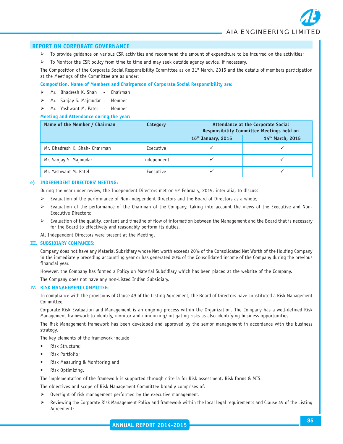- $\triangleright$  To provide quidance on various CSR activities and recommend the amount of expenditure to be incurred on the activities;
- $\triangleright$  To Monitor the CSR policy from time to time and may seek outside agency advice, if necessary.

The Composition of the Corporate Social Responsibility Committee as on 31<sup>st</sup> March, 2015 and the details of members participation at the Meetings of the Committee are as under:

#### **Composition, Name of Members and Chairperson of Corporate Social Responsibility are:**

- ¾ Mr. Bhadresh K. Shah Chairman
- Mr. Sanjay S. Majmudar Member
- ¾ Mr. Yashwant M. Patel Member

#### **Meeting and Attendance during the year:**

| Name of the Member / Chairman  | Category    | <b>Attendance at the Corporate Social</b><br><b>Responsibility Committee Meetings held on</b> |                  |  |
|--------------------------------|-------------|-----------------------------------------------------------------------------------------------|------------------|--|
|                                |             | 16 <sup>th</sup> January, 2015                                                                | 14th March, 2015 |  |
| Mr. Bhadresh K. Shah- Chairman | Executive   |                                                                                               |                  |  |
| Mr. Sanjay S. Majmudar         | Independent |                                                                                               |                  |  |
| Mr. Yashwant M. Patel          | Executive   |                                                                                               |                  |  |

#### **e) INDEPENDENT DIRECTORS' MEETING:**

During the year under review, the Independent Directors met on 5<sup>th</sup> February, 2015, inter alia, to discuss:

- $\triangleright$  Evaluation of the performance of Non-independent Directors and the Board of Directors as a whole;
- ¾ Evaluation of the performance of the Chairman of the Company, taking into account the views of the Executive and Non-Executive Directors;
- ¾ Evaluation of the quality, content and timeline of flow of information between the Management and the Board that is necessary for the Board to effectively and reasonably perform its duties.

All Independent Directors were present at the Meeting.

#### **III. SUBSIDIARY COMPANIES:**

Company does not have any Material Subsidiary whose Net worth exceeds 20% of the Consolidated Net Worth of the Holding Company in the immediately preceding accounting year or has generated 20% of the Consolidated income of the Company during the previous financial year.

However, the Company has formed a Policy on Material Subsidiary which has been placed at the website of the Company.

The Company does not have any non-Listed Indian Subsidiary.

#### **IV. RISK MANAGEMENT COMMITTEE:**

In compliance with the provisions of Clause 49 of the Listing Agreement, the Board of Directors have constituted a Risk Management Committee.

Corporate Risk Evaluation and Management is an ongoing process within the Organization. The Company has a well-defined Risk Management framework to identify, monitor and minimizing/mitigating risks as also identifying business opportunities.

The Risk Management framework has been developed and approved by the senior management in accordance with the business strategy.

The key elements of the framework include

- Risk Structure;
- Risk Portfolio;
- Risk Measuring & Monitoring and
- Risk Optimizing.

The implementation of the framework is supported through criteria for Risk assessment, Risk forms & MIS.

The objectives and scope of Risk Management Committee broadly comprises of:

- $\triangleright$  Oversight of risk management performed by the executive management:
- ¾ Reviewing the Corporate Risk Management Policy and framework within the local legal requirements and Clause 49 of the Listing Agreement;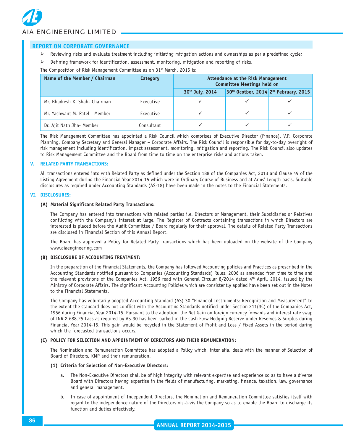# *AIA ENGINEERING LIMITED*

#### **REPORT ON CORPORATE GOVERNANCE**

- $\triangleright$  Reviewing risks and evaluate treatment including initiating mitigation actions and ownerships as per a predefined cycle;
- ¾ Defining framework for identification, assessment, monitoring, mitigation and reporting of risks.

The Composition of Risk Management Committee as on 31<sup>st</sup> March, 2015 is:

| Name of the Member / Chairman  | Category   | <b>Attendance at the Risk Management</b><br><b>Committee Meetings held on</b> |  |                                       |
|--------------------------------|------------|-------------------------------------------------------------------------------|--|---------------------------------------|
|                                |            | 30th July, 2014                                                               |  | 30th Ocotber, 2014 2nd February, 2015 |
| Mr. Bhadresh K. Shah- Chairman | Executive  |                                                                               |  |                                       |
| Mr. Yashwant M. Patel - Member | Executive  |                                                                               |  |                                       |
| Dr. Ajit Nath Jha- Member      | Consultant |                                                                               |  |                                       |

The Risk Management Committee has appointed a Risk Council which comprises of Executive Director (Finance), V.P. Corporate Planning, Company Secretary and General Manager – Corporate Affairs. The Risk Council is responsible for day-to-day oversight of risk management including identification, impact assessment, monitoring, mitigation and reporting. The Risk Council also updates to Risk Management Committee and the Board from time to time on the enterprise risks and actions taken.

#### **V. RELATED PARTY TRANSACTIONS:**

All transactions entered into with Related Party as defined under the Section 188 of the Companies Act, 2013 and Clause 49 of the Listing Agreement during the Financial Year 2014-15 which were in Ordinary Course of Business and at Arms' Length basis. Suitable disclosures as required under Accounting Standards (AS-18) have been made in the notes to the Financial Statements.

#### **VI. DISCLOSURES:**

#### **(A) Material Significant Related Party Transactions:**

The Company has entered into transactions with related parties i.e. Directors or Management, their Subsidiaries or Relatives conflicting with the Company's interest at large. The Register of Contracts containing transactions in which Directors are interested is placed before the Audit Committee / Board regularly for their approval. The details of Related Party Transactions are disclosed in Financial Section of this Annual Report.

The Board has approved a Policy for Related Party Transactions which has been uploaded on the website of the Company www.aiaengineering.com

#### **(B) DISCLOSURE OF ACCOUNTING TREATMENT:**

In the preparation of the Financial Statements, the Company has followed Accounting policies and Practices as prescribed in the Accounting Standards notified pursuant to Companies (Accounting Standards) Rules, 2006 as amended from time to time and the relevant provisions of the Companies Act, 1956 read with General Circular 8/2014 dated 4<sup>th</sup> April, 2014, issued by the Ministry of Corporate Affairs. The significant Accounting Policies which are consistently applied have been set out in the Notes to the Financial Statements.

The Company has voluntarily adopted Accounting Standard (AS) 30 "Financial Instruments: Recognition and Measurement" to the extent the standard does not conflict with the Accounting Standards notified under Section 211(3C) of the Companies Act, 1956 during Financial Year 2014-15. Pursuant to the adoption, the Net Gain on foreign currency forwards and interest rate swap of INR 2,688.25 Lacs as required by AS-30 has been parked in the Cash Flow Hedging Reserve under Reserves & Surplus during Financial Year 2014-15. This gain would be recycled in the Statement of Profit and Loss / Fixed Assets in the period during which the forecasted transactions occurs.

#### **(C) POLICY FOR SELECTION AND APPOINTMENT OF DIRECTORS AND THEIR REMUNERATION:**

The Nomination and Remuneration Committee has adopted a Policy which, inter alia, deals with the manner of Selection of Board of Directors, KMP and their remuneration.

#### **(1) Criteria for Selection of Non-Executive Directors:**

- a. The Non-Executive Directors shall be of high integrity with relevant expertise and experience so as to have a diverse Board with Directors having expertise in the fields of manufacturing, marketing, finance, taxation, law, governance and general management.
- b. In case of appointment of Independent Directors, the Nomination and Remuneration Committee satisfies itself with regard to the independence nature of the Directors vis-à-vis the Company so as to enable the Board to discharge its function and duties effectively.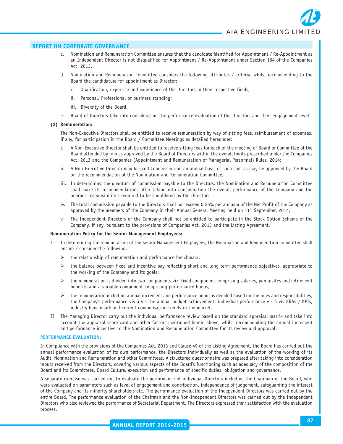- c. Nomination and Remuneration Committee ensures that the candidate identified for Appointment / Re-Appointment as an Independent Director is not disqualified for Appointment / Re-Appointment under Section 164 of the Companies Act, 2013.
- d. Nomination and Remuneration Committee considers the following attributes / criteria, whilst recommending to the Board the candidature for appointment as Director:
	- i. Qualification, expertise and experience of the Directors in their respective fields;
	- ii. Personal, Professional or business standing;
	- iii. Diversity of the Board.
- e. Board of Directors take into consideration the performance evaluation of the Directors and their engagement level.

#### **(2) Remuneration:**

The Non-Executive Directors shall be entitled to receive remuneration by way of sitting fees, reimbursement of expenses, if any, for participation in the Board / Committee Meetings as detailed hereunder:

- i. A Non-Executive Director shall be entitled to receive sitting fees for each of the meeting of Board or Committee of the Board attended by him as approved by the Board of Directors within the overall limits prescribed under the Companies Act, 2013 and the Companies (Appointment and Remuneration of Managerial Personnel) Rules, 2014;
- ii. A Non-Executive Director may be paid Commission on an annual basis of such sum as may be approved by the Board on the recommendation of the Nomination and Remuneration Committee;
- iii. In determining the quantum of commission payable to the Directors, the Nomination and Remuneration Committee shall make its recommendations after taking into consideration the overall performance of the Company and the onerous responsibilities required to be shouldered by the Director;
- iv. The total commission payable to the Directors shall not exceed 0.25% per annuam of the Net Profit of the Company as approved by the members of the Company in their Annual General Meeting held on  $11<sup>th</sup>$  September, 2014;
- v. The Independent Directors of the Company shall not be entitled to participate in the Stock Option Scheme of the Company, if any, pursuant to the provisions of Companies Act, 2013 and the Listing Agreement.

#### **Remuneration Policy for the Senior Management Employees:**

- I In determining the remuneration of the Senior Management Employees, the Nomination and Remuneration Committee shall ensure / consider the following:
	- $\triangleright$  the relationship of remuneration and performance benchmark;
	- $\triangleright$  the balance between fixed and incentive pay reflecting short and long term performance objectives, appropriate to the working of the Company and its goals;
	- $\triangleright$  the remuneration is divided into two components viz. fixed component comprising salaries, perquisites and retirement benefits and a variable component comprising performance bonus;
	- $\triangleright$  the remuneration including annual increment and performance bonus is decided based on the roles and responsibilities, the Company's performance vis-à-vis the annual budget achievement, individual performance vis-à-vis KRAs / KPIs, industry benchmark and current compensation trends in the market.
- II The Managing Director carry out the individual performance review based on the standard appraisal matrix and take into account the appraisal score card and other factors mentioned herein-above, whilst recommending the annual increment and performance incentive to the Nomination and Remuneration Committee for its review and approval.

#### **PERFORMANCE EVALUATION:**

In Compliance with the provisions of the Companies Act, 2013 and Clause 49 of the Listing Agreement, the Board has carried out the annual performance evaluation of its own performance, the Directors individually as well as the evaluation of the working of its Audit, Nomination and Remuneration and other Committees. A structured questionnaire was prepared after taking into consideration inputs received from the Directors, covering various aspects of the Board's functioning such as adequacy of the composition of the Board and its Committees, Board Culture, execution and performance of specific duties, obligation and governance.

A separate exercise was carried out to evaluate the performance of individual Directors including the Chairman of the Board, who were evaluated on parameters such as level of engagement and contribution, independence of judgement, safeguarding the interest of the Company and its minority shareholders etc. The performance evaluation of the Independent Directors was carried out by the entire Board. The performance evaluation of the Chairman and the Non-Independent Directors was carried out by the Independent Directors who also reviewed the performance of Secretarial Department. The Directors expressed their satisfaction with the evaluation process.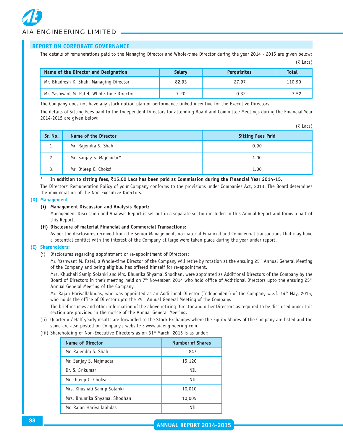The details of remunerations paid to the Managing Director and Whole-time Director during the year 2014 - 2015 are given below:  $(5$  Lacs)

| Name of the Director and Designation       | <b>Salary</b> | <b>Perguisites</b> | <b>Total</b> |
|--------------------------------------------|---------------|--------------------|--------------|
| Mr. Bhadresh K. Shah, Managing Director    | 82.93         | 27.97              | 110.90       |
| Mr. Yashwant M. Patel, Whole-time Director | 7.20          | 0.32               | 7.52         |

The Company does not have any stock option plan or performance linked incentive for the Executive Directors.

The details of Sitting Fees paid to the Independent Directors for attending Board and Committee Meetings during the Financial Year 2014-2015 are given below:

| Sr. No. | Name of the Director    | <b>Sitting Fees Paid</b> |
|---------|-------------------------|--------------------------|
| 1.      | Mr. Rajendra S. Shah    | 0.90                     |
| 2.      | Mr. Sanjay S. Majmudar* | 1.00                     |
| 3.      | Mr. Dileep C. Choksi    | 1.00                     |

#### \* **In addition to sitting fees,** `**15.00 Lacs has been paid as Commission during the Financial Year 2014-15.**

The Directors' Remuneration Policy of your Company conforms to the provisions under Companies Act, 2013. The Board determines the remuneration of the Non-Executive Directors.

#### **(D) Management**

#### **(i) Management Discussion and Analysis Report:**

Management Discussion and Analysis Report is set out in a separate section included in this Annual Report and forms a part of this Report.

#### **(ii) Disclosure of material Financial and Commercial Transactions:**

As per the disclosures received from the Senior Management, no material Financial and Commercial transactions that may have a potential conflict with the interest of the Company at large were taken place during the year under report.

#### **(E) Shareholders:**

(i) Disclosures regarding appointment or re-appointment of Directors:

Mr. Yashwant M. Patel, a Whole-time Director of the Company will retire by rotation at the ensuing 25<sup>th</sup> Annual General Meeting of the Company and being eligible, has offered himself for re-appointment.

Mrs. Khushali Samip Solanki and Mrs. Bhumika Shyamal Shodhan, were appointed as Additional Directors of the Company by the Board of Directors in their meeting held on 7<sup>th</sup> November, 2014 who hold office of Additional Directors upto the ensuing 25<sup>th</sup> Annual General Meeting of the Company.

Mr. Rajan Harivallabhdas, who was appointed as an Additional Director (Independent) of the Company w.e.f. 14<sup>th</sup> May, 2015, who holds the office of Director upto the 25<sup>th</sup> Annual General Meeting of the Company.

The brief resumes and other information of the above retiring Director and other Directors as required to be disclosed under this section are provided in the notice of the Annual General Meeting.

- (ii) Quarterly / Half yearly results are forwarded to the Stock Exchanges where the Equity Shares of the Company are listed and the same are also posted on Company's website : www.aiaengineering.com.
- (iii) Shareholding of Non-Executive Directors as on 31<sup>st</sup> March, 2015 is as under:

| <b>Name of Director</b>      | <b>Number of Shares</b> |
|------------------------------|-------------------------|
| Mr. Rajendra S. Shah         | 847                     |
| Mr. Sanjay S. Majmudar       | 15,120                  |
| Dr. S. Srikumar              | NTI                     |
| Mr. Dileep C. Choksi         | NIL                     |
| Mrs. Khushali Samip Solanki  | 10,010                  |
| Mrs. Bhumika Shyamal Shodhan | 10,005                  |
| Mr. Rajan Harivallabhdas     | NTI                     |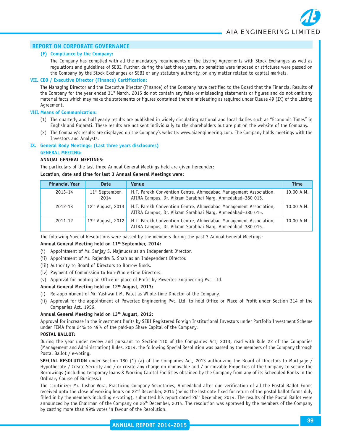#### **(F) Compliance by the Company:**

The Company has complied with all the mandatory requirements of the Listing Agreements with Stock Exchanges as well as regulations and guidelines of SEBI. Further, during the last three years, no penalties were imposed or strictures were passed on the Company by the Stock Exchanges or SEBI or any statutory authority, on any matter related to capital markets.

#### **VII. CEO / Executive Director (Finance) Certification:**

The Managing Director and the Executive Director (Finance) of the Company have certified to the Board that the Financial Results of the Company for the year ended 31<sup>st</sup> March, 2015 do not contain any false or misleading statements or figures and do not omit any material facts which may make the statements or figures contained therein misleading as required under Clause 49 (IX) of the Listing Agreement.

#### **VIII. Means of Communication:**

- (1) The quarterly and half yearly results are published in widely circulating national and local dailies such as "Economic Times" in English and Gujarati. These results are not sent individually to the shareholders but are put on the website of the Company.
- (2) The Company's results are displayed on the Company's website: www.aiaengineering.com. The Company holds meetings with the Investors and Analysts.

#### **IX. General Body Meetings: (Last three years disclosures) GENERAL MEETING:**

#### **ANNUAL GENERAL MEETINGS:**

The particulars of the last three Annual General Meetings held are given hereunder:

#### **Location, date and time for last 3 Annual General Meetings were:**

| <b>Financial Year</b> | <b>Date</b>                         | <b>Venue</b>                                                                                                                   | <b>Time</b> |
|-----------------------|-------------------------------------|--------------------------------------------------------------------------------------------------------------------------------|-------------|
| 2013-14               | 11 <sup>th</sup> September,<br>2014 | H.T. Parekh Convention Centre, Ahmedabad Management Association,<br>ATIRA Campus, Dr. Vikram Sarabhai Marg, Ahmedabad-380 015. | 10.00 A.M.  |
| 2012-13               | $12th$ August, 2013                 | H.T. Parekh Convention Centre, Ahmedabad Management Association,<br>ATIRA Campus, Dr. Vikram Sarabhai Marg, Ahmedabad-380 015. | 10.00 A.M.  |
| 2011-12               | $13th$ August, 2012                 | H.T. Parekh Convention Centre, Ahmedabad Management Association,<br>ATIRA Campus, Dr. Vikram Sarabhai Marg, Ahmedabad-380 015. | 10.00 A.M.  |

The following Special Resolutions were passed by the members during the past 3 Annual General Meetings:

#### **Annual General Meeting held on 11th September, 2014:**

- (i) Appointment of Mr. Sanjay S. Majmudar as an Independent Director.
- (ii) Appointment of Mr. Rajendra S. Shah as an Independent Director.
- (iii) Authority to Board of Directors to Borrow funds.
- (iv) Payment of Commission to Non-Whole-time Directors.
- (v) Approval for holding an Office or place of Profit by Powertec Engineering Pvt. Ltd.

#### **Annual General Meeting held on 12th August, 2013:**

- (i) Re-appointment of Mr. Yashwant M. Patel as Whole-time Director of the Company.
- (ii) Approval for the appointment of Powertec Engineering Pvt. Ltd. to hold Office or Place of Profit under Section 314 of the Companies Act, 1956.

#### **Annual General Meeting held on 13th August, 2012:**

Approval for increase in the investment limits by SEBI Registered Foreign Institutional Investors under Portfolio Investment Scheme under FEMA from 24% to 49% of the paid-up Share Capital of the Company.

#### **POSTAL BALLOT:**

During the year under review and pursuant to Section 110 of the Companies Act, 2013, read with Rule 22 of the Companies (Management and Administration) Rules, 2014, the following Special Resolution was passed by the members of the Company through Postal Ballot / e-voting.

**SPECIAL RESOLUTION** under Section 180 (1) (a) of the Companies Act, 2013 authorizing the Board of Directors to Mortgage / Hypothecate / Create Security and / or create any charge on immovable and / or movable Properties of the Company to secure the Borrowings (including temporary loans & Working Capital Facilities obtained by the Company from any of its Scheduled Banks in the Ordinary Course of Business.)

The scrutinizer Mr. Tushar Vora, Practicing Company Secretaries, Ahmedabad after due verification of all the Postal Ballot Forms received upto the close of working hours on 22<sup>nd</sup> December, 2014 (being the last date fixed for return of the postal ballot forms duly filled in by the members including e-voting), submitted his report dated 26<sup>th</sup> December, 2014. The results of the Postal Ballot were announced by the Chairman of the Company on 26<sup>th</sup> December, 2014. The resolution was approved by the members of the Company by casting more than 99% votes in favour of the Resolution.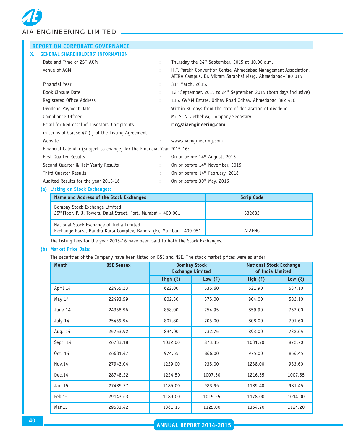*AIA ENGINEERING LIMITED*

| <b>REPORT ON CORPORATE GOVERNANCE</b>                                                   |                      |                                                                                                                               |  |  |  |
|-----------------------------------------------------------------------------------------|----------------------|-------------------------------------------------------------------------------------------------------------------------------|--|--|--|
| <b>GENERAL SHAREHOLDERS' INFORMATION</b><br>X.                                          |                      |                                                                                                                               |  |  |  |
| Date and Time of 25th AGM                                                               | ÷                    | Thursday the 24 <sup>th</sup> September, 2015 at 10.00 a.m.                                                                   |  |  |  |
| Venue of AGM                                                                            |                      | H.T. Parekh Convention Centre, Ahmedabad Management Association,<br>ATIRA Campus, Dr. Vikram Sarabhai Marg, Ahmedabad-380 015 |  |  |  |
| <b>Financial Year</b>                                                                   | $\ddot{\phantom{a}}$ | 31 <sup>st</sup> March, 2015.                                                                                                 |  |  |  |
| Book Closure Date                                                                       |                      | 12 <sup>th</sup> September, 2015 to 24 <sup>th</sup> September, 2015 (both days inclusive)                                    |  |  |  |
| Registered Office Address                                                               |                      | 115, GVMM Estate, Odhav Road, Odhav, Ahmedabad 382 410                                                                        |  |  |  |
| Dividend Payment Date                                                                   |                      | Within 30 days from the date of declaration of dividend.                                                                      |  |  |  |
| Compliance Officer                                                                      | ÷                    | Mr. S. N. Jetheliya, Company Secretary                                                                                        |  |  |  |
| Email for Redressal of Investors' Complaints                                            |                      | ric@aiaengineering.com                                                                                                        |  |  |  |
| in terms of Clause 47 (f) of the Listing Agreement                                      |                      |                                                                                                                               |  |  |  |
| Website                                                                                 |                      | www.aiaengineering.com                                                                                                        |  |  |  |
| Financial Calendar (subject to change) for the Financial Year 2015-16:                  |                      |                                                                                                                               |  |  |  |
| <b>First Quarter Results</b>                                                            | $\ddot{\phantom{0}}$ | On or before 14 <sup>th</sup> August, 2015                                                                                    |  |  |  |
| Second Quarter & Half Yearly Results                                                    |                      | On or before 14 <sup>th</sup> November, 2015                                                                                  |  |  |  |
| Third Quarter Results                                                                   |                      | On or before 14 <sup>th</sup> February, 2016                                                                                  |  |  |  |
| Audited Results for the year 2015-16                                                    |                      | On or before 30 <sup>th</sup> May, 2016                                                                                       |  |  |  |
| (a) Listing on Stock Exchanges:                                                         |                      |                                                                                                                               |  |  |  |
| Name and Address of the Stock Exchanges                                                 |                      |                                                                                                                               |  |  |  |
| Bombay Stock Exchange Limited<br>25th Floor D J Towers Dalal Street Fort Mumbai 600,001 |                      | 522692                                                                                                                        |  |  |  |

 $25<sup>th</sup>$  Floor, P. J. Towers, Dalal Street, Fort, Mumbai – 400 001  $\vert$  532683 National Stock Exchange of India Limited Exchange Plaza, Bandra-Kurla Complex, Bandra (E), Mumbai – 400 051 | AIAENG

The listing fees for the year 2015-16 have been paid to both the Stock Exchanges.

#### **(b) Market Price Data:**

The securities of the Company have been listed on BSE and NSE. The stock market prices were as under:

| <b>Month</b> | <b>BSE Sensex</b> | <b>Bombay Stock</b><br><b>Exchange Limited</b> |                 | <b>National Stock Exchange</b><br>of India Limited |                 |
|--------------|-------------------|------------------------------------------------|-----------------|----------------------------------------------------|-----------------|
|              |                   | High $(\bar{z})$                               | Low $(\bar{z})$ | High $(\bar{z})$                                   | Low $(\bar{z})$ |
| April 14     | 22455.23          | 622.00                                         | 535.60          | 621.90                                             | 537.10          |
| May 14       | 22493.59          | 802.50                                         | 575.00          | 804.00                                             | 582.10          |
| June 14      | 24368.96          | 858.00                                         | 754.95          | 859.90                                             | 752.00          |
| July 14      | 25469.94          | 807.80                                         | 705.00          | 808.00                                             | 701.60          |
| Aug. 14      | 25753.92          | 894.00                                         | 732.75          | 893.00                                             | 732.65          |
| Sept. 14     | 26733.18          | 1032.00                                        | 873.35          | 1031.70                                            | 872.70          |
| 0ct. 14      | 26681.47          | 974.65                                         | 866.00          | 975.00                                             | 866.45          |
| Nov. 14      | 27943.04          | 1229.00                                        | 935.00          | 1238.00                                            | 933.60          |
| Dec.14       | 28748.22          | 1224.50                                        | 1007.50         | 1216.55                                            | 1007.55         |
| Jan.15       | 27485.77          | 1185.00                                        | 983.95          | 1189.40                                            | 981.45          |
| Feb.15       | 29143.63          | 1189.00                                        | 1015.55         | 1178.00                                            | 1014.00         |
| Mar. 15      | 29533.42          | 1361.15                                        | 1125.00         | 1364.20                                            | 1124.20         |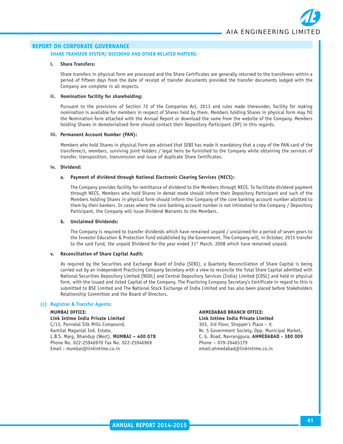#### **SHARE TRANSFER SYSTEM/ DIVIDEND AND OTHER RELATED MATTERS:**

#### **i. Share Transfers:**

Share transfers in physical form are processed and the Share Certificates are generally returned to the transferees within a period of fifteen days from the date of receipt of transfer documents provided the transfer documents lodged with the Company are complete in all respects.

#### **ii. Nomination facility for shareholding:**

Pursuant to the provisions of Section 72 of the Companies Act, 2013 and rules made thereunder, facility for making nomination is available for members in respect of Shares held by them. Members holding Shares in physical form may fill the Nomination form attached with the Annual Report or download the same from the website of the Company. Members holding Shares in dematerialized form should contact their Depository Participant (DP) in this regards.

#### **iii. Permanent Account Number (PAN):**

Members who hold Shares in physical Form are advised that SEBI has made it mandatory that a copy of the PAN card of the transferee/s, members, surviving joint holders / legal heirs be furnished to the Company while obtaining the services of transfer, transposition, transmission and issue of duplicate Share Certificates.

#### **iv. Dividend:**

#### **a. Payment of dividend through National Electronic Clearing Services (NECS):**

The Company provides facility for remittance of dividend to the Members through NECS. To facilitate dividend payment through NECS, Members who hold Shares in demat mode should inform their Depository Participant and such of the Members holding Shares in physical form should inform the Company of the core banking account number allotted to them by their bankers. In cases where the core banking account number is not intimated to the Company / Depository Participant, the Company will issue Dividend Warrants to the Members.

#### **b. Unclaimed Dividends:**

The Company is required to transfer dividends which have remained unpaid / unclaimed for a period of seven years to the Investor Education & Protection Fund established by the Government. The Company will, in October, 2015 transfer to the said Fund, the unpaid Dividend for the year ended 31st March, 2008 which have remained unpaid.

#### **v. Reconciliation of Share Capital Audit:**

As required by the Securities and Exchange Board of India (SEBI), a Quarterly Reconciliation of Share Capital is being carried out by an independent Practicing Company Secretary with a view to reconcile the Total Share Capital admitted with National Securities Depository Limited [NSDL] and Central Depository Services (India) Limited [CDSL] and held in physical form, with the issued and listed Capital of the Company. The Practicing Company Secretary's Certificate in regard to this is submitted to BSE Limited and The National Stock Exchange of India Limited and has also been placed before Stakeholders Relationship Committee and the Board of Directors.

#### **(c) Registrar & Transfer Agents:**

**Link Intime India Private Limited Link Intime India Private Limited** C/13, Pannalal Silk Mills Compound, 303, 3rd Floor, Shopper's Plaza – V, Kantilal Maganlal Ind. Estate, Nr. 5 Government Society, Opp. Municipal Market, Phone No. 022-25946970 Fax No. 022-25946969 Phone – 079-26465179 Email : mumbai@linkintime.co.in email:ahmedabad@linkintime.co.in

## **MUMBAI OFFICE: AHMEDABAD BRANCH OFFICE:**

L.B.S. Marg, Bhandup (West), **MUMBAI – 400 078** C. G. Road, Navrangpura, **AHMEDABAD - 380 009**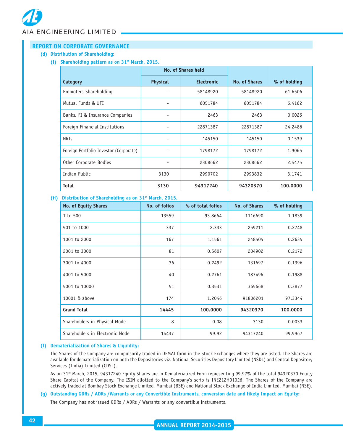**(d) Distribution of Shareholding:**

**(i) Shareholding pattern as on 31st March, 2015.**

|                                        | No. of Shares held |                   |                      |              |
|----------------------------------------|--------------------|-------------------|----------------------|--------------|
| Category                               | <b>Physical</b>    | <b>Electronic</b> | <b>No. of Shares</b> | % of holding |
| Promoters Shareholding                 |                    | 58148920          | 58148920             | 61.6506      |
| Mutual Funds & UTI                     |                    | 6051784           | 6051784              | 6.4162       |
| Banks, FI & Insurance Companies        |                    | 2463              | 2463                 | 0.0026       |
| Foreign Financial Institutions         |                    | 22871387          | 22871387             | 24.2486      |
| <b>NRIs</b>                            |                    | 145150            | 145150               | 0.1539       |
| Foreign Portfolio Investor (Corporate) |                    | 1798172           | 1798172              | 1.9065       |
| Other Corporate Bodies                 |                    | 2308662           | 2308662              | 2.4475       |
| Indian Public                          | 3130               | 2990702           | 2993832              | 3.1741       |
| <b>Total</b>                           | 3130               | 94317240          | 94320370             | 100.0000     |

#### **(ii) Distribution of Shareholding as on 31st March, 2015.**

| <b>No. of Equity Shares</b>     | No. of folios | % of total folios | <b>No. of Shares</b> | % of holding |
|---------------------------------|---------------|-------------------|----------------------|--------------|
| 1 to 500                        | 13559         | 93.8664           | 1116690              | 1.1839       |
| 501 to 1000                     | 337           | 2.333             | 259211               | 0.2748       |
| 1001 to 2000                    | 167           | 1.1561            | 248505               | 0.2635       |
| 2001 to 3000                    | 81            | 0.5607            | 204902               | 0.2172       |
| 3001 to 4000                    | 36            | 0.2492            | 131697               | 0.1396       |
| 4001 to 5000                    | 40            | 0.2761            | 187496               | 0.1988       |
| 5001 to 10000                   | 51            | 0.3531            | 365668               | 0.3877       |
| 10001 & above                   | 174           | 1.2046            | 91806201             | 97.3344      |
| <b>Grand Total</b>              | 14445         | 100.0000          | 94320370             | 100.0000     |
| Shareholders in Physical Mode   | 8             | 0.08              | 3130                 | 0.0033       |
| Shareholders in Electronic Mode | 14437         | 99.92             | 94317240             | 99.9967      |

#### **(f) Dematerialization of Shares & Liquidity:**

The Shares of the Company are compulsorily traded in DEMAT form in the Stock Exchanges where they are listed. The Shares are available for dematerialization on both the Depositories viz. National Securities Depository Limited (NSDL) and Central Depository Services (India) Limited (CDSL).

As on 31st March, 2015, 94317240 Equity Shares are in Dematerialized Form representing 99.97% of the total 94320370 Equity Share Capital of the Company. The ISIN allotted to the Company's scrip is INE212H01026. The Shares of the Company are actively traded at Bombay Stock Exchange Limited, Mumbai (BSE) and National Stock Exchange of India Limited, Mumbai (NSE).

#### **(g) Outstanding GDRs / ADRs /Warrants or any Convertible Instruments, conversion date and likely Impact on Equity:**

The Company has not issued GDRs / ADRs / Warrants or any convertible instruments.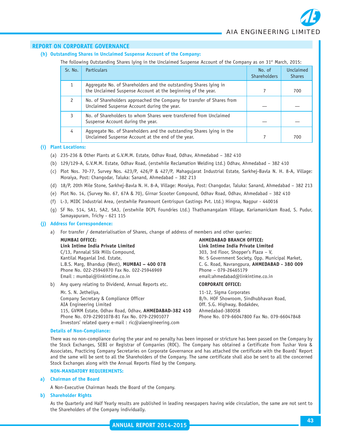#### **(h) Outstanding Shares in Unclaimed Suspense Account of the Company:**

The following Outstanding Shares lying in the Unclaimed Suspense Account of the Company as on 31<sup>st</sup> March, 2015:

| Sr. No.       | <b>Particulars</b>                                                                                                                | No. of<br><b>Shareholders</b> | Unclaimed<br><b>Shares</b> |
|---------------|-----------------------------------------------------------------------------------------------------------------------------------|-------------------------------|----------------------------|
|               | Aggregate No. of Shareholders and the outstanding Shares lying in<br>the Unclaimed Suspense Account at the beginning of the year. |                               | 700                        |
| $\mathcal{P}$ | No. of Shareholders approached the Company for transfer of Shares from<br>Unclaimed Suspense Account during the year.             |                               |                            |
|               | No. of Shareholders to whom Shares were transferred from Unclaimed<br>Suspense Account during the year.                           |                               |                            |
| 4             | Aggregate No. of Shareholders and the outstanding Shares lying in the<br>Unclaimed Suspense Account at the end of the year.       |                               | 700                        |

#### **(i) Plant Locations:**

- (a) 235-236 & Other Plants at G.V.M.M. Estate, Odhav Road, Odhav, Ahmedabad 382 410
- (b) 129/129-A, G.V.M.M. Estate, Odhav Road, (erstwhile Reclamation Welding Ltd.) Odhav, Ahmedabad 382 410
- (c) Plot Nos. 70-77, Survey Nos. 423/P, 426/P & 427/P, Mahagujarat Industrial Estate, Sarkhej-Bavla N. H. 8-A, Village: Moraiya, Post: Changodar, Taluka: Sanand, Ahmedabad – 382 213
- (d) 18/P, 20th Mile Stone, Sarkhej-Bavla N. H. 8-A, Village: Moraiya, Post: Changodar, Taluka: Sanand, Ahmedabad 382 213
- (e) Plot No. 14, (Survey No. 67, 67A & 70), Girnar Scooter Compound, Odhav Road, Odhav, Ahmedabad 382 410
- (f) L-3, MIDC Industrial Area, (erstwhile Paramount Centrispun Castings Pvt. Ltd.) Hingna, Nagpur 440016
- (g) SF No. 514, 5A1, 5A2, 5A3, (erstwhile DCPL Foundries Ltd.) Thathamangalam Village, Kariamanickam Road, S. Pudur, Samayapuram, Trichy - 621 115

#### **(j) Address for Correspondence:**

a) For transfer / dematerialisation of Shares, change of address of members and other queries:

|    | <b>MUMBAI OFFICE:</b>                               | <b>AHMEDABAD BRANCH OFFICE:</b>                  |
|----|-----------------------------------------------------|--------------------------------------------------|
|    | Link Intime India Private Limited                   | Link Intime India Private Limited                |
|    | C/13, Pannalal Silk Mills Compound,                 | 303, 3rd Floor, Shopper's Plaza - V,             |
|    | Kantilal Maganlal Ind. Estate,                      | Nr. 5 Government Society, Opp. Municipal Market, |
|    | L.B.S. Marg, Bhandup (West), MUMBAI - 400 078       | C. G. Road, Navrangpura, AHMEDABAD - 380 009     |
|    | Phone No. 022-25946970 Fax No. 022-25946969         | Phone - 079-26465179                             |
|    | Email: $mumbai@linkintime.co.in$                    | email:ahmedabad@linkintime.co.in                 |
| b) | Any query relating to Dividend, Annual Reports etc. | <b>CORPORATE OFFICE:</b>                         |
|    | Mr. S. N. Jetheliya,                                | 11-12, Sigma Corporates                          |
|    | Company Secretary & Compliance Officer              | B/h. HOF Showroom, Sindhubhavan Road,            |
|    |                                                     |                                                  |

AIA Engineering Limited **Contained AIA Engineering Limited** Contained Contained Contained Contained Contained Contained Contained Contained Contained Contained Contained Contained Contained Contained Contained Contained Co 115, GVMM Estate, Odhav Road, Odhav, **AHMEDABAD-382 410** Ahmedabad-380058 Phone No. 079-22901078-81 Fax No. 079-22901077 Phone No. 079-66047800 Fax No. 079-66047848 Investors' related query e-mail : ric@aiaengineering.com

#### **Details of Non-Compliance:**

There was no non-compliance during the year and no penalty has been imposed or stricture has been passed on the Company by the Stock Exchanges, SEBI or Registrar of Companies (ROC). The Company has obtained a Certificate from Tushar Vora & Associates, Practicing Company Secretaries on Corporate Governance and has attached the certificate with the Boards' Report and the same will be sent to all the Shareholders of the Company. The same certificate shall also be sent to all the concerned Stock Exchanges along with the Annual Reports filed by the Company.

#### **NON-MANDATORY REQUIREMENTS:**

#### **a) Chairman of the Board**

A Non-Executive Chairman heads the Board of the Company.

#### **b) Shareholder Rights**

As the Quarterly and Half Yearly results are published in leading newspapers having wide circulation, the same are not sent to the Shareholders of the Company individually.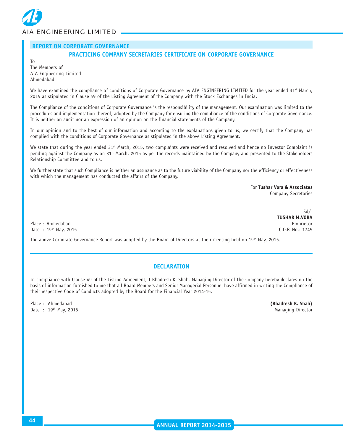

To

#### **PRACTICING COMPANY SECRETARIES CERTIFICATE ON CORPORATE GOVERNANCE**

The Members of AIA Engineering Limited Ahmedabad

We have examined the compliance of conditions of Corporate Governance by AIA ENGINEERING LIMITED for the year ended 31st March, 2015 as stipulated in Clause 49 of the Listing Agreement of the Company with the Stock Exchanges in India.

The Compliance of the conditions of Corporate Governance is the responsibility of the management. Our examination was limited to the procedures and implementation thereof, adopted by the Company for ensuring the compliance of the conditions of Corporate Governance. It is neither an audit nor an expression of an opinion on the financial statements of the Company.

In our opinion and to the best of our information and according to the explanations given to us, we certify that the Company has complied with the conditions of Corporate Governance as stipulated in the above Listing Agreement.

We state that during the year ended 31st March, 2015, two complaints were received and resolved and hence no Investor Complaint is pending against the Company as on 31st March, 2015 as per the records maintained by the Company and presented to the Stakeholders Relationship Committee and to us.

We further state that such Compliance is neither an assurance as to the future viability of the Company nor the efficiency or effectiveness with which the management has conducted the affairs of the Company.

> For **Tushar Vora & Associates** Company Secretaries

> > Sd/-

**TUSHAR M.VORA**

Place : Ahmedabad Proprietor Date : 19th May, 2015 C.O.P. No.: 1745

The above Corporate Governance Report was adopted by the Board of Directors at their meeting held on 19th May, 2015.

#### **DECLARATION**

In compliance with Clause 49 of the Listing Agreement, I Bhadresh K. Shah, Managing Director of the Company hereby declares on the basis of information furnished to me that all Board Members and Senior Managerial Personnel have affirmed in writing the Compliance of their respective Code of Conducts adopted by the Board for the Financial Year 2014-15.

Place : Ahmedabad **(Bhadresh K. Shah)** Date : 19<sup>th</sup> May, 2015 **Managing Director** Managing Director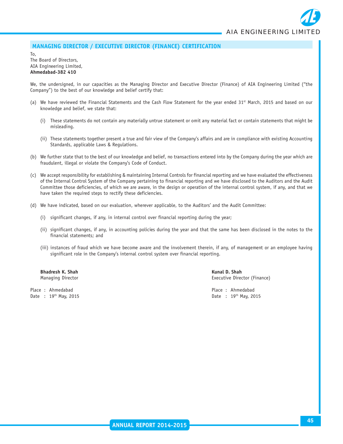#### **MANAGING DIRECTOR / EXECUTIVE DIRECTOR (FINANCE) CERTIFICATION**

To, The Board of Directors,

#### AIA Engineering Limited, **Ahmedabad-382 410**

We, the undersigned, in our capacities as the Managing Director and Executive Director (Finance) of AIA Engineering Limited ("the Company") to the best of our knowledge and belief certify that:

- (a) We have reviewed the Financial Statements and the Cash Flow Statement for the year ended 31<sup>st</sup> March, 2015 and based on our knowledge and belief, we state that:
	- (i) These statements do not contain any materially untrue statement or omit any material fact or contain statements that might be misleading.
	- (ii) These statements together present a true and fair view of the Company's affairs and are in compliance with existing Accounting Standards, applicable Laws & Regulations.
- (b) We further state that to the best of our knowledge and belief, no transactions entered into by the Company during the year which are fraudulent, illegal or violate the Company's Code of Conduct.
- (c) We accept responsibility for establishing & maintaining Internal Controls for financial reporting and we have evaluated the effectiveness of the Internal Control System of the Company pertaining to financial reporting and we have disclosed to the Auditors and the Audit Committee those deficiencies, of which we are aware, in the design or operation of the internal control system, if any, and that we have taken the required steps to rectify these deficiencies.
- (d) We have indicated, based on our evaluation, wherever applicable, to the Auditors' and the Audit Committee:
	- (i) significant changes, if any, in internal control over financial reporting during the year;
	- (ii) significant changes, if any, in accounting policies during the year and that the same has been disclosed in the notes to the financial statements; and
	- (iii) instances of fraud which we have become aware and the involvement therein, if any, of management or an employee having significant role in the Company's internal control system over financial reporting.

**Bhadresh K. Shah Kunal D. Shah Kunal D. Shah** Kunal D. Shah

Place : Ahmedabad **Place : Ahmedabad** Place : Ahmedabad Place : Ahmedabad Date : 19<sup>th</sup> May, 2015 **Date : 19th May, 2015** 

Managing Director **Executive Director** Executive Director (Finance)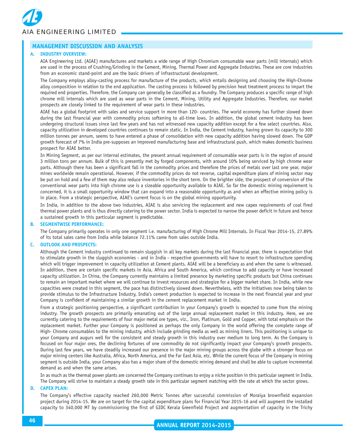

#### **MANAGEMENT DISCUSSION AND ANALYSIS**

#### **A. INDUSTRY OVERVIEW:**

AIA Engineering Ltd. (AIAE) manufactures and markets a wide range of High Chromium consumable wear parts (mill internals) which are used in the process of Crushing/Grinding in the Cement, Mining, Thermal Power and Aggregate Industries. These are core industries from an economic stand-point and are the basic drivers of infrastructural development.

The Company employs alloy-casting process for manufacture of the products, which entails designing and choosing the High-Chrome alloy composition in relation to the end application. The casting process is followed by precision heat treatment process to impart the required end properties. Therefore, the Company can generally be classified as a foundry. The Company produces a specific range of high chrome mill internals which are used as wear parts in the Cement, Mining, Utility and Aggregate Industries. Therefore, our market prospects are closely linked to the requirement of wear parts in these industries.

AIAE has a global footprint with sales and service support in more than 120- countries. The world economy has further slowed down during the last financial year with commodity prices softening to all-time lows. In addition, the global cement industry has been undergoing structural issues since last few years and has not witnessed new capacity addition except for a few select countries. Also, capacity utilization in developed countries continues to remain static. In India, the Cement industry, having grown its capacity to 300 million tonnes per annum, seems to have entered a phase of consolidation with new capacity addition having slowed down. The GDP growth forecast of 7% in India pre-supposes an improved manufacturing base and infrastructural push, which makes domestic business prospect for AIAE better.

In Mining Segment, as per our internal estimates, the present annual requirement of consumable wear parts is in the region of around 3 million tons per annum. Bulk of this is presently met by forged components, with around 10% being serviced by high chrome wear parts. Although there has been a significant fall in the commodity prices and therefore the prices of metals over last one year, major mines worldwide remain operational. However, if the commodity prices do not reverse, capital expenditure plans of mining sector may be put on hold and a few of them may also reduce inventories in the short term. On the brighter side, the prospect of conversion of the conventional wear parts into high chrome use is a sizeable opportunity available to AIAE. So far the domestic mining requirement is concerned, it is a small opportunity window that can expand into a reasonable opportunity as and when an effective mining policy is in place. From a strategic perspective, AIAE's current focus is on the global mining opportunity.

In India, in addition to the above two industries, AIAE is also servicing the replacement and new capex requirements of coal fired thermal power plants and is thus directly catering to the power sector. India is expected to narrow the power deficit in future and hence a sustained growth in this particular segment is predictable.

#### **B. SEGMENTWISE PERFORMANCE:**

The Company primarily operates in only one segment i.e. manufacturing of High Chrome Mill Internals. In Fiscal Year 2014-15, 27.89% of its total sales came from India while balance 72.11% came from sales outside India.

#### **C. OUTLOOK AND PROSPECTS:**

Although the Cement industry continued to remain sluggish in all key markets during the last financial year, there is expectation that to stimulate growth in the sluggish economies - and in India - respective governments will have to resort to infrastructure spending which will trigger improvement in capacity utilization at Cement plants. AIAE will be a beneficiary as and when the same is witnessed. In addition, there are certain specific markets in Asia, Africa and South America, which continue to add capacity or have increased capacity utilization. In China, the Company currently maintains a limited presence by marketing specific products but China continues to remain an important market where we will continue to invest resources and strategize for a bigger market share. In India, while new capacities were created in this segment, the pace has distinctively slowed down. Nevertheless, with the initiatives now being taken to provide stimulus to the Infrastructure Industry, India's cement production is expected to increase in the next financial year and your Company is confident of maintaining a similar growth in the cement replacement market in India.

From a strategic positioning perspective, a significant contribution in your Company's growth is expected to come from the mining industry. The growth prospects are primarily emanating out of the large annual replacement market in this industry. Here, we are currently catering to the requirements of four major metal ore types, viz., Iron, Platinum, Gold and Copper, with total emphasis on the replacement market. Further your Company is positioned as perhaps the only Company in the world offering the complete range of High- Chrome consumables to the mining industry, which include grinding media as well as mining liners. This positioning is unique to your Company and augurs well for the consistent and steady growth in this industry over medium to long term. As the Company is focused on four major ores, the declining fortunes of one commodity do not significantly impact your Company's growth prospects. During last few years, we have steadily increased our presence in the major mining groups across the globe with a stronger focus on major mining centers like Australia, Africa, North America, and the Far East Asia, etc. While the current focus of the Company in mining segment is outside India, your Company also has a major share of the domestic mining demand and shall be able to capture incremental demand as and when the same arises.

In as much as the thermal power plants are concerned the Company continues to enjoy a niche position in this particular segment in India. The Company will strive to maintain a steady growth rate in this particular segment matching with the rate at which the sector grows.

#### **D. CAPEX PLAN:**

The Company's effective capacity reached 260,000 Metric Tonnes after successful commission of Moraiya brownfield expansion project during 2014-15. We are on target for the capital expenditure plans for Financial Year 2015-16 and will augment the installed capacity to 340,000 MT by commissioning the first of GIDC Kerala Greenfield Project and augmentation of capacity in the Trichy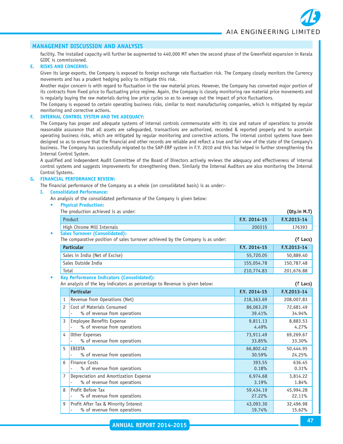#### **MANAGEMENT DISCUSSION AND ANALYSIS**

facility. The installed capacity will further be augmented to 440,000 MT when the second phase of the Greenfield expansion in Kerala GIDC is commissioned.

#### **E. RISKS AND CONCERNS:**

Given its large exports, the Company is exposed to foreign exchange rate fluctuation risk. The Company closely monitors the Currency movements and has a prudent hedging policy to mitigate this risk.

Another major concern is with regard to fluctuation in the raw material prices. However, the Company has converted major portion of its contracts from fixed price to fluctuating price regime. Again, the Company is closely monitoring raw material price movements and is regularly buying the raw materials during low price cycles so as to average out the impact of price fluctuations.

The Company is exposed to certain operating business risks, similar to most manufacturing companies, which is mitigated by regular monitoring and corrective actions.

#### **F. INTERNAL CONTROL SYSTEM AND THE ADEQUACY:**

The Company has proper and adequate systems of internal controls commensurate with its size and nature of operations to provide reasonable assurance that all assets are safeguarded, transactions are authorized, recorded & reported properly and to ascertain operating business risks, which are mitigated by regular monitoring and corrective actions. The internal control systems have been designed so as to ensure that the financial and other records are reliable and reflect a true and fair view of the state of the Company's business. The Company has successfully migrated to the SAP-ERP system in F.Y. 2010 and this has helped in further strengthening the Internal Control System.

A qualified and independent Audit Committee of the Board of Directors actively reviews the adequacy and effectiveness of internal control systems and suggests improvements for strengthening them. Similarly the Internal Auditors are also monitoring the Internal Control Systems.

#### **G. FINANCIAL PERFORMANCE REVIEW:**

The financial performance of the Company as a whole (on consolidated basis) is as under:-

#### **I. Consolidated Performance:**

An analysis of the consolidated performance of the Company is given below:

|                | <b>Physical Production:</b>                                                                                                     |                     |                     |
|----------------|---------------------------------------------------------------------------------------------------------------------------------|---------------------|---------------------|
|                | The production achieved is as under:                                                                                            |                     | (Qty.in M.T)        |
|                | Product                                                                                                                         | F.Y. 2014-15        | F.Y.2013-14         |
|                | High Chrome Mill Internals                                                                                                      | 200315              | 176393              |
|                | <b>Sales Turnover (Consolidated):</b><br>The comparative position of sales turnover achieved by the Company is as under:        |                     | $(3)$ Lacs)         |
|                | <b>Particular</b>                                                                                                               | F.Y. 2014-15        | F.Y.2013-14         |
|                | Sales in India (Net of Excise)                                                                                                  | 55,720.05           | 50,889.40           |
|                | Sales Outside India                                                                                                             | 155,054.78          | 150,787.48          |
| Total          |                                                                                                                                 | 210,774.83          | 201,676.88          |
|                | <b>Key Performance Indicators (Consolidated):</b><br>An analysis of the key indicators as percentage to Revenue is given below: |                     | $(3)$ Lacs)         |
|                | <b>Particular</b>                                                                                                               | F.Y. 2014-15        | F.Y.2013-14         |
| 1              | Revenue from Operations (Net)                                                                                                   | 218,363.69          | 208,007.83          |
| $\overline{c}$ | Cost of Materials Consumed                                                                                                      | 86,063.29           | 72,681.49           |
|                | % of revenue from operations                                                                                                    | 39.41%              | 34.94%              |
| 3              | Employee Benefits Expense                                                                                                       | 9,811.13            | 8,883.53            |
|                | % of revenue from operations                                                                                                    | 4.49%               | 4.27%               |
| 4              | Other Expenses                                                                                                                  | 73,911.49           | 69,269.67           |
|                | % of revenue from operations                                                                                                    | 33.85%              | 33.30%              |
| 5              | EBIDTA<br>% of revenue from operations                                                                                          | 66,802.42<br>30.59% | 50,444.95<br>24.25% |
| 6              | <b>Finance Costs</b>                                                                                                            | 393.55              | 636.45              |
|                | % of revenue from operations                                                                                                    | 0.18%               | 0.31%               |
| 7              | Depreciation and Amortization Expense                                                                                           | 6,974.68            | 3,814.22            |
|                | % of revenue from operations                                                                                                    | 3.19%               | 1.84%               |
| 8              | Profit Before Tax                                                                                                               | 59,434.19           | 45,994.28           |
|                | % of revenue from operations                                                                                                    | 27.22%              | 22.11%              |
| 9              | Profit After Tax & Minority Interest                                                                                            | 43,093.30           | 32,496.98           |

 $\%$  of revenue from operations 19.74% 15.62%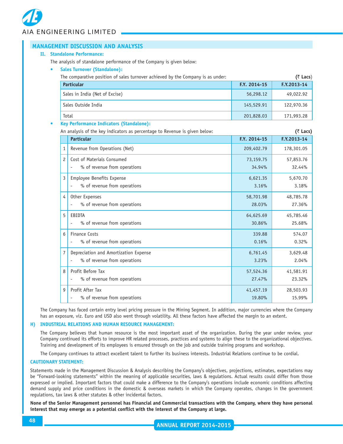*AIA ENGINEERING LIMITED*

|    |                | <b>MANAGEMENT DISCUSSION AND ANALYSIS</b>                                       |              |             |
|----|----------------|---------------------------------------------------------------------------------|--------------|-------------|
| п. |                | <b>Standalone Performance:</b>                                                  |              |             |
|    |                | The analysis of standalone performance of the Company is given below:           |              |             |
|    |                | <b>Sales Turnover (Standalone):</b>                                             |              |             |
|    |                | The comparative position of sales turnover achieved by the Company is as under: |              | (₹ Lacs)    |
|    |                | <b>Particular</b>                                                               | F.Y. 2014-15 | F.Y.2013-14 |
|    |                | Sales in India (Net of Excise)                                                  | 56,298.12    | 49,022.92   |
|    |                | Sales Outside India                                                             | 145,529.91   | 122,970.36  |
|    |                | Total                                                                           | 201,828.03   | 171,993.28  |
|    |                | <b>Key Performance Indicators (Standalone):</b>                                 |              |             |
|    |                | An analysis of the key indicators as percentage to Revenue is given below:      |              | (₹ Lacs)    |
|    |                | <b>Particular</b>                                                               | F.Y. 2014-15 | F.Y.2013-14 |
|    | 1              | Revenue from Operations (Net)                                                   | 209,402.79   | 178,301.05  |
|    | $\overline{c}$ | Cost of Materials Consumed                                                      | 73,159.75    | 57,853.76   |
|    |                | % of revenue from operations                                                    | 34.94%       | 32.44%      |
|    | 3              | Employee Benefits Expense                                                       | 6,621.35     | 5,670.70    |
|    |                | % of revenue from operations                                                    | 3.16%        | 3.18%       |
|    | 4              | Other Expenses                                                                  | 58,701.98    | 48,785.78   |
|    |                | % of revenue from operations                                                    | 28.03%       | 27.36%      |
|    | 5              | EBIDTA                                                                          | 64,625.69    | 45,785.46   |
|    |                | % of revenue from operations<br>$\overline{a}$                                  | 30.86%       | 25.68%      |
|    | 6              | <b>Finance Costs</b>                                                            | 339.88       | 574.07      |
|    |                | % of revenue from operations                                                    | 0.16%        | 0.32%       |
|    | 7              | Depreciation and Amortization Expense                                           | 6,761.45     | 3,629.48    |
|    |                | % of revenue from operations                                                    | 3.23%        | 2.04%       |
|    | 8              | Profit Before Tax                                                               | 57,524.36    | 41,581.91   |
|    |                | % of revenue from operations<br>$\overline{a}$                                  | 27.47%       | 23.32%      |
|    | 9              | Profit After Tax                                                                | 41,457.19    | 28,503.93   |
|    |                | % of revenue from operations                                                    | 19.80%       | 15.99%      |

The Company has faced certain entry level pricing pressure in the Mining Segment. In addition, major currencies where the Company has an exposure, viz. Euro and USD also went through volatility. All these factors have affected the margin to an extent.

#### **H) INDUSTRIAL RELATIONS AND HUMAN RESOURCE MANAGEMENT:**

The Company believes that human resource is the most important asset of the organization. During the year under review, your Company continued its efforts to improve HR related processes, practices and systems to align these to the organizational objectives. Training and development of its employees is ensured through on the job and outside training programs and workshop.

The Company continues to attract excellent talent to further its business interests. Industrial Relations continue to be cordial.

#### **CAUTIONARY STATEMENT:**

Statements made in the Management Discussion & Analysis describing the Company's objectives, projections, estimates, expectations may be "Forward-looking statements" within the meaning of applicable securities, laws & regulations. Actual results could differ from those expressed or implied. Important factors that could make a difference to the Company's operations include economic conditions affecting demand supply and price conditions in the domestic & overseas markets in which the Company operates, changes in the government regulations, tax laws & other statutes & other incidental factors.

**None of the Senior Management personnel has Financial and Commercial transactions with the Company, where they have personal interest that may emerge as a potential conflict with the interest of the Company at large.**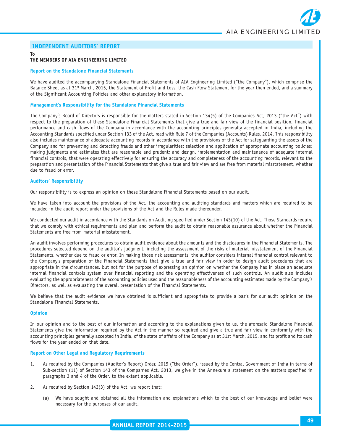

#### **INDEPENDENT AUDITORS' REPORT**

#### **To THE MEMBERS OF AIA ENGINEERING LIMITED**

#### **Report on the Standalone Financial Statements**

We have audited the accompanying Standalone Financial Statements of AIA Engineering Limited ("the Company"), which comprise the Balance Sheet as at 31st March, 2015, the Statement of Profit and Loss, the Cash Flow Statement for the year then ended, and a summary of the Significant Accounting Policies and other explanatory information.

#### **Management's Responsibility for the Standalone Financial Statements**

The Company's Board of Directors is responsible for the matters stated in Section 134(5) of the Companies Act, 2013 ("the Act") with respect to the preparation of these Standalone Financial Statements that give a true and fair view of the financial position, financial performance and cash flows of the Company in accordance with the accounting principles generally accepted in India, including the Accounting Standards specified under Section 133 of the Act, read with Rule 7 of the Companies (Accounts) Rules, 2014. This responsibility also includes maintenance of adequate accounting records in accordance with the provisions of the Act for safeguarding the assets of the Company and for preventing and detecting frauds and other irregularities; selection and application of appropriate accounting policies; making judgments and estimates that are reasonable and prudent; and design, implementation and maintenance of adequate internal financial controls, that were operating effectively for ensuring the accuracy and completeness of the accounting records, relevant to the preparation and presentation of the Financial Statements that give a true and fair view and are free from material misstatement, whether due to fraud or error.

#### **Auditors' Responsibility**

Our responsibility is to express an opinion on these Standalone Financial Statements based on our audit.

We have taken into account the provisions of the Act, the accounting and auditing standards and matters which are required to be included in the audit report under the provisions of the Act and the Rules made thereunder.

We conducted our audit in accordance with the Standards on Auditing specified under Section 143(10) of the Act. Those Standards require that we comply with ethical requirements and plan and perform the audit to obtain reasonable assurance about whether the Financial Statements are free from material misstatement.

An audit involves performing procedures to obtain audit evidence about the amounts and the disclosures in the Financial Statements. The procedures selected depend on the auditor's judgment, including the assessment of the risks of material misstatement of the Financial Statements, whether due to fraud or error. In making those risk assessments, the auditor considers internal financial control relevant to the Company's preparation of the Financial Statements that give a true and fair view in order to design audit procedures that are appropriate in the circumstances, but not for the purpose of expressing an opinion on whether the Company has in place an adequate internal financial controls system over financial reporting and the operating effectiveness of such controls**.** An audit also includes evaluating the appropriateness of the accounting policies used and the reasonableness of the accounting estimates made by the Company's Directors, as well as evaluating the overall presentation of the Financial Statements.

We believe that the audit evidence we have obtained is sufficient and appropriate to provide a basis for our audit opinion on the Standalone Financial Statements.

#### **Opinion**

In our opinion and to the best of our information and according to the explanations given to us, the aforesaid Standalone Financial Statements give the information required by the Act in the manner so required and give a true and fair view in conformity with the accounting principles generally accepted in India, of the state of affairs of the Company as at 31st March, 2015, and its profit and its cash flows for the year ended on that date.

#### **Report on Other Legal and Regulatory Requirements**

- 1. As required by the Companies (Auditor's Report) Order, 2015 ("the Order"), issued by the Central Government of India in terms of Sub-section (11) of Section 143 of the Companies Act, 2013, we give in the Annexure a statement on the matters specified in paragraphs 3 and 4 of the Order, to the extent applicable.
- 2. As required by Section 143(3) of the Act, we report that:
	- (a) We have sought and obtained all the information and explanations which to the best of our knowledge and belief were necessary for the purposes of our audit.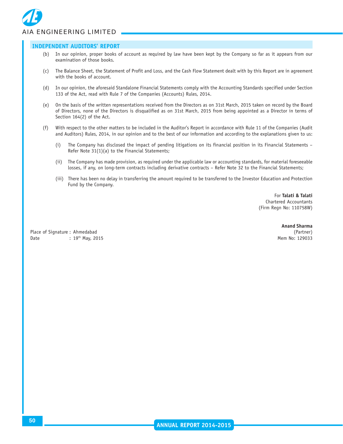# *AIA ENGINEERING LIMITED*

#### **INDEPENDENT AUDITORS' REPORT**

- (b) In our opinion, proper books of account as required by law have been kept by the Company so far as it appears from our examination of those books.
- (c) The Balance Sheet, the Statement of Profit and Loss, and the Cash Flow Statement dealt with by this Report are in agreement with the books of account.
- (d) In our opinion, the aforesaid Standalone Financial Statements comply with the Accounting Standards specified under Section 133 of the Act, read with Rule 7 of the Companies (Accounts) Rules, 2014.
- (e) On the basis of the written representations received from the Directors as on 31st March, 2015 taken on record by the Board of Directors, none of the Directors is disqualified as on 31st March, 2015 from being appointed as a Director in terms of Section 164(2) of the Act.
- (f) With respect to the other matters to be included in the Auditor's Report in accordance with Rule 11 of the Companies (Audit and Auditors) Rules, 2014, in our opinion and to the best of our information and according to the explanations given to us:
	- (i) The Company has disclosed the impact of pending litigations on its financial position in its Financial Statements Refer Note 31(1)(a) to the Financial Statements;
	- (ii) The Company has made provision, as required under the applicable law or accounting standards, for material foreseeable losses, if any, on long-term contracts including derivative contracts – Refer Note 32 to the Financial Statements;
	- (iii) There has been no delay in transferring the amount required to be transferred to the Investor Education and Protection Fund by the Company.

For **Talati & Talati** Chartered Accountants (Firm Regn No: 110758W)

**Anand Sharma**

Place of Signature : Ahmedabad (Partner) Date : 19<sup>th</sup> May, 2015 **May, 2016** Mem No: 129033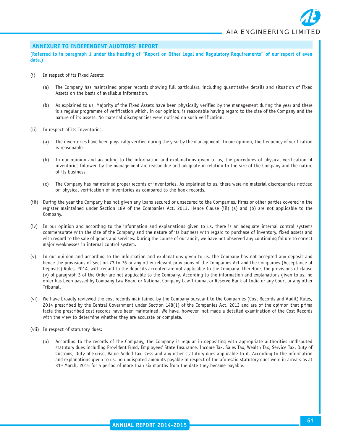#### **ANNEXURE TO INDEPENDENT AUDITORS' REPORT**

(**Referred to in paragraph 1 under the heading of "Report on Other Legal and Regulatory Requirements" of our report of even date.)**

- (i) In respect of its Fixed Assets:
	- (a) The Company has maintained proper records showing full particulars, including quantitative details and situation of Fixed Assets on the basis of available information.
	- (b) As explained to us, Majority of the Fixed Assets have been physically verified by the management during the year and there is a regular programme of verification which, in our opinion, is reasonable having regard to the size of the Company and the nature of its assets. No material discrepancies were noticed on such verification.
- (ii) In respect of its Inventories:
	- (a) The inventories have been physically verified during the year by the management. In our opinion, the frequency of verification is reasonable.
	- (b) In our opinion and according to the information and explanations given to us, the procedures of physical verification of inventories followed by the management are reasonable and adequate in relation to the size of the Company and the nature of its business.
	- (c) The Company has maintained proper records of inventories. As explained to us, there were no material discrepancies noticed on physical verification of inventories as compared to the book records.
- (iii) During the year the Company has not given any loans secured or unsecured to the Companies, firms or other parties covered in the register maintained under Section 189 of the Companies Act, 2013. Hence Clause (iii) (a) and (b) are not applicable to the Company.
- (iv) In our opinion and according to the information and explanations given to us, there is an adequate internal control systems commensurate with the size of the Company and the nature of its business with regard to purchase of inventory, fixed assets and with regard to the sale of goods and services. During the course of our audit, we have not observed any continuing failure to correct major weaknesses in internal control system.
- (v) In our opinion and according to the information and explanations given to us, the Company has not accepted any deposit and hence the provisions of Section 73 to 76 or any other relevant provisions of the Companies Act and the Companies (Acceptance of Deposits) Rules, 2014, with regard to the deposits accepted are not applicable to the Company. Therefore, the provisions of clause (v) of paragraph 3 of the Order are not applicable to the Company. According to the information and explanations given to us, no order has been passed by Company Law Board or National Company Law Tribunal or Reserve Bank of India or any Court or any other Tribunal.
- (vi) We have broadly reviewed the cost records maintained by the Company pursuant to the Companies (Cost Records and Audit) Rules, 2014 prescribed by the Central Government under Section 148(1) of the Companies Act, 2013 and are of the opinion that prima facie the prescribed cost records have been maintained. We have, however, not made a detailed examination of the Cost Records with the view to determine whether they are accurate or complete.
- (vii) In respect of statutory dues:
	- (a) According to the records of the Company, the Company is regular in depositing with appropriate authorities undisputed statutory dues including Provident Fund, Employees' State Insurance, Income Tax, Sales Tax, Wealth Tax, Service Tax, Duty of Customs, Duty of Excise, Value Added Tax, Cess and any other statutory dues applicable to it. According to the information and explanations given to us, no undisputed amounts payable in respect of the aforesaid statutory dues were in arrears as at  $31<sup>st</sup>$  March, 2015 for a period of more than six months from the date they became payable.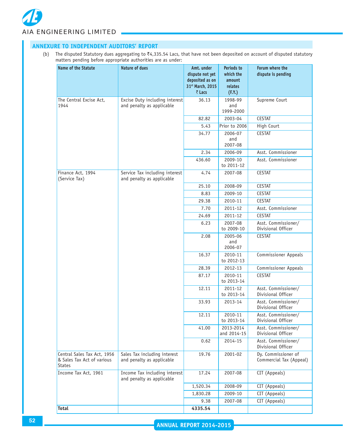

| Name of the Statute                                                        | Nature of dues                                              |                                                                                                                                                                                                                            |                                                        |                                                |  |  |  |
|----------------------------------------------------------------------------|-------------------------------------------------------------|----------------------------------------------------------------------------------------------------------------------------------------------------------------------------------------------------------------------------|--------------------------------------------------------|------------------------------------------------|--|--|--|
|                                                                            |                                                             | The disputed Statutory dues aggregating to $\overline{z}4,335.54$ Lacs, that have not been deposited on account of disputed statutory<br>(b)<br>matters pending before appropriate authorities are as under:<br>Amt. under |                                                        |                                                |  |  |  |
|                                                                            |                                                             | dispute not yet<br>deposited as on<br>31st March, 2015<br>₹ Lacs                                                                                                                                                           | Periods to<br>which the<br>amount<br>relates<br>(F.Y.) | Forum where the<br>dispute is pending          |  |  |  |
| The Central Excise Act,<br>1944                                            | Excise Duty including interest<br>and penalty as applicable | 36.13                                                                                                                                                                                                                      | 1998-99<br>and<br>1999-2000                            | Supreme Court                                  |  |  |  |
|                                                                            |                                                             | 82.82                                                                                                                                                                                                                      | 2003-04                                                | <b>CESTAT</b>                                  |  |  |  |
|                                                                            |                                                             | 5.43                                                                                                                                                                                                                       | Prior to 2006                                          | High Court                                     |  |  |  |
|                                                                            |                                                             | 34.77                                                                                                                                                                                                                      | 2006-07<br>and<br>2007-08                              | <b>CESTAT</b>                                  |  |  |  |
|                                                                            |                                                             | 2.34                                                                                                                                                                                                                       | 2006-09                                                | Asst. Commissioner                             |  |  |  |
|                                                                            |                                                             | 436.60                                                                                                                                                                                                                     | 2009-10<br>to 2011-12                                  | Asst. Commissioner                             |  |  |  |
| Finance Act, 1994<br>(Service Tax)                                         | Service Tax including interest<br>and penalty as applicable | 4.74                                                                                                                                                                                                                       | 2007-08                                                | <b>CESTAT</b>                                  |  |  |  |
|                                                                            |                                                             | 25.10                                                                                                                                                                                                                      | 2008-09                                                | <b>CESTAT</b>                                  |  |  |  |
|                                                                            |                                                             | 8.83                                                                                                                                                                                                                       | 2009-10                                                | <b>CESTAT</b>                                  |  |  |  |
|                                                                            |                                                             | 29.38<br>7.70                                                                                                                                                                                                              | 2010-11<br>2011-12                                     | <b>CESTAT</b><br>Asst. Commissioner            |  |  |  |
|                                                                            |                                                             | 24.69                                                                                                                                                                                                                      | 2011-12                                                | <b>CESTAT</b>                                  |  |  |  |
|                                                                            |                                                             | 6.23                                                                                                                                                                                                                       | 2007-08<br>to 2009-10                                  | Asst. Commissioner/<br>Divisional Officer      |  |  |  |
|                                                                            |                                                             | 2.08                                                                                                                                                                                                                       | 2005-06<br>and<br>2006-07                              | <b>CESTAT</b>                                  |  |  |  |
|                                                                            |                                                             | 16.37                                                                                                                                                                                                                      | 2010-11<br>to 2012-13                                  | <b>Commissioner Appeals</b>                    |  |  |  |
|                                                                            |                                                             | 28.39                                                                                                                                                                                                                      | 2012-13                                                | <b>Commissioner Appeals</b>                    |  |  |  |
|                                                                            |                                                             | 87.17                                                                                                                                                                                                                      | 2010-11<br>to 2013-14                                  | <b>CESTAT</b>                                  |  |  |  |
|                                                                            |                                                             | 12.11                                                                                                                                                                                                                      | 2011-12<br>to 2013-14                                  | Asst. Commissioner/<br>Divisional Officer      |  |  |  |
|                                                                            |                                                             | 33.93                                                                                                                                                                                                                      | 2013-14                                                | Asst. Commissioner/<br>Divisional Officer      |  |  |  |
|                                                                            |                                                             | 12.11                                                                                                                                                                                                                      | 2010-11<br>to 2013-14                                  | Asst. Commissioner/<br>Divisional Officer      |  |  |  |
|                                                                            |                                                             | 41.00                                                                                                                                                                                                                      | 2013-2014<br>and 2014-15                               | Asst. Commissioner/<br>Divisional Officer      |  |  |  |
|                                                                            |                                                             | 0.62                                                                                                                                                                                                                       | 2014-15                                                | Asst. Commissioner/<br>Divisional Officer      |  |  |  |
| Central Sales Tax Act, 1956<br>& Sales Tax Act of various<br><b>States</b> | Sales Tax including interest<br>and penalty as applicable   | 19.76                                                                                                                                                                                                                      | 2001-02                                                | Dy. Commissioner of<br>Commercial Tax (Appeal) |  |  |  |
| Income Tax Act, 1961                                                       | Income Tax including interest<br>and penalty as applicable  | 17.24                                                                                                                                                                                                                      | 2007-08                                                | CIT (Appeals)                                  |  |  |  |
|                                                                            |                                                             | 1,520.34                                                                                                                                                                                                                   | 2008-09                                                | CIT (Appeals)                                  |  |  |  |
|                                                                            |                                                             |                                                                                                                                                                                                                            |                                                        |                                                |  |  |  |
|                                                                            |                                                             | 1,830.28<br>9.38                                                                                                                                                                                                           | 2009-10<br>2007-08                                     | CIT (Appeals)<br>CIT (Appeals)                 |  |  |  |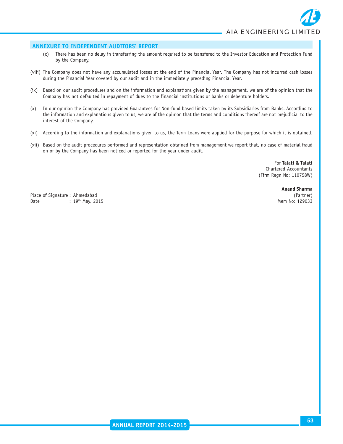#### **ANNEXURE TO INDEPENDENT AUDITORS' REPORT**

- (c) There has been no delay in transferring the amount required to be transfered to the Investor Education and Protection Fund by the Company.
- (viii) The Company does not have any accumulated losses at the end of the Financial Year. The Company has not incurred cash losses during the Financial Year covered by our audit and in the immediately preceding Financial Year.
- (ix) Based on our audit procedures and on the information and explanations given by the management, we are of the opinion that the Company has not defaulted in repayment of dues to the financial institutions or banks or debenture holders.
- (x) In our opinion the Company has provided Guarantees for Non-fund based limits taken by its Subsidiaries from Banks. According to the information and explanations given to us, we are of the opinion that the terms and conditions thereof are not prejudicial to the interest of the Company.
- (xi) According to the information and explanations given to us, the Term Loans were applied for the purpose for which it is obtained.
- (xii) Based on the audit procedures performed and representation obtained from management we report that, no case of material fraud on or by the Company has been noticed or reported for the year under audit.

For **Talati & Talati** Chartered Accountants (Firm Regn No: 110758W)

Place of Signature : Ahmedabad (Partner) Date : 19<sup>th</sup> May, 2015 **May, 2016** Mem No: 129033

**Anand Sharma**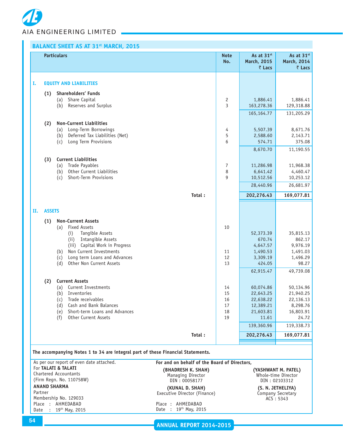|    |               | <b>BALANCE SHEET AS AT 31st MARCH, 2015</b>                                     |                    |                                     |                                                        |
|----|---------------|---------------------------------------------------------------------------------|--------------------|-------------------------------------|--------------------------------------------------------|
|    |               | <b>Particulars</b>                                                              | <b>Note</b><br>No. | As at 31st<br>March, 2015<br>₹ Lacs | As at 31 <sup>st</sup><br><b>March, 2014</b><br>₹ Lacs |
|    |               |                                                                                 |                    |                                     |                                                        |
| Ι. |               | <b>EQUITY AND LIABILITIES</b>                                                   |                    |                                     |                                                        |
|    | (1)           | <b>Shareholders' Funds</b>                                                      |                    |                                     |                                                        |
|    |               | Share Capital<br>(a)                                                            | 2                  | 1,886.41                            | 1,886.41                                               |
|    |               | Reserves and Surplus<br>(b)                                                     | 3                  | 163,278.36                          | 129,318.88                                             |
|    |               |                                                                                 |                    | 165, 164. 77                        | 131,205.29                                             |
|    | (2)           | <b>Non-Current Liabilities</b>                                                  |                    |                                     |                                                        |
|    |               | Long-Term Borrowings<br>(a)                                                     | 4                  | 5,507.39                            | 8,671.76                                               |
|    |               | Deferred Tax Liabilities (Net)<br>(b)                                           | 5                  | 2,588.60                            | 2,143.71                                               |
|    |               | Long Term Provisions<br>(c)                                                     | 6                  | 574.71                              | 375.08                                                 |
|    |               |                                                                                 |                    | 8,670.70                            | 11,190.55                                              |
|    | (3)           | <b>Current Liabilities</b>                                                      |                    |                                     |                                                        |
|    |               | Trade Payables<br>(a)                                                           | 7                  | 11,286.98                           | 11,968.38                                              |
|    |               | Other Current Liabilities<br>(b)                                                | 8                  | 6,641.42                            | 4,460.47                                               |
|    |               | Short-Term Provisions<br>(c)                                                    | 9                  | 10,512.56                           | 10,253.12                                              |
|    |               |                                                                                 |                    | 28,440.96                           | 26,681.97                                              |
|    |               | Total:                                                                          |                    | 202,276.43                          | 169,077.81                                             |
| н. | <b>ASSETS</b> |                                                                                 |                    |                                     |                                                        |
|    | (1)           | <b>Non-Current Assets</b><br><b>Fixed Assets</b><br>(a)                         | 10                 |                                     |                                                        |
|    |               | Tangible Assets<br>(i)                                                          |                    | 52,373.39                           | 35,815.13                                              |
|    |               | Intangible Assets<br>(ii)                                                       |                    | 670.74                              | 862.17                                                 |
|    |               | (iii) Capital Work in Progress                                                  |                    | 4,647.57                            | 9,976.19                                               |
|    |               | Non Current Investments<br>(b)                                                  | 11                 | 1,490.53                            | 1,491.03                                               |
|    |               | Long term Loans and Advances<br>(c)                                             | 12                 | 3,309.19                            | 1,496.29                                               |
|    |               | Other Non Current Assets<br>(d)                                                 | 13                 | 424.05                              | 98.27                                                  |
|    |               |                                                                                 |                    | 62,915.47                           | 49,739.08                                              |
|    | (2)           | <b>Current Assets</b>                                                           |                    |                                     |                                                        |
|    |               | (a) Current Investments                                                         | 14                 | 60,074.86                           | 50,134.96                                              |
|    |               | (b) Inventories<br>Trade receivables                                            | 15                 | 22,643.25                           | 21,940.25                                              |
|    |               | (c)<br>Cash and Bank Balances<br>(d)                                            | 16<br>17           | 22,638.22<br>12,389.21              | 22,136.13<br>8,298.76                                  |
|    |               | Short-term Loans and Advances<br>(e)                                            | 18                 | 21,603.81                           | 16,803.91                                              |
|    |               | Other Current Assets<br>(f)                                                     | 19                 | 11.61                               | 24.72                                                  |
|    |               |                                                                                 |                    | 139,360.96                          | 119,338.73                                             |
|    |               | Total:                                                                          |                    | 202,276.43                          | 169,077.81                                             |
|    |               |                                                                                 |                    |                                     |                                                        |
|    |               | The accompanying Notes 1 to 34 are integral part of these Financial Statements. |                    |                                     |                                                        |

As per our report of even date attached. For **TALATI & TALATI** Chartered Accountants (Firm Regn. No. 110758W) **ANAND SHARMA**

Partner Membership No. 129033 Place : AHMEDABAD Date : 19th May, 2015 **For and on behalf of the Board of Directors, (BHADRESH K. SHAH) (YASHWANT M. PATEL)**<br>
Managing Director **Managing Director** Whole-time Director Managing Director (American Computer of Muslim Contractor CDIN : 02103312

**(KUNAL D. SHAH) (S. N. JETHELIYA)** Executive Director (Finance)

Place : AHMEDABAD Date : 19th May, 2015 DIN : 02103312

Company Secretary<br>ACS: 5343

**ANNUAL REPORT 2014-2015**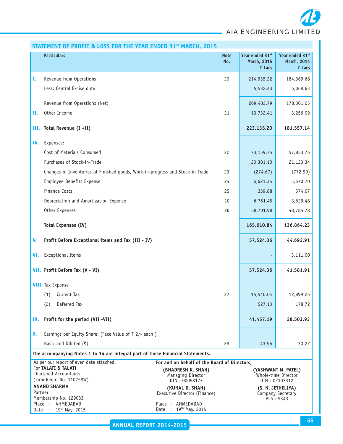*AIA ENGINEERING LIMITED*

|         | STATEMENT OF PROFIT & LOSS FOR THE YEAR ENDED 31 <sup>st</sup> MARCH, 2015      |                                                 |                    |                                |                                            |
|---------|---------------------------------------------------------------------------------|-------------------------------------------------|--------------------|--------------------------------|--------------------------------------------|
|         | <b>Particulars</b>                                                              |                                                 | <b>Note</b><br>No. | Year ended 31st<br>March, 2015 | Year ended 31 <sup>st</sup><br>March, 2014 |
|         |                                                                                 |                                                 |                    | ₹ Lacs                         | ₹ Lacs                                     |
| Ι.      | Revenue from Operations                                                         |                                                 | 20                 | 214,935.22                     | 184,369.68                                 |
|         | Less: Central Excise duty                                                       |                                                 |                    | 5,532.43                       | 6,068.63                                   |
|         |                                                                                 |                                                 |                    |                                |                                            |
|         | Revenue from Operations (Net)                                                   |                                                 |                    | 209,402.79                     | 178,301.05                                 |
| П.      | Other Income                                                                    |                                                 | 21                 | 13,732.41                      | 3,256.09                                   |
| III.    | Total Revenue (I +II)                                                           |                                                 |                    | 223,135.20                     | 181,557.14                                 |
| IV.     | Expenses:                                                                       |                                                 |                    |                                |                                            |
|         | Cost of Materials Consumed                                                      |                                                 | 22                 | 73,159.75                      | 57,853.76                                  |
|         | Purchases of Stock-in-Trade                                                     |                                                 |                    | 20,301.10                      | 21,123.34                                  |
|         | Changes in Inventories of Finished goods, Work-in-progress and Stock-in-Trade   |                                                 | 23                 | (274.67)                       | (772.90)                                   |
|         | Employee Benefits Expense                                                       |                                                 | 24                 | 6,621.35                       | 5,670.70                                   |
|         | Finance Costs                                                                   |                                                 | 25                 | 339.88                         | 574.07                                     |
|         | Depreciation and Amortization Expense                                           |                                                 | 10                 | 6,761.45                       | 3,629.48                                   |
|         | Other Expenses                                                                  |                                                 | 26                 | 58,701.98                      | 48,785.78                                  |
|         | <b>Total Expenses (IV)</b>                                                      |                                                 |                    | 165,610.84                     | 136,864.23                                 |
| V.      | Profit Before Exceptional items and Tax (III - IV)                              |                                                 |                    | 57,524.36                      | 44,692.91                                  |
| VI.     | <b>Exceptional Items</b>                                                        |                                                 |                    |                                | 3,111.00                                   |
|         | VII. Profit Before Tax (V - VI)                                                 |                                                 |                    | 57,524.36                      | 41,581.91                                  |
|         | <b>VIII.</b> Tax Expense :                                                      |                                                 |                    |                                |                                            |
|         | (1) Current Tax                                                                 |                                                 | 27                 | 15,540.04                      | 12,899.26                                  |
|         | Deferred Tax<br>(2)                                                             |                                                 |                    | 527.13                         | 178.72                                     |
|         |                                                                                 |                                                 |                    |                                |                                            |
| IX.     | Profit for the period (VII-VII)                                                 |                                                 |                    | 41,457.19                      | 28,503.93                                  |
| X.      | Earnings per Equity Share: (Face Value of ₹ 2/- each)                           |                                                 |                    |                                |                                            |
|         | Basic and Diluted $(3)$                                                         |                                                 | 28                 | 43.95                          | 30.22                                      |
|         | The accompanying Notes 1 to 34 are integral part of these Financial Statements. |                                                 |                    |                                |                                            |
|         | As per our report of even date attached.                                        | For and on behalf of the Board of Directors,    |                    |                                |                                            |
|         | For TALATI & TALATI<br>Chartered Accountants                                    | (BHADRESH K. SHAH)<br>Managing Director         |                    |                                | (YASHWANT M. PATEL)<br>Whole-time Director |
|         | (Firm Regn. No. 110758W)                                                        | DIN: 00058177                                   |                    |                                | DIN: 02103312                              |
| Partner | <b>ANAND SHARMA</b>                                                             | (KUNAL D. SHAH)<br>Executive Director (Finance) |                    |                                | (S. N. JETHELIYA)<br>Company Secretary     |
|         | Membership No. 129033<br>Place : AHMEDABAD                                      | Place: AHMEDABAD                                |                    |                                | ACS: 5343                                  |
| Date    | 19th May, 2015<br>$\sim$ 100 $\sim$                                             | Date: 19th May, 2015                            |                    |                                |                                            |

**COL**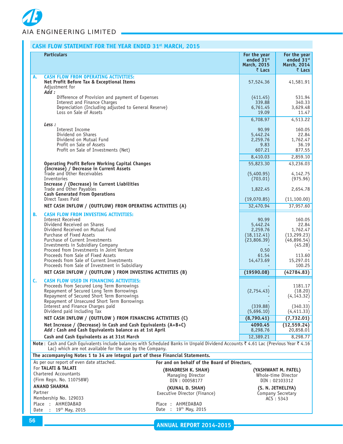|    | CASH FLOW STATEMENT FOR THE YEAR ENDED 31 <sup>st</sup> MARCH, 2015                                                                                                                                                                                                                         |                                                       |                                                              |                                                                       |
|----|---------------------------------------------------------------------------------------------------------------------------------------------------------------------------------------------------------------------------------------------------------------------------------------------|-------------------------------------------------------|--------------------------------------------------------------|-----------------------------------------------------------------------|
|    | <b>Particulars</b>                                                                                                                                                                                                                                                                          |                                                       | For the year<br>ended 31st<br>March, 2015<br>₹ Lacs          | For the year<br>ended 31st<br>March, 2014<br>₹ Lacs                   |
| А. | <b>CASH FLOW FROM OPERATING ACTIVITIES:</b><br>Net Profit Before Tax & Exceptional Items<br>Adjustment for<br>Add:                                                                                                                                                                          |                                                       | 57,524.36                                                    | 41,581.91                                                             |
|    | Difference of Provision and payment of Expenses<br>Interest and Finance Charges<br>Depreciation (Including adjusted to General Reserve)                                                                                                                                                     |                                                       | (411.45)<br>339.88<br>6,761.45                               | 531.94<br>340.33<br>3,629.48                                          |
|    | Loss on Sale of Assets                                                                                                                                                                                                                                                                      |                                                       | 19.09<br>6,708.97                                            | 11.47<br>4,513.22                                                     |
|    | Less :<br>Interest Income                                                                                                                                                                                                                                                                   |                                                       | 90.99                                                        | 160.05                                                                |
|    | Dividend on Shares<br>Dividend on Mutual Fund<br>Profit on Sale of Assets                                                                                                                                                                                                                   |                                                       | 5,442.24<br>2,259.76<br>9.83                                 | 22.84<br>1,762.47<br>36.19                                            |
|    | Profit on Sale of Investments (Net)                                                                                                                                                                                                                                                         |                                                       | 607.21<br>8,410.03                                           | 877.55<br>2,859.10                                                    |
|    | <b>Operating Profit Before Working Capital Changes</b><br>(Increase) / Decrease in Current Assets<br>Trade and Other Receivables                                                                                                                                                            |                                                       | 55,823.30<br>(5,400.95)                                      | 43,236.03<br>4,142.75                                                 |
|    | Inventories<br>Increase / (Decrease) in Current Liabilities                                                                                                                                                                                                                                 |                                                       | (703.01)                                                     | (975.96)                                                              |
|    | Trade and Other Payables<br><b>Cash Generated From Operations</b><br>Direct Taxes Paid                                                                                                                                                                                                      |                                                       | 1,822.45<br>(19,070.85)                                      | 2,654.78<br>(11, 100.00)                                              |
|    | NET CASH INFLOW / (OUTFLOW) FROM OPERATING ACTIVITIES (A)                                                                                                                                                                                                                                   |                                                       | 32,470.94                                                    | 37,957.60                                                             |
| В. | <b>CASH FLOW FROM INVESTING ACTIVITIES:</b><br><b>Interest Received</b><br>Dividend Received on Shares<br>Dividend Received on Mutual Fund<br>Purchase of Fixed Assets<br>Purchase of Current Investments<br>Investments in Subsidiary Company<br>Proceed from Investments in Joint Venture |                                                       | 90.99<br>5,442.24<br>2,259.76<br>(18, 112.41)<br>(23,806.39) | 160.05<br>22.84<br>1,762.47<br>(13, 299.23)<br>(46,896.54)<br>(45.28) |
|    | Proceeds from Sale of Fixed Assets<br>Proceeds from Sale of Current Investments<br>Proceeds from Sale of Investment in Subsidiary                                                                                                                                                           |                                                       | 0.50<br>61.54<br>14,473.69                                   | 113.60<br>15,297.01<br>100.25                                         |
|    | NET CASH INFLOW / (OUTFLOW) FROM INVESTING ACTIVITIES (B)                                                                                                                                                                                                                                   |                                                       | (19590.08)                                                   | (42784.83)                                                            |
| C. | <b>CASH FLOW USED IN FINANCING ACTIVITIES:</b><br>Proceeds from Secured Long Term Borrowings<br>Repayment of Secured Long Term Borrowings<br>Repayment of Secured Short Term Borrowings<br>Repayment of Unsecured Short Term Borrowings                                                     |                                                       | (2,754.43)                                                   | 1181.17<br>(18.20)<br>(4, 143.32)                                     |
|    | Interest and Finance Charges paid<br>Dividend paid including Tax                                                                                                                                                                                                                            |                                                       | (339.88)<br>(5,696.10)                                       | (340.33)<br>(4, 411.33)                                               |
|    | NET CASH INFLOW / (OUTFLOW) FROM FINANCING ACTIVITIES (C)<br>Net Increase / (Decrease) in Cash and Cash Equivalents $(A+B+C)$                                                                                                                                                               |                                                       | (8,790.41)<br>4090.45                                        | (7, 732.01)<br>(12, 559.24)                                           |
|    | Add : Cash and Cash Equivalents balance as at 1st April                                                                                                                                                                                                                                     |                                                       | 8,298.76                                                     | 20,858.01                                                             |
|    | Cash and Cash Equivalents as at 31st March<br>Note: Cash and Cash Equivalents include balances with Scheduled Banks in Unpaid Dividend Accounts ₹4.61 Lac (Previous Year ₹4.16                                                                                                              |                                                       | 12,389.21                                                    | 8,298.77                                                              |
|    | Lac) which are not available for the use by the Company.                                                                                                                                                                                                                                    |                                                       |                                                              |                                                                       |
|    | The accompanying Notes 1 to 34 are integral part of these Financial Statements.<br>As per our report of even date attached.                                                                                                                                                                 | For and on behalf of the Board of Directors,          |                                                              |                                                                       |
|    | For TALATI & TALATI<br>Chartered Accountants                                                                                                                                                                                                                                                | (BHADRESH K. SHAH)<br>Managing Director               |                                                              | (YASHWANT M. PATEL)<br>Whole-time Director                            |
|    | (Firm Regn. No. 110758W)<br><b>ANAND SHARMA</b>                                                                                                                                                                                                                                             | DIN: 00058177                                         |                                                              | DIN: 02103312                                                         |
|    | Partner<br>Membership No. 129033                                                                                                                                                                                                                                                            | (KUNAL D. SHAH)<br>Executive Director (Finance)       |                                                              | (S. N. JETHELIYA)<br>Company Secretary<br>ACS : 5343                  |
|    | Place : AHMEDABAD<br>Date : 19th May, 2015                                                                                                                                                                                                                                                  | Place: AHMEDABAD<br>Date : 19 <sup>th</sup> May, 2015 |                                                              |                                                                       |

**ANNUAL REPORT 2014-2015**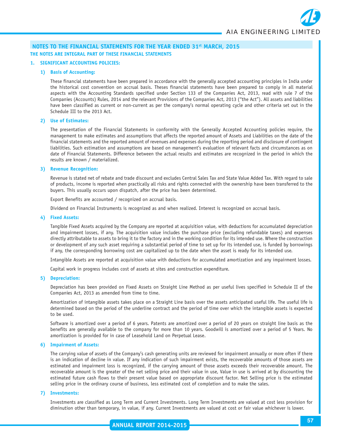#### **1. SIGNIFICANT ACCOUNTING POLICIES:**

#### **1) Basis of Accounting:**

These financial statements have been prepared in accordance with the generally accepted accounting principles in India under the historical cost convention on accrual basis. Theses financial statements have been prepared to comply in all material aspects with the Accounting Standards specified under Section 133 of the Companies Act, 2013, read with rule 7 of the Companies (Accounts) Rules, 2014 and the relevant Provisions of the Companies Act, 2013 ("the Act"). All assets and liabilities have been classified as current or non-current as per the company's normal operating cycle and other criteria set out in the Schedule III to the 2013 Act.

#### **2) Use of Estimates:**

The presentation of the Financial Statements in conformity with the Generally Accepted Accounting policies require, the management to make estimates and assumptions that affects the reported amount of Assets and Liabilities on the date of the financial statements and the reported amount of revenues and expenses during the reporting period and disclosure of contingent liabilities. Such estimation and assumptions are based on management's evaluation of relevant facts and circumstances as on date of Financial Statements. Difference between the actual results and estimates are recognized in the period in which the results are known / materialized.

#### **3) Revenue Recognition:**

Revenue is stated net of rebate and trade discount and excludes Central Sales Tax and State Value Added Tax. With regard to sale of products, income is reported when practically all risks and rights connected with the ownership have been transferred to the buyers. This usually occurs upon dispatch, after the price has been determined.

Export Benefits are accounted / recognized on accrual basis.

Dividend on Financial Instruments is recognized as and when realized. Interest is recognized on accrual basis.

#### **4) Fixed Assets:**

Tangible Fixed Assets acquired by the Company are reported at acquisition value, with deductions for accumulated depreciation and impairment losses, if any. The acquisition value includes the purchase price (excluding refundable taxes) and expenses directly attributable to assets to bring it to the factory and in the working condition for its intended use. Where the construction or development of any such asset requiring a substantial period of time to set up for its intended use, is funded by borrowings if any, the corresponding borrowing cost are capitalized up to the date when the asset is ready for its intended use.

Intangible Assets are reported at acquisition value with deductions for accumulated amortization and any impairment losses.

Capital work in progress includes cost of assets at sites and construction expenditure.

#### **5) Depreciation:**

Depreciation has been provided on Fixed Assets on Straight Line Method as per useful lives specified in Schedule II of the Companies Act, 2013 as amended from time to time.

Amortization of intangible assets takes place on a Straight Line basis over the assets anticipated useful life. The useful life is determined based on the period of the underline contract and the period of time over which the intangible assets is expected to be used.

Software is amortized over a period of 6 years. Patents are amortized over a period of 20 years on straight line basis as the benefits are generally available to the company for more than 10 years. Goodwill is amortized over a period of 5 Years. No amortization is provided for in case of Leasehold Land on Perpetual Lease.

#### **6) Impairment of Assets:**

The carrying value of assets of the Company's cash generating units are reviewed for impairment annually or more often if there is an indication of decline in value. If any indication of such impairment exists, the recoverable amounts of those assets are estimated and impairment loss is recognized, if the carrying amount of those assets exceeds their recoverable amount. The recoverable amount is the greater of the net selling price and their value in use, Value in use is arrived at by discounting the estimated future cash flows to their present value based on appropriate discount factor. Net Selling price is the estimated selling price in the ordinary course of business, less estimated cost of completion and to make the sales.

#### **7) Investments:**

Investments are classified as Long Term and Current Investments. Long Term Investments are valued at cost less provision for diminution other than temporary, in value, if any. Current Investments are valued at cost or fair value whichever is lower.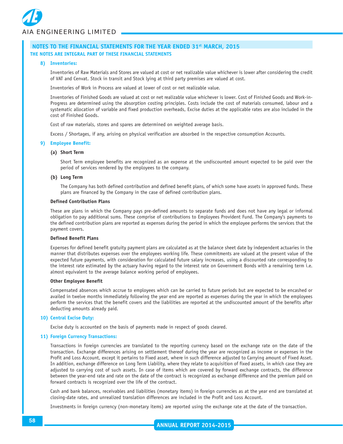

#### **8) Inventories:**

Inventories of Raw Materials and Stores are valued at cost or net realizable value whichever is lower after considering the credit of VAT and Cenvat. Stock in transit and Stock lying at third party premises are valued at cost.

Inventories of Work in Process are valued at lower of cost or net realizable value.

Inventories of Finished Goods are valued at cost or net realizable value whichever is lower. Cost of Finished Goods and Work-in-Progress are determined using the absorption costing principles. Costs include the cost of materials consumed, labour and a systematic allocation of variable and fixed production overheads, Excise duties at the applicable rates are also included in the cost of Finished Goods.

Cost of raw materials, stores and spares are determined on weighted average basis.

Excess / Shortages, if any, arising on physical verification are absorbed in the respective consumption Accounts.

#### **9) Employee Benefit:**

#### **(a) Short Term**

Short Term employee benefits are recognized as an expense at the undiscounted amount expected to be paid over the period of services rendered by the employees to the company.

#### **(b) Long Term**

The Company has both defined contribution and defined benefit plans, of which some have assets in approved funds. These plans are financed by the Company in the case of defined contribution plans.

#### **Defined Contribution Plans**

These are plans in which the Company pays pre-defined amounts to separate funds and does not have any legal or informal obligation to pay additional sums. These comprise of contributions to Employees Provident Fund. The Company's payments to the defined contribution plans are reported as expenses during the period in which the employee performs the services that the payment covers.

#### **Defined Benefit Plans**

Expenses for defined benefit gratuity payment plans are calculated as at the balance sheet date by independent actuaries in the manner that distributes expenses over the employees working life. These commitments are valued at the present value of the expected future payments, with consideration for calculated future salary increases, using a discounted rate corresponding to the interest rate estimated by the actuary having regard to the interest rate on Government Bonds with a remaining term i.e. almost equivalent to the average balance working period of employees.

#### **Other Employee Benefit**

Compensated absences which accrue to employees which can be carried to future periods but are expected to be encashed or availed in twelve months immediately following the year end are reported as expenses during the year in which the employees perform the services that the benefit covers and the liabilities are reported at the undiscounted amount of the benefits after deducting amounts already paid.

#### **10) Central Excise Duty:**

Excise duty is accounted on the basis of payments made in respect of goods cleared.

#### **11) Foreign Currency Transactions:**

Transactions in foreign currencies are translated to the reporting currency based on the exchange rate on the date of the transaction. Exchange differences arising on settlement thereof during the year are recognized as income or expenses in the Profit and Loss Account, except it pertains to Fixed asset, where in such difference adjusted to Carrying amount of Fixed Asset. In addition, exchange difference on Long Term Liability, where they relate to acquisition of fixed assets, in which case they are adjusted to carrying cost of such assets. In case of items which are covered by forward exchange contracts, the difference between the year-end rate and rate on the date of the contract is recognized as exchange difference and the premium paid on forward contracts is recognized over the life of the contract.

Cash and bank balances, receivables and liabilities (monetary items) in foreign currencies as at the year end are translated at closing-date rates, and unrealized translation differences are included in the Profit and Loss Account.

Investments in foreign currency (non-monetary items) are reported using the exchange rate at the date of the transaction.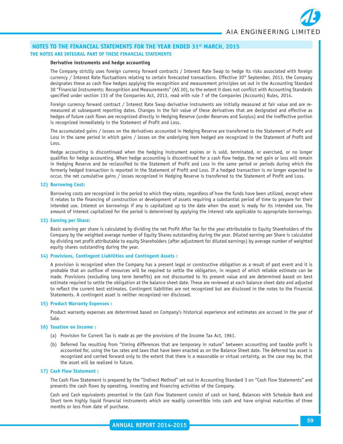#### **Derivative instruments and hedge accounting**

The Company strictly uses foreign currency forward contracts / Interest Rate Swap to hedge its risks associated with foreign currency / Interest Rate fluctuations relating to certain forecasted transactions. Effective 30th September, 2013, the Company designates these as cash flow hedges applying the recognition and measurement principles set out in the Accounting Standard 30 "Financial Instruments: Recognition and Measurements" (AS 30), to the extent it does not conflict with Accounting Standards specified under section 133 of the Companies Act, 2013, read with rule 7 of the Companies (Accounts) Rules, 2014.

Foreign currency forward contract / Interest Rate Swap derivative instruments are initially measured at fair value and are remeasured at subsequent reporting dates. Changes in the fair value of these derivatives that are designated and effective as hedges of future cash flows are recognized directly in Hedging Reserve (under Reserves and Surplus) and the ineffective portion is recognized immediately in the Statement of Profit and Loss.

The accumulated gains / losses on the derivatives accounted in Hedging Reserve are transferred to the Statement of Profit and Loss in the same period in which gains / losses on the underlying item hedged are recognized in the Statement of Profit and Loss.

Hedge accounting is discontinued when the hedging instrument expires or is sold, terminated, or exercised, or no longer qualifies for hedge accounting. When hedge accounting is discontinued for a cash flow hedge, the net gain or loss will remain in Hedging Reserve and be reclassified to the Statement of Profit and Loss in the same period or periods during which the formerly hedged transaction is reported in the Statement of Profit and Loss. If a hedged transaction is no longer expected to occur, the net cumulative gains / losses recognized in Hedging Reserve is transferred to the Statement of Profit and Loss.

#### **12) Borrowing Cost:**

Borrowing costs are recognized in the period to which they relate, regardless of how the funds have been utilized, except where it relates to the financing of construction or development of assets requiring a substantial period of time to prepare for their intended use. Interest on borrowings if any is capitalized up to the date when the asset is ready for its intended use. The amount of interest capitalized for the period is determined by applying the interest rate applicable to appropriate borrowings.

#### **13) Earning per Share:**

Basic earning per share is calculated by dividing the net Profit After Tax for the year attributable to Equity Shareholders of the Company by the weighted average number of Equity Shares outstanding during the year. Diluted earning per Share is calculated by dividing net profit attributable to equity Shareholders (after adjustment for diluted earnings) by average number of weighted equity shares outstanding during the year.

#### **14) Provisions, Contingent Liabilities and Contingent Assets :**

A provision is recognized when the Company has a present legal or constructive obligation as a result of past event and it is probable that an outflow of resources will be required to settle the obligation, in respect of which reliable estimate can be made. Provisions (excluding long term benefits) are not discounted to its present value and are determined based on best estimate required to settle the obligation at the balance sheet date. These are reviewed at each balance sheet date and adjusted to reflect the current best estimates. Contingent liabilities are not recognized but are disclosed in the notes to the Financial Statements. A contingent asset is neither recognized nor disclosed.

#### **15) Product Warranty Expenses :**

Product warranty expenses are determined based on Company's historical experience and estimates are accrued in the year of Sale.

#### **16) Taxation on Income :**

- (a) Provision for Current Tax is made as per the provisions of the Income Tax Act, 1961.
- (b) Deferred Tax resulting from "timing differences that are temporary in nature" between accounting and taxable profit is accounted for, using the tax rates and laws that have been enacted as on the Balance Sheet date. The deferred tax asset is recognized and carried forward only to the extent that there is a reasonable or virtual certainty, as the case may be, that the asset will be realized in future.

#### **17) Cash Flow Statement :**

The Cash Flow Statement is prepared by the "Indirect Method" set out in Accounting Standard 3 on "Cash Flow Statements" and presents the cash flows by operating, investing and financing activities of the Company.

Cash and Cash equivalents presented in the Cash Flow Statement consist of cash on hand, Balances with Schedule Bank and Short term highly liquid financial instruments which are readily convertible into cash and have original maturities of three months or less from date of purchase.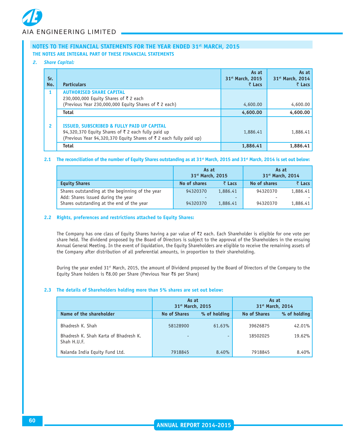#### *2. Share Capital:*

| Sr.<br>No.   | <b>Particulars</b>                                                                                                                                                                | As at<br>31 <sup>st</sup> March, 2015<br>₹ Lacs | As at<br>31 <sup>st</sup> March, 2014<br>₹ Lacs |
|--------------|-----------------------------------------------------------------------------------------------------------------------------------------------------------------------------------|-------------------------------------------------|-------------------------------------------------|
|              | <b>AUTHORISED SHARE CAPITAL</b><br>230,000,000 Equity Shares of ₹2 each<br>(Previous Year 230,000,000 Equity Shares of ₹2 each)                                                   | 4,600.00                                        | 4,600.00                                        |
|              | <b>Total</b>                                                                                                                                                                      | 4,600.00                                        | 4,600.00                                        |
| $\mathbf{2}$ | <b>ISSUED, SUBSCRIBED &amp; FULLY PAID UP CAPITAL</b><br>94,320,370 Equity Shares of ₹ 2 each fully paid up<br>(Previous Year 94,320,370 Equity Shares of ₹ 2 each fully paid up) | 1,886.41                                        | 1,886.41                                        |
|              | <b>Total</b>                                                                                                                                                                      | 1,886.41                                        | 1,886.41                                        |

#### **2.1 The reconciliation of the number of Equity Shares outstanding as at 31st March, 2015 and 31st March, 2014 is set out below:**

|                                                                                                                                    | As at<br>31 <sup>st</sup> March, 2015 |                           | As at<br>31 <sup>st</sup> March, 2014 |                      |
|------------------------------------------------------------------------------------------------------------------------------------|---------------------------------------|---------------------------|---------------------------------------|----------------------|
| <b>Equity Shares</b>                                                                                                               | No of shares                          | $\bar{z}$ Lacs            | No of shares                          | ₹ Lacs               |
| Shares outstanding at the beginning of the year<br>Add: Shares issued during the year<br>Shares outstanding at the end of the year | 94320370<br>94320370                  | 1,886.41<br>۰<br>1,886.41 | 94320370<br>94320370                  | 1,886.41<br>1,886.41 |

#### **2.2 Rights, preferences and restrictions attached to Equity Shares:**

The Company has one class of Equity Shares having a par value of ₹2 each. Each Shareholder is eligible for one vote per share held. The dividend proposed by the Board of Directors is subject to the approval of the Shareholders in the ensuing Annual General Meeting. In the event of liquidation, the Equity Shareholders are eligible to receive the remaining assets of the Company after distribution of all preferential amounts, in proportion to their shareholding.

During the year ended 31<sup>st</sup> March, 2015, the amount of Dividend proposed by the Board of Directors of the Company to the Equity Share holders is `8.00 per Share (Previous Year `6 per Share)

#### **2.3 The details of Shareholders holding more than 5% shares are set out below:**

|                                                      | As at<br>31 <sup>st</sup> March, 2015 |              | 31 <sup>st</sup> March, 2014 | As at        |
|------------------------------------------------------|---------------------------------------|--------------|------------------------------|--------------|
| Name of the shareholder                              | <b>No of Shares</b>                   | % of holding | <b>No of Shares</b>          | % of holding |
| Bhadresh K. Shah                                     | 58128900                              | 61.63%       | 39626875                     | $42.01\%$    |
| Bhadresh K. Shah Karta of Bhadresh K.<br>Shah H.U.F. |                                       | -            | 18502025                     | 19.62%       |
| Nalanda India Equity Fund Ltd.                       | 7918845                               | 8.40%        | 7918845                      | $8.40\%$     |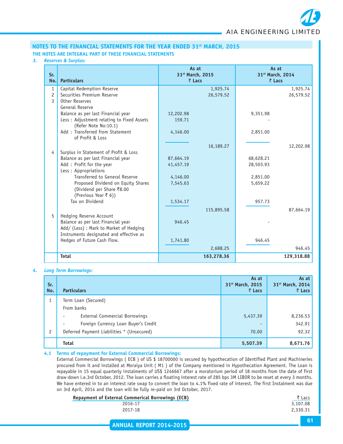

#### *3. Reserves & Surplus:*

| Sr.<br>No.                     | <b>Particulars</b>                        | As at<br>31st March, 2015<br>₹ Lacs |            | As at<br>31st March, 2014<br>₹ Lacs |            |
|--------------------------------|-------------------------------------------|-------------------------------------|------------|-------------------------------------|------------|
| $\mathbf{1}$                   | Capital Redemption Reserve                |                                     | 1,925.74   |                                     | 1,925.74   |
| $\overline{c}$<br>$\mathbf{3}$ | Securities Premium Reserve                |                                     | 26,579.52  |                                     | 26,579.52  |
|                                | Other Reserves<br>General Reserve         |                                     |            |                                     |            |
|                                | Balance as per last Financial year        | 12,202.98                           |            | 9,351.98                            |            |
|                                | Less: Adjustment relating to Fixed Assets | 159.71                              |            |                                     |            |
|                                | (Refer Note No:10.1)                      |                                     |            |                                     |            |
|                                | Add: Transferred from Statement           | 4,146.00                            |            | 2,851.00                            |            |
|                                | of Profit & Loss                          |                                     |            |                                     |            |
|                                |                                           |                                     | 16,189.27  |                                     | 12,202.98  |
| 4                              | Surplus in Statement of Profit & Loss     |                                     |            |                                     |            |
|                                | Balance as per last Financial year        | 87,664.19                           |            | 68,628.21                           |            |
|                                | Add : Profit for the year                 | 41,457.19                           |            | 28,503.93                           |            |
|                                | Less: Appropriations                      |                                     |            |                                     |            |
|                                | Transferred to General Reserve            | 4,146.00                            |            | 2,851.00                            |            |
|                                | Proposed Dividend on Equity Shares        | 7,545.63                            |            | 5,659.22                            |            |
|                                | (Dividend per Share ₹8.00                 |                                     |            |                                     |            |
|                                | (Previous Year ₹ 6))<br>Tax on Dividend   |                                     |            |                                     |            |
|                                |                                           | 1,534.17                            |            | 957.73                              |            |
|                                |                                           |                                     | 115,895.58 |                                     | 87,664.19  |
| 5                              | Hedging Reserve Account                   |                                     |            |                                     |            |
|                                | Balance as per last Financial year        | 946.45                              |            |                                     |            |
|                                | Add/ (Less) : Mark to Market of Hedging   |                                     |            |                                     |            |
|                                | Instruments designated and effective as   |                                     |            | 946.45                              |            |
|                                | Hedges of Future Cash Flow.               | 1,741.80                            |            |                                     |            |
|                                |                                           |                                     | 2,688.25   |                                     | 946.45     |
|                                | <b>Total</b>                              |                                     | 163,278.36 |                                     | 129,318.88 |

#### *4. Long Term Borrowings:*

| Sr.<br>No.     | <b>Particulars</b>                         | As at<br>31st March, 2015<br>₹ Lacs | As at<br>31 <sup>st</sup> March, 2014<br>₹ Lacs |
|----------------|--------------------------------------------|-------------------------------------|-------------------------------------------------|
| 1              | Term Loan (Secured)                        |                                     |                                                 |
|                | From banks                                 |                                     |                                                 |
|                | External Commercial Borrowings             | 5,437.39                            | 8,236.53                                        |
|                | Foreign Currency Loan Buyer's Credit       | ٠                                   | 342.91                                          |
| $\overline{c}$ | Deferred Payment Liabilities * (Unsecured) | 70.00                               | 92.32                                           |
|                | <b>Total</b>                               | 5,507.39                            | 8,671.76                                        |

#### **4.1 Terms of repayment for External Commercial Borrowings:**

External Commercial Borrowings ( ECB ) of US \$ 18700000 is secured by hypothecation of Identified Plant and Machineries procured from it and installed at Moraiya Unit ( M1 ) of the Company mentioned in Hypothecation Agreement. The Loan is repayable in 15 equal quarterly instalments of US\$ 1246667 after a moratorium period of 18 months from the date of first draw-down i.e.3rd October, 2012. The loan carries a floating interest rate of 285 bps 3M LIBOR to be reset at every 3 months. We have entered in to an interest rate swap to convert the loan to 4.1% fixed rate of interest. The first Instalment was due on 3rd April, 2014 and the loan will be fully re-paid on 3rd October, 2017.

| Repayment of External Commerical Borrowings (ECB) | ₹ Lacs   |
|---------------------------------------------------|----------|
| 2016-17                                           | 3,107.08 |
| 2017-18                                           | 2,330.31 |
|                                                   |          |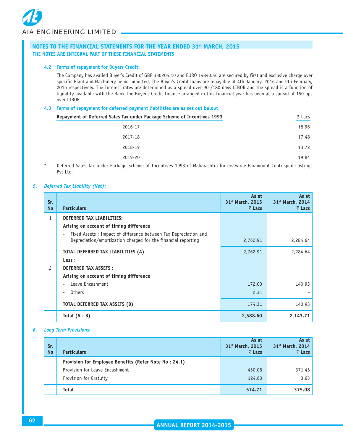

#### **4.2 Terms of repayment for Buyers Credit:**

The Company has availed Buyer's Credit of GBP 330204.10 and EURO 14840.46 are secured by first and exclusive charge over specific Plant and Machinery being imported. The Buyer's Credit loans are repayable at 4th January, 2016 and 9th February, 2016 respectively. The Interest rates are determined as a spread over 90 /180 days LIBOR and the spread is a function of liquidity available with the Bank.The Buyer's Credit finance arranged in this financial year has been at a spread of 150 bps over LIBOR.

#### **4.3 Terms of repayment for deferred payment liabilities are as set out below:**

| Repayment of Deferred Sales Tax under Package Scheme of Incentives 1993                                                    | ₹ Lacs |
|----------------------------------------------------------------------------------------------------------------------------|--------|
| 2016-17                                                                                                                    | 18.96  |
| 2017-18                                                                                                                    | 17.48  |
| 2018-19                                                                                                                    | 13.72  |
| 2019-20                                                                                                                    | 19.84  |
| . Defensed Calco Tarrington Dadrase Calcone of Theorities 4000 of Malengaling for controlled Damagenet Controller Captions |        |

Deferred Sales Tax under Package Scheme of Incentives 1993 of Maharashtra for erstwhile Paramount Centrispun Castings Pvt.Ltd.

#### *5. Deferred Tax Liability (Net):*

| Sr.<br><b>No</b> | <b>Particulars</b>                                                                                                                                           | As at<br>31 <sup>st</sup> March, 2015<br>₹ Lacs | As at<br>31 <sup>st</sup> March, 2014<br>₹ Lacs |
|------------------|--------------------------------------------------------------------------------------------------------------------------------------------------------------|-------------------------------------------------|-------------------------------------------------|
| $\mathbf{1}$     | <b>DEFERRED TAX LIABILITIES:</b><br>Arising on account of timing difference                                                                                  |                                                 |                                                 |
|                  | Fixed Assets: Impact of difference between Tax Depreciation and<br>$\overline{\phantom{a}}$<br>Depreciation/amortization charged for the financial reporting | 2,762.91                                        | 2,284.64                                        |
|                  | TOTAL DEFERRED TAX LIABILITIES (A)                                                                                                                           | 2,762.91                                        | 2,284.64                                        |
|                  | Less :                                                                                                                                                       |                                                 |                                                 |
| $\mathcal{P}$    | <b>DEFERRED TAX ASSETS:</b>                                                                                                                                  |                                                 |                                                 |
|                  | Arising on account of timing difference                                                                                                                      |                                                 |                                                 |
|                  | Leave Encashment<br>$\blacksquare$                                                                                                                           | 172.00                                          | 140.93                                          |
|                  | <b>Others</b><br>$\blacksquare$                                                                                                                              | 2.31                                            |                                                 |
|                  | TOTAL DEFERRED TAX ASSETS (B)                                                                                                                                | 174.31                                          | 140.93                                          |
|                  | Total $(A - B)$                                                                                                                                              | 2,588.60                                        | 2,143.71                                        |

#### *6. Long Term Provisions:*

| Sr.<br><b>No</b> | <b>Particulars</b>                                    | As at<br>31 <sup>st</sup> March, 2015<br>₹ Lacs | As at<br>31 <sup>st</sup> March, 2014<br>₹ Lacs |
|------------------|-------------------------------------------------------|-------------------------------------------------|-------------------------------------------------|
|                  | Provision for Employee Benefits (Refer Note No: 24.1) |                                                 |                                                 |
|                  | <b>Provision for Leave Encashment</b>                 | 450.08                                          | 371.45                                          |
|                  | Provision for Gratuity                                | 124.63                                          | 3.63                                            |
|                  | <b>Total</b>                                          | 574.71                                          | 375.08                                          |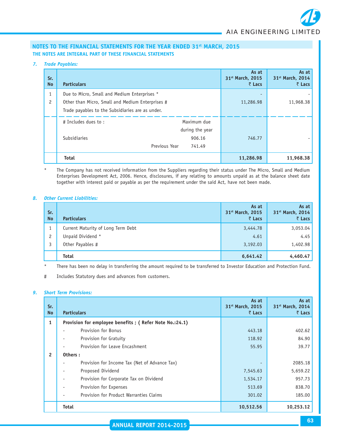

#### *7. Trade Payables:*

| Sr.<br><b>No</b> | <b>Particulars</b>                               |                 | As at<br>31 <sup>st</sup> March, 2015<br>₹ Lacs | As at<br>31st March, 2014<br>$\bar{z}$ Lacs |
|------------------|--------------------------------------------------|-----------------|-------------------------------------------------|---------------------------------------------|
| $\mathbf{1}$     | Due to Micro, Small and Medium Enterprises *     |                 | ٠                                               |                                             |
| $\overline{c}$   | Other than Micro, Small and Medium Enterprises # |                 | 11,286.98                                       | 11,968.38                                   |
|                  | Trade payables to the Subsidiaries are as under. |                 |                                                 |                                             |
|                  | # Includes dues to:                              | Maximum due     |                                                 |                                             |
|                  |                                                  | during the year |                                                 |                                             |
|                  | <b>Subsidiaries</b>                              | 906.16          | 746.77                                          |                                             |
|                  | Previous Year                                    | 741.49          |                                                 |                                             |
|                  | <b>Total</b>                                     |                 | 11,286.98                                       | 11,968.38                                   |

#### \* The Company has not received information from the Suppliers regarding their status under The Micro, Small and Medium Enterprises Development Act, 2006. Hence, disclosures, if any relating to amounts unpaid as at the balance sheet date together with interest paid or payable as per the requirement under the said Act, have not been made.

#### *8. Other Current Liabilities:*

| Sr.<br><b>No</b> | <b>Particulars</b>                 | As at<br>31 <sup>st</sup> March, 2015<br>₹ Lacs | As at<br>31 <sup>st</sup> March, 2014<br>₹ Lacs |
|------------------|------------------------------------|-------------------------------------------------|-------------------------------------------------|
|                  | Current Maturity of Long Term Debt | 3,444.78                                        | 3,053.04                                        |
| $\overline{c}$   | Unpaid Dividend *                  | 4.61                                            | 4.45                                            |
| 3                | Other Payables #                   | 3,192.03                                        | 1,402.98                                        |
|                  | <b>Total</b>                       | 6,641.42                                        | 4,460.47                                        |

\* There has been no delay in transferring the amount required to be transferred to Investor Education and Protection Fund.

# Includes Statutory dues and advances from customers.

#### *9. Short Term Provisions:*

| Sr.<br><b>No</b> | <b>Particulars</b>                                     | As at<br>31 <sup>st</sup> March, 2015<br>₹ Lacs | As at<br>31st March, 2014<br>₹ Lacs |
|------------------|--------------------------------------------------------|-------------------------------------------------|-------------------------------------|
| $\mathbf{1}$     | Provision for employee benefits; (Refer Note No.:24.1) |                                                 |                                     |
|                  | Provision for Bonus                                    | 443.18                                          | 402.62                              |
|                  | Provision for Gratuity                                 | 118.92                                          | 84.90                               |
|                  | Provision for Leave Encashment                         | 55.95                                           | 39.77                               |
| $\overline{2}$   | Others:                                                |                                                 |                                     |
|                  | Provision for Income Tax (Net of Advance Tax)          |                                                 | 2085.18                             |
|                  | Proposed Dividend                                      | 7,545.63                                        | 5,659.22                            |
|                  | Provision for Corporate Tax on Dividend                | 1,534.17                                        | 957.73                              |
|                  | Provision for Expenses                                 | 513.69                                          | 838.70                              |
|                  | Provision for Product Warranties Claims                | 301.02                                          | 185.00                              |
|                  | <b>Total</b>                                           | 10,512.56                                       | 10,253.12                           |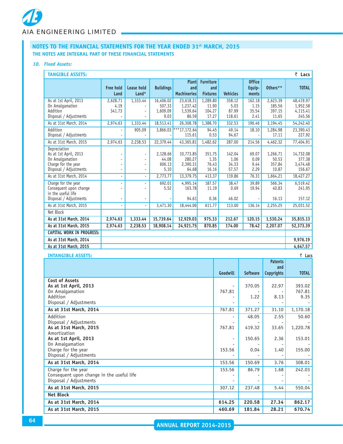#### *10. Fixed Assets:*

| <b>TANGIBLE ASSETS:</b>                                                                                   |                            |                                            |                                         |                                                |                                            | ₹ Lacs                            |                                  |                                       |                                             |
|-----------------------------------------------------------------------------------------------------------|----------------------------|--------------------------------------------|-----------------------------------------|------------------------------------------------|--------------------------------------------|-----------------------------------|----------------------------------|---------------------------------------|---------------------------------------------|
|                                                                                                           | <b>Free hold</b><br>Land   | Lease hold<br>$L$ and*                     | <b>Buildings</b>                        | <b>Plant</b><br>and<br><b>Machineries</b>      | <b>Furniture</b><br>and<br><b>Fixtures</b> | <b>Vehicles</b>                   | <b>Office</b><br>Equip-<br>ments | Others**                              | <b>TOTAL</b>                                |
| As at 1st April, 2013<br>On Amalgamation<br>Addition<br>Disposal / Adjustments                            | 2,628.71<br>4.19<br>341.73 | 1,333.44                                   | 16,406.02<br>507.33<br>1,609.09<br>9.03 | 23,618.31<br>1,237.42<br>1,539.64<br>86.59     | 1,289.80<br>11.90<br>104.27<br>17.27       | 358.12<br>5.03<br>87.99<br>118.61 | 162.18<br>1.15<br>35.54<br>2.41  | 2,623.39<br>185.56<br>397.15<br>11.65 | 48,419.97<br>1,952.58<br>4,115.41<br>245.56 |
| As at 31st March, 2014<br>Addition<br>Disposal / Adjustments                                              | 2,974.63                   | 1,333.44<br>905.09                         | 18,513.41                               | 26,308.78<br>$3,866.03$ ***17,172.64<br>115.61 | 1,388.70<br>94.45<br>0.53                  | 332.53<br>49.14<br>94.67          | 196.46<br>18.10                  | 3,194.45<br>1,284.98<br>17.11         | 54,242.40<br>23,390.43<br>227.92            |
| As at 31st March, 2015                                                                                    | 2,974.63                   | 2,238.53                                   | 22,379.44                               | 43,365.81                                      | 1,482.62                                   | 287.00                            | 214.56                           | 4,462.32                              | 77,404.91                                   |
| Depreciation<br>As at 1st April, 2013<br>On Amalgamation<br>Charge for the year<br>Disposal / Adjustments |                            | $\blacksquare$<br>٠<br>$\blacksquare$      | 2,128.66<br>44.08<br>606.13<br>5.10     | 10,773.85<br>280.27<br>2,390.31<br>64.68       | 351.75<br>1.35<br>76.43<br>16.16           | 142.04<br>1.06<br>34.33<br>57.57  | 69.07<br>0.09<br>9.44<br>2.29    | 1,266.71<br>50.53<br>357.84<br>10.87  | 14,732.08<br>377.38<br>3,474.48<br>156.67   |
| As at 31st March, 2014                                                                                    |                            | ÷.                                         | 2,773.77                                | 13,379.75                                      | 413.37                                     | 119.86                            | 76.31                            | 1,664.21                              | 18,427.27                                   |
| Charge for the year<br>Consequent upon change<br>in the useful life<br>Disposal / Adjustments             |                            | $\blacksquare$<br>$\overline{\phantom{0}}$ | 692.01<br>5.52                          | 4.995.14<br>163.78<br>94.61                    | 187.57<br>11.19<br>0.36                    | 38.47<br>0.69<br>46.02            | 39.89<br>19.94                   | 566.34<br>40.83<br>16.13              | 6,519.42<br>241.95<br>157.12                |
| As at 31st March, 2015                                                                                    |                            | $\overline{a}$                             | 3,471.30                                | 18,444.06                                      | 611.77                                     | 113.00                            | 136.14                           | 2,255.25                              | 25,031.52                                   |
| Net Block                                                                                                 |                            |                                            |                                         |                                                |                                            |                                   |                                  |                                       |                                             |
| As at 31st March, 2014                                                                                    | 2,974.63                   | 1,333.44                                   | 15,739.64                               | 12,929.03                                      | 975.33                                     | 212.67                            | 120.15                           | 1,530.24                              | 35,815.13                                   |
| As at 31st March, 2015                                                                                    | 2,974.63                   | 2.238.53                                   | 18.908.14                               | 24,921.75                                      | 870.85                                     | 174.00                            | 78.42                            | 2,207.07                              | 52,373.39                                   |
| <b>CAPITAL WORK IN PROGRESS:</b>                                                                          |                            |                                            |                                         |                                                |                                            |                                   |                                  |                                       |                                             |
| As at 31st March, 2014                                                                                    |                            |                                            |                                         |                                                |                                            |                                   |                                  |                                       | 9,976.19                                    |
| As at 31st March, 2015                                                                                    |                            |                                            |                                         |                                                |                                            |                                   |                                  |                                       | 4,647.57                                    |
| <b>INTANGIBLE ASSETS:</b>                                                                                 |                            |                                            |                                         |                                                | ₹ Lacs                                     |                                   |                                  |                                       |                                             |

|                                                                                                  | Goodwill | <b>Software</b> | ratents<br>and<br>Copyrights | <b>TOTAL</b>             |
|--------------------------------------------------------------------------------------------------|----------|-----------------|------------------------------|--------------------------|
| Cost of Assets<br>As at 1st April, 2013<br>On Amalgamation<br>Addition<br>Disposal / Adjustments | 767.81   | 370.05<br>1.22  | 22.97<br>8.13                | 393.02<br>767.81<br>9.35 |
| As at 31st March, 2014                                                                           | 767.81   | 371.27          | 31.10                        | 1,170.18                 |
| Addition<br>Disposal / Adjustments<br>As at 31st March, 2015                                     | 767.81   | 48.05<br>419.32 | 2.55<br>33.65                | 50.60<br>1,220.78        |
| Amortization<br>As at 1st April, 2013                                                            |          | 150.65          | 2.36                         | 153.01                   |
| On Amalgamation<br>Charge for the year<br>Disposal / Adjustments                                 | 153.56   | 0.04            | 1.40                         | 155.00                   |
| As at 31st March, 2014                                                                           | 153.56   | 150.69          | 3.76                         | 308.01                   |
| Charge for the year<br>Consequent upon change in the useful life<br>Disposal / Adjustments       | 153.56   | 86.79           | 1.68                         | 242.03                   |
| As at 31st March, 2015                                                                           | 307.12   | 237.48          | 5.44                         | 550.04                   |
| <b>Net Block</b>                                                                                 |          |                 |                              |                          |
| As at 31st March, 2014                                                                           | 614.25   | 220.58          | 27.34                        | 862.17                   |
| As at 31st March, 2015                                                                           | 460.69   | 181.84          | 28.21                        | 670.74                   |

**Patents**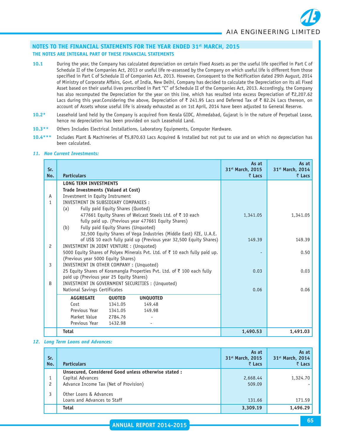- **10.1** During the year, the Company has calculated depreciation on certain Fixed Assets as per the useful life specified in Part C of Schedule II of the Companies Act, 2013 or useful life re-assessed by the Company on which useful life is different from those specified in Part C of Schedule II of Companies Act, 2013. However, Consequent to the Notification dated 29th August, 2014 of Ministry of Corporate Affairs, Govt. of India, New Delhi, Company has decided to calculate the Depreciation on its all Fixed Asset based on their useful lives prescribed in Part "C" of Schedule II of the Companies Act, 2013. Accordingly, the Company has also recomputed the Depreciation for the year on this line, which has resulted into excess Depreciation of ₹2,207.62 Lacs during this year.Considering the above, Depreciation of  $\bar{\tau}$  241.95 Lacs and Deferred Tax of  $\bar{\tau}$  82.24 Lacs thereon, on account of Assets whose useful life is already exhausted as on 1st April, 2014 have been adjusted to General Reserve.
- **10.2\*** Leasehold land held by the Company is acquired from Kerala GIDC, Ahmedabad, Gujarat is in the nature of Perpetual Lease, hence no depreciation has been provided on such Leasehold Land.
- **10.3\*\*** Others Includes Electrical Installations, Laboratory Equipments, Computer Hardware.
- **10.4\*\*\*** Includes Plant & Machineries of `5,870.63 Lacs Acquired & installed but not put to use and on which no depreciation has been calculated.

#### *11. Non Current Investments:*

| Sr.<br>No. | <b>Particulars</b>                       |                                     |                                                                             | As at<br>31 <sup>st</sup> March, 2015<br>$\bar{z}$ Lacs | As at<br>31 <sup>st</sup> March, 2014<br>$\bar{z}$ Lacs |
|------------|------------------------------------------|-------------------------------------|-----------------------------------------------------------------------------|---------------------------------------------------------|---------------------------------------------------------|
|            | <b>LONG TERM INVESTMENTS</b>             |                                     |                                                                             |                                                         |                                                         |
|            | Trade Investments (Valued at Cost)       |                                     |                                                                             |                                                         |                                                         |
| A          | Investment in Equity Instrument          |                                     |                                                                             |                                                         |                                                         |
| 1          | INVESTMENT IN SUBSIDIARY COMPANIES :     |                                     |                                                                             |                                                         |                                                         |
|            | (a)                                      | Fully paid Equity Shares (Quoted)   |                                                                             |                                                         |                                                         |
|            |                                          |                                     | 477661 Equity Shares of Welcast Steels Ltd. of ₹ 10 each                    | 1,341.05                                                | 1,341.05                                                |
|            |                                          |                                     | fully paid up. (Previous year 477661 Equity Shares)                         |                                                         |                                                         |
|            | (b)                                      | Fully paid Equity Shares (Unquoted) |                                                                             |                                                         |                                                         |
|            |                                          |                                     | 32,500 Equity Shares of Vega Industries (Middle East) FZE, U.A.E.           |                                                         |                                                         |
|            |                                          |                                     | of US\$ 10 each fully paid up (Previous year 32,500 Equity Shares)          | 149.39                                                  | 149.39                                                  |
| 2          | INVESTMENT IN JOINT VENTURE : (Unquoted) |                                     |                                                                             |                                                         |                                                         |
|            |                                          |                                     | 5000 Equity Shares of Polyex Minerals Pvt. Ltd. of ₹ 10 each fully paid up. |                                                         | 0.50                                                    |
|            | (Previous year 5000 Equity Shares)       |                                     |                                                                             |                                                         |                                                         |
| 3          | INVESTMENT IN OTHER COMPANY : (Unquoted) |                                     |                                                                             |                                                         |                                                         |
|            |                                          |                                     | 25 Equity Shares of Koramangla Properties Pvt. Ltd. of ₹ 100 each fully     | 0.03                                                    | 0.03                                                    |
|            | paid up (Previous year 25 Equity Shares) |                                     |                                                                             |                                                         |                                                         |
| B          |                                          |                                     | INVESTMENT IN GOVERNMENT SECURITIES : (Unquoted)                            |                                                         |                                                         |
|            | National Savings Certificates            |                                     |                                                                             | 0.06                                                    | 0.06                                                    |
|            | <b>AGGREGATE</b>                         | <b>QUOTED</b>                       | <b>UNQUOTED</b>                                                             |                                                         |                                                         |
|            | Cost                                     | 1341.05                             | 149.48                                                                      |                                                         |                                                         |
|            | Previous Year                            | 1341.05                             | 149.98                                                                      |                                                         |                                                         |
|            | Market Value                             | 2784.76                             |                                                                             |                                                         |                                                         |
|            | Previous Year                            | 1432.98                             |                                                                             |                                                         |                                                         |
|            | <b>Total</b>                             |                                     |                                                                             | 1,490.53                                                | 1,491.03                                                |

*12. Long Term Loans and Advances:*

| Sr.<br>No.     | <b>Particulars</b>                                   | As at<br>31 <sup>st</sup> March, 2015<br>₹ Lacs | As at<br>31 <sup>st</sup> March, 2014<br>₹ Lacs |
|----------------|------------------------------------------------------|-------------------------------------------------|-------------------------------------------------|
|                | Unsecured, Considered Good unless otherwise stated : |                                                 |                                                 |
|                | Capital Advances                                     | 2,668.44                                        | 1,324.70                                        |
| $\overline{c}$ | Advance Income Tax (Net of Provision)                | 509.09                                          |                                                 |
|                | Other Loans & Advances                               |                                                 |                                                 |
|                | Loans and Advances to Staff                          | 131.66                                          | 171.59                                          |
|                | <b>Total</b>                                         | 3,309.19                                        | 1,496.29                                        |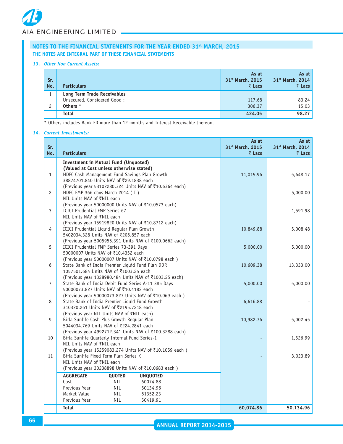#### *13. Other Non Current Assets:*

| Sr.<br>No. | <b>Particulars</b>                                                            | As at<br>31 <sup>st</sup> March, 2015<br>₹ Lacs | As at<br>31 <sup>st</sup> March, 2014<br>$\bar{z}$ Lacs |
|------------|-------------------------------------------------------------------------------|-------------------------------------------------|---------------------------------------------------------|
| 2          | <b>Long Term Trade Receivables</b><br>Unsecured, Considered Good:<br>Others * | 117.68<br>306.37                                | 83.24<br>15.03                                          |
|            | <b>Total</b>                                                                  | 424.05                                          | 98.27                                                   |

\* Others includes Bank FD more than 12 months and Interest Receivable thereon.

#### *14. Current Investments:*

| Sr.<br>No.     | <b>Particulars</b>                                                                                | As at<br>31st March, 2015<br>₹ Lacs | As at<br>31st March, 2014<br>$\bar{z}$ Lacs |
|----------------|---------------------------------------------------------------------------------------------------|-------------------------------------|---------------------------------------------|
|                | <b>Investment in Mutual Fund (Unquoted)</b>                                                       |                                     |                                             |
|                | (Valued at Cost unless otherwise stated)                                                          |                                     |                                             |
| $\mathbf{1}$   | HDFC Cash Management Fund Savings Plan Growth                                                     | 11,015.96                           | 5,648.17                                    |
|                | 38874701.840 Units NAV of ₹29.1838 each                                                           |                                     |                                             |
| $\overline{c}$ | (Previous year 53102280.324 Units NAV of ₹10.6364 each)<br>HDFC FMP 366 days March 2014 (I)       |                                     | 5,000.00                                    |
|                | NIL Units NAV of ₹NIL each                                                                        |                                     |                                             |
|                | (Previous year 50000000 Units NAV of ₹10.0573 each)                                               |                                     |                                             |
| 3              | <b>ICICI Prudential FMP Series 67</b>                                                             |                                     | 1,591.98                                    |
|                | NIL Units NAV of ₹NIL each                                                                        |                                     |                                             |
|                | (Previous year 15919820 Units NAV of ₹10.8712 each)                                               |                                     |                                             |
| 4              | ICICI Prudential Liquid Regular Plan Growth                                                       | 10,849.88                           | 5,008.48                                    |
|                | 5402034.328 Units NAV of ₹206.857 each<br>(Previous year 5005955.391 Units NAV of ₹100.0662 each) |                                     |                                             |
| 5              | ICICI Prudential FMP Series 73-391 Days                                                           | 5,000.00                            | 5,000.00                                    |
|                | 50000007 Units NAV of ₹10.4352 each                                                               |                                     |                                             |
|                | (Previous year 50000007 Units NAV of ₹10.0798 each)                                               |                                     |                                             |
| 6              | State Bank of India Premier Liquid Fund Plan DDR                                                  | 10,609.38                           | 13,333.00                                   |
|                | 1057501.684 Units NAV of ₹1003.25 each                                                            |                                     |                                             |
|                | (Previous year 1328980.484 Units NAV of ₹1003.25 each)                                            |                                     |                                             |
| $\overline{7}$ | State Bank of India Debit Fund Series A-11 385 Days                                               | 5,000.00                            | 5,000.00                                    |
|                | 50000073.827 Units NAV of ₹10.4182 each<br>(Previous year 50000073.827 Units NAV of ₹10.069 each) |                                     |                                             |
| 8              | State Bank of India Premier Liquid Fund Growth                                                    | 6,616.88                            |                                             |
|                | 310320.261 Units NAV of ₹2195.7218 each                                                           |                                     |                                             |
|                | (Previous year NIL Units NAV of ₹NIL each)                                                        |                                     |                                             |
| 9              | Birla Sunlife Cash Plus Growth Regular Plan                                                       | 10,982.76                           | 5,002.45                                    |
|                | 5044034.769 Units NAV of ₹224.2841 each                                                           |                                     |                                             |
|                | (Previous year 4992712.341 Units NAV of ₹100.3288 each)                                           |                                     |                                             |
| 10             | Birla Sunlife Quarterly Internal Fund Series-1                                                    |                                     | 1,526.99                                    |
|                | NIL Units NAV of ₹NIL each<br>(Previous year 15259083.274 Units NAV of ₹10.1059 each)             |                                     |                                             |
| 11             | Birla Sunlife Fixed Term Plan Series K                                                            |                                     | 3,023.89                                    |
|                | NIL Units NAV of ₹NIL each                                                                        |                                     |                                             |
|                | (Previous year 30238898 Units NAV of ₹10.0683 each)                                               |                                     |                                             |
|                | <b>AGGREGATE</b><br>QUOTED<br><b>UNQUOTED</b>                                                     |                                     |                                             |
|                | Cost<br><b>NIL</b><br>60074.88                                                                    |                                     |                                             |
|                | Previous Year<br><b>NIL</b><br>50134.96                                                           |                                     |                                             |
|                | Market Value<br>NIL<br>61352.23                                                                   |                                     |                                             |
|                | Previous Year<br><b>NIL</b><br>50419.91                                                           |                                     |                                             |
|                | <b>Total</b>                                                                                      | 60,074.86                           | 50,134.96                                   |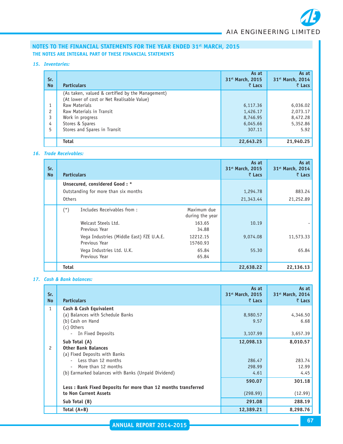#### *15. Inventories:*

| Sr.<br><b>No</b> | <b>Particulars</b>                               | As at<br>31 <sup>st</sup> March, 2015<br>₹ Lacs | As at<br>31 <sup>st</sup> March, 2014<br>₹ Lacs |
|------------------|--------------------------------------------------|-------------------------------------------------|-------------------------------------------------|
|                  | (As taken, valued & certified by the Management) |                                                 |                                                 |
|                  | (At lower of cost or Net Realisable Value)       |                                                 |                                                 |
|                  | Raw Materials                                    | 6,117.36                                        | 6,036.02                                        |
| 2                | Raw Materials in Transit                         | 1,426.17                                        | 2,073.17                                        |
| 3                | Work in progress                                 | 8,746.95                                        | 8,472.28                                        |
| 4                | Stores & Spares                                  | 6,045.66                                        | 5,352.86                                        |
| 5                | Stores and Spares in Transit                     | 307.11                                          | 5.92                                            |
|                  |                                                  |                                                 |                                                 |
|                  | <b>Total</b>                                     | 22,643.25                                       | 21,940.25                                       |

#### *16. Trade Receivables:*

| Sr.<br><b>No</b> | <b>Particulars</b> |                                                           |                                | As at<br>31st March, 2015<br>₹ Lacs | As at<br>31st March, 2014<br>₹ Lacs |
|------------------|--------------------|-----------------------------------------------------------|--------------------------------|-------------------------------------|-------------------------------------|
|                  |                    | Unsecured, considered Good: *                             |                                |                                     |                                     |
|                  |                    | Outstanding for more than six months                      |                                | 1,294.78                            | 883.24                              |
|                  | <b>Others</b>      |                                                           |                                | 21,343.44                           | 21,252.89                           |
|                  | $(*)$              | Includes Receivables from:                                | Maximum due<br>during the year |                                     |                                     |
|                  |                    | Welcast Steels Ltd.<br>Previous Year                      | 163.65<br>34.88                | 10.19                               |                                     |
|                  |                    | Vega Industries (Middle East) FZE U.A.E.<br>Previous Year | 12212.15<br>15760.93           | 9,074.08                            | 11,573.33                           |
|                  |                    | Vega Industries Ltd. U.K.<br>Previous Year                | 65.84<br>65.84                 | 55.30                               | 65.84                               |
|                  | <b>Total</b>       |                                                           |                                | 22,638.22                           | 22,136.13                           |

#### *17. Cash & Bank balances:*

| Sr.<br><b>No</b> | <b>Particulars</b>                                            | As at<br>31 <sup>st</sup> March, 2015<br>₹ Lacs | As at<br>31st March, 2014<br>₹ Lacs |
|------------------|---------------------------------------------------------------|-------------------------------------------------|-------------------------------------|
| $\mathbf{1}$     | Cash & Cash Equivalent                                        |                                                 |                                     |
|                  | (a) Balances with Schedule Banks                              | 8,980.57                                        | 4,346.50                            |
|                  | (b) Cash on Hand                                              | 9.57                                            | 6.68                                |
|                  | (c) Others                                                    |                                                 |                                     |
|                  | In Fixed Deposits                                             | 3,107.99                                        | 3,657.39                            |
|                  | Sub Total (A)                                                 | 12,098.13                                       | 8,010.57                            |
| $\mathcal{P}$    | <b>Other Bank Balances</b>                                    |                                                 |                                     |
|                  | (a) Fixed Deposits with Banks                                 |                                                 |                                     |
|                  | - Less than 12 months                                         | 286.47                                          | 283.74                              |
|                  | More than 12 months                                           | 298.99                                          | 12.99                               |
|                  | (b) Earmarked balances with Banks (Unpaid Dividend)           | 4.61                                            | 4.45                                |
|                  |                                                               | 590.07                                          | 301.18                              |
|                  | Less: Bank Fixed Deposits for more than 12 months transferred |                                                 |                                     |
|                  | to Non Current Assets                                         | (298.99)                                        | (12.99)                             |
|                  | Sub Total (B)                                                 | 291.08                                          | 288.19                              |
|                  | Total $(A+B)$                                                 | 12,389.21                                       | 8,298.76                            |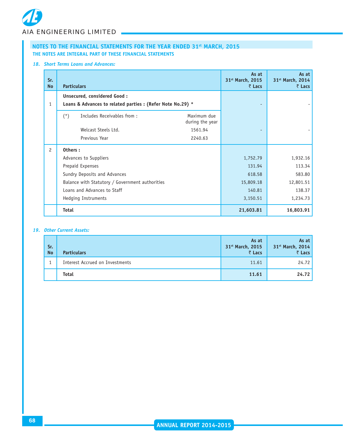#### *18. Short Terms Loans and Advances:*

| Sr.<br><b>No</b> | <b>Particulars</b>                                         |                                | As at<br>31 <sup>st</sup> March, 2015<br>₹ Lacs | As at<br>31 <sup>st</sup> March, 2014<br>₹ Lacs |
|------------------|------------------------------------------------------------|--------------------------------|-------------------------------------------------|-------------------------------------------------|
|                  | Unsecured, considered Good:                                |                                |                                                 |                                                 |
| $\mathbf{1}$     | Loans & Advances to related parties : (Refer Note No.29) * |                                |                                                 |                                                 |
|                  | Includes Receivables from:<br>$(*)$                        | Maximum due<br>during the year |                                                 |                                                 |
|                  | Welcast Steels Ltd.                                        | 1561.94                        |                                                 |                                                 |
|                  | Previous Year                                              | 2240.63                        |                                                 |                                                 |
| $\overline{c}$   | Others:                                                    |                                |                                                 |                                                 |
|                  | Advances to Suppliers                                      |                                | 1,752.79                                        | 1,932.16                                        |
|                  | Prepaid Expenses                                           |                                | 131.94                                          | 113.34                                          |
|                  | Sundry Deposits and Advances                               |                                | 618.58                                          | 583.80                                          |
|                  | Balance with Statutory / Government authorities            |                                | 15,809.18                                       | 12,801.51                                       |
|                  | Loans and Advances to Staff                                |                                | 140.81                                          | 138.37                                          |
|                  | Hedging Instruments                                        |                                | 3,150.51                                        | 1,234.73                                        |
|                  | <b>Total</b>                                               |                                | 21,603.81                                       | 16,803.91                                       |

#### *19. Other Current Assets:*

| Sr.<br><b>No</b> | <b>Particulars</b>              | As at<br>31 <sup>st</sup> March, 2015<br>₹ Lacs | As at<br>31st March, 2014<br>₹ Lacs |
|------------------|---------------------------------|-------------------------------------------------|-------------------------------------|
|                  | Interest Accrued on Investments | 11.61                                           | 24.72                               |
|                  | <b>Total</b>                    | 11.61                                           | 24.72                               |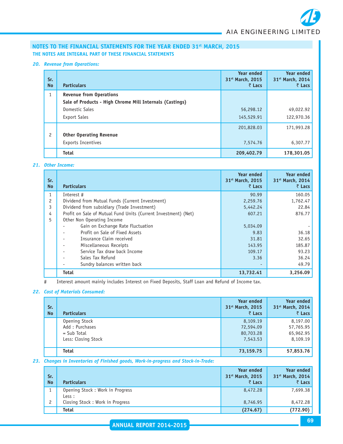#### *20. Revenue from Operations:*

| Sr.<br><b>No</b> | <b>Particulars</b>                                       | <b>Year ended</b><br>31 <sup>st</sup> March, 2015<br>₹ Lacs | <b>Year ended</b><br>31 <sup>st</sup> March, 2014<br>₹ Lacs |
|------------------|----------------------------------------------------------|-------------------------------------------------------------|-------------------------------------------------------------|
| $\mathbf{1}$     | <b>Revenue from Operations</b>                           |                                                             |                                                             |
|                  | Sale of Products - High Chrome Mill Internals (Castings) |                                                             |                                                             |
|                  | Domestic Sales                                           | 56,298.12                                                   | 49,022.92                                                   |
|                  | <b>Export Sales</b>                                      | 145,529.91                                                  | 122,970.36                                                  |
|                  |                                                          | 201,828.03                                                  | 171,993.28                                                  |
| $\mathbf{2}$     | <b>Other Operating Revenue</b>                           |                                                             |                                                             |
|                  | <b>Exports Incentives</b>                                | 7,574.76                                                    | 6,307.77                                                    |
|                  | <b>Total</b>                                             | 209,402.79                                                  | 178,301.05                                                  |

#### *21. Other Income:*

| Sr.<br><b>No</b> | <b>Particulars</b>                                             | <b>Year ended</b><br>31 <sup>st</sup> March, 2015<br>₹ Lacs | <b>Year ended</b><br>31 <sup>st</sup> March, 2014<br>$\bar{z}$ Lacs |
|------------------|----------------------------------------------------------------|-------------------------------------------------------------|---------------------------------------------------------------------|
|                  | Interest #                                                     | 90.99                                                       | 160.05                                                              |
| 2                | Dividend from Mutual Funds (Current Investment)                | 2,259.76                                                    | 1,762.47                                                            |
| 3                | Dividend from subsidiary (Trade Investment)                    | 5,442.24                                                    | 22.84                                                               |
| 4                | Profit on Sale of Mutual Fund Units (Current Investment) (Net) | 607.21                                                      | 876.77                                                              |
| 5                | Other Non Operating Income                                     |                                                             |                                                                     |
|                  | Gain on Exchange Rate Fluctuation                              | 5,034.09                                                    |                                                                     |
|                  | Profit on Sale of Fixed Assets                                 | 9.83                                                        | 36.18                                                               |
|                  | Insurance Claim received                                       | 31.81                                                       | 32.65                                                               |
|                  | Miscellaneous Receipts                                         | 143.95                                                      | 185.87                                                              |
|                  | Service Tax draw back Income                                   | 109.17                                                      | 93.23                                                               |
|                  | Sales Tax Refund                                               | 3.36                                                        | 36.24                                                               |
|                  | Sundry balances written back                                   |                                                             | 49.79                                                               |
|                  | <b>Total</b>                                                   | 13,732.41                                                   | 3,256.09                                                            |

# Interest amount mainly includes Interest on Fixed Deposits, Staff Loan and Refund of Income tax.

#### *22. Cost of Materials Consumed:*

| Sr.<br><b>No</b> | <b>Particulars</b>                                                      | <b>Year ended</b><br>31 <sup>st</sup> March, 2015<br>₹ Lacs | <b>Year ended</b><br>31 <sup>st</sup> March, 2014<br>$\bar{z}$ Lacs |
|------------------|-------------------------------------------------------------------------|-------------------------------------------------------------|---------------------------------------------------------------------|
|                  | Opening Stock<br>Add: Purchases<br>$=$ Sub Total<br>Less: Closing Stock | 8,109.19<br>72,594.09<br>80,703.28<br>7,543.53              | 8,197.00<br>57,765.95<br>65,962.95<br>8,109.19                      |
|                  | <b>Total</b>                                                            | 73,159.75                                                   | 57,853.76                                                           |

#### *23. Changes in Inventories of Finished goods, Work-in-progress and Stock-in-Trade:*

| Sr.<br><b>No</b> | <b>Particulars</b>                        | <b>Year ended</b><br>31st March, 2015<br>₹ Lacs | Year ended<br>31st March, 2014<br>₹ Lacs |
|------------------|-------------------------------------------|-------------------------------------------------|------------------------------------------|
|                  | Opening Stock: Work in Progress<br>Less : | 8,472.28                                        | 7,699.38                                 |
|                  | Closing Stock: Work in Progress           | 8,746.95                                        | 8,472.28                                 |
|                  | <b>Total</b>                              | (274.67)                                        | (772.90)                                 |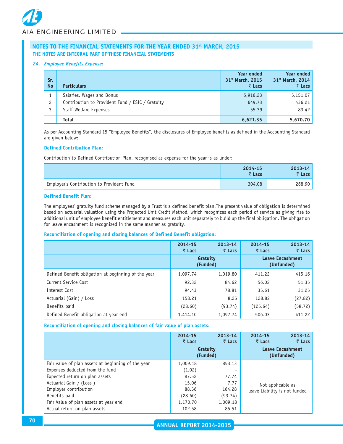#### *24. Employee Benefits Expense:*

| Sr.<br><b>No</b> | <b>Particulars</b>                                                                                      | <b>Year ended</b><br>31st March, 2015<br>₹ Lacs | Year ended<br>31st March, 2014<br>$\bar{z}$ Lacs |
|------------------|---------------------------------------------------------------------------------------------------------|-------------------------------------------------|--------------------------------------------------|
| 2                | Salaries, Wages and Bonus<br>Contribution to Provident Fund / ESIC / Gratuity<br>Staff Welfare Expenses | 5,916.23<br>649.73<br>55.39                     | 5,151.07<br>436.21<br>83.42                      |
|                  | <b>Total</b>                                                                                            | 6,621.35                                        | 5,670.70                                         |

As per Accounting Standard 15 "Employee Benefits", the disclosures of Employee benefits as defined in the Accounting Standard are given below:

#### **Defined Contribution Plan:**

Contribution to Defined Contribution Plan, recognised as expense for the year is as under:

|                                           | 2014-15<br>₹ Lacs | $2013 - 14$<br>$\bar{z}$ Lacs |
|-------------------------------------------|-------------------|-------------------------------|
| Employer's Contribution to Provident Fund | 304.08            | 268.90                        |

#### **Defined Benefit Plan:**

The employees' gratuity fund scheme managed by a Trust is a defined benefit plan.The present value of obligation is determined based on actuarial valuation using the Projected Unit Credit Method, which recognizes each period of service as giving rise to additional unit of employee benefit entitlement and measures each unit separately to build up the final obligation. The obligation for leave encashment is recognized in the same manner as gratuity.

#### **Reconciliation of opening and closing balances of Defined Benefit obligation:**

|                                                     | 2014-15<br>₹ Lacs | 2013-14<br>$\bar{z}$ Lacs | 2014-15<br>₹ Lacs | $2013 - 14$<br>₹ Lacs                 |
|-----------------------------------------------------|-------------------|---------------------------|-------------------|---------------------------------------|
|                                                     |                   | Gratuity<br>(Funded)      |                   | <b>Leave Encashment</b><br>(Unfunded) |
| Defined Benefit obligation at beginning of the year | 1,097.74          | 1,019.80                  | 411.22            | 415.16                                |
| Current Service Cost                                | 92.32             | 84.62                     | 56.02             | 51.35                                 |
| Interest Cost                                       | 94.43             | 78.81                     | 35.61             | 31.25                                 |
| Actuarial (Gain) / Loss                             | 158.21            | 8.25                      | 128.82            | (27.82)                               |
| Benefits paid                                       | (28.60)           | (93.74)                   | (125.64)          | (58.72)                               |
| Defined Benefit obligation at year end              | 1,414.10          | 1,097.74                  | 506.03            | 411.22                                |

**Reconciliation of opening and closing balances of fair value of plan assets:**

|                                                    | 2014-15<br>$\bar{z}$ Lacs | 2013-14<br>₹ Lacs | 2014-15<br>₹ Lacs                     | 2013-14<br>₹ Lacs |  |
|----------------------------------------------------|---------------------------|-------------------|---------------------------------------|-------------------|--|
|                                                    | Gratuity<br>(Funded)      |                   | <b>Leave Encashment</b><br>(Unfunded) |                   |  |
| Fair value of plan assets at beginning of the year | 1,009.18                  | 853.13            |                                       |                   |  |
| Expenses deducted from the fund                    | (1.02)                    |                   |                                       |                   |  |
| Expected return on plan assets                     | 87.52                     | 77.74             |                                       |                   |  |
| Actuarial Gain / (Loss)                            | 15.06                     | 7.77              | Not applicable as                     |                   |  |
| Employer contribution                              | 88.56                     | 164.28            | leave Liability is not funded         |                   |  |
| Benefits paid                                      | (28.60)                   | (93.74)           |                                       |                   |  |
| Fair Value of plan assets at year end              | 1,170.70                  | 1,009.18          |                                       |                   |  |
| Actual return on plan assets                       | 102.58                    | 85.51             |                                       |                   |  |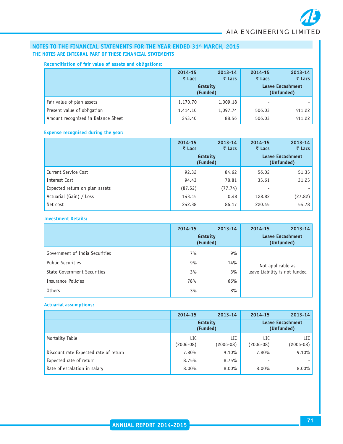#### **Reconciliation of fair value of assets and obligations:**

|                                    | 2014-15<br>₹ Lacs    | 2013-14<br>₹ Lacs | 2014-15<br>₹ Lacs                     | $2013 - 14$<br>$\bar{z}$ Lacs |
|------------------------------------|----------------------|-------------------|---------------------------------------|-------------------------------|
|                                    | Gratuity<br>(Funded) |                   | <b>Leave Encashment</b><br>(Unfunded) |                               |
| Fair value of plan assets          | 1,170.70             | 1,009.18          |                                       |                               |
| Present value of obligation        | 1,414.10             | 1,097.74          | 506.03                                | 411.22                        |
| Amount recognized in Balance Sheet | 243.40               | 88.56             | 506.03                                | 411.22                        |

#### **Expense recognised during the year:**

|                                | 2014-15<br>₹ Lacs    | 2013-14<br>₹ Lacs | 2014-15<br>₹ Lacs                     | 2013-14<br>₹ Lacs |
|--------------------------------|----------------------|-------------------|---------------------------------------|-------------------|
|                                | Gratuity<br>(Funded) |                   | <b>Leave Encashment</b><br>(Unfunded) |                   |
| Current Service Cost           | 92.32                | 84.62             | 56.02                                 | 51.35             |
| Interest Cost                  | 94.43                | 78.81             | 35.61                                 | 31.25             |
| Expected return on plan assets | (87.52)              | (77.74)           |                                       |                   |
| Actuarial (Gain) / Loss        | 143.15               | 0.48              | 128.82                                | (27.82)           |
| Net cost                       | 242.38               | 86.17             | 220.45                                | 54.78             |

#### **Investment Details:**

|                                | 2014-15              | 2013-14 | 2014-15                               | $2013 - 14$ |
|--------------------------------|----------------------|---------|---------------------------------------|-------------|
|                                | Gratuity<br>(Funded) |         | <b>Leave Encashment</b><br>(Unfunded) |             |
| Government of India Securities | 7%                   | 9%      |                                       |             |
| <b>Public Securities</b>       | 9%                   | 14%     | Not applicable as                     |             |
| State Government Securities    | 3%                   | 3%      | leave Liability is not funded         |             |
| Insurance Policies             | 78%                  | 66%     |                                       |             |
| <b>Others</b>                  | 3%                   | 8%      |                                       |             |
|                                |                      |         |                                       |             |

#### **Actuarial assumptions:**

|                                       | 2014-15              | 2013-14          | 2014-15                               | 2013-14          |
|---------------------------------------|----------------------|------------------|---------------------------------------|------------------|
|                                       | Gratuity<br>(Funded) |                  | <b>Leave Encashment</b><br>(Unfunded) |                  |
| Mortality Table                       | LIC<br>$(2006 - 08)$ | LIC<br>(2006-08) | LIC<br>$(2006-08)$                    | LIC<br>(2006-08) |
| Discount rate Expected rate of return | 7.80%                | 9.10%            | 7.80%                                 | 9.10%            |
| Expected rate of return               | 8.75%                | 8.75%            |                                       |                  |
| Rate of escalation in salary          | $8.00\%$             | 8.00%            | $8.00\%$                              | $8.00\%$         |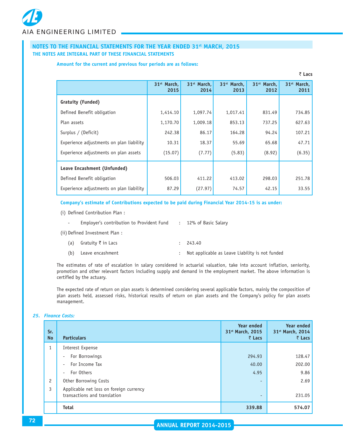#### **Amount for the current and previous four periods are as follows:**

|                                          |                                 |                                 |                                 |                                 | ∖ ∟als                          |
|------------------------------------------|---------------------------------|---------------------------------|---------------------------------|---------------------------------|---------------------------------|
|                                          | 31 <sup>st</sup> March,<br>2015 | 31 <sup>st</sup> March.<br>2014 | 31 <sup>st</sup> March.<br>2013 | 31 <sup>st</sup> March.<br>2012 | 31 <sup>st</sup> March,<br>2011 |
| Gratuity (Funded)                        |                                 |                                 |                                 |                                 |                                 |
| Defined Benefit obligation               | 1,414.10                        | 1,097.74                        | 1,017.41                        | 831.49                          | 734.85                          |
| Plan assets                              | 1,170.70                        | 1,009.18                        | 853.13                          | 737.25                          | 627.63                          |
| Surplus / (Deficit)                      | 242.38                          | 86.17                           | 164.28                          | 94.24                           | 107.21                          |
| Experience adjustments on plan liability | 10.31                           | 18.37                           | 55.69                           | 65.68                           | 47.71                           |
| Experience adjustments on plan assets    | (15.07)                         | (7.77)                          | (5.83)                          | (8.92)                          | (6.35)                          |
| Leave Encashment (Unfunded)              |                                 |                                 |                                 |                                 |                                 |
| Defined Benefit obligation               | 506.03                          | 411.22                          | 413.02                          | 298.03                          | 251.78                          |
| Experience adjustments on plan liability | 87.29                           | (27.97)                         | 74.57                           | 42.15                           | 33.55                           |

` **Lacs**

#### **Company's estimate of Contributions expected to be paid during Financial Year 2014-15 is as under:**

(i) Defined Contribution Plan :

| $\overline{\phantom{a}}$ | Emplover's contribution to Provident Fund | : 12% of Basic Salary                           |
|--------------------------|-------------------------------------------|-------------------------------------------------|
|                          | (ii) Defined Investment Plan:             |                                                 |
| (a)                      | Gratuity $\bar{\tau}$ in Lacs             | : 243.40                                        |
| (b)                      | Leave encashment                          | Not applicable as Leave Liability is not funded |

The estimates of rate of escalation in salary considered in actuarial valuation, take into account inflation, seniority, promotion and other relevant factors including supply and demand in the employment market. The above information is certified by the actuary.

The expected rate of return on plan assets is determined considering several applicable factors, mainly the composition of plan assets held, assessed risks, historical results of return on plan assets and the Company's policy for plan assets management.

# *25. Finance Costs:*

| Sr.<br><b>No</b> | <b>Particulars</b>                                                      | <b>Year ended</b><br>31 <sup>st</sup> March, 2015<br>₹ Lacs | <b>Year ended</b><br>31st March, 2014<br>$\bar{z}$ Lacs |
|------------------|-------------------------------------------------------------------------|-------------------------------------------------------------|---------------------------------------------------------|
| $\mathbf{1}$     | Interest Expense                                                        |                                                             |                                                         |
|                  | For Borrowings<br>$\overline{\phantom{a}}$                              | 294.93                                                      | 128.47                                                  |
|                  | For Income Tax<br>$\sim$                                                | 40.00                                                       | 202.00                                                  |
|                  | For Others<br>$\overline{\phantom{a}}$                                  | 4.95                                                        | 9.86                                                    |
| $\overline{c}$   | Other Borrowing Costs                                                   | $\overline{a}$                                              | 2.69                                                    |
| 3                | Applicable net loss on foreign currency<br>transactions and translation | $\overline{a}$                                              | 231.05                                                  |
|                  | <b>Total</b>                                                            | 339.88                                                      | 574.07                                                  |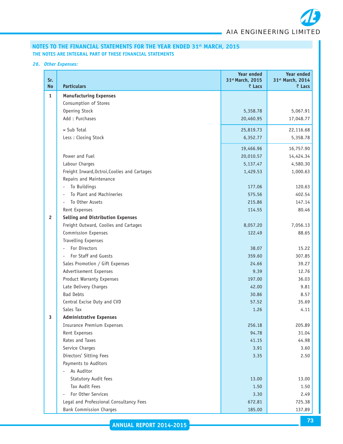

# *26. Other Expenses:*

| Sr.<br><b>No</b> | <b>Particulars</b>                           | Year ended<br>31st March, 2015<br>₹ Lacs | <b>Year ended</b><br>31st March, 2014<br>₹ Lacs |
|------------------|----------------------------------------------|------------------------------------------|-------------------------------------------------|
| $\mathbf{1}$     | <b>Manufacturing Expenses</b>                |                                          |                                                 |
|                  | Consumption of Stores                        |                                          |                                                 |
|                  | Opening Stock                                | 5,358.78                                 | 5,067.91                                        |
|                  | Add: Purchases                               | 20,460.95                                | 17,048.77                                       |
|                  | $=$ Sub Total                                | 25,819.73                                | 22,116.68                                       |
|                  | Less: Closing Stock                          | 6,352.77                                 | 5,358.78                                        |
|                  |                                              | 19,466.96                                | 16,757.90                                       |
|                  | Power and Fuel                               | 20,010.57                                | 14,424.34                                       |
|                  | Labour Charges                               | 5,137.47                                 | 4,580.30                                        |
|                  | Freight Inward, Octroi, Coolies and Cartages | 1,429.53                                 | 1,000.63                                        |
|                  | Repairs and Maintenance                      |                                          |                                                 |
|                  | To Buildings                                 | 177.06                                   | 120.63                                          |
|                  | To Plant and Machineries                     | 575.56                                   | 402.54                                          |
|                  | To Other Assets                              | 215.86                                   | 147.14                                          |
|                  | Rent Expenses                                | 114.55                                   | 80.46                                           |
| $\overline{2}$   | <b>Selling and Distribution Expenses</b>     |                                          |                                                 |
|                  | Freight Outward, Coolies and Cartages        | 8,057.20                                 | 7,056.13                                        |
|                  | <b>Commission Expenses</b>                   | 122.49                                   | 88.65                                           |
|                  | <b>Travelling Expenses</b>                   |                                          |                                                 |
|                  | For Directors                                | 38.07                                    | 15.22                                           |
|                  | For Staff and Guests<br>$\blacksquare$       | 359.60                                   | 307.85                                          |
|                  | Sales Promotion / Gift Expenses              | 24.66                                    | 39.27                                           |
|                  | Advertisement Expenses                       | 9.39                                     | 12.76                                           |
|                  | Product Warranty Expenses                    | 197.00                                   | 36.03                                           |
|                  | Late Delivery Charges                        | 42.00                                    | 9.81                                            |
|                  | <b>Bad Debts</b>                             | 30.86                                    | 8.57                                            |
|                  | Central Excise Duty and CVD                  | 57.52                                    | 35.69                                           |
|                  | Sales Tax                                    | 1.26                                     | 4.11                                            |
| 3                | <b>Administrative Expenses</b>               |                                          |                                                 |
|                  | <b>Insurance Premium Expenses</b>            | 256.18                                   | 205.89                                          |
|                  | Rent Expenses                                | 94.78                                    | 31.04                                           |
|                  | Rates and Taxes                              | 41.15                                    | 44.98                                           |
|                  | Service Charges                              | 3.91                                     | 3.60                                            |
|                  | Directors' Sitting Fees                      | 3.35                                     | 2.50                                            |
|                  | Payments to Auditors                         |                                          |                                                 |
|                  | As Auditor                                   |                                          |                                                 |
|                  | Statutory Audit fees                         | 13.00                                    | 13.00                                           |
|                  | Tax Audit Fees                               | 1.50                                     | 1.50                                            |
|                  | For Other Services                           | 3.30                                     | 2.49                                            |
|                  | Legal and Professional Consultancy Fees      | 672.81                                   | 725.38                                          |
|                  | <b>Bank Commission Charges</b>               | 185.00                                   | 137.89                                          |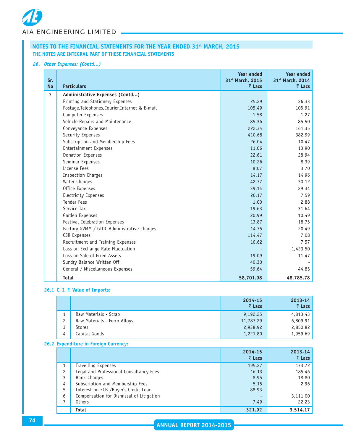# *26. Other Expenses: (Contd...)*

| Sr.<br><b>No</b> | <b>Particulars</b>                              | <b>Year ended</b><br>31st March, 2015<br>₹ Lacs | <b>Year ended</b><br>31st March, 2014<br>$\bar{z}$ Lacs |
|------------------|-------------------------------------------------|-------------------------------------------------|---------------------------------------------------------|
| 3                | Administrative Expenses (Contd)                 |                                                 |                                                         |
|                  | Printing and Stationery Expenses                | 25.29                                           | 26.33                                                   |
|                  | Postage, Telephones, Courier, Internet & E-mail | 105.49                                          | 105.91                                                  |
|                  | Computer Expenses                               | 1.58                                            | 1.27                                                    |
|                  | Vehicle Repairs and Maintenance                 | 85.36                                           | 85.50                                                   |
|                  | Conveyance Expenses                             | 222.34                                          | 161.35                                                  |
|                  | Security Expenses                               | 410.68                                          | 382.99                                                  |
|                  | Subscription and Membership Fees                | 26.04                                           | 10.47                                                   |
|                  | <b>Entertainment Expenses</b>                   | 11.06                                           | 13.90                                                   |
|                  | Donation Expenses                               | 22.61                                           | 28.94                                                   |
|                  | Seminar Expenses                                | 10.26                                           | 8.39                                                    |
|                  | License Fees                                    | 8.07                                            | 3.70                                                    |
|                  | <b>Inspection Charges</b>                       | 14.17                                           | 14.96                                                   |
|                  | Water Charges                                   | 42.77                                           | 30.12                                                   |
|                  | Office Expenses                                 | 39.14                                           | 29.34                                                   |
|                  | <b>Electricity Expenses</b>                     | 20.17                                           | 7.59                                                    |
|                  | <b>Tender Fees</b>                              | 1.00                                            | 2.88                                                    |
|                  | Service Tax                                     | 19.63                                           | 31.64                                                   |
|                  | Garden Expenses                                 | 20.99                                           | 10.49                                                   |
|                  | Festival Celebration Expenses                   | 13.87                                           | 18.75                                                   |
|                  | Factory GVMM / GIDC Administrative Charges      | 14.75                                           | 20.49                                                   |
|                  | <b>CSR Expenses</b>                             | 114.47                                          | 7.08                                                    |
|                  | Recruitment and Training Expenses               | 10.62                                           | 7.57                                                    |
|                  | Loss on Exchange Rate Fluctuation               |                                                 | 1,423.50                                                |
|                  | Loss on Sale of Fixed Assets                    | 19.09                                           | 11.47                                                   |
|                  | Sundry Balance Written Off                      | 40.30                                           |                                                         |
|                  | General / Miscellaneous Expenses                | 59.64                                           | 44.85                                                   |
|                  | <b>Total</b>                                    | 58,701.98                                       | 48,785.78                                               |

# **26.1 C. I. F. Value of Imports:**

|               |                              | 2014-15<br>₹ Lacs | $2013 - 14$<br>$\bar{z}$ Lacs |
|---------------|------------------------------|-------------------|-------------------------------|
|               | Raw Materials - Scrap        | 9,192.25          | 4,813.43                      |
| $\mathcal{P}$ | Raw Materials - Ferro Alloys | 11,787.29         | 6,809.91                      |
| 3             | Stores                       | 2,938.92          | 2,850.82                      |
| 4             | Capital Goods                | 1,221.80          | 1,959.69                      |

# **26.2 Expenditure in Foreign Currency:**

|   |                                          | 2014-15<br>₹ Lacs | 2013-14<br>₹ Lacs |
|---|------------------------------------------|-------------------|-------------------|
|   | <b>Travelling Expenses</b>               | 195.27            | 173.72            |
| 2 | Legal and Professional Consultancy Fees  | 16.13             | 185.46            |
|   | <b>Bank Charges</b>                      | 8.95              | 18.80             |
| 4 | Subscription and Membership Fees         | 5.15              | 2.96              |
| 5 | Interest on ECB /Buyer's Credit Loan     | 88.93             |                   |
| 6 | Compensation for Dismissal of Litigation |                   | 3,111.00          |
|   | <b>Others</b>                            | 7.49              | 22.23             |
|   | <b>Total</b>                             | 321.92            | 3.514.17          |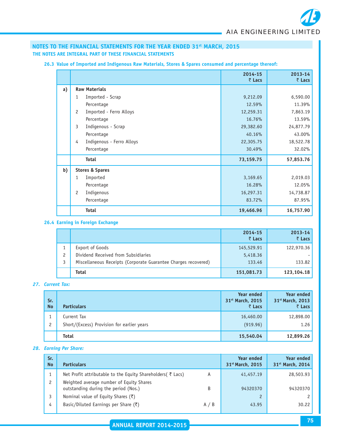|    |                                           | 2014-15<br>₹ Lacs | $2013 - 14$<br>₹ Lacs |
|----|-------------------------------------------|-------------------|-----------------------|
| a) | <b>Raw Materials</b>                      |                   |                       |
|    | Imported - Scrap<br>1                     | 9,212.09          | 6,590.00              |
|    | Percentage                                | 12.59%            | 11.39%                |
|    | $\overline{c}$<br>Imported - Ferro Alloys | 12,259.31         | 7,863.19              |
|    | Percentage                                | 16.76%            | 13.59%                |
|    | 3<br>Indigenous - Scrap                   | 29,382.60         | 24,877.79             |
|    | Percentage                                | 40.16%            | 43.00%                |
|    | Indigenous - Ferro Alloys<br>4            | 22,305.75         | 18,522.78             |
|    | Percentage                                | 30.49%            | 32.02%                |
|    | <b>Total</b>                              | 73,159.75         | 57,853.76             |
| b) | <b>Stores &amp; Spares</b>                |                   |                       |
|    | 1<br>Imported                             | 3,169.65          | 2,019.03              |
|    | Percentage                                | 16.28%            | 12.05%                |
|    | 2<br>Indigenous                           | 16,297.31         | 14,738.87             |
|    | Percentage                                | 83.72%            | 87.95%                |
|    | <b>Total</b>                              | 19,466.96         | 16,757.90             |

# **26.3 Value of Imported and Indigenous Raw Materials, Stores & Spares consumed and percentage thereof:**

# **26.4 Earning in Foreign Exchange**

|   |                                                                | 2014-15<br>₹ Lacs | $2013 - 14$<br>₹ Lacs |
|---|----------------------------------------------------------------|-------------------|-----------------------|
|   | Export of Goods                                                | 145,529.91        | 122,970.36            |
| 2 | Dividend Received from Subsidiaries                            | 5,418.36          |                       |
| 3 | Miscellaneous Receipts (Corporate Guarantee Charges recovered) | 133.46            | 133.82                |
|   | <b>Total</b>                                                   | 151,081.73        | 123,104.18            |

# *27. Current Tax:*

| Sr.<br><b>No</b>     | <b>Particulars</b>                         | Year ended<br>31 <sup>st</sup> March, 2015<br>₹ Lacs | Year ended<br>31st March, 2013<br>$\bar{z}$ Lacs |
|----------------------|--------------------------------------------|------------------------------------------------------|--------------------------------------------------|
|                      | Current Tax                                | 16,460.00                                            | 12,898.00                                        |
| $\mathbf{2}^{\circ}$ | Short/(Excess) Provision for earlier years | (919.96)                                             | 1.26                                             |
|                      | <b>Total</b>                               | 15,540.04                                            | 12,899.26                                        |

# *28. Earning Per Share:*

| Sr.<br><b>No</b> | <b>Particulars</b>                                                               |     | <b>Year ended</b><br>31st March, 2015 | <b>Year ended</b><br>31 <sup>st</sup> March, 2014 |
|------------------|----------------------------------------------------------------------------------|-----|---------------------------------------|---------------------------------------------------|
|                  | Net Profit attributable to the Equity Shareholders (₹ Lacs)                      | A   | 41,457.19                             | 28,503.93                                         |
|                  | Weighted average number of Equity Shares<br>outstanding during the period (Nos.) | B   | 94320370                              | 94320370                                          |
|                  | Nominal value of Equity Shares (₹)                                               |     | $\mathcal{P}$                         |                                                   |
| 4                | Basic/Diluted Earnings per Share ( $\bar{\zeta}$ )                               | A/B | 43.95                                 | 30.22                                             |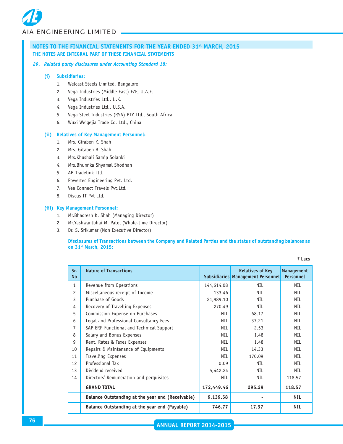#### *29. Related party disclosures under Accounting Standard 18:*

#### **(i) Subsidiaries:**

- 1. Welcast Steels Limited, Bangalore
- 2. Vega Industries (Middle East) FZE, U.A.E.
- 3. Vega Industries Ltd., U.K.
- 4. Vega Industries Ltd., U.S.A.
- 5. Vega Steel Industries (RSA) PTY Ltd., South Africa
- 6. Wuxi Weigejia Trade Co. Ltd., China

#### **(ii) Relatives of Key Management Personnel:**

- 1. Mrs. Giraben K. Shah
- 2. Mrs. Gitaben B. Shah
- 3. Mrs.Khushali Samip Solanki
- 4. Mrs.Bhumika Shyamal Shodhan
- 5. AB Tradelink Ltd.
- 6. Powertec Engineering Pvt. Ltd.
- 7. Vee Connect Travels Pvt.Ltd.
- 8. Discus IT Pvt Ltd.

#### **(iii) Key Management Personnel:**

- 1. Mr.Bhadresh K. Shah (Managing Director)
- 2. Mr.Yashwantbhai M. Patel (Whole-time Director)
- 3. Dr. S. Srikumar (Non Executive Director)

**Disclosures of Transactions between the Company and Related Parties and the status of outstanding balances as on 31st March, 2015:**

₹ Lacs

| Sr.<br><b>No</b> | <b>Nature of Transactions</b>                    |            | <b>Relatives of Key</b><br>Subsidiaries Management Personnel | Management<br><b>Personnel</b> |
|------------------|--------------------------------------------------|------------|--------------------------------------------------------------|--------------------------------|
| $\mathbf{1}$     | Revenue from Operations                          | 144,614.08 | <b>NIL</b>                                                   | <b>NIL</b>                     |
| $\mathfrak{p}$   | Miscellaneous receipt of Income                  | 133.46     | NTI                                                          | <b>NIL</b>                     |
| 3                | Purchase of Goods                                | 21,989.10  | <b>NIL</b>                                                   | <b>NIL</b>                     |
| 4                | Recovery of Travelling Expenses                  | 270.49     | NTI                                                          | <b>NIL</b>                     |
| 5                | Commission Expense on Purchases                  | <b>NIL</b> | 68.17                                                        | <b>NIL</b>                     |
| 6                | Legal and Professional Consultancy Fees          | <b>NIL</b> | 37.21                                                        | <b>NIL</b>                     |
| 7                | SAP ERP Functional and Technical Support         | <b>NIL</b> | 2.53                                                         | <b>NIL</b>                     |
| 8                | Salary and Bonus Expenses                        | NIL        | 1.48                                                         | <b>NIL</b>                     |
| g                | Rent, Rates & Taxes Expenses                     | <b>NIL</b> | 1.48                                                         | <b>NIL</b>                     |
| 10               | Repairs & Maintenance of Equipments              | <b>NIL</b> | 14.33                                                        | <b>NIL</b>                     |
| 11               | <b>Travelling Expenses</b>                       | NTI        | 170.09                                                       | <b>NIL</b>                     |
| 12               | Professional Tax                                 | 0.09       | <b>NTI</b>                                                   | <b>NIL</b>                     |
| 13               | Dividend received                                | 5,442.24   | <b>NIL</b>                                                   | <b>NIL</b>                     |
| 14               | Directors' Remuneration and perquisites          | <b>NIL</b> | <b>NIL</b>                                                   | 118.57                         |
|                  | <b>GRAND TOTAL</b>                               | 172,449.46 | 295.29                                                       | 118.57                         |
|                  | Balance Outstanding at the year end (Receivable) | 9,139.58   |                                                              | <b>NIL</b>                     |
|                  | Balance Outstanding at the year end (Payable)    | 746.77     | 17.37                                                        | <b>NIL</b>                     |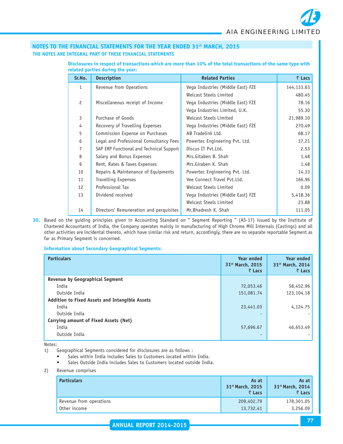|                | related parties during the year.         |                                   |            |  |  |  |  |
|----------------|------------------------------------------|-----------------------------------|------------|--|--|--|--|
| Sr.No.         | <b>Description</b>                       | <b>Related Parties</b>            | ₹ Lacs     |  |  |  |  |
| 1              | Revenue from Operations                  | Vega Industries (Middle East) FZE | 144,133.63 |  |  |  |  |
|                |                                          | Welcast Steels Limited            | 480.45     |  |  |  |  |
| $\overline{c}$ | Miscellaneous receipt of Income          | Vega Industries (Middle East) FZE | 78.16      |  |  |  |  |
|                |                                          | Vega Industries Limited, U.K.     | 55.30      |  |  |  |  |
| 3              | Purchase of Goods                        | Welcast Steels Limited            | 21,989.10  |  |  |  |  |
| 4              | Recovery of Travelling Expenses          | Vega Industries (Middle East) FZE | 270.49     |  |  |  |  |
| 5              | Commission Expense on Purchases          | AB Tradelink Ltd.                 | 68.17      |  |  |  |  |
| 6              | Legal and Professional Consultancy Fees  | Powertec Engineering Pvt. Ltd.    | 37.21      |  |  |  |  |
| 7              | SAP ERP Functional and Technical Support | Discus IT Pvt.Ltd.                | 2.53       |  |  |  |  |
| 8              | Salary and Bonus Expenses                | Mrs.Gitaben B. Shah               | 1.48       |  |  |  |  |
| 9              | Rent, Rates & Taxes Expenses             | Mrs.Giraben K. Shah               | 1.48       |  |  |  |  |
| 10             | Repairs & Maintenance of Equipments      | Powertec Engineering Pvt. Ltd.    | 14.33      |  |  |  |  |
| 11             | <b>Travelling Expenses</b>               | Vee Connect Travel Pvt.Ltd.       | 166.96     |  |  |  |  |

12 Professional Tax **Welcast Steels Limited 12 Professional Tax** 0.09 13 Dividend received **Vega Industries (Middle East) FZE** 5,418.36

14 Directors' Remuneration and perquisites Mr. Bhadresh K. Shah 111.05

Welcast Steels Limited 23.88

## **Disclosures in respect of transactions which are more than 10% of the total transactions of the same type with related parties during the year:**

**30.** Based on the guiding principles given in Accounting Standard on " Segment Reporting " (AS-17) issued by the Institute of Chartered Accountants of India, the Company operates mainly in manufacturing of High Chrome Mill Internals (Castings) and all other activities are incidental thereto, which have similar risk and return, accordingly, there are no separate reportable Segment as far as Primary Segment is concerned.

#### **Information about Secondary Geographical Segments:**

| <b>Particulars</b>                                    | Year ended<br>31st March, 2015<br>$\bar{z}$ Lacs | <b>Year ended</b><br>31st March, 2014<br>₹ Lacs |
|-------------------------------------------------------|--------------------------------------------------|-------------------------------------------------|
| <b>Revenue by Geographical Segment</b>                |                                                  |                                                 |
| India                                                 | 72,053.46                                        | 58,452.96                                       |
| Outside India                                         | 151,081.74                                       | 123,104.18                                      |
| <b>Addition to Fixed Assets and Intangible Assets</b> |                                                  |                                                 |
| India                                                 | 23,441.03                                        | 4,124.75                                        |
| Outside India                                         | $\overline{\phantom{0}}$                         |                                                 |
| Carrying amount of Fixed Assets (Net)                 |                                                  |                                                 |
| India                                                 | 57,696.67                                        | 46,653.49                                       |
| Outside India                                         | ٠                                                |                                                 |

Notes:

- 1) Geographical Segments considered for disclosures are as follows :
	- Sales within India includes Sales to Customers located within India.
		- Sales Outside India includes Sales to Customers located outside India.
- 2) Revenue comprises

| <b>Particulars</b>      | As at<br>31 <sup>st</sup> March, 2015<br>₹ Lacs | As at<br>31 <sup>st</sup> March, 2014<br>₹ Lacs |
|-------------------------|-------------------------------------------------|-------------------------------------------------|
| Revenue from operations | 209,402.79                                      | 178,301.05                                      |
| Other income            | 13,732.41                                       | 3,256.09                                        |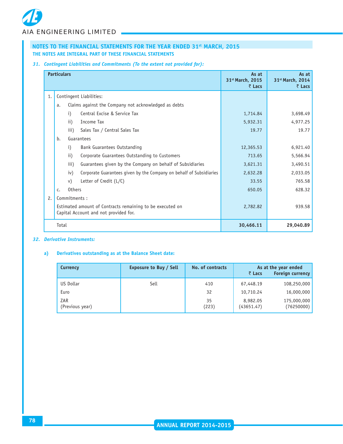# *31. Contingent Liabilities and Commitments (To the extent not provided for):*

|    | <b>Particulars</b>                                                                                 |                 |                                                                     | As at<br>31st March, 2015<br>$\bar{z}$ Lacs | As at<br>31 <sup>st</sup> March, 2014<br>$\bar{z}$ Lacs |
|----|----------------------------------------------------------------------------------------------------|-----------------|---------------------------------------------------------------------|---------------------------------------------|---------------------------------------------------------|
| 1. | Contingent Liabilities:                                                                            |                 |                                                                     |                                             |                                                         |
|    | a.                                                                                                 |                 | Claims against the Company not acknowledged as debts                |                                             |                                                         |
|    |                                                                                                    | $\mathbf{i}$    | Central Excise & Service Tax                                        | 1,714.84                                    | 3,698.49                                                |
|    |                                                                                                    | $\mathbf{ii}$   | Income Tax                                                          | 5,932.31                                    | 4,977.25                                                |
|    |                                                                                                    | iii)            | Sales Tax / Central Sales Tax                                       | 19.77                                       | 19.77                                                   |
|    | b.                                                                                                 |                 | Guarantees                                                          |                                             |                                                         |
|    |                                                                                                    | $\mathbf{i}$    | Bank Guarantees Outstanding                                         | 12,365.53                                   | 6,921.40                                                |
|    |                                                                                                    | $\mathbf{ii}$ ) | Corporate Guarantees Outstanding to Customers                       | 713.65                                      | 5,566.94                                                |
|    |                                                                                                    | iii)            | Guarantees given by the Company on behalf of Subsidiaries           | 3,621.31                                    | 3,490.51                                                |
|    |                                                                                                    | iv)             | Corporate Guarantees given by the Company on behalf of Subsidiaries | 2,632.28                                    | 2,033.05                                                |
|    |                                                                                                    | V)              | Letter of Credit (L/C)                                              | 33.55                                       | 765.58                                                  |
|    | $C_{\bullet}$                                                                                      | <b>Others</b>   |                                                                     | 650.05                                      | 628.32                                                  |
| 2. | Commitments:                                                                                       |                 |                                                                     |                                             |                                                         |
|    | Estimated amount of Contracts remaining to be executed on<br>Capital Account and not provided for. |                 | 2,782.82                                                            | 939.58                                      |                                                         |
|    | Total                                                                                              |                 |                                                                     | 30,466.11                                   | 29,040.89                                               |

# *32. Derivative Instruments:*

# **a) Derivatives outstanding as at the Balance Sheet date:**

| <b>Currency</b>        | <b>Exposure to Buy / Sell</b> | No. of contracts | As at the year ended<br><b>Foreign currency</b><br>₹ Lacs |                           |
|------------------------|-------------------------------|------------------|-----------------------------------------------------------|---------------------------|
| US Dollar              | Sell                          | 410              | 67,448.19                                                 | 108,250,000               |
| Euro                   |                               | 32               | 10,710.24                                                 | 16,000,000                |
| ZAR<br>(Previous year) |                               | 35<br>(223)      | 8,982.05<br>(43651.47)                                    | 175,000,000<br>(76250000) |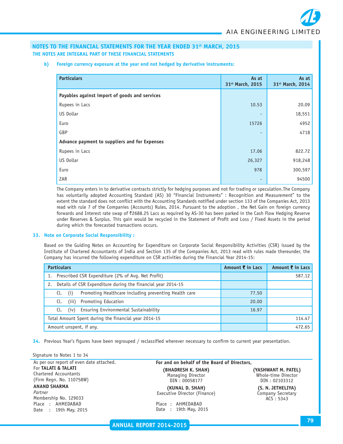**b) Foreign currency exposure at the year end not hedged by derivative instruments:**

| <b>Particulars</b>                            | As at            | As at            |
|-----------------------------------------------|------------------|------------------|
|                                               | 31st March, 2015 | 31st March, 2014 |
| Payables against import of goods and services |                  |                  |
| Rupees in Lacs                                | 10.53            | 20.09            |
| US Dollar                                     | ٠                | 18,551           |
| Euro                                          | 15726            | 4952             |
| GBP                                           | ٠                | 4718             |
| Advance payment to suppliers and for Expenses |                  |                  |
| Rupees in Lacs                                | 17.06            | 822.72           |
| US Dollar                                     | 26,327           | 918,248          |
| Euro                                          | 978              | 300,597          |
| ZAR                                           |                  | 94500            |

The Company enters in to derivative contracts strictly for hedging purposes and not for trading or speculation.The Company has voluntarily adopted Accounting Standard (AS) 30 "Financial Instruments" : Recognition and Measurement" to the extent the standard does not conflict with the Accounting Standards notified under section 133 of the Companies Act, 2013 read with rule 7 of the Companies (Accounts) Rules, 2014. Pursuant to the adoption , the Net Gain on foreign currency forwards and Interest rate swap of ₹2688.25 Lacs as required by AS-30 has been parked in the Cash Flow Hedging Reserve under Reserves & Surplus. This gain would be recycled in the Statement of Profit and Loss / Fixed Assets in the period during which the forecasted transactions occurs.

#### **33. Note on Corporate Social Responsibility :**

Based on the Guiding Notes on Accounting for Expenditure on Corporate Social Responsibility Activities (CSR) issued by the Institute of Chartered Accountants of India and Section 135 of the Companies Act, 2013 read with rules made thereunder, the Company has incurred the following expenditure on CSR activities during the Financial Year 2014-15:

| <b>Particulars</b>                                                  | Amount ₹ in Lacs | Amount ₹ in Lacs |
|---------------------------------------------------------------------|------------------|------------------|
| Prescribed CSR Expenditure (2% of Avg. Net Profit)                  |                  | 587.12           |
| Details of CSR Expenditure during the financial year 2014-15<br>2.  |                  |                  |
| Promoting Healthcare including preventing Health care<br>Cl.<br>(i) | 77.50            |                  |
| Promoting Education<br>Cl.<br>(iii)                                 | 20.00            |                  |
| Ensuring Environmental Sustainability<br>Cl.<br>(iv)                | 16.97            |                  |
| Total Amount Spent during the financial year 2014-15                |                  | 114.47           |
| Amount unspent, if any.                                             |                  | 472.65           |

**34.** Previous Year's figures have been regrouped / reclassified wherever necessary to confirm to current year presentation.

#### Signature to Notes 1 to 34

As per our report of even date attached. For **TALATI & TALATI** Chartered Accountants (Firm Regn. No. 110758W) **ANAND SHARMA**

#### *Partner* Membership No. 129033 Place : AHMEDABAD Date : 19th May, 2015

# **For and on behalf of the Board of Directors, (BHADRESH K. SHAH) (PHADRESH K. SHAH)** (VASHWANT M. PATEL)<br>
Managing Director (Whole-time Director Managing Director and Mole-time Director<br>1990 – DIN : 00058177

**(KUNAL D. SHAH) (S. N. JETHELIYA)** Executive Director (Finance) Company Secretary

Place : AHMEDABAD Date : 19th May, 2015 DIN : 02103312

ACS : 5343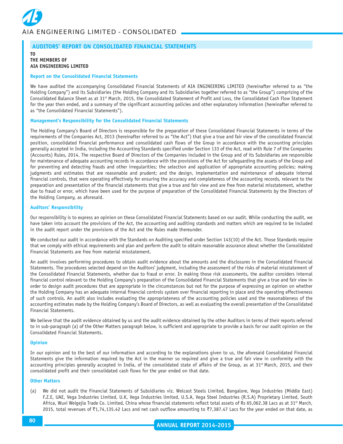# **AUDITORS' REPORT ON CONSOLIDATED FINANCIAL STATEMENTS**

# **THE MEMBERS OF AIA ENGINEERING LIMITED**

**TO**

#### **Report on the Consolidated Financial Statements**

We have audited the accompanying Consolidated Financial Statements of AIA ENGINEERING LIMITED (hereinafter referred to as "the Holding Company") and its Subsidiaries (the Holding Company and its Subsidiaries together referred to as "the Group") comprising of the Consolidated Balance Sheet as at 31st March, 2015, the Consolidated Statement of Profit and Loss, the Consolidated Cash Flow Statement for the year then ended, and a summary of the significant accounting policies and other explanatory information (hereinafter referred to as "the Consolidated Financial Statements").

#### **Management's Responsibility for the Consolidated Financial Statements**

The Holding Company's Board of Directors is responsible for the preparation of these Consolidated Financial Statements in terms of the requirements of the Companies Act, 2013 (hereinafter referred to as "the Act") that give a true and fair view of the consolidated financial position, consolidated financial performance and consolidated cash flows of the Group in accordance with the accounting principles generally accepted in India, including the Accounting Standards specified under Section 133 of the Act, read with Rule 7 of the Companies (Accounts) Rules, 2014. The respective Board of Directors of the Companies included in the Group and of its Subsidiaries are responsible for maintenance of adequate accounting records in accordance with the provisions of the Act for safeguarding the assets of the Group and for preventing and detecting frauds and other irregularities; the selection and application of appropriate accounting policies; making judgments and estimates that are reasonable and prudent; and the design, implementation and maintenance of adequate internal financial controls, that were operating effectively for ensuring the accuracy and completeness of the accounting records, relevant to the preparation and presentation of the financial statements that give a true and fair view and are free from material misstatement, whether due to fraud or error, which have been used for the purpose of preparation of the Consolidated Financial Statements by the Directors of the Holding Company, as aforesaid.

#### **Auditors' Responsibility**

Our responsibility is to express an opinion on these Consolidated Financial Statements based on our audit. While conducting the audit, we have taken into account the provisions of the Act, the accounting and auditing standards and matters which are required to be included in the audit report under the provisions of the Act and the Rules made thereunder.

We conducted our audit in accordance with the Standards on Auditing specified under Section 143(10) of the Act. Those Standards require that we comply with ethical requirements and plan and perform the audit to obtain reasonable assurance about whether the Consolidated Financial Statements are free from material misstatement.

An audit involves performing procedures to obtain audit evidence about the amounts and the disclosures in the Consolidated Financial Statements. The procedures selected depend on the Auditors' judgment, including the assessment of the risks of material misstatement of the Consolidated Financial Statements, whether due to fraud or error. In making those risk assessments, the auditor considers internal financial control relevant to the Holding Company's preparation of the Consolidated Financial Statements that give a true and fair view in order to design audit procedures that are appropriate in the circumstances but not for the purpose of expressing an opinion on whether the Holding Company has an adequate internal financial controls system over financial reporting in place and the operating effectiveness of such controls. An audit also includes evaluating the appropriateness of the accounting policies used and the reasonableness of the accounting estimates made by the Holding Company's Board of Directors, as well as evaluating the overall presentation of the Consolidated Financial Statements.

We believe that the audit evidence obtained by us and the audit evidence obtained by the other Auditors in terms of their reports referred to in sub-paragraph (a) of the Other Matters paragraph below, is sufficient and appropriate to provide a basis for our audit opinion on the Consolidated Financial Statements.

#### **Opinion**

In our opinion and to the best of our information and according to the explanations given to us, the aforesaid Consolidated Financial Statements give the information required by the Act in the manner so required and give a true and fair view in conformity with the accounting principles generally accepted in India, of the consolidated state of affairs of the Group, as at 31<sup>st</sup> March, 2015, and their consolidated profit and their consolidated cash flows for the year ended on that date.

#### **Other Matters**

(a) We did not audit the Financial Statements of Subsidiaries viz. Welcast Steels Limited, Bangalore, Vega Industries (Middle East) F.Z.E, UAE, Vega Industries Limited, U.K, Vega Industries limited, U.S.A, Vega Steel Industries (R.S.A) Proprietary Limited, South Africa, Wuxi Weigejia Trade Co. Limited, China whose financial statements reflect total assets of Rs 65,062.38 Lacs as at 31<sup>st</sup> March, 2015, total revenues of  $\bar{\tau}$ 1,74,135.42 Lacs and net cash outflow amounting to  $\bar{\tau}$ 7,387.47 Lacs for the year ended on that date, as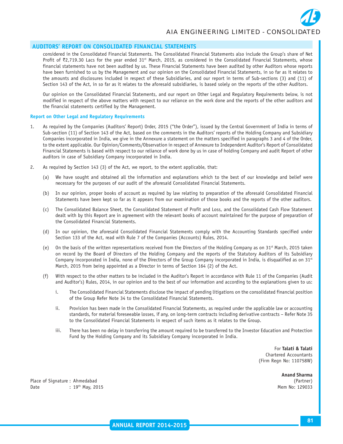

#### **AUDITORS' REPORT ON CONSOLIDATED FINANCIAL STATEMENTS**

considered in the Consolidated Financial Statements. The Consolidated Financial Statements also include the Group's share of Net Profit of  $z$ ,719.30 Lacs for the year ended 31<sup>st</sup> March, 2015, as considered in the Consolidated Financial Statements, whose financial statements have not been audited by us. These Financial Statements have been audited by other Auditors whose reports have been furnished to us by the Management and our opinion on the Consolidated Financial Statements, in so far as it relates to the amounts and disclosures included in respect of these Subsidiaries, and our report in terms of Sub-sections (3) and (11) of Section 143 of the Act, in so far as it relates to the aforesaid subsidiaries, is based solely on the reports of the other Auditors.

Our opinion on the Consolidated Financial Statements, and our report on Other Legal and Regulatory Requirements below, is not modified in respect of the above matters with respect to our reliance on the work done and the reports of the other auditors and the financial statements certified by the Management.

#### **Report on Other Legal and Regulatory Requirements**

- 1. As required by the Companies (Auditors' Report) Order, 2015 ("the Order"), issued by the Central Government of India in terms of Sub-section (11) of Section 143 of the Act, based on the comments in the Auditors' reports of the Holding Company and Subsidiary Companies incorporated in India, we give in the Annexure a statement on the matters specified in paragraphs 3 and 4 of the Order, to the extent applicable. Our Opinion/Comments/Observation in respect of Annexure to Independent Auditor's Report of Consolidated Financial Statements is based with respect to our reliance of work done by us in case of holding Company and audit Report of other auditors in case of Subsidiary Company incorporated in India.
- 2. As required by Section 143 (3) of the Act, we report, to the extent applicable, that:
	- (a) We have sought and obtained all the information and explanations which to the best of our knowledge and belief were necessary for the purposes of our audit of the aforesaid Consolidated Financial Statements.
	- (b) In our opinion, proper books of account as required by law relating to preparation of the aforesaid Consolidated Financial Statements have been kept so far as it appears from our examination of those books and the reports of the other auditors.
	- (c) The Consolidated Balance Sheet, the Consolidated Statement of Profit and Loss, and the Consolidated Cash Flow Statement dealt with by this Report are in agreement with the relevant books of account maintained for the purpose of preparation of the Consolidated Financial Statements.
	- (d) In our opinion, the aforesaid Consolidated Financial Statements comply with the Accounting Standards specified under Section 133 of the Act, read with Rule 7 of the Companies (Accounts) Rules, 2014.
	- (e) On the basis of the written representations received from the Directors of the Holding Company as on 31<sup>st</sup> March, 2015 taken on record by the Board of Directors of the Holding Company and the reports of the Statutory Auditors of its Subsidiary Company incorporated in India, none of the Directors of the Group Company incorporated in India, is disqualified as on  $31<sup>st</sup>$ March, 2015 from being appointed as a Director in terms of Section 164 (2) of the Act.
	- (f) With respect to the other matters to be included in the Auditor's Report in accordance with Rule 11 of the Companies (Audit and Auditor's) Rules, 2014, in our opinion and to the best of our information and according to the explanations given to us:
		- i. The Consolidated Financial Statements disclose the impact of pending litigations on the consolidated financial position of the Group Refer Note 34 to the Consolidated Financial Statements.
		- ii. Provision has been made in the Consolidated Financial Statements, as required under the applicable law or accounting standards, for material foreseeable losses, if any, on long-term contracts including derivative contracts – Refer Note 35 to the Consolidated Financial Statements in respect of such items as it relates to the Group.
		- iii. There has been no delay in transferring the amount required to be transferred to the Investor Education and Protection Fund by the Holding Company and its Subsidiary Company incorporated in India.

For **Talati & Talati** Chartered Accountants (Firm Regn No: 110758W)

**Anand Sharma**

Place of Signature : Ahmedabad Date : 19<sup>th</sup> May, 2015 **May, 2016** Mem No: 129033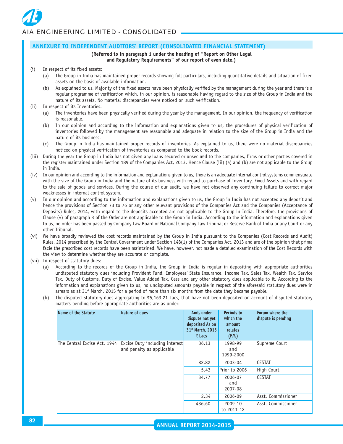# **ANNEXURE TO INDEPENDENT AUDITORS' REPORT (CONSOLIDATED FINANCIAL STATEMENT)**

# **(Referred to in paragraph 1 under the heading of "Report on Other Legal**

# **and Regulatory Requirements" of our report of even date.)**

- (i) In respect of its fixed assets:
	- (a) The Group in India has maintained proper records showing full particulars, including quantitative details and situation of fixed assets on the basis of available information.
	- (b) As explained to us, Majority of the fixed assets have been physically verified by the management during the year and there is a regular programme of verification which, in our opinion, is reasonable having regard to the size of the Group in India and the nature of its assets. No material discrepancies were noticed on such verification.
- (ii) In respect of its Inventories:
	- (a) The inventories have been physically verified during the year by the management. In our opinion, the frequency of verification is reasonable.
	- (b) In our opinion and according to the information and explanations given to us, the procedures of physical verification of inventories followed by the management are reasonable and adequate in relation to the size of the Group in India and the nature of its business.
	- (c) The Group in India has maintained proper records of inventories. As explained to us, there were no material discrepancies noticed on physical verification of inventories as compared to the book records.
- (iii) During the year the Group in India has not given any loans secured or unsecured to the companies, firms or other parties covered in the register maintained under Section 189 of the Companies Act, 2013. Hence Clause (iii) (a) and (b) are not applicable to the Group in India.
- (iv) In our opinion and according to the information and explanations given to us, there is an adequate internal control systems commensurate with the size of the Group in India and the nature of its business with regard to purchase of Inventory, Fixed Assets and with regard to the sale of goods and services. During the course of our audit, we have not observed any continuing failure to correct major weaknesses in internal control system.
- (v) In our opinion and according to the information and explanations given to us, the Group in India has not accepted any deposit and hence the provisions of Section 73 to 76 or any other relevant provisions of the Companies Act and the Companies (Acceptance of Deposits) Rules, 2014, with regard to the deposits accepted are not applicable to the Group in India. Therefore, the provisions of Clause (v) of paragraph 3 of the Order are not applicable to the Group in India. According to the information and explanations given to us, no order has been passed by Company Law Board or National Company Law Tribunal or Reserve Bank of India or any Court or any other Tribunal.
- (vi) We have broadly reviewed the cost records maintained by the Group in India pursuant to the Companies (Cost Records and Audit) Rules, 2014 prescribed by the Central Government under Section 148(1) of the Companies Act, 2013 and are of the opinion that prima facie the prescribed cost records have been maintained. We have, however, not made a detailed examination of the Cost Records with the view to determine whether they are accurate or complete.
- (vii) In respect of statutory dues:
	- (a) According to the records of the Group in India, the Group in India is regular in depositing with appropriate authorities undisputed statutory dues including Provident Fund, Employees' State Insurance, Income Tax, Sales Tax, Wealth Tax, Service Tax, Duty of Customs, Duty of Excise, Value Added Tax, Cess and any other statutory dues applicable to it. According to the information and explanations given to us, no undisputed amounts payable in respect of the aforesaid statutory dues were in arrears as at  $31<sup>st</sup>$  March, 2015 for a period of more than six months from the date they became payable.
	- (b) The disputed Statutory dues aggregating to  $\overline{5}5,163.21$  Lacs, that have not been deposited on account of disputed statutory matters pending before appropriate authorities are as under:

| Name of the Statute          | Nature of dues                                              | Amt. under<br>dispute not yet<br>deposited As on<br>31 <sup>st</sup> March, 2015<br>₹ Lacs | Periods to<br>which the<br>amount<br>relates<br>(F.Y.) | Forum where the<br>dispute is pending |
|------------------------------|-------------------------------------------------------------|--------------------------------------------------------------------------------------------|--------------------------------------------------------|---------------------------------------|
| The Central Excise Act, 1944 | Excise Duty including interest<br>and penalty as applicable | 36.13                                                                                      | 1998-99<br>and<br>1999-2000                            | Supreme Court                         |
|                              |                                                             | 82.82                                                                                      | 2003-04                                                | <b>CESTAT</b>                         |
|                              |                                                             | 5.43                                                                                       | Prior to 2006                                          | High Court                            |
|                              |                                                             | 34.77                                                                                      | 2006-07<br>and<br>2007-08                              | <b>CESTAT</b>                         |
|                              |                                                             | 2.34                                                                                       | 2006-09                                                | Asst. Commissioner                    |
|                              |                                                             | 436.60                                                                                     | 2009-10<br>to 2011-12                                  | Asst. Commissioner                    |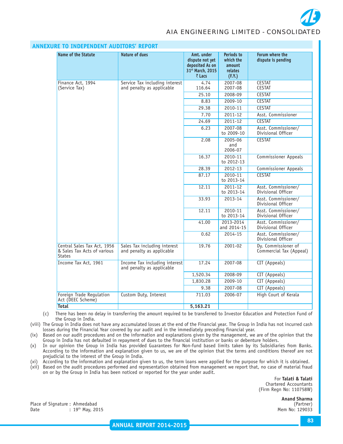

| <b>Name of the Statute</b>                                                  | Nature of dues                                              | Amt. under<br>dispute not yet<br>deposited As on<br>31 <sup>st</sup> March, 2015<br>$\bar{z}$ Lacs | Periods to<br>which the<br>amount<br>relates<br>(F.Y.) | Forum where the<br>dispute is pending          |
|-----------------------------------------------------------------------------|-------------------------------------------------------------|----------------------------------------------------------------------------------------------------|--------------------------------------------------------|------------------------------------------------|
| Finance Act. 1994<br>(Service Tax)                                          | Service Tax including interest<br>and penalty as applicable | 4.74<br>116.64                                                                                     | 2007-08<br>2007-08                                     | <b>CESTAT</b><br><b>CESTAT</b>                 |
|                                                                             |                                                             | 25.10                                                                                              | 2008-09                                                | <b>CESTAT</b>                                  |
|                                                                             |                                                             | 8.83                                                                                               | 2009-10                                                | <b>CESTAT</b>                                  |
|                                                                             |                                                             | 29.38                                                                                              | 2010-11                                                | <b>CESTAT</b>                                  |
|                                                                             |                                                             | 7.70                                                                                               | 2011-12                                                | Asst. Commissioner                             |
|                                                                             |                                                             | 24.69                                                                                              | 2011-12                                                | <b>CESTAT</b>                                  |
|                                                                             |                                                             | 6.23                                                                                               | 2007-08<br>to 2009-10                                  | Asst. Commissioner/<br>Divisional Officer      |
|                                                                             |                                                             | 2.08                                                                                               | 2005-06<br>and<br>2006-07                              | <b>CESTAT</b>                                  |
|                                                                             |                                                             | 16.37                                                                                              | 2010-11<br>to 2012-13                                  | <b>Commissioner Appeals</b>                    |
|                                                                             |                                                             | 28.39                                                                                              | 2012-13                                                | <b>Commissioner Appeals</b>                    |
|                                                                             |                                                             | 87.17                                                                                              | 2010-11<br>to 2013-14                                  | <b>CESTAT</b>                                  |
|                                                                             |                                                             | 12.11                                                                                              | 2011-12<br>to 2013-14                                  | Asst. Commissioner/<br>Divisional Officer      |
|                                                                             |                                                             | 33.93                                                                                              | 2013-14                                                | Asst. Commissioner/<br>Divisional Officer      |
|                                                                             |                                                             | 12.11                                                                                              | 2010-11<br>to 2013-14                                  | Asst. Commissioner/<br>Divisional Officer      |
|                                                                             |                                                             | 41.00                                                                                              | 2013-2014<br>and 2014-15                               | Asst. Commissioner/<br>Divisional Officer      |
|                                                                             |                                                             | 0.62                                                                                               | 2014-15                                                | Asst. Commissioner/<br>Divisional Officer      |
| Central Sales Tax Act, 1956<br>& Sales Tax Acts of various<br><b>States</b> | Sales Tax including interest<br>and penalty as applicable   | 19.76                                                                                              | 2001-02                                                | Dy. Commissioner of<br>Commercial Tax (Appeal) |
| Income Tax Act, 1961                                                        | Income Tax including interest<br>and penalty as applicable  | 17.24                                                                                              | 2007-08                                                | CIT (Appeals)                                  |
|                                                                             |                                                             | 1,520.34                                                                                           | 2008-09                                                | CIT (Appeals)                                  |
|                                                                             |                                                             | 1,830.28                                                                                           | 2009-10                                                | CIT (Appeals)                                  |
|                                                                             |                                                             | 9.38                                                                                               | 2007-08                                                | CIT (Appeals)                                  |
| Foreign Trade Regulation<br>Act (DEEC Scheme)                               | Custom Duty, Interest                                       | 711.03                                                                                             | 2006-07                                                | High Court of Kerala                           |
| <b>Total</b>                                                                |                                                             | 5.163.21                                                                                           |                                                        |                                                |

# **ANNEXU**

(c) There has been no delay in transferring the amount required to be transferred to Investor Education and Protection Fund of the Group in India.

(viii) The Group in India does not have any accumulated losses at the end of the Financial year. The Group in India has not incurred cash losses during the Financial Year covered by our audit and in the immediately preceding financial year.

(ix) Based on our audit procedures and on the information and explanations given by the management, we are of the opinion that the Group in India has not defaulted in repayment of dues to the financial institution or banks or debenture holders.

(x) In our opinion the Group in India has provided Guarantees for Non-fund based limits taken by its Subsidiaries from Banks. According to the information and explanation given to us, we are of the opinion that the terms and conditions thereof are not prejudicial to the interest of the Group in India.

(xi) According to the information and explanation given to us, the term loans were applied for the purpose for which it is obtained.

(xii) Based on the audit procedures performed and representation obtained from management we report that, no case of material fraud on or by the Group in India has been noticed or reported for the year under audit.

> For **Talati & Talati** Chartered Accountants (Firm Regn No: 110758W)

> > **Anand Sharma**

Place of Signature : Ahmedabad Date : 19th May, 2015 Mem No: 129033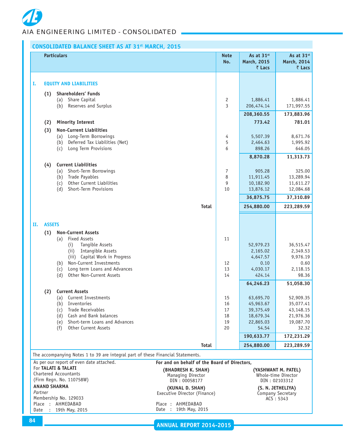# **CONSOLIDATED BALANCE SHEET AS AT 31st MARCH, 2015**

|      |               | <b>Particulars</b>                                                              | <b>Note</b><br>No.                              | As at 31 <sup>st</sup><br>March, 2015<br>₹ Lacs | As at 31st<br><b>March, 2014</b><br>₹ Lacs |
|------|---------------|---------------------------------------------------------------------------------|-------------------------------------------------|-------------------------------------------------|--------------------------------------------|
| Ι.   |               | <b>EQUITY AND LIABILITIES</b>                                                   |                                                 |                                                 |                                            |
|      |               |                                                                                 |                                                 |                                                 |                                            |
|      | (1)           | <b>Shareholders' Funds</b><br>Share Capital<br>(a)                              | 2                                               | 1,886.41                                        | 1,886.41                                   |
|      |               | Reserves and Surplus<br>(b)                                                     | 3                                               | 206,474.14                                      | 171,997.55                                 |
|      |               |                                                                                 |                                                 | 208,360.55                                      | 173,883.96                                 |
|      | (2)           | <b>Minority Interest</b>                                                        |                                                 | 773.42                                          | 781.01                                     |
|      | (3)           | <b>Non-Current Liabilities</b>                                                  |                                                 |                                                 |                                            |
|      |               | Long-Term Borrowings<br>(a)                                                     | 4                                               | 5,507.39                                        | 8,671.76                                   |
|      |               | Deferred Tax Liabilities (Net)<br>(b)                                           | 5                                               | 2,464.63                                        | 1,995.92                                   |
|      |               | Long Term Provisions<br>(c)                                                     | 6                                               | 898.26                                          | 646.05                                     |
|      |               |                                                                                 |                                                 | 8,870.28                                        | 11,313.73                                  |
|      | (4)           | <b>Current Liabilities</b>                                                      |                                                 |                                                 |                                            |
|      |               | Short-Term Borrowings<br>(a)<br>Trade Payables<br>(b)                           | 7<br>8                                          | 905.28<br>11,911.45                             | 325.00<br>13,289.94                        |
|      |               | Other Current Liabilities<br>(c)                                                | 9                                               | 10,182.90                                       | 11,611.27                                  |
|      |               | Short-Term Provisions<br>(d)                                                    | 10                                              | 13,876.12                                       | 12,084.68                                  |
|      |               |                                                                                 |                                                 | 36,875.75                                       | 37,310.89                                  |
|      |               |                                                                                 | <b>Total</b>                                    | 254,880.00                                      | 223,289.59                                 |
|      |               |                                                                                 |                                                 |                                                 |                                            |
| П.   | <b>ASSETS</b> |                                                                                 |                                                 |                                                 |                                            |
|      | (1)           | <b>Non-Current Assets</b>                                                       |                                                 |                                                 |                                            |
|      |               | <b>Fixed Assets</b><br>(a)                                                      | 11                                              |                                                 |                                            |
|      |               | Tangible Assets<br>(i)<br>Intangible Assets<br>(i)                              |                                                 | 52,979.23<br>2,165.02                           | 36,515.47<br>2,349.53                      |
|      |               | (iii) Capital Work in Progress                                                  |                                                 | 4,647.57                                        | 9,976.19                                   |
|      |               | Non-Current Investments<br>(b)                                                  | 12                                              | 0.10                                            | 0.60                                       |
|      |               | Long term Loans and Advances<br>(c)                                             | 13                                              | 4,030.17                                        | 2,118.15                                   |
|      |               | Other Non-Current Assets<br>(d)                                                 | 14                                              | 424.14                                          | 98.36                                      |
|      |               | <b>Current Assets</b>                                                           |                                                 | 64,246.23                                       | 51,058.30                                  |
|      | (2)           | Current Investments<br>(a)                                                      | 15                                              | 63,695.70                                       | 52,909.35                                  |
|      |               | Inventories<br>(b)                                                              | 16                                              | 45,963.67                                       | 35,077.41                                  |
|      |               | <b>Trade Receivables</b><br>(c)                                                 | 17                                              | 39,375.49                                       | 43,148.15                                  |
|      |               | Cash and Bank balances<br>(d)                                                   | 18                                              | 18,679.34                                       | 21,976.36                                  |
|      |               | Short-term Loans and Advances<br>(e)<br>(f)<br>Other Current Assets             | 19<br>20                                        | 22,865.03<br>54.54                              | 19,087.70<br>32.32                         |
|      |               |                                                                                 |                                                 | 190,633.77                                      | 172,231.29                                 |
|      |               |                                                                                 | Total                                           | 254,880.00                                      | 223,289.59                                 |
|      |               | The accompanying Notes 1 to 39 are integral part of these Financial Statements. |                                                 |                                                 |                                            |
|      |               | As per our report of even date attached.                                        | For and on behalf of the Board of Directors,    |                                                 |                                            |
|      |               | For TALATI & TALATI                                                             | (BHADRESH K. SHAH)                              |                                                 | (YASHWANT M. PATEL)                        |
|      |               | <b>Chartered Accountants</b><br>(Firm Regn. No. 110758W)                        | Managing Director                               |                                                 | Whole-time Director                        |
|      |               | <b>ANAND SHARMA</b>                                                             | DIN: 00058177                                   |                                                 | DIN: 02103312                              |
|      | Partner       |                                                                                 | (KUNAL D. SHAH)<br>Executive Director (Finance) |                                                 | (S. N. JETHELIYA)<br>Company Secretary     |
|      |               | Membership No. 129033                                                           |                                                 |                                                 | ACS: 5343                                  |
| Date |               | Place : AHMEDABAD<br>: 19th May, 2015                                           | Place: AHMEDABAD<br>Date : 19th May, 2015       |                                                 |                                            |
|      |               |                                                                                 |                                                 |                                                 |                                            |

**ANNUAL REPORT 2014-2015**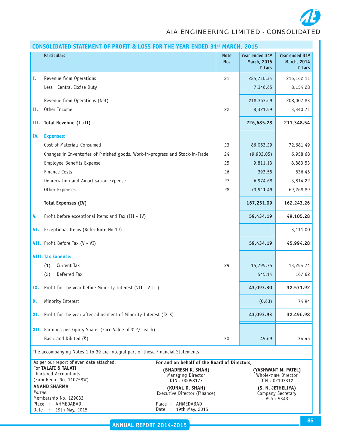*AIA ENGINEERING LIMITED - CONSOLIDATED*

| Year ended 31st<br><b>Particulars</b><br>Year ended 31st<br><b>Note</b><br>No.<br>March, 2015<br>March, 2014<br>₹ Lacs<br>₹ Lacs<br>Revenue from Operations<br>21<br>225,710.34<br>216,162.11<br>I.<br>Less : Central Excise Duty<br>7,346.65<br>8,154.28<br>Revenue from Operations (Net)<br>218,363.69<br>208,007.83<br>Other Income<br>22<br>8,321.59<br>3,340.71<br>н.<br>Total Revenue (I +II)<br>226,685.28<br>211,348.54<br>III.<br>IV.<br><b>Expenses:</b><br>Cost of Materials Consumed<br>23<br>86,063.29<br>72,681.49<br>Changes in Inventories of Finished goods, Work-in-progress and Stock-in-Trade<br>24<br>(9,903.05)<br>6,958.68<br>Employee Benefits Expense<br>8,883.53<br>25<br>9,811.13<br><b>Finance Costs</b><br>393.55<br>636.45<br>26<br>Depreciation and Amortisation Expense<br>27<br>6,974.68<br>3,814.22<br>Other Expenses<br>28<br>73,911.49<br>69,268.89<br><b>Total Expenses (IV)</b><br>167,251.09<br>162,243.26<br>Profit before exceptional items and Tax (III - IV)<br>V.<br>59,434.19<br>49,105.28<br>Exceptional Items (Refer Note No.19)<br>VI.<br>3,111.00<br>VII. Profit Before Tax (V - VI)<br>59,434.19<br>45,994.28<br><b>VIII. Tax Expense:</b><br>Current Tax<br>(1)<br>29<br>15,795.75<br>13,254.74<br>Deferred Tax<br>(2)<br>545.14<br>167.62<br>Profit for the year before Minority Interest (VII - VIII )<br>43,093.30<br>32,571.92<br>IX.<br>Minority Interest<br>(0.63)<br>74.94<br>X.<br>43,093.93<br>Profit for the year after adjustment of Minority Interest (IX-X)<br>32,496.98<br>XI.<br><b>XII.</b> Earnings per Equity Share: (Face Value of $\bar{\tau}$ 2/- each)<br>Basic and Diluted $(\overline{\zeta})$<br>45.69<br>34.45<br>30<br>The accompanying Notes 1 to 39 are integral part of these Financial Statements.<br>As per our report of even date attached.<br>For and on behalf of the Board of Directors,<br>For TALATI & TALATI<br>(YASHWANT M. PATEL)<br>(BHADRESH K. SHAH)<br>Chartered Accountants<br>Whole-time Director<br>Managing Director<br>(Firm Regn. No. 110758W)<br>DIN: 00058177<br>DIN: 02103312<br><b>ANAND SHARMA</b><br>(KUNAL D. SHAH)<br>(S. N. JETHELIYA)<br>Partner<br>Executive Director (Finance)<br>Company Secretary<br>Membership No. 129033<br>ACS: 5343<br>Place : AHMEDABAD<br>Place: AHMEDABAD<br>Date | CONSOLIDATED STATEMENT OF PROFIT & LOSS FOR THE YEAR ENDED 31 <sup>st</sup> MARCH, 2015 |                       |  |  |  |  |
|---------------------------------------------------------------------------------------------------------------------------------------------------------------------------------------------------------------------------------------------------------------------------------------------------------------------------------------------------------------------------------------------------------------------------------------------------------------------------------------------------------------------------------------------------------------------------------------------------------------------------------------------------------------------------------------------------------------------------------------------------------------------------------------------------------------------------------------------------------------------------------------------------------------------------------------------------------------------------------------------------------------------------------------------------------------------------------------------------------------------------------------------------------------------------------------------------------------------------------------------------------------------------------------------------------------------------------------------------------------------------------------------------------------------------------------------------------------------------------------------------------------------------------------------------------------------------------------------------------------------------------------------------------------------------------------------------------------------------------------------------------------------------------------------------------------------------------------------------------------------------------------------------------------------------------------------------------------------------------------------------------------------------------------------------------------------------------------------------------------------------------------------------------------------------------------------------------------------------------------------------------------------------------------------------------------|-----------------------------------------------------------------------------------------|-----------------------|--|--|--|--|
|                                                                                                                                                                                                                                                                                                                                                                                                                                                                                                                                                                                                                                                                                                                                                                                                                                                                                                                                                                                                                                                                                                                                                                                                                                                                                                                                                                                                                                                                                                                                                                                                                                                                                                                                                                                                                                                                                                                                                                                                                                                                                                                                                                                                                                                                                                               |                                                                                         |                       |  |  |  |  |
|                                                                                                                                                                                                                                                                                                                                                                                                                                                                                                                                                                                                                                                                                                                                                                                                                                                                                                                                                                                                                                                                                                                                                                                                                                                                                                                                                                                                                                                                                                                                                                                                                                                                                                                                                                                                                                                                                                                                                                                                                                                                                                                                                                                                                                                                                                               |                                                                                         |                       |  |  |  |  |
|                                                                                                                                                                                                                                                                                                                                                                                                                                                                                                                                                                                                                                                                                                                                                                                                                                                                                                                                                                                                                                                                                                                                                                                                                                                                                                                                                                                                                                                                                                                                                                                                                                                                                                                                                                                                                                                                                                                                                                                                                                                                                                                                                                                                                                                                                                               |                                                                                         |                       |  |  |  |  |
|                                                                                                                                                                                                                                                                                                                                                                                                                                                                                                                                                                                                                                                                                                                                                                                                                                                                                                                                                                                                                                                                                                                                                                                                                                                                                                                                                                                                                                                                                                                                                                                                                                                                                                                                                                                                                                                                                                                                                                                                                                                                                                                                                                                                                                                                                                               |                                                                                         |                       |  |  |  |  |
|                                                                                                                                                                                                                                                                                                                                                                                                                                                                                                                                                                                                                                                                                                                                                                                                                                                                                                                                                                                                                                                                                                                                                                                                                                                                                                                                                                                                                                                                                                                                                                                                                                                                                                                                                                                                                                                                                                                                                                                                                                                                                                                                                                                                                                                                                                               |                                                                                         |                       |  |  |  |  |
|                                                                                                                                                                                                                                                                                                                                                                                                                                                                                                                                                                                                                                                                                                                                                                                                                                                                                                                                                                                                                                                                                                                                                                                                                                                                                                                                                                                                                                                                                                                                                                                                                                                                                                                                                                                                                                                                                                                                                                                                                                                                                                                                                                                                                                                                                                               |                                                                                         |                       |  |  |  |  |
|                                                                                                                                                                                                                                                                                                                                                                                                                                                                                                                                                                                                                                                                                                                                                                                                                                                                                                                                                                                                                                                                                                                                                                                                                                                                                                                                                                                                                                                                                                                                                                                                                                                                                                                                                                                                                                                                                                                                                                                                                                                                                                                                                                                                                                                                                                               |                                                                                         |                       |  |  |  |  |
|                                                                                                                                                                                                                                                                                                                                                                                                                                                                                                                                                                                                                                                                                                                                                                                                                                                                                                                                                                                                                                                                                                                                                                                                                                                                                                                                                                                                                                                                                                                                                                                                                                                                                                                                                                                                                                                                                                                                                                                                                                                                                                                                                                                                                                                                                                               |                                                                                         |                       |  |  |  |  |
|                                                                                                                                                                                                                                                                                                                                                                                                                                                                                                                                                                                                                                                                                                                                                                                                                                                                                                                                                                                                                                                                                                                                                                                                                                                                                                                                                                                                                                                                                                                                                                                                                                                                                                                                                                                                                                                                                                                                                                                                                                                                                                                                                                                                                                                                                                               |                                                                                         |                       |  |  |  |  |
|                                                                                                                                                                                                                                                                                                                                                                                                                                                                                                                                                                                                                                                                                                                                                                                                                                                                                                                                                                                                                                                                                                                                                                                                                                                                                                                                                                                                                                                                                                                                                                                                                                                                                                                                                                                                                                                                                                                                                                                                                                                                                                                                                                                                                                                                                                               |                                                                                         |                       |  |  |  |  |
|                                                                                                                                                                                                                                                                                                                                                                                                                                                                                                                                                                                                                                                                                                                                                                                                                                                                                                                                                                                                                                                                                                                                                                                                                                                                                                                                                                                                                                                                                                                                                                                                                                                                                                                                                                                                                                                                                                                                                                                                                                                                                                                                                                                                                                                                                                               |                                                                                         |                       |  |  |  |  |
|                                                                                                                                                                                                                                                                                                                                                                                                                                                                                                                                                                                                                                                                                                                                                                                                                                                                                                                                                                                                                                                                                                                                                                                                                                                                                                                                                                                                                                                                                                                                                                                                                                                                                                                                                                                                                                                                                                                                                                                                                                                                                                                                                                                                                                                                                                               |                                                                                         |                       |  |  |  |  |
|                                                                                                                                                                                                                                                                                                                                                                                                                                                                                                                                                                                                                                                                                                                                                                                                                                                                                                                                                                                                                                                                                                                                                                                                                                                                                                                                                                                                                                                                                                                                                                                                                                                                                                                                                                                                                                                                                                                                                                                                                                                                                                                                                                                                                                                                                                               |                                                                                         |                       |  |  |  |  |
|                                                                                                                                                                                                                                                                                                                                                                                                                                                                                                                                                                                                                                                                                                                                                                                                                                                                                                                                                                                                                                                                                                                                                                                                                                                                                                                                                                                                                                                                                                                                                                                                                                                                                                                                                                                                                                                                                                                                                                                                                                                                                                                                                                                                                                                                                                               |                                                                                         |                       |  |  |  |  |
|                                                                                                                                                                                                                                                                                                                                                                                                                                                                                                                                                                                                                                                                                                                                                                                                                                                                                                                                                                                                                                                                                                                                                                                                                                                                                                                                                                                                                                                                                                                                                                                                                                                                                                                                                                                                                                                                                                                                                                                                                                                                                                                                                                                                                                                                                                               |                                                                                         |                       |  |  |  |  |
|                                                                                                                                                                                                                                                                                                                                                                                                                                                                                                                                                                                                                                                                                                                                                                                                                                                                                                                                                                                                                                                                                                                                                                                                                                                                                                                                                                                                                                                                                                                                                                                                                                                                                                                                                                                                                                                                                                                                                                                                                                                                                                                                                                                                                                                                                                               |                                                                                         |                       |  |  |  |  |
|                                                                                                                                                                                                                                                                                                                                                                                                                                                                                                                                                                                                                                                                                                                                                                                                                                                                                                                                                                                                                                                                                                                                                                                                                                                                                                                                                                                                                                                                                                                                                                                                                                                                                                                                                                                                                                                                                                                                                                                                                                                                                                                                                                                                                                                                                                               |                                                                                         |                       |  |  |  |  |
|                                                                                                                                                                                                                                                                                                                                                                                                                                                                                                                                                                                                                                                                                                                                                                                                                                                                                                                                                                                                                                                                                                                                                                                                                                                                                                                                                                                                                                                                                                                                                                                                                                                                                                                                                                                                                                                                                                                                                                                                                                                                                                                                                                                                                                                                                                               |                                                                                         |                       |  |  |  |  |
|                                                                                                                                                                                                                                                                                                                                                                                                                                                                                                                                                                                                                                                                                                                                                                                                                                                                                                                                                                                                                                                                                                                                                                                                                                                                                                                                                                                                                                                                                                                                                                                                                                                                                                                                                                                                                                                                                                                                                                                                                                                                                                                                                                                                                                                                                                               |                                                                                         |                       |  |  |  |  |
|                                                                                                                                                                                                                                                                                                                                                                                                                                                                                                                                                                                                                                                                                                                                                                                                                                                                                                                                                                                                                                                                                                                                                                                                                                                                                                                                                                                                                                                                                                                                                                                                                                                                                                                                                                                                                                                                                                                                                                                                                                                                                                                                                                                                                                                                                                               |                                                                                         |                       |  |  |  |  |
|                                                                                                                                                                                                                                                                                                                                                                                                                                                                                                                                                                                                                                                                                                                                                                                                                                                                                                                                                                                                                                                                                                                                                                                                                                                                                                                                                                                                                                                                                                                                                                                                                                                                                                                                                                                                                                                                                                                                                                                                                                                                                                                                                                                                                                                                                                               |                                                                                         |                       |  |  |  |  |
|                                                                                                                                                                                                                                                                                                                                                                                                                                                                                                                                                                                                                                                                                                                                                                                                                                                                                                                                                                                                                                                                                                                                                                                                                                                                                                                                                                                                                                                                                                                                                                                                                                                                                                                                                                                                                                                                                                                                                                                                                                                                                                                                                                                                                                                                                                               |                                                                                         |                       |  |  |  |  |
|                                                                                                                                                                                                                                                                                                                                                                                                                                                                                                                                                                                                                                                                                                                                                                                                                                                                                                                                                                                                                                                                                                                                                                                                                                                                                                                                                                                                                                                                                                                                                                                                                                                                                                                                                                                                                                                                                                                                                                                                                                                                                                                                                                                                                                                                                                               |                                                                                         |                       |  |  |  |  |
|                                                                                                                                                                                                                                                                                                                                                                                                                                                                                                                                                                                                                                                                                                                                                                                                                                                                                                                                                                                                                                                                                                                                                                                                                                                                                                                                                                                                                                                                                                                                                                                                                                                                                                                                                                                                                                                                                                                                                                                                                                                                                                                                                                                                                                                                                                               |                                                                                         |                       |  |  |  |  |
|                                                                                                                                                                                                                                                                                                                                                                                                                                                                                                                                                                                                                                                                                                                                                                                                                                                                                                                                                                                                                                                                                                                                                                                                                                                                                                                                                                                                                                                                                                                                                                                                                                                                                                                                                                                                                                                                                                                                                                                                                                                                                                                                                                                                                                                                                                               |                                                                                         |                       |  |  |  |  |
|                                                                                                                                                                                                                                                                                                                                                                                                                                                                                                                                                                                                                                                                                                                                                                                                                                                                                                                                                                                                                                                                                                                                                                                                                                                                                                                                                                                                                                                                                                                                                                                                                                                                                                                                                                                                                                                                                                                                                                                                                                                                                                                                                                                                                                                                                                               |                                                                                         |                       |  |  |  |  |
|                                                                                                                                                                                                                                                                                                                                                                                                                                                                                                                                                                                                                                                                                                                                                                                                                                                                                                                                                                                                                                                                                                                                                                                                                                                                                                                                                                                                                                                                                                                                                                                                                                                                                                                                                                                                                                                                                                                                                                                                                                                                                                                                                                                                                                                                                                               |                                                                                         |                       |  |  |  |  |
|                                                                                                                                                                                                                                                                                                                                                                                                                                                                                                                                                                                                                                                                                                                                                                                                                                                                                                                                                                                                                                                                                                                                                                                                                                                                                                                                                                                                                                                                                                                                                                                                                                                                                                                                                                                                                                                                                                                                                                                                                                                                                                                                                                                                                                                                                                               | 19th May, 2015                                                                          | Date : 19th May, 2015 |  |  |  |  |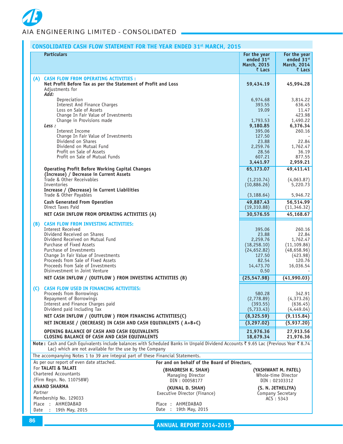# **CONSOLIDATED CASH FLOW STATEMENT FOR THE YEAR ENDED 31st MARCH, 2015**

|         | <b>Particulars</b>                                                                                                                                                                                                                                                                                                                             |                                                          | For the year<br>ended 31st<br>March, 2015<br>₹ Lacs                                                 | For the year<br>ended 31st<br>March, 2014<br>₹ Lacs                                            |
|---------|------------------------------------------------------------------------------------------------------------------------------------------------------------------------------------------------------------------------------------------------------------------------------------------------------------------------------------------------|----------------------------------------------------------|-----------------------------------------------------------------------------------------------------|------------------------------------------------------------------------------------------------|
|         |                                                                                                                                                                                                                                                                                                                                                |                                                          |                                                                                                     |                                                                                                |
| (A)     | <b>CASH FLOW FROM OPERATING ACTIVITIES :</b><br>Net Profit Before Tax as per the Statement of Profit and Loss<br>Adjustments for<br>Add:                                                                                                                                                                                                       |                                                          | 59,434.19                                                                                           | 45,994.28                                                                                      |
|         | Depreciation<br>Interest And Finance Charges<br>Loss on Sale of Assets<br>Change In Fair Value of Investments                                                                                                                                                                                                                                  |                                                          | 6,974.68<br>393.55<br>19.09                                                                         | 3,814.22<br>636.45<br>11.47<br>423.98                                                          |
|         | Change in Provisions made<br>Less :                                                                                                                                                                                                                                                                                                            |                                                          | 1,793.53<br>9,180.85                                                                                | 1,490.22<br>6,376.34                                                                           |
|         | Interest Income<br>Change In Fair Value of Investments<br>Dividend on Shares                                                                                                                                                                                                                                                                   |                                                          | 395.06<br>127.50<br>23.88                                                                           | 260.16<br>22.84                                                                                |
|         | Dividend on Mutual Fund<br>Profit on Sale of Assets                                                                                                                                                                                                                                                                                            |                                                          | 2,259.76<br>28.56                                                                                   | 1,762.47<br>36.19                                                                              |
|         | Profit on Sale of Mutual Funds                                                                                                                                                                                                                                                                                                                 |                                                          | 607.21<br>3,441.97                                                                                  | 877.55<br>2,959.21                                                                             |
|         | <b>Operating Profit Before Working Capital Changes</b><br>(Increase) / Decrease in Current Assets                                                                                                                                                                                                                                              |                                                          | 65,173.07                                                                                           | 49,411.41                                                                                      |
|         | Trade & Other Receivables<br>Inventories<br>Increase / (Decrease) in Current Liabilities                                                                                                                                                                                                                                                       |                                                          | (1,210.74)<br>(10,886.26)                                                                           | (4,063.87)<br>5,220.73                                                                         |
|         | Trade & Other Payables                                                                                                                                                                                                                                                                                                                         |                                                          | (3, 188.64)                                                                                         | 5,946.72                                                                                       |
|         | <b>Cash Generated From Operation</b><br>Direct Taxes Paid                                                                                                                                                                                                                                                                                      |                                                          | 49,887.43<br>(19,310.88)                                                                            | 56,514.99<br>(11, 346.32)                                                                      |
|         | NET CASH INFLOW FROM OPERATING ACTIVITIES (A)                                                                                                                                                                                                                                                                                                  |                                                          | 30,576.55                                                                                           | 45,168.67                                                                                      |
| (B)     | <b>CASH FLOW FROM INVESTING ACTIVITIES:</b><br>Interest Received<br>Dividend Received on Shares<br>Dividend Received on Mutual Fund<br>Purchase of Fixed Assets<br>Purchase of Investments<br>Change In Fair Value of Investments<br>Proceeds from Sale of Fixed Assets<br>Proceeds from Sale of Investments<br>Disinvestment in Joint Venture |                                                          | 395.06<br>23.88<br>2,259.76<br>(18, 258.10)<br>(24, 652.82)<br>127.50<br>82.54<br>14,473.70<br>0.50 | 260.16<br>22.84<br>1,762.47<br>(11, 109.86)<br>(48, 658.96)<br>(423.98)<br>120.76<br>16,036.54 |
|         | NET CASH INFLOW / (OUTFLOW) FROM INVESTING ACTIVITIES (B)                                                                                                                                                                                                                                                                                      |                                                          | (25, 547.98)                                                                                        | (41,990.03)                                                                                    |
| (C)     | <b>CASH FLOW USED IN FINANCING ACTIVITIES:</b><br>Proceeds from Borrowings<br>Repayment of Borrowings<br>Interest and Finance Charges paid<br>Dividend paid including Tax                                                                                                                                                                      |                                                          | 580.28<br>(2,778.89)<br>(393.55)<br>(5, 733.43)                                                     | 342.91<br>(4,373.26)<br>(636.45)<br>(4,449.04)                                                 |
|         | NET CASH INFLOW / (OUTFLOW) FROM FINANCING ACTIVITIES(C)<br>NET INCREASE / (DECREASE) IN CASH AND CASH EQUIVALENTS ( A+B+C)                                                                                                                                                                                                                    |                                                          | (8, 325.59)<br>(3, 297.02)                                                                          | (9, 115.84)<br>(5,937.20)                                                                      |
|         | <b>OPENING BALANCE OF CASH AND CASH EQUIVALENTS</b><br><b>CLOSING BALANCE OF CASH AND CASH EQUIVALENTS</b>                                                                                                                                                                                                                                     |                                                          | 21,976.36                                                                                           | 27,913.56                                                                                      |
|         | Note: Cash and Cash Equivalents include balances with Scheduled Banks in Unpaid Dividend Accounts ₹ 9.65 Lac (Previous Year ₹ 8.74<br>Lac) which are not available for the use by the Company                                                                                                                                                  |                                                          | 18,679.34                                                                                           | 21,976.36                                                                                      |
|         | The accompanying Notes 1 to 39 are integral part of these Financial Statements.                                                                                                                                                                                                                                                                |                                                          |                                                                                                     |                                                                                                |
|         | As per our report of even date attached.                                                                                                                                                                                                                                                                                                       | For and on behalf of the Board of Directors,             |                                                                                                     |                                                                                                |
|         | For TALATI & TALATI<br>Chartered Accountants<br>(Firm Regn. No. 110758W)                                                                                                                                                                                                                                                                       | (BHADRESH K. SHAH)<br>Managing Director<br>DIN: 00058177 |                                                                                                     | (YASHWANT M. PATEL)<br>Whole-time Director<br>DIN: 02103312                                    |
|         | <b>ANAND SHARMA</b>                                                                                                                                                                                                                                                                                                                            | (KUNAL D. SHAH)                                          |                                                                                                     | (S. N. JETHELIYA)                                                                              |
| Partner |                                                                                                                                                                                                                                                                                                                                                | Executive Director (Finance)                             |                                                                                                     | Company Secretary                                                                              |
| Date    | Membership No. 129033<br>Place : AHMEDABAD                                                                                                                                                                                                                                                                                                     | Place : AHMEDABAD<br>19th May, 2015<br>Date :            |                                                                                                     | ACS: 5343                                                                                      |
|         | : 19th May, 2015                                                                                                                                                                                                                                                                                                                               |                                                          |                                                                                                     |                                                                                                |

**ANNUAL REPORT 2014-2015**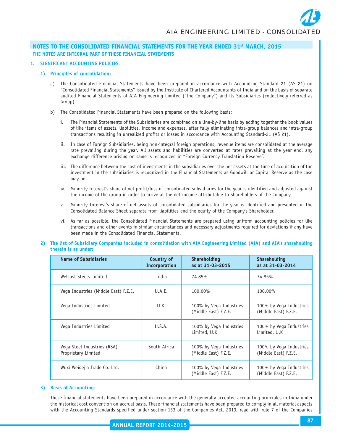#### **1. SIGNIFICANT ACCOUNTING POLICIES**:

#### **1) Principles of consolidation:**

- a) The Consolidated Financial Statements have been prepared in accordance with Accounting Standard 21 (AS 21) on "Consolidated Financial Statements" issued by the Institute of Chartered Accountants of India and on the basis of separate audited Financial Statements of AIA Engineering Limited ("the Company") and its Subsidiaries (collectively referred as Group).
- b) The Consolidated Financial Statements have been prepared on the following basis:
	- i. The Financial Statements of the Subsidiaries are combined on a line-by-line basis by adding together the book values of like items of assets, liabilities, income and expenses, after fully eliminating intra-group balances and intra-group transactions resulting in unrealized profits or losses in accordance with Accounting Standard-21 (AS 21).
	- ii. In case of Foreign Subsidiaries, being non-integral foreign operations, revenue items are consolidated at the average rate prevailing during the year. All assets and liabilities are converted at rates prevailing at the year end, any exchange difference arising on same is recognized in "Foreign Currency Translation Reserve".
	- iii. The difference between the cost of investments in the subsidiaries over the net assets at the time of acquisition of the investment in the subsidiaries is recognized in the Financial Statements as Goodwill or Capital Reserve as the case may be.
	- iv. Minority Interest's share of net profit/loss of consolidated subsidiaries for the year is identified and adjusted against the income of the group in order to arrive at the net income attributable to Shareholders of the Company.
	- v. Minority Interest's share of net assets of consolidated subsidiaries for the year is identified and presented in the Consolidated Balance Sheet separate from liabilities and the equity of the Company's Shareholder.
	- vi. As far as possible, the Consolidated Financial Statements are prepared using uniform accounting policies for like transactions and other events in similar circumstances and necessary adjustments required for deviations if any have been made in the Consolidated Financial Statements.

#### **2) The list of Subsidiary Companies included in consolidation with AIA Engineering Limited (AIA) and AIA's shareholding therein is as under:**

| <b>Name of Subsidiaries</b>                        | Country of<br>Incorporation | <b>Shareholding</b><br>as at 31-03-2015         | <b>Shareholding</b><br>as at 31-03-2014         |
|----------------------------------------------------|-----------------------------|-------------------------------------------------|-------------------------------------------------|
| Welcast Steels Limited                             | India                       | 74.85%                                          | 74.85%                                          |
| Vega Industries (Middle East) F.Z.E.               | U.A.E.                      | 100.00%                                         | 100.00%                                         |
| Vega Industries Limited                            | U.K.                        | 100% by Vega Industries<br>(Middle East) F.Z.E. | 100% by Vega Industries<br>(Middle East) F.Z.E. |
| Vega Industries Limited                            | U.S.A.                      | 100% by Vega Industries<br>Limited, U.K         | 100% by Vega Industries<br>Limited, U.K.        |
| Vega Steel Industries (RSA)<br>Proprietary Limited | South Africa                | 100% by Vega Industries<br>(Middle East) F.Z.E. | 100% by Vega Industries<br>(Middle East) F.Z.E. |
| Wuxi Weigejia Trade Co. Ltd.                       | China                       | 100% by Vega Industries<br>(Middle East) F.Z.E. | 100% by Vega Industries<br>(Middle East) F.Z.E. |

#### **3) Basis of Accounting**:

These financial statements have been prepared in accordance with the generally accepted accounting principles in India under the historical cost convention on accrual basis. These financial statements have been prepared to comply in all material aspects with the Accounting Standards specified under section 133 of the Companies Act, 2013, read with rule 7 of the Companies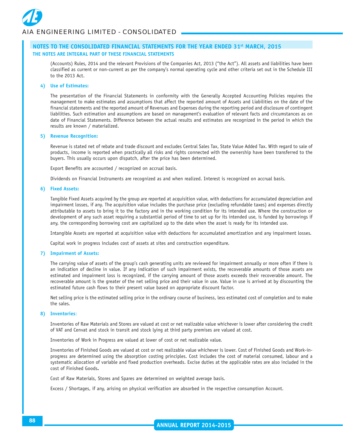(Accounts) Rules, 2014 and the relevant Provisions of the Companies Act, 2013 ("the Act"). All assets and liabilities have been classified as current or non-current as per the company's normal operating cycle and other criteria set out in the Schedule III to the 2013 Act.

#### **4) Use of Estimates:**

The presentation of the Financial Statements in conformity with the Generally Accepted Accounting Policies requires the management to make estimates and assumptions that affect the reported amount of Assets and Liabilities on the date of the financial statements and the reported amount of Revenues and Expenses during the reporting period and disclosure of contingent liabilities. Such estimation and assumptions are based on management's evaluation of relevant facts and circumstances as on date of Financial Statements. Difference between the actual results and estimates are recognized in the period in which the results are known / materialized.

#### **5) Revenue Recognition:**

Revenue is stated net of rebate and trade discount and excludes Central Sales Tax, State Value Added Tax. With regard to sale of products, income is reported when practically all risks and rights connected with the ownership have been transferred to the buyers. This usually occurs upon dispatch, after the price has been determined.

Export Benefits are accounted / recognized on accrual basis.

Dividends on Financial Instruments are recognized as and when realized. Interest is recognized on accrual basis.

#### **6) Fixed Assets:**

Tangible Fixed Assets acquired by the group are reported at acquisition value, with deductions for accumulated depreciation and impairment losses, if any. The acquisition value includes the purchase price (excluding refundable taxes) and expenses directly attributable to assets to bring it to the factory and in the working condition for its intended use. Where the construction or development of any such asset requiring a substantial period of time to set up for its intended use, is funded by borrowings if any, the corresponding borrowing cost are capitalized up to the date when the asset is ready for its intended use.

Intangible Assets are reported at acquisition value with deductions for accumulated amortization and any impairment losses.

Capital work in progress includes cost of assets at sites and construction expenditure.

#### **7) Impairment of Assets:**

The carrying value of assets of the group's cash generating units are reviewed for impairment annually or more often if there is an indication of decline in value. If any indication of such impairment exists, the recoverable amounts of those assets are estimated and impairment loss is recognized, if the carrying amount of those assets exceeds their recoverable amount. The recoverable amount is the greater of the net selling price and their value in use. Value in use is arrived at by discounting the estimated future cash flows to their present value based on appropriate discount factor.

Net selling price is the estimated selling price in the ordinary course of business, less estimated cost of completion and to make the sales.

#### **8) Inventories**:

Inventories of Raw Materials and Stores are valued at cost or net realizable value whichever is lower after considering the credit of VAT and Cenvat and stock in transit and stock lying at third party premises are valued at cost.

Inventories of Work in Progress are valued at lower of cost or net realizable value.

Inventories of Finished Goods are valued at cost or net realizable value whichever is lower. Cost of Finished Goods and Work-inprogress are determined using the absorption costing principles. Cost includes the cost of material consumed, labour and a systematic allocation of variable and fixed production overheads. Excise duties at the applicable rates are also included in the cost of Finished Goods**.**

Cost of Raw Materials, Stores and Spares are determined on weighted average basis.

Excess / Shortages, if any, arising on physical verification are absorbed in the respective consumption Account.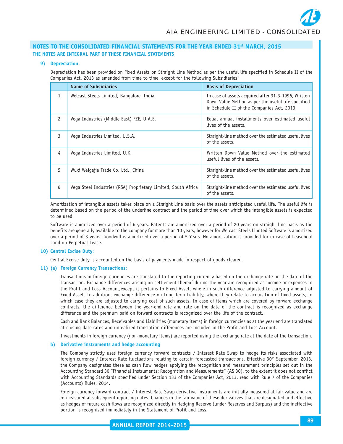#### **9) Depreciation**:

Depreciation has been provided on Fixed Assets on Straight Line Method as per the useful life specified in Schedule II of the Companies Act, 2013 as amended from time to time, except for the following Subsidiaries:

|   | <b>Name of Subsidiaries</b>                                   | <b>Basis of Depreciation</b>                                                                                                                           |
|---|---------------------------------------------------------------|--------------------------------------------------------------------------------------------------------------------------------------------------------|
| 1 | Welcast Steels Limited, Bangalore, India                      | In case of assets acquired after 31-3-1996, Written<br>Down Value Method as per the useful life specified<br>in Schedule II of the Companies Act, 2013 |
| 2 | Vega Industries (Middle East) FZE, U.A.E.                     | Equal annual installments over estimated useful<br>lives of the assets.                                                                                |
| 3 | Vega Industries Limited, U.S.A.                               | Straight-line method over the estimated useful lives<br>of the assets.                                                                                 |
| 4 | Vega Industries Limited, U.K.                                 | Written Down Value Method over the estimated<br>useful lives of the assets.                                                                            |
| 5 | Wuxi Weigejia Trade Co. Ltd., China                           | Straight-line method over the estimated useful lives<br>of the assets.                                                                                 |
| 6 | Vega Steel Industries (RSA) Proprietary Limited, South Africa | Straight-line method over the estimated useful lives<br>of the assets.                                                                                 |

Amortization of intangible assets takes place on a Straight Line basis over the assets anticipated useful life. The useful life is determined based on the period of the underline contract and the period of time over which the intangible assets is expected to be used.

Software is amortized over a period of 6 years. Patents are amortized over a period of 20 years on straight line basis as the benefits are generally available to the company for more than 10 years, however for Welcast Steels Limited Software is amortized over a period of 3 years. Goodwill is amortized over a period of 5 Years. No amortization is provided for in case of Leasehold Land on Perpetual Lease.

#### **10) Central Excise Duty**:

Central Excise duty is accounted on the basis of payments made in respect of goods cleared.

# **11) (a) Foreign Currency Transactions**:

Transactions in foreign currencies are translated to the reporting currency based on the exchange rate on the date of the transaction. Exchange differences arising on settlement thereof during the year are recognized as income or expenses in the Profit and Loss Account,except it pertains to Fixed Asset, where in such difference adjusted to carrying amount of Fixed Asset. In addition, exchange difference on Long Term Liability, where they relate to acquisition of fixed assets, in which case they are adjusted to carrying cost of such assets. In case of items which are covered by forward exchange contracts, the difference between the year-end rate and rate on the date of the contract is recognized as exchange difference and the premium paid on forward contracts is recognized over the life of the contract.

Cash and Bank Balances, Receivables and Liabilities (monetary items) in foreign currencies as at the year end are translated at closing-date rates and unrealized translation differences are included in the Profit and Loss Account.

Investments in foreign currency (non-monetary items) are reported using the exchange rate at the date of the transaction.

#### **b) Derivative instruments and hedge accounting**

The Company strictly uses foreign currency forward contracts / Interest Rate Swap to hedge its risks associated with foreign currency / Interest Rate fluctuations relating to certain forecasted transactions. Effective 30<sup>th</sup> September, 2013, the Company designates these as cash flow hedges applying the recognition and measurement principles set out in the Accounting Standard 30 "Financial Instruments: Recognition and Measurements" (AS 30), to the extent it does not conflict with Accounting Standards specified under Section 133 of the Companies Act, 2013, read with Rule 7 of the Companies (Accounts) Rules, 2014.

Foreign currency forward contract / Interest Rate Swap derivative instruments are initially measured at fair value and are re-measured at subsequent reporting dates. Changes in the fair value of these derivatives that are designated and effective as hedges of future cash flows are recognized directly in Hedging Reserve (under Reserves and Surplus) and the ineffective portion is recognized immediately in the Statement of Profit and Loss.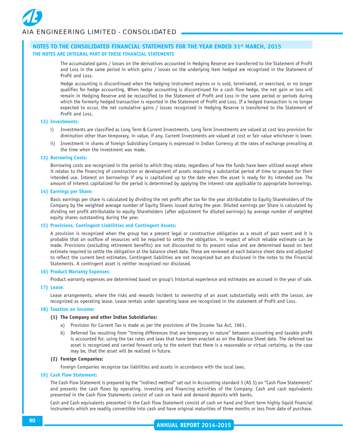The accumulated gains / losses on the derivatives accounted in Hedging Reserve are transferred to the Statement of Profit and Loss in the same period in which gains / losses on the underlying item hedged are recognized in the Statement of Profit and Loss.

Hedge accounting is discontinued when the hedging instrument expires or is sold, terminated, or exercised, or no longer qualifies for hedge accounting. When hedge accounting is discontinued for a cash flow hedge, the net gain or loss will remain in Hedging Reserve and be reclassified to the Statement of Profit and Loss in the same period or periods during which the formerly hedged transaction is reported in the Statement of Profit and Loss. If a hedged transaction is no longer expected to occur, the net cumulative gains / losses recognized in Hedging Reserve is transferred to the Statement of Profit and Loss.

#### **12) Investments**:

- i) Investments are classified as Long Term & Current Investments. Long Term Investments are valued at cost less provision for diminution other than temporary, in value, if any. Current Investments are valued at cost or fair value whichever is lower.
- ii) Investment in shares of foreign Subsidiary Company is expressed in Indian Currency at the rates of exchange prevailing at the time when the investment was made.

#### **13) Borrowing Costs:**

Borrowing costs are recognized in the period to which they relate, regardless of how the funds have been utilized except where it relates to the financing of construction or development of assets requiring a substantial period of time to prepare for their intended use. Interest on borrowings if any is capitalized up to the date when the asset is ready for its intended use. The amount of interest capitalized for the period is determined by applying the interest rate applicable to appropriate borrowings.

#### **14) Earnings per Share:**

Basic earnings per share is calculated by dividing the net profit after tax for the year attributable to Equity Shareholders of the Company by the weighted average number of Equity Shares issued during the year. Diluted earnings per Share is calculated by dividing net profit attributable to equity Shareholders (after adjustment for diluted earnings) by average number of weighted equity shares outstanding during the year.

#### **15) Provisions, Contingent Liabilities and Contingent Assets:**

A provision is recognized when the group has a present legal or constructive obligation as a result of past event and it is probable that an outflow of resources will be required to settle the obligation, in respect of which reliable estimate can be made. Provisions (excluding retirement benefits) are not discounted to its present value and are determined based on best estimate required to settle the obligation at the balance sheet date. These are reviewed at each balance sheet date and adjusted to reflect the current best estimates. Contingent liabilities are not recognized but are disclosed in the notes to the Financial Statements. A contingent asset is neither recognized nor disclosed.

#### **16) Product Warranty Expenses**:

Product warranty expenses are determined based on group's historical experience and estimates are accrued in the year of sale.

#### **17) Lease**:

Lease arrangements, where the risks and rewards incident to ownership of an asset substantially vests with the Lessor, are recognized as operating lease. Lease rentals under operating lease are recognized in the statement of Profit and Loss.

#### **18) Taxation on Income:**

#### **(1) The Company and other Indian Subsidiaries:**

- a) Provision for Current Tax is made as per the provisions of the Income Tax Act, 1961.
- b) Deferred Tax resulting from "timing differences that are temporary in nature" between accounting and taxable profit is accounted for, using the tax rates and laws that have been enacted as on the Balance Sheet date. The deferred tax asset is recognized and carried forward only to the extent that there is a reasonable or virtual certainty, as the case may be, that the asset will be realized in future.

#### **(2) Foreign Companies:**

Foreign Companies recognize tax liabilities and assets in accordance with the local laws.

#### **19) Cash Flow Statement:**

The Cash Flow Statement is prepared by the "indirect method" set out in Accounting standard 3 (AS 3) on "Cash Flow Statements" and presents the cash flows by operating, investing and financing activities of the Company. Cash and cash equivalents presented in the Cash Flow Statements consist of cash on hand and demand deposits with banks.

Cash and Cash equivalents presented in the Cash Flow Statement consist of cash on hand and Short term highly liquid financial instruments which are readily convertible into cash and have original maturities of three months or less from date of purchase.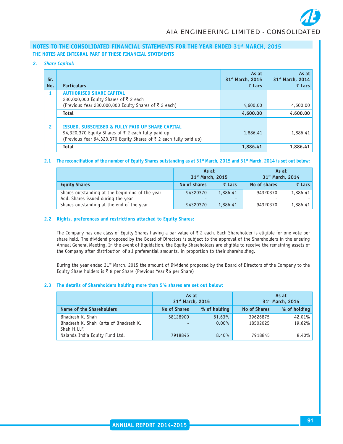#### *2. Share Capital:*

| Sr.<br>No.     | <b>Particulars</b>                                                                                                                                                           | As at<br>31 <sup>st</sup> March, 2015<br>$\bar{z}$ Lacs | As at<br>31 <sup>st</sup> March, 2014<br>$\bar{z}$ Lacs |
|----------------|------------------------------------------------------------------------------------------------------------------------------------------------------------------------------|---------------------------------------------------------|---------------------------------------------------------|
|                | <b>AUTHORISED SHARE CAPITAL</b><br>230,000,000 Equity Shares of ₹2 each<br>(Previous Year 230,000,000 Equity Shares of ₹ 2 each)                                             | 4,600.00                                                | 4,600.00                                                |
|                | <b>Total</b>                                                                                                                                                                 | 4,600.00                                                | 4,600.00                                                |
| $\overline{2}$ | ISSUED, SUBSCRIBED & FULLY PAID UP SHARE CAPITAL<br>94,320,370 Equity Shares of ₹ 2 each fully paid up<br>(Previous Year 94,320,370 Equity Shares of ₹ 2 each fully paid up) | 1,886.41                                                | 1,886.41                                                |
|                | <b>Total</b>                                                                                                                                                                 | 1,886.41                                                | 1,886.41                                                |

#### **2.1 The reconciliation of the number of Equity Shares outstanding as at 31st March, 2015 and 31st March, 2014 is set out below:**

|                                                                                       | As at<br>31 <sup>st</sup> March, 2015 |                | As at<br>31 <sup>st</sup> March, 2014 |                |  |
|---------------------------------------------------------------------------------------|---------------------------------------|----------------|---------------------------------------|----------------|--|
| <b>Equity Shares</b>                                                                  | No of shares                          | $\bar{z}$ Lacs | No of shares                          | $\bar{z}$ Lacs |  |
| Shares outstanding at the beginning of the year<br>Add: Shares issued during the year | 94320370                              | 1,886.41       | 94320370                              | 1,886.41       |  |
| Shares outstanding at the end of the year                                             | 94320370                              | 1,886.41       | 94320370                              | 1,886.41       |  |

#### **2.2 Rights, preferences and restrictions attached to Equity Shares:**

The Company has one class of Equity Shares having a par value of  $\bar{z}$  2 each. Each Shareholder is eligible for one vote per share held. The dividend proposed by the Board of Directors is subject to the approval of the Shareholders in the ensuing Annual General Meeting. In the event of liquidation, the Equity Shareholders are eligible to receive the remaining assets of the Company after distribution of all preferential amounts, in proportion to their shareholding.

During the year ended 31**st** March, 2015 the amount of Dividend proposed by the Board of Directors of the Company to the Equity Share holders is  $\bar{\tau}$  8 per Share (Previous Year  $\bar{\tau}$ 6 per Share)

#### **2.3 The details of Shareholders holding more than 5% shares are set out below:**

|                                                      | As at<br>31 <sup>st</sup> March, 2015 |              |                     | As at<br>31 <sup>st</sup> March, 2014 |
|------------------------------------------------------|---------------------------------------|--------------|---------------------|---------------------------------------|
| Name of the Shareholders                             | <b>No of Shares</b>                   | % of holding | <b>No of Shares</b> | % of holding                          |
| Bhadresh K. Shah                                     | 58128900                              | 61.63%       | 39626875            | 42.01%                                |
| Bhadresh K. Shah Karta of Bhadresh K.<br>Shah H.U.F. |                                       | $0.00\%$     | 18502025            | 19.62%                                |
| Nalanda India Equity Fund Ltd.                       | 7918845                               | 8.40%        | 7918845             | 8.40%                                 |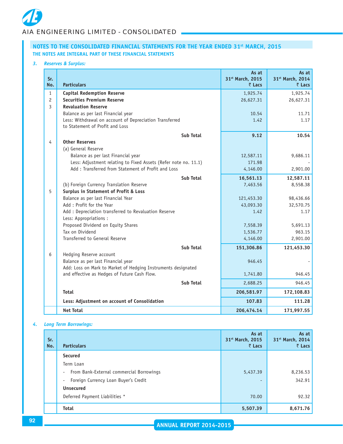#### *3. Reserves & Surplus:*

| Sr.<br>No.     | <b>Particulars</b>                                                                         | As at<br>31st March, 2015<br>$\bar{z}$ Lacs | As at<br>31st March, 2014<br>₹ Lacs |
|----------------|--------------------------------------------------------------------------------------------|---------------------------------------------|-------------------------------------|
| $\mathbf{1}$   | <b>Capital Redemption Reserve</b>                                                          | 1,925.74                                    | 1,925.74                            |
| $\overline{c}$ | <b>Securities Premium Reserve</b>                                                          | 26,627.31                                   | 26,627.31                           |
| $\overline{3}$ | <b>Revaluation Reserve</b>                                                                 |                                             |                                     |
|                | Balance as per last Financial year                                                         | 10.54                                       | 11.71                               |
|                | Less: Withdrawal on account of Depreciation Transferred<br>to Statement of Profit and Loss | 1.42                                        | 1.17                                |
|                | Sub Total                                                                                  | 9.12                                        | 10.54                               |
| 4              | <b>Other Reserves</b>                                                                      |                                             |                                     |
|                | (a) General Reserve                                                                        |                                             |                                     |
|                | Balance as per last Financial year                                                         | 12,587.11                                   | 9,686.11                            |
|                | Less: Adjustment relating to Fixed Assets (Refer note no. 11.1)                            | 171.98                                      |                                     |
|                | Add: Transferred from Statement of Profit and Loss                                         | 4,146.00                                    | 2,901.00                            |
|                | Sub Total                                                                                  | 16,561.13                                   | 12,587.11                           |
|                | (b) Foreign Currency Translation Reserve                                                   | 7,463.56                                    | 8,558.38                            |
| 5              | Surplus in Statement of Profit & Loss                                                      |                                             |                                     |
|                | Balance as per last Financial Year                                                         | 121,453.30                                  | 98,436.66                           |
|                | Add: Profit for the Year                                                                   | 43,093.30                                   | 32,570.75                           |
|                | Add : Depreciation transferred to Revaluation Reserve<br>Less: Appropriations :            | 1.42                                        | 1.17                                |
|                | Proposed Dividend on Equity Shares                                                         | 7,558.39                                    | 5,691.13                            |
|                | Tax on Dividend                                                                            | 1,536.77                                    | 963.15                              |
|                | Transferred to General Reserve                                                             | 4,146.00                                    | 2,901.00                            |
|                | <b>Sub Total</b>                                                                           | 151,306.86                                  | 121,453.30                          |
| 6              | Hedging Reserve account                                                                    |                                             |                                     |
|                | Balance as per last Financial year                                                         | 946.45                                      |                                     |
|                | Add: Loss on Mark to Market of Hedging Instruments designated                              |                                             |                                     |
|                | and effective as Hedges of Future Cash Flow.                                               | 1,741.80                                    | 946.45                              |
|                | <b>Sub Total</b>                                                                           | 2,688.25                                    | 946.45                              |
|                | <b>Total</b>                                                                               | 206,581.97                                  | 172,108.83                          |
|                | Less: Adjustment on account of Consolidation                                               | 107.83                                      | 111.28                              |
|                | <b>Net Total</b>                                                                           | 206,474.14                                  | 171,997.55                          |

# *4. Long Term Borrowings:*

| Sr.<br>No. | <b>Particulars</b>                                                   | As at<br>31 <sup>st</sup> March, 2015<br>₹ Lacs | As at<br>31 <sup>st</sup> March, 2014<br>₹ Lacs |
|------------|----------------------------------------------------------------------|-------------------------------------------------|-------------------------------------------------|
|            | <b>Secured</b>                                                       |                                                 |                                                 |
|            | Term Loan                                                            |                                                 |                                                 |
|            | From Bank-External commercial Borrowings<br>$\overline{\phantom{a}}$ | 5,437.39                                        | 8,236.53                                        |
|            | Foreign Currency Loan Buyer's Credit<br>٠                            | ٠                                               | 342.91                                          |
|            | <b>Unsecured</b>                                                     |                                                 |                                                 |
|            | Deferred Payment Liabilities *                                       | 70.00                                           | 92.32                                           |
|            | <b>Total</b>                                                         | 5,507.39                                        | 8,671.76                                        |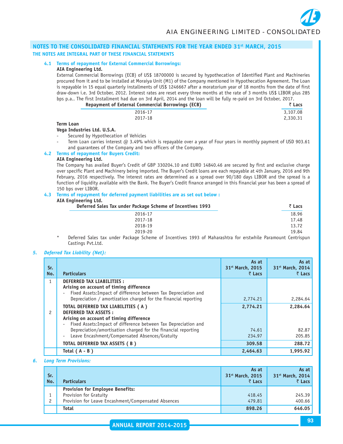# **4.1 Terms of repayment for External Commercial Borrowings:**

# **AIA Engineering Ltd.**

External Commercial Borrowings (ECB) of US\$ 18700000 is secured by hypothecation of Identified Plant and Machineries procured from it and to be installed at Moraiya Unit (M1) of the Company mentioned in Hypothecation Agreement. The Loan is repayable in 15 equal quarterly installments of US\$ 1246667 after a moratorium year of 18 months from the date of first draw-down i.e. 3rd October, 2012. Interest rates are reset every three months at the rate of 3 months US\$ LIBOR plus 285 bps p.a.. The first Installment had due on 3rd April, 2014 and the loan will be fully re-paid on 3rd October, 2017.

|        | <b>Repayment of External Commercial Borrowings (ECB)</b> | ₹ Lacs   |
|--------|----------------------------------------------------------|----------|
|        | 2016-17                                                  | 3,107.08 |
|        | 2017-18                                                  | 2,330.31 |
| - - -- |                                                          |          |

#### **Term Loan**

#### **Vega Industries Ltd. U.S.A.**

Secured by Hypothecation of Vehicles

- Term Loan carries interest @ 3.49% which is repayable over a year of Four years in monthly payment of USD 903.61 and guarantees of the Company and two officers of the Company.
- **4.2 Terms of repayment for Buyers Credit:**

#### **AIA Engineering Ltd.**

The Company has availed Buyer's Credit of GBP 330204.10 and EURO 14840.46 are secured by first and exclusive charge over specific Plant and Machinery being imported. The Buyer's Credit loans are each repayable at 4th January, 2016 and 9th February, 2016 respectively. The interest rates are determined as a spread over 90/180 days LIBOR and the spread is a function of liquidity available with the Bank. The Buyer's Credit finance arranged in this financial year has been a spread of 150 bps over LIBOR.

# **4.3 Terms of repayment for deferred payment liabilities are as set out below :**

# **AIA Engineering Ltd.**

| Deferred Sales Tax under Package Scheme of Incentives 1993 | ₹ Lacs |
|------------------------------------------------------------|--------|
| 2016-17                                                    | 18.96  |
| 2017-18                                                    | 17.48  |
| 2018-19                                                    | 13.72  |
| 2019-20                                                    | 19.84  |

Deferred Sales tax under Package Scheme of Incentives 1993 of Maharashtra for erstwhile Paramount Centrispun Castings Pvt.Ltd.

#### *5. Deferred Tax Liability (Net):*

| Sr.<br>No.    | <b>Particulars</b>                                                                                                                                                                                                                            | As at<br>31 <sup>st</sup> March, 2015<br>$\bar{z}$ Lacs | As at<br>31st March, 2014<br>₹ Lacs |
|---------------|-----------------------------------------------------------------------------------------------------------------------------------------------------------------------------------------------------------------------------------------------|---------------------------------------------------------|-------------------------------------|
| 1             | <b>DEFERRED TAX LIABILITIES:</b><br>Arising on account of timing difference<br>Fixed Assets: Impact of difference between Tax Depreciation and<br>$\overline{\phantom{a}}$<br>Depreciation / amortization charged for the financial reporting | 2,774.21                                                | 2,284.64                            |
| $\mathcal{P}$ | TOTAL DEFERRED TAX LIABILITIES (A)<br><b>DEFERRED TAX ASSETS:</b><br>Arising on account of timing difference<br>Fixed Assets: Impact of difference between Tax Depreciation and                                                               | 2,774.21                                                | 2.284.64                            |
|               | Depreciation/amortisation charged for the financial reporting<br>Leave Encashment/Compensated Absences/Gratuity<br>$\overline{\phantom{a}}$                                                                                                   | 74.61<br>234.97                                         | 82.87<br>205.85                     |
|               | TOTAL DEFERRED TAX ASSETS (B)                                                                                                                                                                                                                 | 309.58                                                  | 288.72                              |
|               | Total $(A - B)$                                                                                                                                                                                                                               | 2,464.63                                                | 1,995.92                            |

#### *6. Long Term Provisions:*

| Sr.<br>No. | <b>Particulars</b>                                                                                                       | As at<br>31 <sup>st</sup> March, 2015<br>₹ Lacs | As at<br>31 <sup>st</sup> March, 2014<br>₹ Lacs |
|------------|--------------------------------------------------------------------------------------------------------------------------|-------------------------------------------------|-------------------------------------------------|
|            | <b>Provision for Employee Benefits:</b><br>Provision for Gratuity<br>Provision for Leave Encashment/Compensated Absences | 418.45<br>479.81                                | 245.39<br>400.66                                |
|            | Total                                                                                                                    | 898.26                                          | 646.05                                          |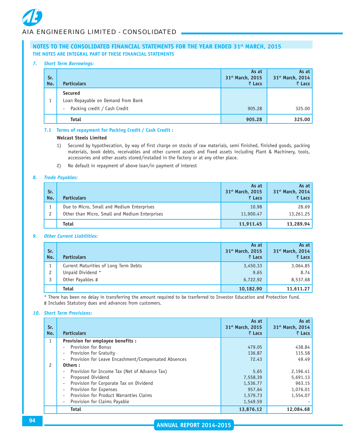#### *7. Short Term Borrowings:*

| Sr.<br>No. | <b>Particulars</b>                                                                             | As at<br>31st March, 2015<br>₹ Lacs | As at<br>31st March, 2014<br>₹ Lacs |
|------------|------------------------------------------------------------------------------------------------|-------------------------------------|-------------------------------------|
|            | <b>Secured</b><br>Loan Repayable on Demand from Bank<br>Packing credit / Cash Credit<br>$\sim$ | 905.28                              | 325.00                              |
|            | <b>Total</b>                                                                                   | 905.28                              | 325.00                              |

# **7.1 Terms of repayment for Packing Credit / Cash Credit :**

#### **Welcast Steels Limited**

- 1) Secured by hypothecation, by way of first charge on stocks of raw materials, semi finished, finished goods, packing materials, book debts, receivables and other current assets and fixed assets including Plant & Machinery, tools, accessories and other assets stored/installed in the factory or at any other place.
- 2) No default in repayment of above loan/in payment of interest

#### *8. Trade Payables:*

| Sr.<br>No. | <b>Particulars</b>                             | As at<br>31 <sup>st</sup> March, 2015<br>₹ Lacs | As at<br>31 <sup>st</sup> March, 2014<br>₹ Lacs |
|------------|------------------------------------------------|-------------------------------------------------|-------------------------------------------------|
|            | Due to Micro, Small and Medium Enterprises     | 10.98                                           | 28.69                                           |
| 2          | Other than Micro, Small and Medium Enterprises | 11,900.47                                       | 13,261.25                                       |
|            | <b>Total</b>                                   | 11,911.45                                       | 13,289.94                                       |

#### *9. Other Current Liabilities:*

| Sr.<br>No. | <b>Particulars</b>                    | As at<br>31 <sup>st</sup> March, 2015<br>₹ Lacs | As at<br>31 <sup>st</sup> March, 2014<br>$\bar{z}$ Lacs |
|------------|---------------------------------------|-------------------------------------------------|---------------------------------------------------------|
|            | Current Maturities of Long Term Debts | 3,450.33                                        | 3,064.85                                                |
| っ          | Unpaid Dividend *                     | 9.65                                            | 8.74                                                    |
|            | Other Payables #                      | 6,722.92                                        | 8,537.68                                                |
|            | <b>Total</b>                          | 10,182.90                                       | 11,611.27                                               |

\* There has been no delay in transferring the amount required to be tranferred to Investor Education and Protection Fund. # Includes Statutory dues and advances from customers.

#### *10. Short Term Provisions:*

| Sr.<br>No.   | <b>Particulars</b>                                                        | As at<br>31 <sup>st</sup> March, 2015<br>₹ Lacs | As at<br>31st March, 2014<br>₹ Lacs |
|--------------|---------------------------------------------------------------------------|-------------------------------------------------|-------------------------------------|
| $\mathbf{1}$ | Provision for employee benefits :                                         |                                                 |                                     |
|              | <b>Provision for Bonus</b>                                                | 479.05                                          | 438.84                              |
|              | <b>Provision for Gratuity</b>                                             | 136.87                                          | 115.58                              |
|              | Provision for Leave Encashment/Compensated Absences                       | 72.43                                           | 49.49                               |
| 2            | Others:                                                                   |                                                 |                                     |
|              | Provision for Income Tax (Net of Advance Tax)<br>$\overline{\phantom{a}}$ | 5.65                                            | 2,196.41                            |
|              | Proposed Dividend                                                         | 7,558.39                                        | 5,691.13                            |
|              | Provision for Corporate Tax on Dividend                                   | 1,536.77                                        | 963.15                              |
|              | Provision for Expenses<br>$\overline{\phantom{a}}$                        | 957.64                                          | 1,076.01                            |
|              | Provision for Product Warranties Claims                                   | 1,579.73                                        | 1,554.07                            |
|              | Provision for Claims Payable                                              | 1,549.59                                        |                                     |
|              | <b>Total</b>                                                              | 13,876.12                                       | 12,084.68                           |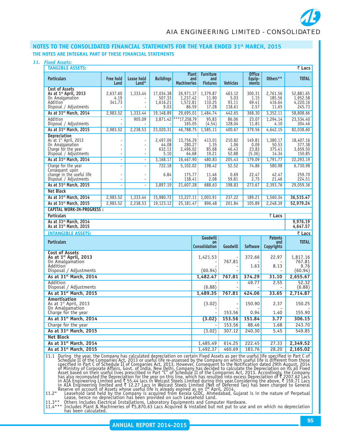# *AIA ENGINEERING LIMITED - CONSOLIDATED*

# NOTES TO THE CONSOLIDATED FINANCIAL STATEMENTS FOR THE YEAR ENDED 31<sup>st</sup> MARCH, 2015 **THE NOTES ARE INTEGRAL PART OF THESE FINANCIAL STATEMENTS**

# *11. Fixed Assets:*

| <i><b>FIXEU ASSELS:</b></i><br><b>TANGIBLE ASSETS:</b>                                                                                                                                                                                                                                                                                                                                                              |                            |                                                |                                     |                                           |                                            |                                  |                                   |                                      | ₹ Lacs                                    |
|---------------------------------------------------------------------------------------------------------------------------------------------------------------------------------------------------------------------------------------------------------------------------------------------------------------------------------------------------------------------------------------------------------------------|----------------------------|------------------------------------------------|-------------------------------------|-------------------------------------------|--------------------------------------------|----------------------------------|-----------------------------------|--------------------------------------|-------------------------------------------|
| <b>Particulars</b>                                                                                                                                                                                                                                                                                                                                                                                                  | <b>Free hold</b><br>Land   | Lease hold<br>$L$ and*                         | <b>Buildings</b>                    | <b>Plant</b><br>and<br><b>Machineries</b> | <b>Furniture</b><br>and<br><b>Fixtures</b> | <b>Vehicles</b>                  | <b>Office</b><br>Equip-<br>ments  | Others**                             | <b>TOTAL</b>                              |
| <b>Cost of Assets</b><br>As at $1st$ April, 2013<br>On Amalgamation<br>Addition                                                                                                                                                                                                                                                                                                                                     | 2,637.60<br>4.19<br>341.73 | 1,333.44                                       | 17,034.38<br>507.33<br>1,616.21     | 26,971.37<br>1,237.42<br>1,572.81         | 1,379.87<br>11.90<br>110.25                | 463.12<br>5.03<br>93.11          | 300.31<br>1.15<br>69.41           | 2,761.56<br>185.56<br>416.64         | 52,881.65<br>1,952.58<br>4,220.16         |
| Disposal / Adjustments<br>As at 31 <sup>st</sup> March, 2014                                                                                                                                                                                                                                                                                                                                                        | 2,983.52                   | 1,333.44                                       | 9.03<br>19,148.89                   | 86.59<br>29,695.01                        | 17.28<br>1,484.74                          | 118.61<br>442.65                 | 2.57<br>368.30                    | 11.65<br>3,352.11                    | 245.73<br>58,808.66                       |
| Addition                                                                                                                                                                                                                                                                                                                                                                                                            | $\blacksquare$             | 905.09                                         |                                     | 3,871.42 *** 17,258.79                    | 95.83                                      | 86.06                            | 23.07                             | 1,294.14                             | 23,534.40                                 |
| Disposal / Adjustments<br>As at 31 <sup>st</sup> March, 2015                                                                                                                                                                                                                                                                                                                                                        | 2,983.52                   | 2,238.53                                       | 23,020.31                           | 165.05<br>46,788.75                       | (4.54)<br>1,585.11                         | 128.04<br>400.67                 | 11.81<br>379.56                   | 4.10<br>4,642.15                     | 304.46<br>82,038.60                       |
| <b>Depreciation</b><br>As at 1 <sup>st</sup> April, 2013<br>On Amalgamation<br>Charge for the year<br>Disposal / Adjustments                                                                                                                                                                                                                                                                                        | ÷,<br>ä,<br>÷,             | $\overline{\phantom{a}}$<br>٠<br>$\frac{1}{2}$ | 2,497.06<br>44.08<br>632.13<br>5.10 | 13,756.29<br>280.27<br>2,496.02<br>64.68  | 413.01<br>1.35<br>85.68<br>19.21           | 210.82<br>1.06<br>46.43<br>52.88 | 149.81<br>0.09<br>23.83<br>(5.36) | 1,380.17<br>50.53<br>375.41<br>14.34 | 18,407.16<br>377.38<br>3,659.50<br>150.85 |
| As at 31 <sup>st</sup> March, 2014                                                                                                                                                                                                                                                                                                                                                                                  | ÷,                         | $\blacksquare$                                 | 3,168.17                            | 16,467.90                                 | 480.83                                     | 205.43                           | 179.09                            | 1,791.77                             | 22,293.19                                 |
| Charge for the year<br>Consequent upon<br>change in the useful life<br>Disposal / Adjustments                                                                                                                                                                                                                                                                                                                       | ÷,                         | ä,<br>$\blacksquare$<br>÷                      | 722.18<br>6.84                      | 5,102.02<br>175.77<br>138.41              | 198.42<br>11.46<br>2.08                    | 52.52<br>0.69<br>59.81           | 74.86<br>22.47<br>2.75            | 580.98<br>42.47<br>21.46             | 6,730.98<br>259.70<br>224.51              |
| As at 31 <sup>st</sup> March, 2015                                                                                                                                                                                                                                                                                                                                                                                  | $\blacksquare$             | $\blacksquare$                                 | 3,897.19                            | 21,607.28                                 | 688.63                                     | 198.83                           | 273.67                            | 2,393.76                             | 29,059.36                                 |
| <b>Net Block</b>                                                                                                                                                                                                                                                                                                                                                                                                    |                            |                                                |                                     |                                           |                                            |                                  |                                   |                                      |                                           |
| As at 31 <sup>st</sup> March, 2014                                                                                                                                                                                                                                                                                                                                                                                  | 2,983.52                   | 1,333.44                                       | 15,980.72                           | 13,227.11                                 | 1,003.91                                   | 237.22                           | 189.21                            | 1,560.34                             | 36,515.47                                 |
| As at 31 <sup>st</sup> March, 2015                                                                                                                                                                                                                                                                                                                                                                                  | 2,983.52                   | 2,238.53                                       | 19,123.12                           | 25,181.47                                 | 896.48                                     | 201.84                           | 105.89                            | 2,248.39                             | 52,979.24                                 |
| <b>CAPITAL WORK-IN-PROGRESS:</b>                                                                                                                                                                                                                                                                                                                                                                                    |                            |                                                |                                     |                                           |                                            |                                  |                                   |                                      |                                           |
| <b>Particulars</b>                                                                                                                                                                                                                                                                                                                                                                                                  |                            |                                                |                                     |                                           |                                            |                                  |                                   | ₹ Lacs                               |                                           |
| As at 31st March, 2014<br>As at 31 <sup>st</sup> March, 2015                                                                                                                                                                                                                                                                                                                                                        |                            |                                                |                                     |                                           |                                            |                                  |                                   |                                      | 9,976.19<br>4,647.57                      |
| <b>INTANGIBLE ASSETS:</b>                                                                                                                                                                                                                                                                                                                                                                                           |                            |                                                |                                     |                                           |                                            |                                  |                                   |                                      | ₹ Lacs                                    |
| <b>Particulars</b>                                                                                                                                                                                                                                                                                                                                                                                                  |                            |                                                |                                     |                                           | Goodwill<br><b>on</b><br>Consolidation     | Goodwill                         | <b>Software</b>                   | <b>Patents</b><br>and<br>Copyrights  | <b>TOTAL</b>                              |
| <b>Cost of Assets</b><br>As at 1st April, 2013<br>On Amalgamation<br>Addition                                                                                                                                                                                                                                                                                                                                       |                            |                                                |                                     |                                           | 1,421.53                                   | 767.81                           | 372.66<br>1.63                    | 22.97<br>8.13                        | 1,817.16<br>767.81<br>9.76                |
| Disposal / Adjustments                                                                                                                                                                                                                                                                                                                                                                                              |                            |                                                |                                     |                                           | (60.94)                                    |                                  |                                   |                                      | (60.94)                                   |
| As at 31 <sup>st</sup> March, 2014                                                                                                                                                                                                                                                                                                                                                                                  |                            |                                                |                                     |                                           | 1,482.47                                   | 767.81                           | 374.29                            | 31.10                                | 2,655.67                                  |
| Addition<br>Disposal / Adjustments                                                                                                                                                                                                                                                                                                                                                                                  |                            |                                                |                                     |                                           | (6.88)                                     | $\overline{\phantom{a}}$         | 49.77                             | 2.55                                 | 52.32<br>(6.88)                           |
| As at 31 <sup>st</sup> March, 2015                                                                                                                                                                                                                                                                                                                                                                                  |                            |                                                |                                     |                                           | 1,489.35                                   | 767.81                           | 424.06                            | 33.65                                | 2,714.87                                  |
| Amortisation<br>As at 1st April, 2013<br>On Amalgamation                                                                                                                                                                                                                                                                                                                                                            |                            |                                                |                                     |                                           | (3.02)                                     |                                  | 150.90                            | 2.37                                 | 150.25                                    |
| Charge for the year                                                                                                                                                                                                                                                                                                                                                                                                 |                            |                                                |                                     |                                           |                                            | 153.56                           | 0.94                              | 1.40                                 | 155.90                                    |
| As at 31 <sup>st</sup> March, 2014                                                                                                                                                                                                                                                                                                                                                                                  |                            |                                                |                                     |                                           | (3.02)                                     | 153.56                           | 151.84                            | 3.77                                 | 306.15                                    |
| Charge for the year<br>As at 31 <sup>st</sup> March, 2015                                                                                                                                                                                                                                                                                                                                                           |                            |                                                |                                     |                                           |                                            | 153.56                           | 88.46                             | 1.68                                 | 243.70                                    |
| <b>Net Block</b>                                                                                                                                                                                                                                                                                                                                                                                                    |                            |                                                |                                     |                                           | (3.02)                                     | 307.12                           | 240.30                            | 5.45                                 | 549.85                                    |
| As at 31 <sup>st</sup> March, 2014                                                                                                                                                                                                                                                                                                                                                                                  |                            |                                                |                                     |                                           | 1,485.49                                   | 614.25                           | 222.45                            | 27.33                                | 2,349.52                                  |
| As at 31 <sup>st</sup> March, 2015                                                                                                                                                                                                                                                                                                                                                                                  |                            |                                                |                                     |                                           |                                            |                                  |                                   |                                      | 2,165.02                                  |
| 183.76<br>1,492.37<br>460.69<br>28.20<br>During the year, the Company has calculated depreciation on certain Fixed Assets as per the useful life specified in Part C of<br>11.1<br>Schedule II of the Companies Act, 2013 or useful life re-assessed by the Company on which useful life is different from those<br>specified in Part C of Schedule II of Companies Act, 2013 or useful life re-assessed by the Com |                            |                                                |                                     |                                           |                                            |                                  |                                   |                                      |                                           |

Asset based on their useful lives prescribed in Part "C" of Schedule II of the Companies Act, 2013. Accordingly, the Company<br>has also recomputed the Depreciation for the year on this line, which has resulted into excess D

11.3\*\* Others includes Electrical Installations, Laboratory Equipments and Computer Hardware.<br>11.4\*\*\* Includes Plant & Machineries of ₹5,870.63 Lacs Acquired & installed but not put to use and on which no depreciation<br>has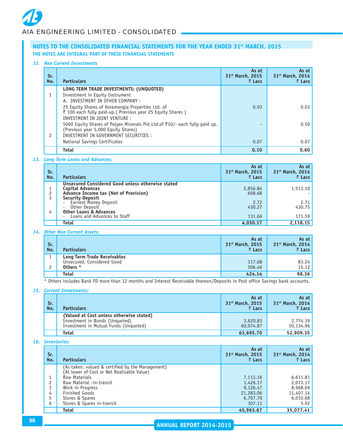#### *12. Non Current Investments*

| Sr.<br>No. | <b>Particulars</b>                                                                                                                                           | As at<br>31 <sup>st</sup> March, 2015<br>₹ Lacs | As at<br>31 <sup>st</sup> March, 2014<br>₹ Lacs |
|------------|--------------------------------------------------------------------------------------------------------------------------------------------------------------|-------------------------------------------------|-------------------------------------------------|
|            | LONG TERM TRADE INVESTMENTS: (UNQUOTED)<br>Investment in Equity Instrument<br>A. INVESTMENT IN OTHER COMPANY :                                               |                                                 |                                                 |
|            | 25 Equity Shares of Koramangla Properties Ltd. of<br>₹ 100 each fully paid-up.( Previous year 25 Equity Shares)<br>INVESTMENT IN JOINT VENTURE :             | 0.03                                            | 0.03                                            |
| 2          | 5000 Equity Shares of Polyex Minerals Pvt. Ltd. of ₹10/- each fully paid up.<br>(Previous year 5,000 Equity Shares)<br>INVESTMENT IN GOVERNMENT SECURITIES : |                                                 | 0.50                                            |
|            | National Savings Certificates                                                                                                                                | 0.07                                            | 0.07                                            |
|            | <b>Total</b>                                                                                                                                                 | 0.10                                            | 0.60                                            |

#### *13. Long Term Loans and Advances:*

| Sr.<br>No. | <b>Particulars</b>                                                                                                                               | As at<br>31 <sup>st</sup> March, 2015<br>₹ Lacs | As at<br>31 <sup>st</sup> March, 2014<br>₹ Lacs |
|------------|--------------------------------------------------------------------------------------------------------------------------------------------------|-------------------------------------------------|-------------------------------------------------|
| 2          | Unsecured Considered Good unless otherwise stated<br><b>Capital Advances</b><br>Advance Income tax (Net of Provision)<br><b>Security Deposit</b> | 2,856.84<br>608.68                              | 1,513.10                                        |
| 4          | Earnest Money Deposit<br>Other Deposit<br><b>Other Loans &amp; Advances</b><br>Loans and Advances to Staff                                       | 2.72<br>430.27<br>131.66                        | 2.71<br>430.75<br>171.59                        |
|            | Total                                                                                                                                            | 4,030.17                                        | 2,118.15                                        |

#### *14. Other Non Current Assets:*

| Sr.<br>No. | <b>Particulars</b>                                                    | As at<br>31 <sup>st</sup> March, 2015<br>₹ Lacs | As at<br>31 <sup>st</sup> March, 2014<br>₹ Lacs |
|------------|-----------------------------------------------------------------------|-------------------------------------------------|-------------------------------------------------|
|            | Long Term Trade Receivables<br>Unsecured, Considered Good<br>Others * | 117.68<br>306.46                                | 83.24<br>15.12                                  |
|            | <b>Total</b>                                                          | 424.14                                          | 98.36                                           |

\* Others includes Bank FD more than 12 months and Interest Receivable thereon/Deposits in Post office Savings bank accounts.

# *15. Current Investments:*

| Sr.<br>No. | <b>Particulars</b>                                                                                                  | As at<br>31 <sup>st</sup> March, 2015<br>₹ Lacs | As at<br>31 <sup>st</sup> March, 2014<br>₹ Lacs |
|------------|---------------------------------------------------------------------------------------------------------------------|-------------------------------------------------|-------------------------------------------------|
|            | (Valued at Cost unless otherwise stated)<br>Investment in Bonds (Unquoted)<br>Investment in Mutual Funds (Unquoted) | 3,620.83<br>60,074.87                           | 2,774.39<br>50,134.96                           |
|            | Total                                                                                                               | 63,695.70                                       | 52,909.35                                       |

#### *16. Inventories:*

| Sr.<br>No. | <b>Particulars</b>                               | As at<br>31 <sup>st</sup> March, 2015<br>₹ Lacs | As at<br>31 <sup>st</sup> March, 2014<br>₹ Lacs |
|------------|--------------------------------------------------|-------------------------------------------------|-------------------------------------------------|
|            | (As taken, valued & certified by the Management) |                                                 |                                                 |
|            | (At lower of Cost or Net Realisable Value)       |                                                 |                                                 |
|            | Raw Materials                                    | 7,113.16                                        | 6,611.81                                        |
| 2          | Raw Material -in-transit                         | 1,426.17                                        | 2,073.17                                        |
| 3          | Work in Progress                                 | 9,126.47                                        | 8,968.69                                        |
| 4          | Finished Goods                                   | 21,283.06                                       | 11,407.14                                       |
| 5          | Stores & Spares                                  | 6,707.70                                        | 6,010.68                                        |
| 6          | Stores & Spares in-transit                       | 307.11                                          | 5.92                                            |
|            | Total                                            | 45,963.67                                       | 35,077.41                                       |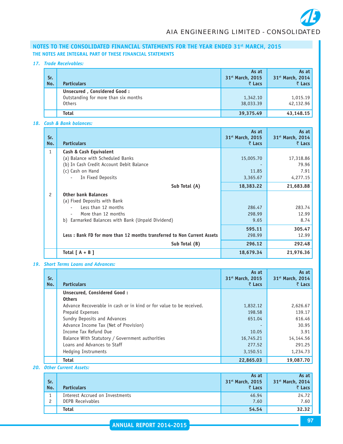#### *17. Trade Receivables:*

| Sr.<br>No. | <b>Particulars</b>                                                                   | As at<br>31 <sup>st</sup> March, 2015<br>₹ Lacs | As at<br>31 <sup>st</sup> March, 2014<br>₹ Lacs |
|------------|--------------------------------------------------------------------------------------|-------------------------------------------------|-------------------------------------------------|
|            | Unsecured, Considered Good:<br>Outstanding for more than six months<br><b>Others</b> | 1,342.10<br>38,033.39                           | 1,015.19<br>42,132.96                           |
|            | <b>Total</b>                                                                         | 39,375.49                                       | 43,148.15                                       |

# *18. Cash & Bank balances:*

| Sr.<br>No.   | <b>Particulars</b>                                                      | As at<br>31st March, 2015<br>₹ Lacs | As at<br>31 <sup>st</sup> March, 2014<br>₹ Lacs |
|--------------|-------------------------------------------------------------------------|-------------------------------------|-------------------------------------------------|
| $\mathbf{1}$ | Cash & Cash Equivalent                                                  |                                     |                                                 |
|              | (a) Balance with Scheduled Banks                                        | 15,005.70                           | 17,318.86                                       |
|              | (b) In Cash Credit Account Debit Balance                                |                                     | 79.96                                           |
|              | (c) Cash on Hand                                                        | 11.85                               | 7.91                                            |
|              | In Fixed Deposits                                                       | 3,365.67                            | 4,277.15                                        |
|              | Sub Total (A)                                                           | 18,383.22                           | 21,683.88                                       |
| 2            | <b>Other bank Balances</b>                                              |                                     |                                                 |
|              | (a) Fixed Deposits with Bank                                            |                                     |                                                 |
|              | Less than 12 months                                                     | 286.47                              | 283.74                                          |
|              | More than 12 months                                                     | 298.99                              | 12.99                                           |
|              | b) Earmarked Balances with Bank (Unpaid Dividend)                       | 9.65                                | 8.74                                            |
|              |                                                                         | 595.11                              | 305.47                                          |
|              | Less: Bank FD for more than 12 months transferred to Non Current Assets | 298.99                              | 12.99                                           |
|              | Sub Total (B)                                                           | 296.12                              | 292.48                                          |
|              | Total $[A + B]$                                                         | 18,679.34                           | 21,976.36                                       |

#### *19. Short Terms Loans and Advances:*

| Sr.<br>No. | <b>Particulars</b>                                                  | As at<br>31 <sup>st</sup> March, 2015<br>₹ Lacs | As at<br>31 <sup>st</sup> March, 2014<br>$\bar{z}$ Lacs |
|------------|---------------------------------------------------------------------|-------------------------------------------------|---------------------------------------------------------|
|            | Unsecured, Considered Good:                                         |                                                 |                                                         |
|            | <b>Others</b>                                                       |                                                 |                                                         |
|            | Advance Recoverable in cash or in kind or for value to be received. | 1,832.12                                        | 2,626.67                                                |
|            | Prepaid Expenses                                                    | 198.58                                          | 139.17                                                  |
|            | Sundry Deposits and Advances                                        | 651.04                                          | 616.46                                                  |
|            | Advance Income Tax (Net of Provision)                               |                                                 | 30.95                                                   |
|            | Income Tax Refund Due                                               | 10.05                                           | 3.91                                                    |
|            | Balance With Statutory / Government authorities                     | 16,745.21                                       | 14,144.56                                               |
|            | Loans and Advances to Staff                                         | 277.52                                          | 291.25                                                  |
|            | <b>Hedging Instruments</b>                                          | 3,150.51                                        | 1,234.73                                                |
|            | <b>Total</b>                                                        | 22,865,03                                       | 19.087.70                                               |

*20. Other Current Assets:*

| Sr.<br>No. | <b>Particulars</b>                                         | As at<br>31 <sup>st</sup> March, 2015<br>₹ Lacs | As at<br>31 <sup>st</sup> March, 2014<br>₹ Lacs |
|------------|------------------------------------------------------------|-------------------------------------------------|-------------------------------------------------|
|            | Interest Accrued on Investments<br><b>DEPB Receivables</b> | 46.94<br>7.60                                   | 24.72<br>7.60                                   |
|            | <b>Total</b>                                               | 54.54                                           | 32.32                                           |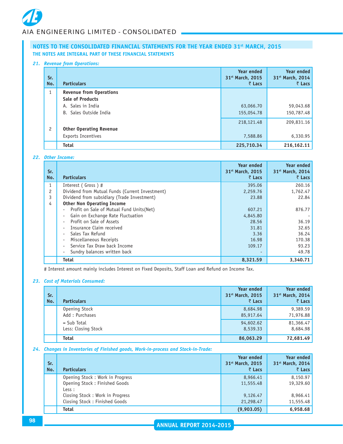#### *21. Revenue from Operations:*

| Sr.<br>No.     | <b>Particulars</b>             | Year ended<br>31 <sup>st</sup> March, 2015<br>₹ Lacs | Year ended<br>31 <sup>st</sup> March, 2014<br>₹ Lacs |
|----------------|--------------------------------|------------------------------------------------------|------------------------------------------------------|
| 1              | <b>Revenue from Operations</b> |                                                      |                                                      |
|                | <b>Sale of Products</b>        |                                                      |                                                      |
|                | A. Sales in India              | 63,066.70                                            | 59,043.68                                            |
|                | B. Sales Outside India         | 155,054.78                                           | 150,787.48                                           |
|                |                                | 218, 121. 48                                         | 209,831.16                                           |
| $\overline{c}$ | <b>Other Operating Revenue</b> |                                                      |                                                      |
|                | Exports Incentives             | 7,588.86                                             | 6,330.95                                             |
|                | <b>Total</b>                   | 225,710.34                                           | 216,162.11                                           |

# *22. Other Income:*

| Sr.<br>No. | <b>Particulars</b>                              | Year ended<br>31 <sup>st</sup> March, 2015<br>₹ Lacs | <b>Year ended</b><br>31 <sup>st</sup> March, 2014<br>$\bar{z}$ Lacs |
|------------|-------------------------------------------------|------------------------------------------------------|---------------------------------------------------------------------|
|            | Interest (Gross)#                               | 395.06                                               | 260.16                                                              |
| 2          | Dividend from Mutual Funds (Current Investment) | 2,259.76                                             | 1,762.47                                                            |
| 3          | Dividend from subsidiary (Trade Investment)     | 23.88                                                | 22.84                                                               |
| 4          | <b>Other Non Operating Income</b>               |                                                      |                                                                     |
|            | Profit on Sale of Mutual Fund Units (Net)       | 607.21                                               | 876.77                                                              |
|            | Gain on Exchange Rate Fluctuation               | 4,845.80                                             |                                                                     |
|            | Profit on Sale of Assets                        | 28.56                                                | 36.19                                                               |
|            | Insurance Claim received                        | 31.81                                                | 32.65                                                               |
|            | Sales Tax Refund                                | 3.36                                                 | 36.24                                                               |
|            | Miscellaneous Receipts                          | 16.98                                                | 170.38                                                              |
|            | Service Tax Draw back Income                    | 109.17                                               | 93.23                                                               |
|            | Sundry balances written back                    |                                                      | 49.78                                                               |
|            | <b>Total</b>                                    | 8,321.59                                             | 3,340.71                                                            |

# Interest amount mainly includes Interest on Fixed Deposits, Staff Loan and Refund on Income Tax.

# *23. Cost of Materials Consumed:*

| Sr.<br>No. | <b>Particulars</b>                   | <b>Year ended</b><br>31 <sup>st</sup> March, 2015<br>₹ Lacs | <b>Year ended</b><br>31 <sup>st</sup> March, 2014<br>$\bar{z}$ Lacs |
|------------|--------------------------------------|-------------------------------------------------------------|---------------------------------------------------------------------|
|            | Opening Stock<br>Add: Purchases      | 8,684.98<br>85,917.64                                       | 9,389.59<br>71,976.88                                               |
|            | $=$ Sub Total<br>Less: Closing Stock | 94,602.62<br>8,539.33                                       | 81,366.47<br>8,684.98                                               |
|            | <b>Total</b>                         | 86,063.29                                                   | 72,681.49                                                           |

# *24. Changes in Inventories of Finished goods, Work-in-process and Stock-in-Trade:*

| Sr.<br>No. | <b>Particulars</b>                      | <b>Year ended</b><br>31 <sup>st</sup> March, 2015<br>₹ Lacs | <b>Year ended</b><br>31 <sup>st</sup> March, 2014<br>$\bar{z}$ Lacs |
|------------|-----------------------------------------|-------------------------------------------------------------|---------------------------------------------------------------------|
|            | Opening Stock: Work in Progress         | 8,966.41                                                    | 8,150.97                                                            |
|            | Opening Stock: Finished Goods<br>Less : | 11,555.48                                                   | 19,329.60                                                           |
|            | Closing Stock: Work in Progress         | 9,126.47                                                    | 8,966.41                                                            |
|            | Closing Stock: Finished Goods           | 21,298.47                                                   | 11,555.48                                                           |
|            | <b>Total</b>                            | (9,903.05)                                                  | 6,958.68                                                            |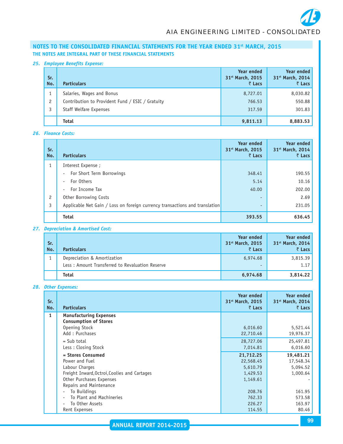# *25. Employee Benefits Expense:*

| Sr.<br>No.     | <b>Particulars</b>                               | <b>Year ended</b><br>31st March, 2015<br>₹ Lacs | <b>Year ended</b><br>31st March, 2014<br>₹ Lacs |
|----------------|--------------------------------------------------|-------------------------------------------------|-------------------------------------------------|
|                | Salaries, Wages and Bonus                        | 8,727.01                                        | 8,030.82                                        |
| $\overline{c}$ | Contribution to Provident Fund / ESIC / Gratuity | 766.53                                          | 550.88                                          |
|                | <b>Staff Welfare Expenses</b>                    | 317.59                                          | 301.83                                          |
|                | <b>Total</b>                                     | 9,811.13                                        | 8,883.53                                        |

# *26. Finance Costs:*

| Sr.<br>No.     | <b>Particulars</b>                                                          | <b>Year ended</b><br>31 <sup>st</sup> March, 2015<br>₹ Lacs | <b>Year ended</b><br>31st March, 2014<br>₹ Lacs |
|----------------|-----------------------------------------------------------------------------|-------------------------------------------------------------|-------------------------------------------------|
| $\mathbf{1}$   | Interest Expense ;                                                          |                                                             |                                                 |
|                | For Short Term Borrowings<br>$\overline{\phantom{0}}$                       | 348.41                                                      | 190.55                                          |
|                | For Others                                                                  | 5.14                                                        | 10.16                                           |
|                | For Income Tax<br>$\overline{\phantom{0}}$                                  | 40.00                                                       | 202.00                                          |
| $\overline{c}$ | Other Borrowing Costs                                                       | $\overline{\phantom{0}}$                                    | 2.69                                            |
| 3              | Applicable Net Gain / Loss on foreign currency transactions and translation | $\overline{\phantom{0}}$                                    | 231.05                                          |
|                | <b>Total</b>                                                                | 393.55                                                      | 636.45                                          |

# *27. Depreciation & Amortised Cost:*

| Sr.<br>No. | <b>Particulars</b>                                                             | <b>Year ended</b><br>31 <sup>st</sup> March, 2015<br>₹ Lacs | Year ended<br>31 <sup>st</sup> March, 2014<br>₹ Lacs |
|------------|--------------------------------------------------------------------------------|-------------------------------------------------------------|------------------------------------------------------|
|            | Depreciation & Amortization<br>Less: Amount Transferred to Revaluation Reserve | 6,974.68                                                    | 3,815.39<br>1.17                                     |
|            |                                                                                | $\overline{\phantom{a}}$                                    |                                                      |
|            | <b>Total</b>                                                                   | 6,974.68                                                    | 3,814.22                                             |

# *28. Other Expenses:*

| Sr.<br>No. | <b>Particulars</b>                                            | <b>Year ended</b><br>31 <sup>st</sup> March, 2015<br>₹ Lacs | <b>Year ended</b><br>31 <sup>st</sup> March, 2014<br>₹ Lacs |
|------------|---------------------------------------------------------------|-------------------------------------------------------------|-------------------------------------------------------------|
| 1          | <b>Manufacturing Expenses</b><br><b>Consumption of Stores</b> |                                                             |                                                             |
|            | Opening Stock                                                 | 6,016.60                                                    | 5,521.44                                                    |
|            | Add: Purchases                                                | 22,710.46                                                   | 19,976.37                                                   |
|            | $=$ Sub total                                                 | 28,727.06                                                   | 25,497.81                                                   |
|            | Less: Closing Stock                                           | 7,014.81                                                    | 6,016.60                                                    |
|            | = Stores Consumed                                             | 21,712.25                                                   | 19,481.21                                                   |
|            | Power and Fuel                                                | 22,568.45                                                   | 17,548.34                                                   |
|            | Labour Charges                                                | 5,610.79                                                    | 5,094.52                                                    |
|            | Freight Inward, Octroi, Coolies and Cartages                  | 1,429.53                                                    | 1,000.64                                                    |
|            | Other Purchases Expenses                                      | 1,149.61                                                    |                                                             |
|            | Repairs and Maintenance                                       |                                                             |                                                             |
|            | To Buildings                                                  | 208.76                                                      | 161.95                                                      |
|            | To Plant and Machineries                                      | 762.33                                                      | 573.58                                                      |
|            | To Other Assets<br>٠                                          | 226.27                                                      | 163.97                                                      |
|            | Rent Expenses                                                 | 114.55                                                      | 80.46                                                       |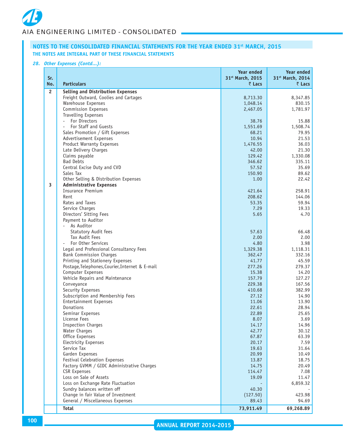#### *28. Other Expenses (Contd...):*

| Sr.<br>No.     | <b>Particulars</b>                                                                  | Year ended<br>31st March, 2015<br>₹ Lacs | <b>Year ended</b><br>31st March, 2014<br>$\bar{z}$ Lacs |
|----------------|-------------------------------------------------------------------------------------|------------------------------------------|---------------------------------------------------------|
| $\overline{c}$ | <b>Selling and Distribution Expenses</b>                                            |                                          |                                                         |
|                | Freight Outward, Coolies and Cartages                                               | 8,713.30                                 | 8,347.85                                                |
|                | Warehouse Expenses                                                                  | 1,048.14                                 | 830.15                                                  |
|                | <b>Commission Expenses</b>                                                          | 2,467.05                                 | 1,781.97                                                |
|                | <b>Travelling Expenses</b>                                                          |                                          |                                                         |
|                | For Directors<br>$\overline{\phantom{a}}$                                           | 38.76                                    | 15.88                                                   |
|                | For Staff and Guests<br>$\bar{a}$                                                   | 1,551.69                                 | 1,508.74                                                |
|                | Sales Promotion / Gift Expenses                                                     | 68.21                                    | 79.95                                                   |
|                | Advertisement Expenses                                                              | 10.94                                    | 21.53                                                   |
|                | Product Warranty Expenses                                                           | 1,476.55                                 | 36.03                                                   |
|                | Late Delivery Charges                                                               | 42.00                                    | 21.30                                                   |
|                | Claims payable                                                                      | 129.42                                   | 1,330.08                                                |
|                | <b>Bad Debts</b>                                                                    | 346.62                                   | 335.11                                                  |
|                | Central Excise Duty and CVD                                                         | 57.52                                    | 35.69                                                   |
|                | Sales Tax                                                                           | 150.90                                   | 89.62                                                   |
|                | Other Selling & Distribution Expenses                                               | 1.00                                     | 22.42                                                   |
| 3              | <b>Administrative Expenses</b>                                                      |                                          |                                                         |
|                | <b>Insurance Premium</b>                                                            | 421.64                                   | 258.91                                                  |
|                | Rent                                                                                | 208.62                                   | 144.06                                                  |
|                | Rates and Taxes                                                                     | 53.35                                    | 59.94                                                   |
|                | Service Charges                                                                     | 7.29                                     | 19.33                                                   |
|                | Directors' Sitting Fees                                                             | 5.65                                     | 4.70                                                    |
|                | Payment to Auditor                                                                  |                                          |                                                         |
|                | As Auditor<br>$\sim$                                                                |                                          |                                                         |
|                | <b>Statutory Audit fees</b>                                                         | 57.63                                    | 66.48                                                   |
|                | Tax Audit Fees                                                                      | 2.00                                     | 2.00                                                    |
|                | For Other Services                                                                  | 4.80                                     | 3.98                                                    |
|                | Legal and Professional Consultancy Fees                                             | 1,329.38                                 | 1,118.31                                                |
|                | <b>Bank Commission Charges</b>                                                      | 362.47<br>41.77                          | 332.16                                                  |
|                | Printing and Stationery Expenses<br>Postage, Telephones, Courier, Internet & E-mail | 277.26                                   | 45.59<br>279.37                                         |
|                | Computer Expenses                                                                   | 15.38                                    | 14.20                                                   |
|                | Vehicle Repairs and Maintenance                                                     | 157.79                                   | 127.27                                                  |
|                | Conveyance                                                                          | 229.38                                   | 167.56                                                  |
|                | Security Expenses                                                                   | 410.68                                   | 382.99                                                  |
|                | Subscription and Membership Fees                                                    | 27.12                                    | 14.90                                                   |
|                | <b>Entertainment Expenses</b>                                                       | 11.06                                    | 13.90                                                   |
|                | Donations                                                                           | 22.61                                    | 28.94                                                   |
|                | Seminar Expenses                                                                    | 22.89                                    | 25.65                                                   |
|                | License Fees                                                                        | 8.07                                     | 3.69                                                    |
|                | <b>Inspection Charges</b>                                                           | 14.17                                    | 14.96                                                   |
|                | Water Charges                                                                       | 42.77                                    | 30.12                                                   |
|                | Office Expenses                                                                     | 67.87                                    | 63.39                                                   |
|                | Electricity Expenses                                                                | 20.17                                    | 7.59                                                    |
|                | Service Tax                                                                         | 19.63                                    | 31.64                                                   |
|                | Garden Expenses                                                                     | 20.99                                    | 10.49                                                   |
|                | Festival Celebration Expenses                                                       | 13.87                                    | 18.75                                                   |
|                | Factory GVMM / GIDC Administrative Charges                                          | 14.75                                    | 20.49                                                   |
|                | <b>CSR Expenses</b>                                                                 | 114.47                                   | 7.08                                                    |
|                | Loss on Sale of Assets                                                              | 19.09                                    | 11.47                                                   |
|                | Loss on Exchange Rate Fluctuation                                                   |                                          | 6,859.32                                                |
|                | Sundry balances written off                                                         | 40.30                                    |                                                         |
|                | Change in fair Value of Investment                                                  | (127.50)                                 | 423.98                                                  |
|                | General / Miscellaneous Expenses                                                    | 89.43                                    | 94.69                                                   |
|                | Total                                                                               | 73,911.49                                | 69,268.89                                               |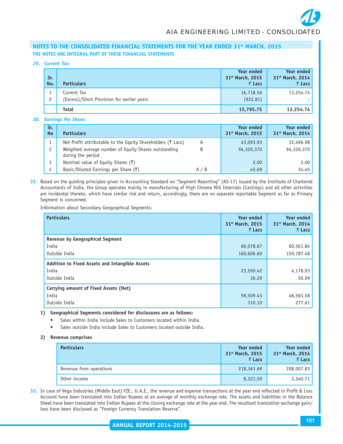*29. Current Tax:*

| Sr.<br>No.     | <b>Particulars</b>                                        | <b>Year ended</b><br>31 <sup>st</sup> March, 2015<br>₹ Lacs | Year ended<br>31 <sup>st</sup> March, 2014<br>₹ Lacs |
|----------------|-----------------------------------------------------------|-------------------------------------------------------------|------------------------------------------------------|
| $\overline{c}$ | Current Tax<br>(Excess)/Short Provision for earlier years | 16,718.56<br>(922.81)                                       | 13,254.74                                            |
|                | <b>Total</b>                                              | 15,795.75                                                   | 13,254.74                                            |

*30. Earnings Per Share:*

| Sr.<br><b>No</b> | <b>Particulars</b>                                                        |     | <b>Year ended</b><br>31 <sup>st</sup> March, 2015 | <b>Year ended</b><br>31 <sup>st</sup> March, 2014 |
|------------------|---------------------------------------------------------------------------|-----|---------------------------------------------------|---------------------------------------------------|
|                  | Net Profit attributable to the Equity Shareholders (₹ Lacs)               | A   | 43,093.93                                         | 32,496.98                                         |
|                  | Weighted average number of Equity Shares outstanding<br>during the period | B   | 94,320,370                                        | 94,320,370                                        |
|                  | Nominal value of Equity Shares (₹)                                        |     | 2.00                                              | 2.00                                              |
| 4                | Basic/Diluted Earnings per Share $(\bar{\zeta})$                          | A/B | 45.69                                             | 34.45                                             |

**31**. Based on the guiding principles given in Accounting Standard on "Segment Reporting" (AS-17) issued by the Institute of Chartered Accountants of India, the Group operates mainly in manufacturing of High Chrome Mill Internals (Castings) and all other activities are incidental thereto, which have similar risk and return, accordingly, there are no separate reportable Segment as far as Primary Segment is concerned.

Information about Secondary Geographical Segments:

| <b>Particulars</b>                             | Year ended<br>31st March, 2015<br>₹ Lacs | <b>Year ended</b><br>31 <sup>st</sup> March, 2014<br>₹ Lacs |
|------------------------------------------------|------------------------------------------|-------------------------------------------------------------|
| <b>Revenue by Geographical Segment</b>         |                                          |                                                             |
| India                                          | 66,078.67                                | 60,561.84                                                   |
| Outside India                                  | 160,606.60                               | 150,787.48                                                  |
| Addition to Fixed Assets and Intangible Assets |                                          |                                                             |
| India                                          | 23,550.42                                | 4,178.93                                                    |
| Outside India                                  | 36.29                                    | 50.99                                                       |
| Carrying amount of Fixed Assets (Net)          |                                          |                                                             |
| India                                          | 59,509.43                                | 48,563.58                                                   |
| Outside India                                  | 310.10                                   | 277.61                                                      |

**1) Geographical Segments considered for disclosures are as follows:**

- **•** Sales within India include Sales to Customers located within India.
- Sales outside India include Sales to Customers located outside India.

#### **2) Revenue comprises**

| <b>Particulars</b>      | Year ended<br>31 <sup>st</sup> March, 2015<br>₹ Lacs | <b>Year ended</b><br>31 <sup>st</sup> March, 2014<br>₹ Lacs |
|-------------------------|------------------------------------------------------|-------------------------------------------------------------|
| Revenue from operations | 218,363.69                                           | 208,007.83                                                  |
| Other income            | 8,321.59                                             | 3,340.71                                                    |

**32.** In case of Vega Industries (Middle East) FZE., U.A.E., the revenue and expense transactions at the year end reflected in Profit & Loss Account have been translated into Indian Rupees at an average of monthly exchange rate. The assets and liabilities in the Balance Sheet have been translated into Indian Rupees at the closing exchange rate at the year end. The resultant translation exchange gain/ loss have been disclosed as "Foreign Currency Translation Reserve".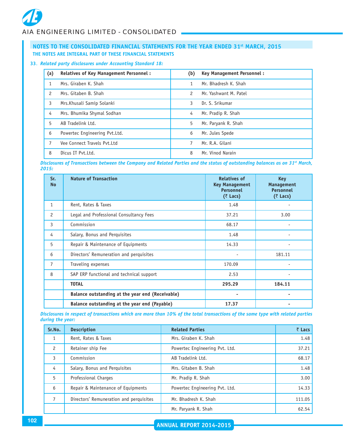#### **33**. *Related party disclosures under Accounting Standard 18:*

| (a)           | <b>Relatives of Key Management Personnel:</b> | (b)           | Key Management Personnel: |
|---------------|-----------------------------------------------|---------------|---------------------------|
|               | Mrs. Giraben K. Shah                          | 1             | Mr. Bhadresh K. Shah      |
| $\mathcal{P}$ | Mrs. Gitaben B. Shah                          | $\mathcal{P}$ | Mr. Yashwant M. Patel     |
| 3             | Mrs. Khusali Samip Solanki                    | 3             | Dr. S. Srikumar           |
| 4             | Mrs. Bhumika Shymal Sodhan                    | 4             | Mr. Pradip R. Shah        |
| 5             | AB Tradelink Ltd.                             | 5             | Mr. Paryank R. Shah       |
| 6             | Powertec Engineering Pvt.Ltd.                 | 6             | Mr. Jules Spede           |
|               | Vee Connect Travels Pyt.Ltd                   | 7             | Mr. R.A. Gilani           |
| 8             | Dicus IT Pyt.Ltd.                             | 8             | Mr. Vinod Narain          |

*Disclosures of Transactions between the Company and Related Parties and the status of outstanding balances as on 31st March, 2015:*

| Sr.<br><b>No</b> | <b>Nature of Transaction</b>                     | <b>Relatives of</b><br><b>Key Management</b><br><b>Personnel</b><br>$(3)$ Lacs) | <b>Key</b><br><b>Management</b><br><b>Personnel</b><br>(₹ Lacs) |
|------------------|--------------------------------------------------|---------------------------------------------------------------------------------|-----------------------------------------------------------------|
| $\mathbf{1}$     | Rent, Rates & Taxes                              | 1.48                                                                            |                                                                 |
| 2                | Legal and Professional Consultancy Fees          | 37.21                                                                           | 3.00                                                            |
| 3                | Commission                                       | 68.17                                                                           |                                                                 |
| 4                | Salary, Bonus and Perquisites                    | 1.48                                                                            |                                                                 |
| 5                | Repair & Maintenance of Equipments               | 14.33                                                                           |                                                                 |
| 6                | Directors' Remuneration and perquisites          |                                                                                 | 181.11                                                          |
| 7                | Traveling expenses                               | 170.09                                                                          |                                                                 |
| 8                | SAP ERP functional and technical support         | 2.53                                                                            |                                                                 |
|                  | <b>TOTAL</b>                                     | 295.29                                                                          | 184.11                                                          |
|                  | Balance outstanding at the year end (Receivable) |                                                                                 |                                                                 |
|                  | Balance outstanding at the year end (Payable)    | 17.37                                                                           |                                                                 |

*Disclosures in respect of transactions which are more than 10% of the total transactions of the same type with related parties during the year:*

| Sr.No.        | <b>Description</b>                      | <b>Related Parties</b>         | $\bar{z}$ Lacs |
|---------------|-----------------------------------------|--------------------------------|----------------|
|               | Rent, Rates & Taxes                     | Mrs. Giraben K. Shah           | 1.48           |
| $\mathcal{P}$ | Retainer ship Fee                       | Powertec Engineering Pvt. Ltd. | 37.21          |
| 3             | Commission                              | AB Tradelink Ltd.              | 68.17          |
| 4             | Salary, Bonus and Perquisites           | Mrs. Gitaben B. Shah           | 1.48           |
| 5             | Professional Charges                    | Mr. Pradip R. Shah             | 3.00           |
| 6             | Repair & Maintenance of Equipments      | Powertec Engineering Pvt. Ltd. | 14.33          |
|               | Directors' Remuneration and perquisites | Mr. Bhadresh K. Shah           | 111.05         |
|               |                                         | Mr. Paryank R. Shah            | 62.54          |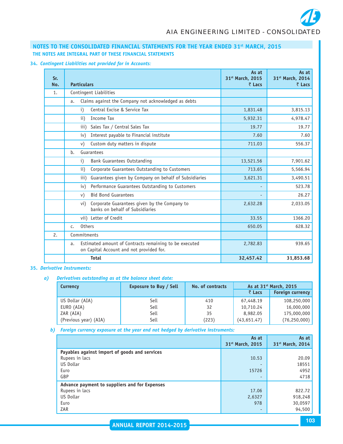# *AIA ENGINEERING LIMITED - CONSOLIDATED*

# **NOTES TO THE CONSOLIDATED FINANCIAL STATEMENTS FOR THE YEAR ENDED 31st MARCH, 2015 THE NOTES ARE INTEGRAL PART OF THESE FINANCIAL STATEMENTS**

**34.** *Contingent Liabilities not provided for in Accounts:*

| Sr.<br>No. | <b>Particulars</b>                                                                                       | As at<br>31 <sup>st</sup> March, 2015<br>$\bar{z}$ Lacs | As at<br>31st March, 2014<br>₹ Lacs |
|------------|----------------------------------------------------------------------------------------------------------|---------------------------------------------------------|-------------------------------------|
| 1.         | Contingent Liabilities                                                                                   |                                                         |                                     |
|            | Claims against the Company not acknowledged as debts<br>a.                                               |                                                         |                                     |
|            | Central Excise & Service Tax<br>$\mathbf{i}$                                                             | 1,831.48                                                | 3,815.13                            |
|            | Income Tax<br>$\mathbf{ii}$                                                                              | 5,932.31                                                | 4,978.47                            |
|            | Sales Tax / Central Sales Tax<br>iii)                                                                    | 19.77                                                   | 19.77                               |
|            | Interest payable to Financial institute<br>iv)                                                           | 7.60                                                    | 7.60                                |
|            | Custom duty matters in dispute<br>v)                                                                     | 711.03                                                  | 556.37                              |
|            | Guarantees<br>b.                                                                                         |                                                         |                                     |
|            | Bank Guarantees Outstanding<br>i)                                                                        | 13,521.56                                               | 7,901.62                            |
|            | Corporate Guarantees Outstanding to Customers<br>$\mathbf{ii}$                                           | 713.65                                                  | 5,566.94                            |
|            | Guarantees given by Company on behalf of Subsidiaries<br>iii)                                            | 3,621.31                                                | 3,490.51                            |
|            | Performance Guarantees Outstanding to Customers<br>iv)                                                   |                                                         | 523.78                              |
|            | <b>Bid Bond Guarantees</b><br>V)                                                                         |                                                         | 26.27                               |
|            | Corporate Guarantees given by the Company to<br>vi)<br>banks on behalf of Subsidiaries                   | 2,632.28                                                | 2,033.05                            |
|            | vii) Letter of Credit                                                                                    | 33.55                                                   | 1366.20                             |
|            | <b>Others</b><br>c.                                                                                      | 650.05                                                  | 628.32                              |
| 2.         | Commitments                                                                                              |                                                         |                                     |
|            | Estimated amount of Contracts remaining to be executed<br>a.<br>on Capital Account and not provided for. | 2,782.83                                                | 939.65                              |
|            | <b>Total</b>                                                                                             | 32,457.42                                               | 31,853.68                           |

#### **35.** *Derivative Instruments:*

*a) Derivatives outstanding as at the balance sheet date:*

| Currency              | <b>Exposure to Buy / Sell</b> | No. of contracts | As at 31 <sup>st</sup> March, 2015 |                         |
|-----------------------|-------------------------------|------------------|------------------------------------|-------------------------|
|                       |                               |                  | ₹ Lacs                             | <b>Foreign currency</b> |
| US Dollar (AIA)       | Sell                          | 410              | 67,448.19                          | 108,250,000             |
| EURO (AIA)            | Sell                          | 32               | 10,710.24                          | 16,000,000              |
| ZAR (AIA)             | Sell                          | 35               | 8,982.05                           | 175,000,000             |
| (Previous year) (AIA) | Sell                          | (223)            | (43, 651.47)                       | (76, 250, 000)          |

*b) Foreign currency exposure at the year end not hedged by derivative instruments:*

|                                               | As at<br>31 <sup>st</sup> March, 2015 | As at<br>31 <sup>st</sup> March, 2014 |
|-----------------------------------------------|---------------------------------------|---------------------------------------|
| Payables against import of goods and services |                                       |                                       |
| Rupees in lacs                                | 10.53                                 | 20.09                                 |
| US Dollar                                     | -                                     | 18551                                 |
| Euro                                          | 15726                                 | 4952                                  |
| GBP                                           | -                                     | 4718                                  |
| Advance payment to suppliers and for Expenses |                                       |                                       |
| Rupees in lacs                                | 17.06                                 | 822.72                                |
| US Dollar                                     | 2,6327                                | 918,248                               |
| Euro                                          | 978                                   | 30,0597                               |
| ZAR                                           | -                                     | 94,500                                |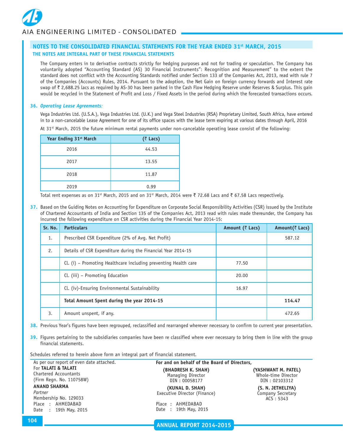The Company enters in to derivative contracts strictly for hedging purposes and not for trading or speculation. The Company has voluntarily adopted "Accounting Standard (AS) 30 Financial Instruments": Recognition and Measurement" to the extent the standard does not conflict with the Accounting Standards notified under Section 133 of the Companies Act, 2013, read with rule 7 of the Companies (Accounts) Rules, 2014. Pursuant to the adoption, the Net Gain on foreign currency forwards and Interest rate swap of ₹ 2,688.25 lacs as required by AS-30 has been parked in the Cash Flow Hedging Reserve under Reserves & Surplus. This gain would be recycled in the Statement of Profit and Loss / Fixed Assets in the period during which the forecasted transactions occurs.

#### **36.** *Operating Lease Agreements:*

Vega Industries Ltd. (U.S.A.), Vega Industries Ltd. (U.K.) and Vega Steel Industries (RSA) Proprietary Limited, South Africa, have entered in to a non-cancelable Lease Agreement for one of its office spaces with the lease term expiring at various dates through April, 2016

| At 31st March, 2015 the future minimum rental payments under non-cancelable operating lease consist of the following: |  |  |  |
|-----------------------------------------------------------------------------------------------------------------------|--|--|--|
|-----------------------------------------------------------------------------------------------------------------------|--|--|--|

| Year Ending 31 <sup>st</sup> March | (₹ Lacs) |
|------------------------------------|----------|
| 2016                               | 44.53    |
| 2017                               | 13.55    |
| 2018                               | 11.87    |
| 2019                               | 0.99     |

Total rent expenses as on 31<sup>st</sup> March, 2015 and on 31<sup>st</sup> March, 2014 were  $\bar{z}$  72.68 Lacs and  $\bar{z}$  67.58 Lacs respectively.

**37.** Based on the Guiding Notes on Accounting for Expenditure on Corporate Social Responsibility Activities (CSR) issued by the Institute of Chartered Accountants of India and Section 135 of the Companies Act, 2013 read with rules made thereunder, the Company has incurred the following expenditure on CSR activities during the Financial Year 2014-15:

| Sr. No. | <b>Particulars</b>                                              | Amount (₹ Lacs) | Amount(₹ Lacs) |
|---------|-----------------------------------------------------------------|-----------------|----------------|
| 1.      | Prescribed CSR Expenditure (2% of Avg. Net Profit)              |                 | 587.12         |
| 2.      | Details of CSR Expenditure during the Financial Year 2014-15    |                 |                |
|         | Cl. (i) – Promoting Healthcare including preventing Health care | 77.50           |                |
|         | Cl. (iii) – Promoting Education                                 | 20.00           |                |
|         | Cl. (iv)-Ensuring Environmental Sustainability                  | 16.97           |                |
|         | Total Amount Spent during the year 2014-15                      |                 | 114.47         |
| 3.      | Amount unspent, if any.                                         |                 | 472.65         |

**38.** Previous Year's figures have been regrouped, reclassified and rearranged wherever necessary to confirm to current year presentation.

**39.** Figures pertaining to the subsidiaries companies have been re classified where ever necessary to bring them in line with the group financial statements.

Schedules referred to herein above form an integral part of financial statement.

| As per our report of even date attached.                                 | For and on behalf of the Board of Directors,             |                                                             |
|--------------------------------------------------------------------------|----------------------------------------------------------|-------------------------------------------------------------|
| For TALATI & TALATI<br>Chartered Accountants<br>(Firm Regn. No. 110758W) | (BHADRESH K. SHAH)<br>Managing Director<br>DIN: 00058177 | (YASHWANT M. PATEL)<br>Whole-time Director<br>DIN: 02103312 |
| <b>ANAND SHARMA</b><br>Partner<br>Membership No. 129033                  | (KUNAL D. SHAH)<br>Executive Director (Finance)          | (S. N. JETHELIYA)<br>Company Secretary<br>ACS: 5343         |
| Place: AHMEDABAD<br>Date: 19th May, 2015                                 | Place: AHMEDABAD<br>Date: 19th May, 2015                 |                                                             |

**ANNUAL REPORT 2014-2015**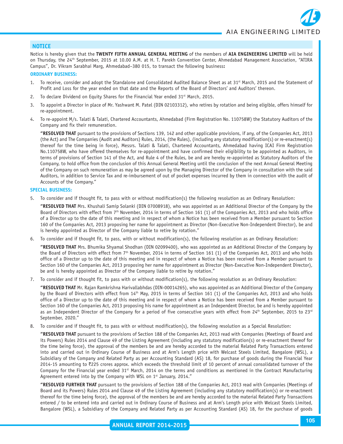# **NOTICE**

Notice is hereby given that the **TWENTY FIFTH ANNUAL GENERAL MEETING** of the members of **AIA ENGINEERING LIMITED** will be held on Thursday, the 24<sup>th</sup> September, 2015 at 10.00 A.M. at H. T. Parekh Convention Center, Ahmedabad Management Association, "ATIRA Campus", Dr. Vikram Sarabhai Marg, Ahmedabad–380 015, to transact the following business**:**

#### **ORDINARY BUSINESS:**

- 1. To receive, consider and adopt the Standalone and Consolidated Audited Balance Sheet as at 31<sup>st</sup> March, 2015 and the Statement of Profit and Loss for the year ended on that date and the Reports of the Board of Directors' and Auditors' thereon.
- 2. To declare Dividend on Equity Shares for the Financial Year ended  $31^{st}$  March, 2015.
- 3. To appoint a Director in place of Mr. Yashwant M. Patel (DIN 02103312), who retires by rotation and being eligible, offers himself for re-appointment.
- 4. To re-appoint M/s. Talati & Talati, Chartered Accountants, Ahmedabad (Firm Registration No. 110758W) the Statutory Auditors of the Company and fix their remuneration.

**"RESOLVED THAT** pursuant to the provisions of Sections 139, 142 and other applicable provisions, if any, of the Companies Act, 2013 (the Act) and The Companies (Audit and Auditors) Rules, 2014, (the Rules), (including any statutory modification(s) or re-enactment(s) thereof for the time being in force), Messrs. Talati & Talati, Chartered Accountants, Ahmedabad having ICAI Firm Registration No.110758W, who have offered themselves for re-appointment and have confirmed their eligibility to be appointed as Auditors, in terms of provisions of Section 141 of the Act, and Rule 4 of the Rules, be and are hereby re-appointed as Statutory Auditors of the Company, to hold office from the conclusion of this Annual General Meeting until the conclusion of the next Annual General Meeting of the Company on such remuneration as may be agreed upon by the Managing Director of the Company in consultation with the said Auditors, in addition to Service Tax and re-imbursement of out of pocket expenses incurred by them in connection with the audit of Accounts of the Company."

# **SPECIAL BUSINESS:**

5. To consider and if thought fit, to pass with or without modification(s) the following resolution as an Ordinary Resolution:

**"RESOLVED THAT** Mrs. Khushali Samip Solanki (DIN 07008918), who was appointed as an Additional Director of the Company by the Board of Directors with effect from 7th November, 2014 in terms of Section 161 (1) of the Companies Act, 2013 and who holds office of a Director up to the date of this meeting and in respect of whom a Notice has been received from a Member pursuant to Section 160 of the Companies Act, 2013 proposing her name for appointment as Director (Non-Executive Non-Independent Director), be and is hereby appointed as Director of the Company liable to retire by rotation."

6. To consider and if thought fit, to pass, with or without modification(s), the following resolution as an Ordinary Resolution:

**"RESOLVED THAT** Mrs. Bhumika Shyamal Shodhan (DIN 02099400), who was appointed as an Additional Director of the Company by the Board of Directors with effect from 7<sup>th</sup> November, 2014 in terms of Section 161 (1) of the Companies Act, 2013 and who holds office of a Director up to the date of this meeting and in respect of whom a Notice has been received from a Member pursuant to Section 160 of the Companies Act, 2013 proposing her name for appointment as Director (Non-Executive Non-Independent Director), be and is hereby appointed as Director of the Company liable to retire by rotation."

7. To consider and if thought fit, to pass with or without modification(s), the following resolution as an Ordinary Resolution:

**"RESOLVED THAT** Mr. Rajan Ramkrishna Harivallabhdas (DIN-00014265), who was appointed as an Additional Director of the Company by the Board of Directors with effect from 14<sup>th</sup> May, 2015 in terms of Section 161 (1) of the Companies Act, 2013 and who holds office of a Director up to the date of this meeting and in respect of whom a Notice has been received from a Member pursuant to Section 160 of the Companies Act, 2013 proposing his name for appointment as an Independent Director, be and is hereby appointed as an Independent Director of the Company for a period of five consecutive years with effect from 24<sup>th</sup> September, 2015 to 23<sup>rd</sup> September, 2020."

8. To consider and if thought fit, to pass with or without modification(s), the following resolution as a Special Resolution:

**"RESOLVED THAT** pursuant to the provisions of Section 188 of the Companies Act, 2013 read with Companies (Meetings of Board and its Powers) Rules 2014 and Clause 49 of the Listing Agreement (including any statutory modification(s) or re-enactment thereof for the time being force), the approval of the members be and are hereby accorded to the material Related Party Transactions entered into and carried out in Ordinary Course of Business and at Arm's Length price with Welcast Steels Limited, Bangalore (WSL), a Subsidiary of the Company and Related Party as per Accounting Standard (AS) 18, for purchase of goods during the Financial Year 2014-15 amounting to ₹225 crores approx. which exceeds the threshold limit of 10 percent of annual consolidated turnover of the Company for the Financial year ended 31st March, 2014 on the terms and conditions as mentioned in the Contract Manufacturing Agreement entered into by the Company with WSL on 1st January, 2014."

**"RESOLVED FURTHER THAT** pursuant to the provisions of Section 188 of the Companies Act, 2013 read with Companies (Meetings of Board and its Powers) Rules 2014 and Clause 49 of the Listing Agreement (including any statutory modification(s) or re-enactment thereof for the time being force), the approval of the members be and are hereby accorded to the material Related Party Transactions entered / to be entered into and carried out in Ordinary Course of Business and at Arm's Length price with Welcast Steels Limited, Bangalore (WSL), a Subsidiary of the Company and Related Party as per Accounting Standard (AS) 18, for the purchase of goods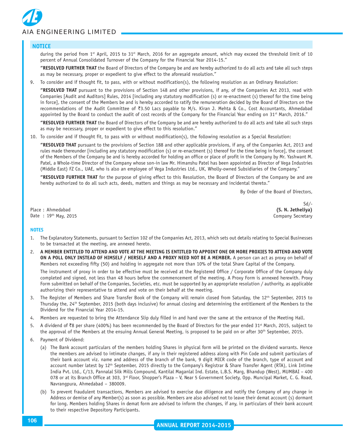

#### **NOTICE**

during the period from  $1<sup>st</sup>$  April, 2015 to 31 $st$  March, 2016 for an aggregate amount, which may exceed the threshold limit of 10 percent of Annual Consolidated Turnover of the Company for the Financial Year 2014-15."

**"RESOLVED FURTHER THAT** the Board of Directors of the Company be and are hereby authorized to do all acts and take all such steps as may be necessary, proper or expedient to give effect to the aforesaid resolution."

9. To consider and if thought fit, to pass, with or without modification(s), the following resolution as an Ordinary Resolution:

**"RESOLVED THAT** pursuant to the provisions of Section 148 and other provisions, if any, of the Companies Act 2013, read with Companies [Audit and Auditors] Rules, 2014 [including any statutory modification (s) or re-enactment (s) thereof for the time being in force], the consent of the Members be and is hereby accorded to ratify the remuneration decided by the Board of Directors on the recommendations of the Audit Committee of  $\overline{3}3.50$  Lacs payable to M/s. Kiran J. Mehta & Co., Cost Accountants, Ahmedabad appointed by the Board to conduct the audit of cost records of the Company for the Financial Year ending on  $31<sup>st</sup>$  March, 2016."

**"RESOLVED FURTHER THAT** the Board of Directors of the Company be and are hereby authorized to do all acts and take all such steps as may be necessary, proper or expedient to give effect to this resolution."

10. To consider and if thought fit, to pass with or without modification(s), the following resolution as a Special Resolution:

**"RESOLVED THAT** pursuant to the provisions of Section 188 and other applicable provisions, if any, of the Companies Act, 2013 and rules made thereunder [including any statutory modification (s) or re-enactment (s) thereof for the time being in force], the consent of the Members of the Company be and is hereby accorded for holding an office or place of profit in the Company by Mr. Yashwant M. Patel, a Whole-time Director of the Company whose son-in law Mr. Himanshu Patel has been appointed as Director of Vega Industries (Middle East) FZ Co., UAE, who is also an employee of Vega Industries Ltd., UK, Wholly-owned Subsidiaries of the Company."

**"RESOLVED FURTHER THAT** for the purpose of giving effect to this Resolution, the Board of Directors of the Company be and are hereby authorized to do all such acts, deeds, matters and things as may be necessary and incidental thereto."

By Order of the Board of Directors,

Place : Ahmedabad **(S. N. Jetheliya)** Date : 19<sup>th</sup> May, 2015 **Company Secretary** 

Sd/-

#### **NOTES**

- 1. The Explanatory Statements, pursuant to Section 102 of the Companies Act, 2013, which sets out details relating to Special Businesses to be transacted at the meeting, are annexed hereto.
- 2. **A MEMBER ENTITLED TO ATTEND AND VOTE AT THE MEETING IS ENTITLED TO APPOINT ONE OR MORE PROXIES TO ATTEND AND VOTE ON A POLL ONLY INSTEAD OF HIMSELF / HERSELF AND A PROXY NEED NOT BE A MEMBER.** A person can act as proxy on behalf of Members not exceeding fifty (50) and holding in aggregate not more than 10% of the total Share Capital of the Company.

The instrument of proxy in order to be effective must be received at the Registered Office / Corporate Office of the Company duly completed and signed, not less than 48 hours before the commencement of the meeting. A Proxy Form is annexed herewith. Proxy Form submitted on behalf of the Companies, Societies, etc. must be supported by an appropriate resolution / authority, as applicable authorizing their representative to attend and vote on their behalf at the meeting.

- 3. The Register of Members and Share Transfer Book of the Company will remain closed from Saturday, the 12<sup>th</sup> September, 2015 to Thursday the, 24th September, 2015 (both days inclusive) for annual closing and determining the entitlement of the Members to the Dividend for the Financial Year 2014-15.
- 4. Members are requested to bring the Attendance Slip duly filled in and hand over the same at the entrance of the Meeting Hall.
- 5. A dividend of  $\bar{z}$ 8 per share (400%) has been recommended by the Board of Directors for the year ended 31<sup>st</sup> March, 2015, subject to the approval of the Members at the ensuing Annual General Meeting, is proposed to be paid on or after 30<sup>th</sup> September, 2015.
- 6. Payment of Dividend:
	- (a) The Bank account particulars of the members holding Shares in physical form will be printed on the dividend warrants. Hence the members are advised to intimate changes, if any in their registered address along with Pin Code and submit particulars of their bank account viz. name and address of the branch of the bank, 9 digit MICR code of the branch, type of account and account number latest by 12th September, 2015 directly to the Company's Registrar & Share Transfer Agent (RTA), Link Intime India Pvt. Ltd., C/13, Pannalal Silk Mills Compound, Kantilal Maganlal Ind. Estate, L.B.S. Marg, Bhandup (West), MUMBAI – 400 078 or at its Branch Office at 303, 3<sup>rd</sup> Floor, Shopper's Plaza – V, Near 5 Government Society, Opp. Muncipal Market, C. G. Road, Navrangpura, Ahmedabad – 380009.
	- (b) To prevent fraudulent transactions, Members are advised to exercise due diligence and notify the Company of any change in Address or demise of any Member(s) as soon as possible. Members are also advised not to leave their demat account (s) dormant for long. Members holding Shares in demat form are advised to inform the changes, if any, in particulars of their bank account to their respective Depository Participants.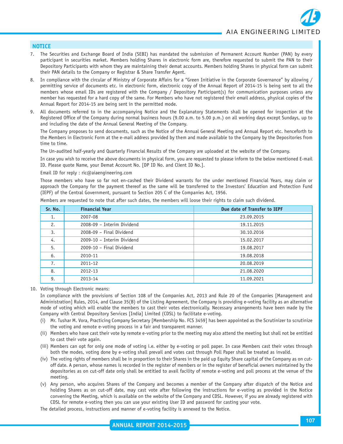# **NOTICE**

- 7. The Securities and Exchange Board of India (SEBI) has mandated the submission of Permanent Account Number (PAN) by every participant in securities market. Members holding Shares in electronic form are, therefore requested to submit the PAN to their Depository Participants with whom they are maintaining their demat accounts. Members holding Shares in physical form can submit their PAN details to the Company or Registrar & Share Transfer Agent.
- 8. In compliance with the circular of Ministry of Corporate Affairs for a "Green Initiative in the Corporate Governance" by allowing / permitting service of documents etc. in electronic form, electronic copy of the Annual Report of 2014-15 is being sent to all the members whose email IDs are registered with the Company / Depository Participant(s) for communication purposes unless any member has requested for a hard copy of the same. For Members who have not registered their email address, physical copies of the Annual Report for 2014-15 are being sent in the permitted mode.
- 9. All documents referred to in the accompanying Notice and the Explanatory Statements shall be opened for inspection at the Registered Office of the Company during normal business hours (9.00 a.m. to 5.00 p.m.) on all working days except Sundays, up to and including the date of the Annual General Meeting of the Company.

The Company proposes to send documents, such as the Notice of the Annual General Meeting and Annual Report etc. henceforth to the Members in Electronic Form at the e-mail address provided by them and made available to the Company by the Depositories from time to time.

The Un-audited half-yearly and Quarterly Financial Results of the Company are uploaded at the website of the Company.

In case you wish to receive the above documents in physical form, you are requested to please inform to the below mentioned E-mail ID. Please quote Name, your Demat Account No. [DP ID No. and Client ID No.].

Email ID for reply : ric@aiaengineering.com

Those members who have so far not en-cashed their Dividend warrants for the under mentioned Financial Years, may claim or approach the Company for the payment thereof as the same will be transferred to the Investors' Education and Protection Fund (IEPF) of the Central Government, pursuant to Section 205 C of the Companies Act, 1956.

| Sr. No. | <b>Financial Year</b>      | Due date of Transfer to IEPF |
|---------|----------------------------|------------------------------|
| 1.      | 2007-08                    | 23.09.2015                   |
| 2.      | 2008-09 - Interim Dividend | 19.11.2015                   |
| 3.      | 2008-09 - Final Dividend   | 30.10.2016                   |
| 4.      | 2009-10 - Interim Dividend | 15.02.2017                   |
| 5.      | 2009-10 - Final Dividend   | 19.08.2017                   |
| 6.      | 2010-11                    | 19.08.2018                   |
| 7.      | 2011-12                    | 20.08.2019                   |
| 8.      | 2012-13                    | 21.08.2020                   |
| 9.      | 2013-14                    | 11.09.2021                   |

Members are requested to note that after such dates, the members will loose their rights to claim such dividend.

10. Voting through Electronic means:

In compliance with the provisions of Section 108 of the Companies Act, 2013 and Rule 20 of the Companies [Management and Administration] Rules, 2014, and Clause 35(B) of the Listing Agreement, the Company is providing e-voting facility as an alternative mode of voting which will enable the members to cast their votes electronically. Necessary arrangements have been made by the Company with Central Depository Services [India] Limited (CDSL) to facilitate e-voting.

- (i) Mr. Tushar M. Vora, Practicing Company Secretary [Membership No. FCS 3459] has been appointed as the Scrutinizer to scrutinize the voting and remote e-voting process in a fair and transparent manner.
- (ii) Members who have cast their vote by remote e-voting prior to the meeting may also attend the meeting but shall not be entitled to cast their vote again.
- (iii) Members can opt for only one mode of voting i.e. either by e-voting or poll paper. In case Members cast their votes through both the modes, voting done by e-voting shall prevail and votes cast through Poll Paper shall be treated as invalid.
- (iv) The voting rights of members shall be in proportion to their Shares in the paid up Equity Share capital of the Company as on cutoff date. A person, whose names is recorded in the register of members or in the register of beneficial owners maintained by the depositories as on cut-off date only shall be entitled to avail facility of remote e-voting and poll process at the venue of the meeting.
- (v) Any person, who acquires Shares of the Company and becomes a member of the Company after dispatch of the Notice and holding Shares as on cut-off date, may cast vote after following the instructions for e-voting as provided in the Notice convening the Meeting, which is available on the website of the Company and CDSL. However, if you are already registered with CDSL for remote e-voting then you can use your existing User ID and password for casting your vote.

The detailed process, instructions and manner of e-voting facility is annexed to the Notice.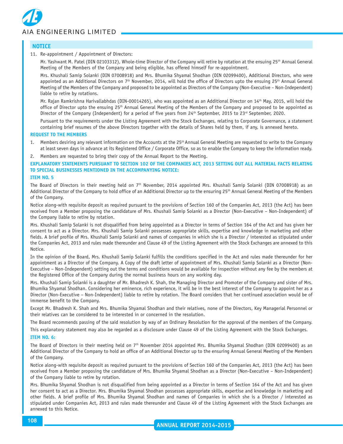

## **NOTICE**

### 11. Re-appointment / Appointment of Directors:

Mr. Yashwant M. Patel (DIN 02103312), Whole-time Director of the Company will retire by rotation at the ensuing 25<sup>th</sup> Annual General Meeting of the Members of the Company and being eligible, has offered himself for re-appointment.

Mrs. Khushali Samip Solanki (DIN 07008918) and Mrs. Bhumika Shyamal Shodhan (DIN 02099400), Additional Directors, who were appointed as an Additional Directors on 7<sup>th</sup> November, 2014, will hold the office of Directors upto the ensuing 25<sup>th</sup> Annual General Meeting of the Members of the Company and proposed to be appointed as Directors of the Company (Non-Executive – Non-Independent) liable to retire by rotations.

Mr. Rajan Ramkrishna Harivallabhdas (DIN-00014265), who was appointed as an Additional Director on 14th May, 2015, will hold the office of Director upto the ensuing 25th Annual General Meeting of the Members of the Company and proposed to be appointed as Director of the Company (Independent) for a period of five years from 24<sup>th</sup> September, 2015 to 23<sup>rd</sup> September, 2020.

Pursuant to the requirements under the Listing Agreement with the Stock Exchanges, relating to Corporate Governance, a statement containing brief resumes of the above Directors together with the details of Shares held by them, if any, is annexed hereto.

#### **REQUEST TO THE MEMBERS**

1. Members desiring any relevant information on the Accounts at the 25th Annual General Meeting are requested to write to the Company at least seven days in advance at its Registered Office / Corporate Office, so as to enable the Company to keep the information ready.

#### Members are requested to bring their copy of the Annual Report to the Meeting.

**EXPLANATORY STATEMENTS PURSUANT TO SECTION 102 OF THE COMPANIES ACT, 2013 SETTING OUT ALL MATERIAL FACTS RELATING TO SPECIAL BUSINESSES MENTIONED IN THE ACCOMPANYING NOTICE:**

#### **ITEM NO. 5**

The Board of Directors in their meeting held on  $7<sup>th</sup>$  November, 2014 appointed Mrs. Khushali Samip Solanki (DIN 07008918) as an Additional Director of the Company to hold office of an Additional Director up to the ensuring 25th Annual General Meeting of the Members of the Company.

Notice along-with requisite deposit as required pursuant to the provisions of Section 160 of the Companies Act, 2013 (the Act) has been received from a Member proposing the candidature of Mrs. Khushali Samip Solanki as a Director (Non-Executive – Non-Independent) of the Company liable to retire by rotation.

Mrs. Khushali Samip Solanki is not disqualified from being appointed as a Director in terms of Section 164 of the Act and has given her consent to act as a Director. Mrs. Khushali Samip Solanki possesses appropriate skills, expertise and knowledge in marketing and other fields. A brief profile of Mrs. Khushali Samip Solanki and names of companies in which she is a Director / interested as stipulated under the Companies Act, 2013 and rules made thereunder and Clause 49 of the Listing Agreement with the Stock Exchanges are annexed to this Notice.

In the opinion of the Board, Mrs. Khushali Samip Solanki fulfills the conditions specified in the Act and rules made thereunder for her appointment as a Director of the Company. A Copy of the draft letter of appointment of Mrs. Khushali Samip Solanki as a Director (Non-Executive – Non-Independent) setting out the terms and conditions would be available for inspection without any fee by the members at the Registered Office of the Company during the normal business hours on any working day.

Mrs. Khushali Samip Solanki is a daughter of Mr. Bhadresh K. Shah, the Managing Director and Promoter of the Company and sister of Mrs. Bhumika Shyamal Shodhan. Considering her eminence, rich experience, it will be in the best interest of the Company to appoint her as a Director (Non-Executive – Non-Independent) liable to retire by rotation. The Board considers that her continued association would be of immense benefit to the Company.

Except Mr. Bhadresh K. Shah and Mrs. Bhumika Shyamal Shodhan and their relatives, none of the Directors, Key Managerial Personnel or their relatives can be considered to be interested in or concerned in the resolution.

The Board recommends passing of the said resolution by way of an Ordinary Resolution for the approval of the members of the Company.

This explanatory statement may also be regarded as a disclosure under Clause 49 of the Listing Agreement with the Stock Exchanges.

#### **ITEM NO. 6:**

The Board of Directors in their meeting held on 7<sup>th</sup> November 2014 appointed Mrs. Bhumika Shyamal Shodhan (DIN 02099400) as an Additional Director of the Company to hold an office of an Additional Director up to the ensuring Annual General Meeting of the Members of the Company.

Notice along-with requisite deposit as required pursuant to the provisions of Section 160 of the Companies Act, 2013 (the Act) has been received from a Member proposing the candidature of Mrs. Bhumika Shyamal Shodhan as a Director (Non-Executive – Non-Independent) of the Company liable to retire by rotation.

Mrs. Bhumika Shyamal Shodhan is not disqualified from being appointed as a Director in terms of Section 164 of the Act and has given her consent to act as a Director. Mrs. Bhumika Shyamal Shodhan possesses appropriate skills, expertise and knowledge in marketing and other fields. A brief profile of Mrs. Bhumika Shyamal Shodhan and names of Companies in which she is a Director / interested as stipulated under Companies Act, 2013 and rules made thereunder and Clause 49 of the Listing Agreement with the Stock Exchanges are annexed to this Notice.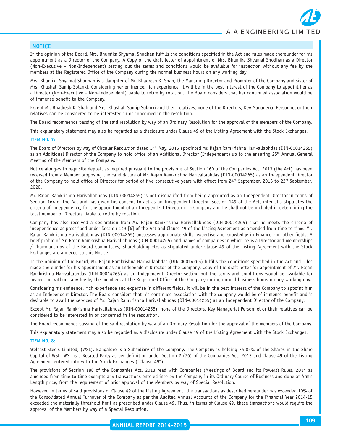*AIA ENGINEERING LIMITED*

## **NOTICE**

In the opinion of the Board, Mrs. Bhumika Shyamal Shodhan fulfills the conditions specified in the Act and rules made thereunder for his appointment as a Director of the Company. A Copy of the draft letter of appointment of Mrs. Bhumika Shyamal Shodhan as a Director (Non-Executive – Non-Independent) setting out the terms and conditions would be available for inspection without any fee by the members at the Registered Office of the Company during the normal business hours on any working day.

Mrs. Bhumika Shyamal Shodhan is a daughter of Mr. Bhadresh K. Shah, the Managing Director and Promoter of the Company and sister of Mrs. Khushali Samip Solanki. Considering her eminence, rich experience, it will be in the best interest of the Company to appoint her as a Director (Non-Executive – Non-Independent) liable to retire by rotation. The Board considers that her continued association would be of immense benefit to the Company.

Except Mr. Bhadresh K. Shah and Mrs. Khushali Samip Solanki and their relatives, none of the Directors, Key Managerial Personnel or their relatives can be considered to be interested in or concerned in the resolution.

The Board recommends passing of the said resolution by way of an Ordinary Resolution for the approval of the members of the Company.

This explanatory statement may also be regarded as a disclosure under Clause 49 of the Listing Agreement with the Stock Exchanges.

#### **ITEM NO. 7:**

The Board of Directors by way of Circular Resolution dated 14th May, 2015 appointed Mr. Rajan Ramkrishna Harivallabhdas (DIN-00014265) as an Additional Director of the Company to hold office of an Additional Director (Independent) up to the ensuring 25<sup>th</sup> Annual General Meeting of the Members of the Company.

Notice along-with requisite deposit as required pursuant to the provisions of Section 160 of the Companies Act, 2013 (the Act) has been received from a Member proposing the candidature of Mr. Rajan Ramkrishna Harivallabhdas (DIN-00014265) as an Independent Director of the Company to hold office of Director for period of five consecutive years with effect from 24th September, 2015 to 23rd September, 2020.

Mr. Rajan Ramkrishna Harivallabhdas (DIN-00014265) is not disqualified from being appointed as an Independent Director in terms of Section 164 of the Act and has given his consent to act as an Independent Director. Section 149 of the Act, inter alia stipulates the criteria of independence, for the appointment of an Independent Director in a Company and he shall not be included in determining the total number of Directors liable to retire by rotation.

Company has also received a declaration from Mr. Rajan Ramkrishna Harivallabhdas (DIN-00014265) that he meets the criteria of independence as prescribed under Section 149 [6] of the Act and Clause 49 of the Listing Agreement as amended from time to time. Mr. Rajan Ramkrishna Harivallabhdas (DIN-00014265) possesses appropriate skills, expertise and knowledge in Finance and other fields. A brief profile of Mr. Rajan Ramkrishna Harivallabhdas (DIN-00014265) and names of companies in which he is a Director and memberships / Chairmanships of the Board Committees, Shareholding etc. as stipulated under Clause 49 of the Listing Agreement with the Stock Exchanges are annexed to this Notice.

In the opinion of the Board, Mr. Rajan Ramkrishna Harivallabhdas (DIN-00014265) fulfills the conditions specified in the Act and rules made thereunder for his appointment as an Independent Director of the Company. Copy of the draft letter for appointment of Mr. Rajan Ramkrishna Harivallabhdas (DIN-00014265) as an Independent Director setting out the terms and conditions would be available for inspection without any fee by the members at the Registered Office of the Company during normal business hours on any working day.

Considering his eminence, rich experience and expertise in different fields, it will be in the best interest of the Company to appoint him as an Independent Director. The Board considers that his continued association with the company would be of immense benefit and is desirable to avail the services of Mr. Rajan Ramkrishna Harivallabhdas (DIN-00014265) as an Independent Director of the Company.

Except Mr. Rajan Ramkrishna Harivallabhdas (DIN-00014265), none of the Directors, Key Managerial Personnel or their relatives can be considered to be interested in or concerned in the resolution.

The Board recommends passing of the said resolution by way of an Ordinary Resolution for the approval of the members of the Company.

This explanatory statement may also be regarded as a disclosure under Clause 49 of the Listing Agreement with the Stock Exchanges.

#### **ITEM NO. 8:**

Welcast Steels Limited, (WSL), Bangalore is a Subsidiary of the Company. The Company is holding 74.85% of the Shares in the Share Capital of WSL. WSL is a Related Party as per definition under Section 2 (76) of the Companies Act, 2013 and Clause 49 of the Listing Agreement entered into with the Stock Exchanges ("Clause 49").

The provisions of Section 188 of the Companies Act, 2013 read with Companies (Meetings of Board and its Powers) Rules, 2014 as amended from time to time exempts any transactions entered into by the Company in its Ordinary Course of Business and done at Arm's Length price, from the requirement of prior approval of the Members by way of Special Resolution.

However, in terms of said provisions of Clause 49 of the Listing Agreement, the transactions as described hereunder has exceeded 10% of the Consolidated Annual Turnover of the Company as per the Audited Annual Accounts of the Company for the Financial Year 2014-15 exceeded the materially threshold limit as prescribed under Clause 49. Thus, in terms of Clause 49, these transactions would require the approval of the Members by way of a Special Resolution.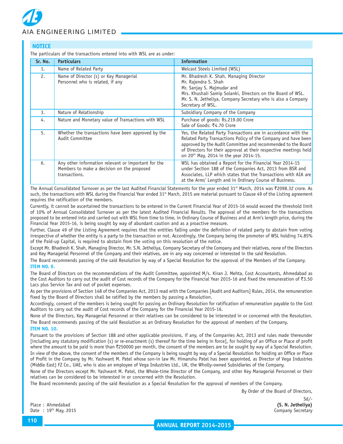

# **NOTICE**

The particulars of the transactions entered into with WSL are as under:

| Sr. No. | <b>Particulars</b>                                                                                                 | <b>Information</b>                                                                                                                                                                                                                                                                                                          |
|---------|--------------------------------------------------------------------------------------------------------------------|-----------------------------------------------------------------------------------------------------------------------------------------------------------------------------------------------------------------------------------------------------------------------------------------------------------------------------|
| 1.      | Name of Related Party                                                                                              | Welcast Steels Limited (WSL)                                                                                                                                                                                                                                                                                                |
| 2.      | Name of Director (s) or Key Managerial<br>Personnel who is related, if any                                         | Mr. Bhadresh K. Shah, Managing Director<br>Mr. Rajendra S. Shah<br>Mr. Sanjay S. Majmudar and<br>Mrs. Khushali Samip Solanki, Directors on the Board of WSL.<br>Mr. S. N. Jetheliya, Company Secretary who is also a Company<br>Secretary of WSL.                                                                           |
| 3.      | Nature of Relationship                                                                                             | Subsidiary Company of the Company                                                                                                                                                                                                                                                                                           |
| 4.      | Nature and Monetary value of Transactions with WSL                                                                 | Purchase of goods: Rs.219.00 Crore<br>Sale of Goods: ₹4.70 Crore                                                                                                                                                                                                                                                            |
| 5.      | Whether the transactions have been approved by the<br>Audit Committee                                              | Yes, the Related Party Transactions are in accordance with the<br>Related Party Transactions Policy of the Company and have been<br>approved by the Audit Committee and recommended to the Board<br>of Directors for their approval at their respective meetings held<br>on 20 <sup>th</sup> May, 2014 in the year 2014-15. |
| 6.      | Any other information relevant or important for the<br>Members to make a decision on the proposed<br>transactions. | WSL has obtained a Report for the Financial Year 2014-15<br>under Section 188 of the Companies Act, 2013 from BSR and<br>Associates, LLP which states that the Transactions with AIA are<br>at the Arms' Length and in Ordinary Course of Business.                                                                         |

The Annual Consolidated Turnover as per the last Audited Financial Statements for the year ended 31<sup>st</sup> March, 2014 was ₹2098.32 crore. As such, the transactions with WSL during the Financial Year ended 31st March, 2015 are material pursuant to Clause 49 of the Listing agreement requires the ratification of the members.

Currently, it cannot be ascertained the transactions to be entered in the Current Financial Year of 2015-16 would exceed the threshold limit of 10% of Annual Consolidated Turnover as per the latest Audited Financial Results. The approval of the members for the transactions proposed to be entered into and carried out with WSL from time to time, in Ordinary Course of Business and at Arm's length price, during the Financial Year 2015-16, is being sought by way of abundant caution and as a proactive measure.

Further, Clause 49 of the Listing Agreement requires that the entities falling under the definition of related party to abstain from voting irrespective of whether the entity is a party to the transaction or not. Accordingly, the Company being the promoter of WSL holding 74.85% of the Paid-up Capital, is required to abstain from the voting on this resolution of the notice.

Except Mr. Bhadresh K. Shah, Managing Director, Mr. S.N. Jetheliya, Company Secretary of the Company and their relatives, none of the Directors and Key Managerial Personnel of the Company and their relatives, are in any way concerned or interested in the said Resolution.

The Board recommends passing of the said Resolution by way of a Special Resolution for the approval of the Members of the Company. **ITEM NO. 9.**

The Board of Directors on the recommendations of the Audit Committee, appointed M/s. Kiran J. Mehta, Cost Accountants, Ahmedabad as the Cost Auditors to carry out the audit of Cost records of the Company for the Financial Year 2015-16 and fixed the remuneration of  $\overline{83.50}$ Lacs plus Service Tax and out of pocket expenses.

As per the provisions of Section 148 of the Companies Act, 2013 read with the Companies [Audit and Auditors] Rules, 2014, the remuneration fixed by the Board of Directors shall be ratified by the members by passing a Resolution.

Accordingly, consent of the members is being sought for passing an Ordinary Resolution for ratification of remuneration payable to the Cost Auditors to carry out the audit of Cost records of the Company for the Financial Year 2015-16.

None of the Directors, Key Managerial Personnel or their relatives can be considered to be interested in or concerned with the Resolution. The Board recommends passing of the said Resolution as an Ordinary Resolution for the approval of members of the Company. **ITEM NO. 10.**

Pursuant to the provisions of Section 188 and other applicable provisions, if any, of the Companies Act, 2013 and rules made thereunder [including any statutory modification (s) or re-enactment (s) thereof for the time being in force], for holding of an Office or Place of profit where the amount to be paid is more than ₹250000 per month, the consent of the members are to be sought by way of a Special Resolution. In view of the above, the consent of the members of the Company is being sought by way of a Special Resolution for holding an Office or Place of Profit in the Company by Mr. Yashwant M. Patel whose son-in law Mr. Himanshu Patel has been appointed, as Director of Vega Industries (Middle East) FZ Co., UAE, who is also an employee of Vega Industries Ltd., UK, the Wholly-owned Subsidiaries of the Company.

None of the Directors except Mr. Yashwant M. Patel, the Whole-time Director of the Company, and other Key Managerial Personnel or their relatives can be considered to be interested in or concerned with the Resolution.

The Board recommends passing of the said Resolution as a Special Resolution for the approval of members of the Company.

By Order of the Board of Directors,

Place : Ahmedabad **(S. N. Jetheliya)** Date : 19th May, 2015

Sd/-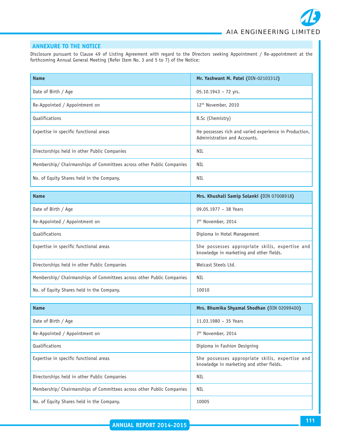# **ANNEXURE TO THE NOTICE**

Disclosure pursuant to Clause 49 of Listing Agreement with regard to the Directors seeking Appointment / Re-appointment at the forthcoming Annual General Meeting (Refer Item No. 3 and 5 to 7) of the Notice:

| <b>Name</b>                                                           | Mr. Yashwant M. Patel (DIN-02103312)                                                        |  |
|-----------------------------------------------------------------------|---------------------------------------------------------------------------------------------|--|
| Date of Birth / Age                                                   | 05.10.1943 - 72 yrs.                                                                        |  |
| Re-Appointed / Appointment on                                         | 12 <sup>th</sup> November, 2010                                                             |  |
| <b>Qualifications</b>                                                 | B.Sc (Chemistry)                                                                            |  |
| Expertise in specific functional areas                                | He possesses rich and varied experience in Production,<br>Administration and Accounts.      |  |
| Directorships held in other Public Companies                          | NIL                                                                                         |  |
| Membership/ Chairmanships of Committees across other Public Companies | NIL                                                                                         |  |
| No. of Equity Shares held in the Company.                             | NIL                                                                                         |  |
| <b>Name</b>                                                           | Mrs. Khushali Samip Solanki (DIN 07008918)                                                  |  |
| Date of Birth / Age                                                   | 09.05.1977 - 38 Years                                                                       |  |
| Re-Appointed / Appointment on                                         | 7 <sup>th</sup> November, 2014                                                              |  |
| <b>Qualifications</b>                                                 | Diploma in Hotel Management                                                                 |  |
| Expertise in specific functional areas                                | She possesses appropriate skills, expertise and<br>knowledge in marketing and other fields. |  |
| Directorships held in other Public Companies                          | Welcast Steels Ltd.                                                                         |  |
| Membership/ Chairmanships of Committees across other Public Companies | <b>NIL</b>                                                                                  |  |
| No. of Equity Shares held in the Company.                             | 10010                                                                                       |  |
| <b>Name</b>                                                           | Mrs. Bhumika Shyamal Shodhan (DIN 02099400)                                                 |  |

| name                                                                  | <b>MIS. DIIUIIIINA JIIVAIIIAI JIIVUIIAII (DIIVOLOPPHOO)</b>                                 |
|-----------------------------------------------------------------------|---------------------------------------------------------------------------------------------|
| Date of Birth / Age                                                   | 11.03.1980 - 35 Years                                                                       |
| Re-Appointed / Appointment on                                         | 7 <sup>th</sup> November, 2014                                                              |
| Qualifications                                                        | Diploma in Fashion Designing                                                                |
| Expertise in specific functional areas                                | She possesses appropriate skills, expertise and<br>knowledge in marketing and other fields. |
| Directorships held in other Public Companies                          | NIL                                                                                         |
| Membership/ Chairmanships of Committees across other Public Companies | NIL                                                                                         |
| No. of Equity Shares held in the Company.                             | 10005                                                                                       |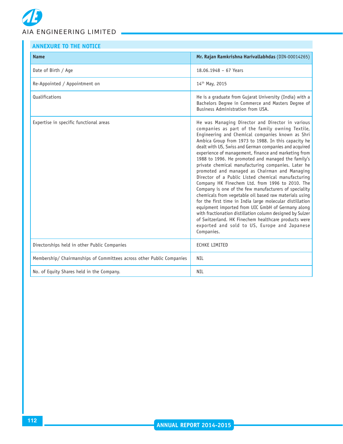| <b>ANNEXURE TO THE NOTICE</b>                                         |                                                                                                                                                                                                                                                                                                                                                                                                                                                                                                                                                                                                                                                                                                                                                                                                                                                                                                                                                                                                                               |  |  |
|-----------------------------------------------------------------------|-------------------------------------------------------------------------------------------------------------------------------------------------------------------------------------------------------------------------------------------------------------------------------------------------------------------------------------------------------------------------------------------------------------------------------------------------------------------------------------------------------------------------------------------------------------------------------------------------------------------------------------------------------------------------------------------------------------------------------------------------------------------------------------------------------------------------------------------------------------------------------------------------------------------------------------------------------------------------------------------------------------------------------|--|--|
| <b>Name</b>                                                           | Mr. Rajan Ramkrishna Harivallabhdas (DIN-00014265)                                                                                                                                                                                                                                                                                                                                                                                                                                                                                                                                                                                                                                                                                                                                                                                                                                                                                                                                                                            |  |  |
| Date of Birth / Age                                                   | 18.06.1948 - 67 Years                                                                                                                                                                                                                                                                                                                                                                                                                                                                                                                                                                                                                                                                                                                                                                                                                                                                                                                                                                                                         |  |  |
| Re-Appointed / Appointment on                                         | 14th May, 2015                                                                                                                                                                                                                                                                                                                                                                                                                                                                                                                                                                                                                                                                                                                                                                                                                                                                                                                                                                                                                |  |  |
| <b>Qualifications</b>                                                 | He is a graduate from Gujarat University (India) with a<br>Bachelors Degree in Commerce and Masters Degree of<br>Business Administration from USA.                                                                                                                                                                                                                                                                                                                                                                                                                                                                                                                                                                                                                                                                                                                                                                                                                                                                            |  |  |
| Expertise in specific functional areas                                | He was Managing Director and Director in various<br>companies as part of the family owning Textile,<br>Engineering and Chemical companies known as Shri<br>Ambica Group from 1973 to 1988. In this capacity he<br>dealt with US, Swiss and German companies and acquired<br>experience of management, finance and marketing from<br>1988 to 1996. He promoted and managed the family's<br>private chemical manufacturing companies. Later he<br>promoted and managed as Chairman and Managing<br>Director of a Public Listed chemical manufacturing<br>Company HK Finechem Ltd. from 1996 to 2010. The<br>Company is one of the few manufacturers of speciality<br>chemicals from vegetable oil based raw materials using<br>for the first time in India large molecular distillation<br>equipment imported from UIC GmbH of Germany along<br>with fractionation distillation column designed by Sulzer<br>of Switzerland. HK Finechem healthcare products were<br>exported and sold to US, Europe and Japanese<br>Companies. |  |  |
| Directorships held in other Public Companies                          | <b>ECHKE LIMITED</b>                                                                                                                                                                                                                                                                                                                                                                                                                                                                                                                                                                                                                                                                                                                                                                                                                                                                                                                                                                                                          |  |  |
| Membership/ Chairmanships of Committees across other Public Companies | <b>NIL</b>                                                                                                                                                                                                                                                                                                                                                                                                                                                                                                                                                                                                                                                                                                                                                                                                                                                                                                                                                                                                                    |  |  |
| No. of Equity Shares held in the Company.                             | NIL                                                                                                                                                                                                                                                                                                                                                                                                                                                                                                                                                                                                                                                                                                                                                                                                                                                                                                                                                                                                                           |  |  |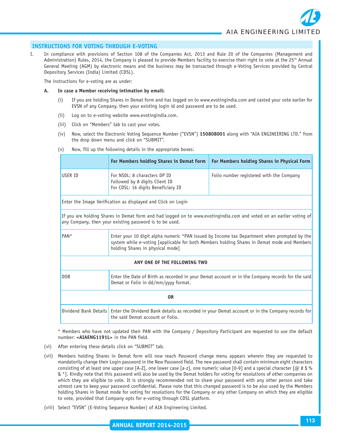# **INSTRUCTIONS FOR VOTING THROUGH E-VOTING**

I. In compliance with provisions of Section 108 of the Companies Act, 2013 and Rule 20 of the Companies (Management and Administration) Rules, 2014, the Company is pleased to provide Members facility to exercise their right to vote at the  $25<sup>th</sup>$  Annual General Meeting (AGM) by electronic means and the business may be transacted through e-Voting Services provided by Central Depository Services (India) Limited (CDSL).

The instructions for e-voting are as under:

- **A. In case a Member receiving intimation by email:**
	- (i) If you are holding Shares in Demat form and has logged on to www.evotingindia.com and casted your vote earlier for EVSN of any Company, then your existing login id and password are to be used.
	- (ii) Log on to e-voting website www.evotingindia.com.
	- (iii) Click on "Members" tab to cast your votes.
	- (iv) Now, select the Electronic Voting Sequence Number ("EVSN") **150808001** along with "AIA ENGINEERING LTD." from the drop down menu and click on "SUBMIT".

| (v) |  |  |  |  |  | Now, fill up the following details in the appropriate boxes: |  |
|-----|--|--|--|--|--|--------------------------------------------------------------|--|
|-----|--|--|--|--|--|--------------------------------------------------------------|--|

|                                                                                                                                                                                | For Members holding Shares in Demat Form                                                                                                                                                                                       | For Members holding Shares in Physical Form |  |  |
|--------------------------------------------------------------------------------------------------------------------------------------------------------------------------------|--------------------------------------------------------------------------------------------------------------------------------------------------------------------------------------------------------------------------------|---------------------------------------------|--|--|
| USER ID                                                                                                                                                                        | For NSDL: 8 characters DP ID<br>Folio number registered with the Company<br>Followed by 8 digits Client ID<br>For CDSL: 16 digits Beneficiary ID                                                                               |                                             |  |  |
|                                                                                                                                                                                | Enter the Image Verification as displayed and Click on Login                                                                                                                                                                   |                                             |  |  |
| If you are holding Shares in Demat form and had logged on to www.evotingindia.com and voted on an earlier voting of<br>any Company, then your existing password is to be used. |                                                                                                                                                                                                                                |                                             |  |  |
| PAN <sup>*</sup>                                                                                                                                                               | Enter your 10 digit alpha numeric *PAN issued by Income tax Department when prompted by the<br>system while e-voting [applicable for both Members holding Shares in Demat mode and Members<br>holding Shares in physical mode] |                                             |  |  |
| ANY ONE OF THE FOLLOWING TWO                                                                                                                                                   |                                                                                                                                                                                                                                |                                             |  |  |
| <b>DOB</b>                                                                                                                                                                     | Enter the Date of Birth as recorded in your Demat account or in the Company records for the said<br>Demat or Folio in dd/mm/yyyy format.                                                                                       |                                             |  |  |
| 0R                                                                                                                                                                             |                                                                                                                                                                                                                                |                                             |  |  |
| Dividend Bank Details Enter the Dividend Bank details as recorded in your Demat account or in the Company records for<br>the said Demat account or Folio.                      |                                                                                                                                                                                                                                |                                             |  |  |

\* Members who have not updated their PAN with the Company / Depository Participant are requested to use the default number: **<AIAENG1191L>** in the PAN field.

- (vi) After entering these details click on "SUBMIT" tab.
- (vii) Members holding Shares in Demat form will now reach Password change menu appears wherein they are requested to mandatorily change their Login password in the New Password field. The new password shall contain minimum eight characters consisting of at least one upper case [A-Z], one lower case [a-z], one numeric value [0-9] and a special character  $[@ \# $ %$ & \*]. Kindly note that this password will also be used by the Demat holders for voting for resolutions of other companies on which they are eligible to vote. It is strongly recommended not to share your password with any other person and take utmost care to keep your password confidential. Please note that this changed password is to be also used by the Members holding Shares in Demat mode for voting for resolutions for the Company or any other Company on which they are eligible to vote, provided that Company opts for e-voting through CDSL platform.
- (viii) Select "EVSN" (E-Voting Sequence Number) of AIA Engineering Limited.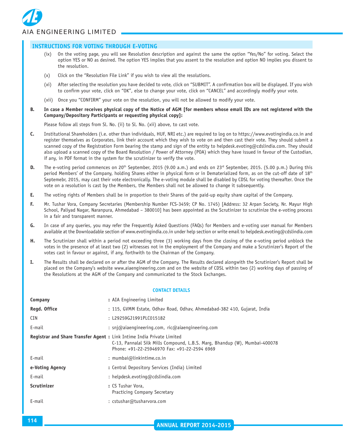

|                                                                                                                                                                                                                                                                           |                                                                                                                                                                                                                                                                                                                                                         | <b>INSTRUCTIONS FOR VOTING THROUGH E-VOTING</b> |                                                                                                                                                                                                                                                                                                                                                                                                                                                                                                                                                                                                                            |
|---------------------------------------------------------------------------------------------------------------------------------------------------------------------------------------------------------------------------------------------------------------------------|---------------------------------------------------------------------------------------------------------------------------------------------------------------------------------------------------------------------------------------------------------------------------------------------------------------------------------------------------------|-------------------------------------------------|----------------------------------------------------------------------------------------------------------------------------------------------------------------------------------------------------------------------------------------------------------------------------------------------------------------------------------------------------------------------------------------------------------------------------------------------------------------------------------------------------------------------------------------------------------------------------------------------------------------------------|
|                                                                                                                                                                                                                                                                           | (ix)                                                                                                                                                                                                                                                                                                                                                    | the resolution.                                 | On the voting page, you will see Resolution description and against the same the option "Yes/No" for voting. Select the<br>option YES or NO as desired. The option YES implies that you assent to the resolution and option NO implies you dissent to                                                                                                                                                                                                                                                                                                                                                                      |
|                                                                                                                                                                                                                                                                           | (x)                                                                                                                                                                                                                                                                                                                                                     |                                                 | Click on the "Resolution File Link" if you wish to view all the resolutions.                                                                                                                                                                                                                                                                                                                                                                                                                                                                                                                                               |
|                                                                                                                                                                                                                                                                           | (xi)                                                                                                                                                                                                                                                                                                                                                    |                                                 | After selecting the resolution you have decided to vote, click on "SUBMIT". A confirmation box will be displayed. If you wish<br>to confirm your vote, click on "OK", else to change your vote, click on "CANCEL" and accordingly modify your vote.                                                                                                                                                                                                                                                                                                                                                                        |
|                                                                                                                                                                                                                                                                           | (xii)                                                                                                                                                                                                                                                                                                                                                   |                                                 | Once you "CONFIRM" your vote on the resolution, you will not be allowed to modify your vote.                                                                                                                                                                                                                                                                                                                                                                                                                                                                                                                               |
| В.                                                                                                                                                                                                                                                                        |                                                                                                                                                                                                                                                                                                                                                         |                                                 | In case a Member receives physical copy of the Notice of AGM [for members whose email IDs are not registered with the<br>Company/Depository Participants or requesting physical copy]:                                                                                                                                                                                                                                                                                                                                                                                                                                     |
|                                                                                                                                                                                                                                                                           |                                                                                                                                                                                                                                                                                                                                                         |                                                 | Please follow all steps from Sl. No. (ii) to Sl. No. (xii) above, to cast vote.                                                                                                                                                                                                                                                                                                                                                                                                                                                                                                                                            |
| c.                                                                                                                                                                                                                                                                        |                                                                                                                                                                                                                                                                                                                                                         |                                                 | Institutional Shareholders (i.e. other than individuals, HUF, NRI etc.) are required to log on to https://www.evotingindia.co.in and<br>register themselves as Corporates, link their account which they wish to vote on and then cast their vote. They should submit a<br>scanned copy of the Registration Form bearing the stamp and sign of the entity to helpdesk.evoting@cdslindia.com. They should<br>also upload a scanned copy of the Board Resolution / Power of Attorney (POA) which they have issued in favour of the Custodian,<br>if any, in PDF format in the system for the scrutinizer to verify the vote. |
| D.                                                                                                                                                                                                                                                                        |                                                                                                                                                                                                                                                                                                                                                         |                                                 | The e-voting period commences on 20 <sup>th</sup> September, 2015 (9.00 a.m.) and ends on 23 <sup>rd</sup> September, 2015. (5.00 p.m.) During this<br>period Members' of the Company, holding Shares either in physical form or in Dematerialized form, as on the cut-off date of 18 <sup>th</sup><br>Septemebr, 2015, may cast their vote electronically. The e-voting module shall be disabled by CDSL for voting thereafter. Once the<br>vote on a resolution is cast by the Members, the Members shall not be allowed to change it subsequently.                                                                      |
| Е.                                                                                                                                                                                                                                                                        |                                                                                                                                                                                                                                                                                                                                                         |                                                 | The voting rights of Members shall be in proportion to their Shares of the paid-up equity share capital of the Company.                                                                                                                                                                                                                                                                                                                                                                                                                                                                                                    |
| F.                                                                                                                                                                                                                                                                        | Mr. Tushar Vora, Company Secretaries (Membership Number FCS-3459; CP No. 1745) [Address: 32 Arpan Society, Nr. Mayur High<br>School, Paliyad Nagar, Naranpura, Ahmedabad - 380010] has been appointed as the Scrutinizer to scrutinize the e-voting process<br>in a fair and transparent manner.                                                        |                                                 |                                                                                                                                                                                                                                                                                                                                                                                                                                                                                                                                                                                                                            |
| In case of any queries, you may refer the Frequently Asked Questions (FAQs) for Members and e-voting user manual for Members<br>G.<br>available at the Downloadable section of www.evotingindia.co.in under help section or write email to helpdesk.evoting@cdslindia.com |                                                                                                                                                                                                                                                                                                                                                         |                                                 |                                                                                                                                                                                                                                                                                                                                                                                                                                                                                                                                                                                                                            |
| н.                                                                                                                                                                                                                                                                        | The Scrutinizer shall within a period not exceeding three (3) working days from the closing of the e-voting period unblock the<br>votes in the presence of at least two (2) witnesses not in the employment of the Company and make a Scrutinizer's Report of the<br>votes cast in favour or against, if any, forthwith to the Chairman of the Company. |                                                 |                                                                                                                                                                                                                                                                                                                                                                                                                                                                                                                                                                                                                            |
| Ι.                                                                                                                                                                                                                                                                        |                                                                                                                                                                                                                                                                                                                                                         |                                                 | The Results shall be declared on or after the AGM of the Company. The Results declared alongwith the Scrutinizer's Report shall be<br>placed on the Company's website www.aiaengineering.com and on the website of CDSL within two (2) working days of passing of<br>the Resolutions at the AGM of the Company and communicated to the Stock Exchanges.                                                                                                                                                                                                                                                                    |
|                                                                                                                                                                                                                                                                           |                                                                                                                                                                                                                                                                                                                                                         |                                                 | <b>CONTACT DETAILS</b>                                                                                                                                                                                                                                                                                                                                                                                                                                                                                                                                                                                                     |
| Company                                                                                                                                                                                                                                                                   |                                                                                                                                                                                                                                                                                                                                                         |                                                 | : AIA Engineering Limited                                                                                                                                                                                                                                                                                                                                                                                                                                                                                                                                                                                                  |
|                                                                                                                                                                                                                                                                           | Regd. Office                                                                                                                                                                                                                                                                                                                                            |                                                 | : 115, GVMM Estate, Odhav Road, Odhav, Ahmedabad-382 410, Gujarat, India                                                                                                                                                                                                                                                                                                                                                                                                                                                                                                                                                   |
| CIN                                                                                                                                                                                                                                                                       |                                                                                                                                                                                                                                                                                                                                                         |                                                 | : L29259GJ1991PLC015182                                                                                                                                                                                                                                                                                                                                                                                                                                                                                                                                                                                                    |
| E-mail                                                                                                                                                                                                                                                                    |                                                                                                                                                                                                                                                                                                                                                         |                                                 | : snj@aiaengineering.com, ric@aiaengineering.com                                                                                                                                                                                                                                                                                                                                                                                                                                                                                                                                                                           |
|                                                                                                                                                                                                                                                                           |                                                                                                                                                                                                                                                                                                                                                         |                                                 | Registrar and Share Transfer Agent : Link Intime India Private Limited<br>C-13, Pannalal Silk Mills Compound, L.B.S. Marg, Bhandup (W), Mumbai-400078<br>Phone: +91-22-25946970 Fax: +91-22-2594 6969                                                                                                                                                                                                                                                                                                                                                                                                                      |
| E-mail                                                                                                                                                                                                                                                                    |                                                                                                                                                                                                                                                                                                                                                         |                                                 | : mumbai@linkintime.co.in                                                                                                                                                                                                                                                                                                                                                                                                                                                                                                                                                                                                  |
|                                                                                                                                                                                                                                                                           | e-Voting Agency                                                                                                                                                                                                                                                                                                                                         |                                                 | : Central Depository Services (India) Limited                                                                                                                                                                                                                                                                                                                                                                                                                                                                                                                                                                              |
| E-mail                                                                                                                                                                                                                                                                    |                                                                                                                                                                                                                                                                                                                                                         |                                                 | : helpdesk.evoting@cdslindia.com                                                                                                                                                                                                                                                                                                                                                                                                                                                                                                                                                                                           |
|                                                                                                                                                                                                                                                                           | <b>Scrutinizer</b>                                                                                                                                                                                                                                                                                                                                      |                                                 | : CS Tushar Vora,<br>Practicing Company Secretary                                                                                                                                                                                                                                                                                                                                                                                                                                                                                                                                                                          |
| E-mail                                                                                                                                                                                                                                                                    |                                                                                                                                                                                                                                                                                                                                                         |                                                 | : cstushar@tusharvora.com                                                                                                                                                                                                                                                                                                                                                                                                                                                                                                                                                                                                  |
|                                                                                                                                                                                                                                                                           |                                                                                                                                                                                                                                                                                                                                                         |                                                 |                                                                                                                                                                                                                                                                                                                                                                                                                                                                                                                                                                                                                            |
| 114                                                                                                                                                                                                                                                                       |                                                                                                                                                                                                                                                                                                                                                         |                                                 | <b>ANNUAL REPORT 2014-2015</b>                                                                                                                                                                                                                                                                                                                                                                                                                                                                                                                                                                                             |
|                                                                                                                                                                                                                                                                           |                                                                                                                                                                                                                                                                                                                                                         |                                                 |                                                                                                                                                                                                                                                                                                                                                                                                                                                                                                                                                                                                                            |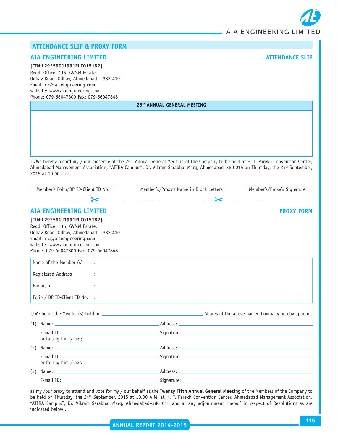

# **ATTENDANCE SLIP & PROXY FORM**

# **AIA ENGINEERING LIMITED ATTENDANCE SLIP**

## **[CIN:L29259GJ1991PLC015182]**

Regd. Office: 115, GVMM Estate, Odhav Road, Odhav, Ahmedabad – 382 410 Email: ric@aiaengineering.com website: www.aiaengineering.com Phone: 079-66047800 Fax: 079-66047848

**25th ANNUAL GENERAL MEETING**

I /We hereby record my / our presence at the 25<sup>th</sup> Annual General Meeting of the Company to be held at H. T. Parekh Convention Center, Ahmedabad Management Association, "ATIRA Campus", Dr. Vikram Sarabhai Marg, Ahmedabad-380 015 on Thursday, the 24<sup>th</sup> September, 2015 at 10.00 a.m.

| Member's Folio/DP ID-Client ID No.<br>———————— <del>\$&lt;</del> ——————————————— <del>\$&lt; —</del> —————————                                                                                                        | Member's/Proxy's Name in Block Letters | Member's/Proxy's Signature |
|-----------------------------------------------------------------------------------------------------------------------------------------------------------------------------------------------------------------------|----------------------------------------|----------------------------|
| <b>AIA ENGINEERING LIMITED</b>                                                                                                                                                                                        |                                        | <b>PROXY FORM</b>          |
| [CIN:L29259GJ1991PLC015182]<br>Regd. Office: 115, GVMM Estate,<br>Odhav Road, Odhav, Ahmedabad - 382 410<br>Email: ric@aiaengineering.com<br>website: www.aiaengineering.com<br>Phone: 079-66047800 Fax: 079-66047848 |                                        |                            |
| Name of the Member (s) :                                                                                                                                                                                              |                                        |                            |
| Registered Address                                                                                                                                                                                                    |                                        |                            |
| E-mail Id<br>÷                                                                                                                                                                                                        |                                        |                            |
| Folio / DP ID-Client ID No. :                                                                                                                                                                                         |                                        |                            |
|                                                                                                                                                                                                                       |                                        |                            |
|                                                                                                                                                                                                                       |                                        |                            |
| or failing him / her;                                                                                                                                                                                                 |                                        |                            |
| (2)                                                                                                                                                                                                                   |                                        |                            |
| or failing him / her;                                                                                                                                                                                                 |                                        |                            |
| (3)                                                                                                                                                                                                                   |                                        |                            |
|                                                                                                                                                                                                                       |                                        |                            |

as my /our proxy to attend and vote for my / our behalf at the **Twenty Fifth Annual General Meeting** of the Members of the Company to be held on Thursday, the 24<sup>th</sup> September, 2015 at 10.00 A.M. at H. T. Parekh Convention Center, Ahmedabad Management Association, "ATIRA Campus", Dr. Vikram Sarabhai Marg, Ahmedabad–380 015 and at any adjournment thereof in respect of Resolutions as are indicated below:.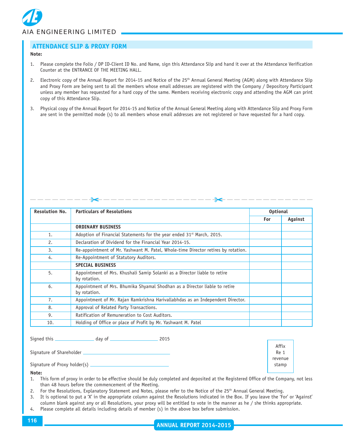

# **ATTENDANCE SLIP & PROXY FORM**

#### **Note:**

- 1. Please complete the Folio / DP ID-Client ID No. and Name, sign this Attendance Slip and hand it over at the Attendance Verification Counter at the ENTRANCE OF THE MEETING HALL.
- 2. Electronic copy of the Annual Report for 2014-15 and Notice of the 25<sup>th</sup> Annual General Meeting (AGM) along with Attendance Slip and Proxy Form are being sent to all the members whose email addresses are registered with the Company / Depository Participant unless any member has requested for a hard copy of the same. Members receiving electronic copy and attending the AGM can print copy of this Attendance Slip.
- 3. Physical copy of the Annual Report for 2014-15 and Notice of the Annual General Meeting along with Attendance Slip and Proxy Form are sent in the permitted mode (s) to all members whose email addresses are not registered or have requested for a hard copy.

| <b>Resolution No.</b> | <b>Particulars of Resolutions</b>                                                          |     | <b>Optional</b> |  |
|-----------------------|--------------------------------------------------------------------------------------------|-----|-----------------|--|
|                       |                                                                                            | For | Against         |  |
|                       | <b>ORDINARY BUSINESS</b>                                                                   |     |                 |  |
| 1.                    | Adoption of Financial Statements for the year ended 31 <sup>st</sup> March, 2015.          |     |                 |  |
| 2.                    | Declaration of Dividend for the Financial Year 2014-15.                                    |     |                 |  |
| 3.                    | Re-appointment of Mr. Yashwant M. Patel, Whole-time Director retires by rotation.          |     |                 |  |
| 4.                    | Re-Appointment of Statutory Auditors.                                                      |     |                 |  |
|                       | <b>SPECIAL BUSINESS</b>                                                                    |     |                 |  |
| 5.                    | Appointment of Mrs. Khushali Samip Solanki as a Director liable to retire<br>by rotation.  |     |                 |  |
| 6.                    | Appointment of Mrs. Bhumika Shyamal Shodhan as a Director liable to retire<br>by rotation. |     |                 |  |
| 7.                    | Appointment of Mr. Rajan Ramkrishna Harivallabhdas as an Independent Director.             |     |                 |  |
| 8.                    | Approval of Related Party Transactions.                                                    |     |                 |  |
| 9.                    | Ratification of Remuneration to Cost Auditors.                                             |     |                 |  |
| 10.                   | Holding of Office or place of Profit by Mr. Yashwant M. Patel                              |     |                 |  |

Signed this day of 2015

Signature of Shareholder

Signature of Proxy holder(s)

Affix Re 1 revenue stamp

**Note:**

- 1. This form of proxy in order to be effective should be duly completed and deposited at the Registered Office of the Company, not less than 48 hours before the commencement of the Meeting.
- 2. For the Resolutions, Explanatory Statement and Notes, please refer to the Notice of the 25<sup>th</sup> Annual General Meeting.
- 3. It is optional to put a 'X' in the appropriate column against the Resolutions indicated in the Box. If you leave the 'For' or 'Against' column blank against any or all Resolutions, your proxy will be entitled to vote in the manner as he / she thinks appropriate.
- 4. Please complete all details including details of member (s) in the above box before submission.